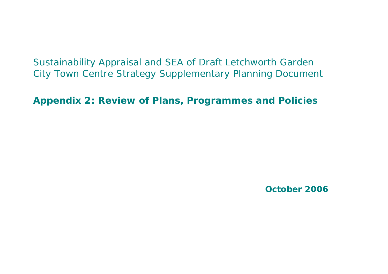Sustainability Appraisal and SEA of Draft Letchworth Garden City Town Centre Strategy Supplementary Planning Document

**Appendix 2: Review of Plans, Programmes and Policies**

**October 2006**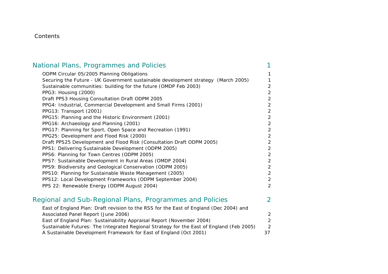#### Contents

| National Plans, Programmes and Policies                                                  |                |
|------------------------------------------------------------------------------------------|----------------|
| ODPM Circular 05/2005 Planning Obligations                                               | 1              |
| Securing the Future - UK Government sustainable development strategy (March 2005)        |                |
| Sustainable communities: building for the future (OMDP Feb 2003)                         | $\overline{2}$ |
| PPG3: Housing (2000)                                                                     | $\overline{2}$ |
| Draft PPS3 Housing Consultation Draft ODPM 2005                                          | $\overline{2}$ |
| PPG4: Industrial, Commercial Development and Small Firms (2001)                          | $\overline{2}$ |
| PPG13: Transport (2001)                                                                  | $\overline{2}$ |
| PPG15: Planning and the Historic Environment (2001)                                      | $\overline{2}$ |
| PPG16: Archaeology and Planning (2001)                                                   | $\overline{2}$ |
| PPG17: Planning for Sport, Open Space and Recreation (1991)                              | $\overline{2}$ |
| PPG25: Development and Flood Risk (2000)                                                 | $\overline{2}$ |
| Draft PPS25 Development and Flood Risk (Consultation Draft ODPM 2005)                    | $\overline{2}$ |
| PPS1: Delivering Sustainable Development (ODPM 2005)                                     | $\overline{2}$ |
| PPS6: Planning for Town Centres (ODPM 2005)                                              | $\mathbf{2}$   |
| PPS7: Sustainable Development in Rural Areas (OMDP 2004)                                 | $\overline{2}$ |
| PPS9: Biodiversity and Geological Conservation (ODPM 2005)                               | $\overline{2}$ |
| PPS10: Planning for Sustainable Waste Management (2005)                                  | $\overline{2}$ |
| PPS12: Local Development Frameworks (ODPM September 2004)                                | $\overline{2}$ |
| PPS 22: Renewable Energy (ODPM August 2004)                                              | 2              |
| Regional and Sub-Regional Plans, Programmes and Policies                                 | 2              |
| East of England Plan: Draft revision to the RSS for the East of England (Dec 2004) and   |                |
| Associated Panel Report (June 2006)                                                      | 2              |
| East of England Plan: Sustainability Appraisal Report (November 2004)                    | $\overline{2}$ |
| Sustainable Futures: The Integrated Regional Strategy for the East of England (Feb 2005) | 2              |
| A Sustainable Development Framework for East of England (Oct 2001)                       | 37             |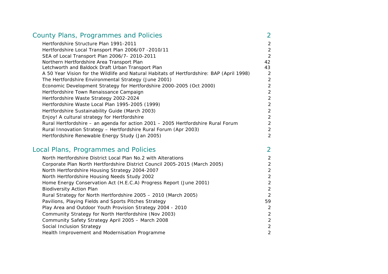| <b>County Plans, Programmes and Policies</b>                                              |               |
|-------------------------------------------------------------------------------------------|---------------|
| Hertfordshire Structure Plan 1991-2011                                                    | $\mathcal{P}$ |
| Hertfordshire Local Transport Plan 2006/07 -2010/11                                       | 2             |
| SEA of Local Transport Plan 2006/7- 2010-2011                                             | 2             |
| Northern Hertfordshire Area Transport Plan                                                | 42            |
| Letchworth and Baldock Draft Urban Transport Plan                                         | 43            |
| A 50 Year Vision for the Wildlife and Natural Habitats of Hertfordshire: BAP (April 1998) | 2             |
| The Hertfordshire Environmental Strategy (June 2001)                                      | 2             |
| Economic Development Strategy for Hertfordshire 2000-2005 (Oct 2000)                      |               |
| Hertfordshire Town Renaissance Campaign                                                   | 2             |
| Hertfordshire Waste Strategy 2002-2024                                                    | 2             |
| Hertfordshire Waste Local Plan 1995-2005 (1999)                                           | 2             |
| Hertfordshire Sustainability Guide (March 2003)                                           | 2             |
| Enjoy! A cultural strategy for Hertfordshire                                              | 2             |
| Rural Hertfordshire - an agenda for action 2001 - 2005 Hertfordshire Rural Forum          |               |
| Rural Innovation Strategy - Hertfordshire Rural Forum (Apr 2003)                          | 2             |
| Hertfordshire Renewable Energy Study (Jan 2005)                                           | 2             |

### Local Plans, Programmes and Policies 2

| North Hertfordshire District Local Plan No.2 with Alterations              | 2              |
|----------------------------------------------------------------------------|----------------|
| Corporate Plan North Hertfordshire District Council 2005-2015 (March 2005) |                |
| North Hertfordshire Housing Strategy 2004-2007                             | 2              |
| North Hertfordshire Housing Needs Study 2002                               | $\overline{a}$ |
| Home Energy Conservation Act (H.E.C.A) Progress Report (June 2001)         | 2              |
| <b>Biodiversity Action Plan</b>                                            | $\overline{a}$ |
| Rural Strategy for North Hertfordshire 2005 - 2010 (March 2005)            | 2              |
| Pavilions, Playing Fields and Sports Pitches Strategy                      | 59             |
| Play Area and Outdoor Youth Provision Strategy 2004 - 2010                 | 2              |
| Community Strategy for North Hertfordshire (Nov 2003)                      | $\overline{c}$ |
| Community Safety Strategy April 2005 - March 2008                          | 2              |
| Social Inclusion Strategy                                                  | $\overline{a}$ |
| Health Improvement and Modernisation Programme                             | $\overline{2}$ |
|                                                                            |                |

 $\overline{2}$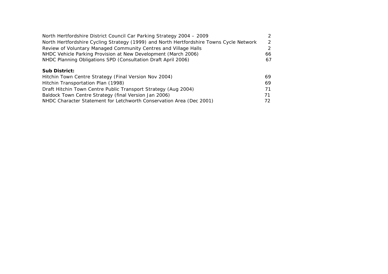| North Hertfordshire District Council Car Parking Strategy 2004 - 2009                   | 2   |
|-----------------------------------------------------------------------------------------|-----|
| North Hertfordshire Cycling Strategy (1999) and North Hertfordshire Towns Cycle Network | 2   |
| Review of Voluntary Managed Community Centres and Village Halls                         | 2   |
| NHDC Vehicle Parking Provision at New Development (March 2006)                          | 66. |
| NHDC Planning Obligations SPD (Consultation Draft April 2006)                           | 67. |
|                                                                                         |     |

#### **Sub District:**

| Hitchin Town Centre Strategy (Final Version Nov 2004)                | 69. |
|----------------------------------------------------------------------|-----|
| Hitchin Transportation Plan (1998)                                   | 69. |
| Draft Hitchin Town Centre Public Transport Strategy (Aug 2004)       | 71  |
| Baldock Town Centre Strategy (final Version Jan 2006)                | 71  |
| NHDC Character Statement for Letchworth Conservation Area (Dec 2001) | 72. |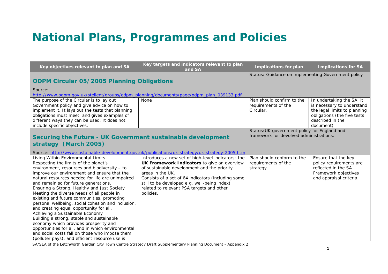# **National Plans, Programmes and Policies**

| Key objectives relevant to plan and SA                                                                                                                                                                                                                                                                                                                                                                                                                                                                                                                                                                                                                                                                                                                                                                | Key targets and indicators relevant to plan<br>and SA                                                                                                                                                                                                                                                                                | <b>Implications for plan</b>                                                            | <b>Implications for SA</b>                                                                                                                              |
|-------------------------------------------------------------------------------------------------------------------------------------------------------------------------------------------------------------------------------------------------------------------------------------------------------------------------------------------------------------------------------------------------------------------------------------------------------------------------------------------------------------------------------------------------------------------------------------------------------------------------------------------------------------------------------------------------------------------------------------------------------------------------------------------------------|--------------------------------------------------------------------------------------------------------------------------------------------------------------------------------------------------------------------------------------------------------------------------------------------------------------------------------------|-----------------------------------------------------------------------------------------|---------------------------------------------------------------------------------------------------------------------------------------------------------|
| <b>ODPM Circular 05/2005 Planning Obligations</b>                                                                                                                                                                                                                                                                                                                                                                                                                                                                                                                                                                                                                                                                                                                                                     |                                                                                                                                                                                                                                                                                                                                      | Status: Guidance on implementing Government policy                                      |                                                                                                                                                         |
| Source:<br>http://www.odpm.gov.uk/stellent/groups/odpm_planning/documents/page/odpm_plan_039133.pdf                                                                                                                                                                                                                                                                                                                                                                                                                                                                                                                                                                                                                                                                                                   |                                                                                                                                                                                                                                                                                                                                      |                                                                                         |                                                                                                                                                         |
| The purpose of the Circular is to lay out<br>Government policy and give advice on how to<br>implement it. It lays out the tests that planning<br>obligations must meet, and gives examples of<br>different ways they can be used. It does not<br>include specific objectives.                                                                                                                                                                                                                                                                                                                                                                                                                                                                                                                         | <b>None</b>                                                                                                                                                                                                                                                                                                                          | Plan should confirm to the<br>requirements of the<br>Circular.                          | In undertaking the SA, it<br>is necessary to understand<br>the legal limits to planning<br>obligations (the five tests<br>described in the<br>document) |
| Securing the Future - UK Government sustainable development<br>strategy (March 2005)                                                                                                                                                                                                                                                                                                                                                                                                                                                                                                                                                                                                                                                                                                                  |                                                                                                                                                                                                                                                                                                                                      | Status: UK government policy for England and<br>framework for devolved administrations. |                                                                                                                                                         |
|                                                                                                                                                                                                                                                                                                                                                                                                                                                                                                                                                                                                                                                                                                                                                                                                       | Source: http://www.sustainable-development.gov.uk/publications/uk-strategy/uk-strategy-2005.htm                                                                                                                                                                                                                                      |                                                                                         |                                                                                                                                                         |
| Living Within Environmental Limits<br>Respecting the limits of the planet's<br>environment, resources and biodiversity - to<br>improve our environment and ensure that the<br>natural resources needed for life are unimpaired<br>and remain so for future generations.<br>Ensuring a Strong, Healthy and Just Society<br>Meeting the diverse needs of all people in<br>existing and future communities, promoting<br>personal wellbeing, social cohesion and inclusion,<br>and creating equal opportunity for all.<br>Achieving a Sustainable Economy<br>Building a strong, stable and sustainable<br>economy which provides prosperity and<br>opportunities for all, and in which environmental<br>and social costs fall on those who impose them<br>(polluter pays), and efficient resource use is | Introduces a new set of high-level indicators: the<br>UK Framework Indicators to give an overview<br>of sustainable development and the priority<br>areas in the UK.<br>Consists of a set of 64 indicators (including some<br>still to be developed e.g. well-being index)<br>related to relevant PSA targets and other<br>policies. | Plan should conform to the<br>requirements of the<br>strategy.                          | Ensure that the key<br>policy requirements are<br>reflected in the SA<br>Framework objectives<br>and appraisal criteria.                                |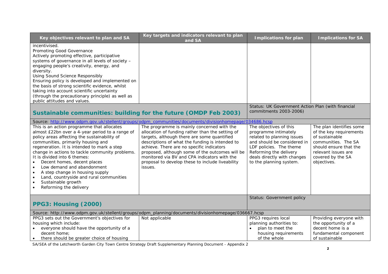| Key objectives relevant to plan and SA                                                                                                                                                                                                                                                                                                                                                                                                                                                                                              | Key targets and indicators relevant to plan<br>and SA                                                                                                                                                                                                                                                                                                             | <b>Implications for plan</b>                                                                                                                                                                     | <b>Implications for SA</b>                                                                                                                                                        |
|-------------------------------------------------------------------------------------------------------------------------------------------------------------------------------------------------------------------------------------------------------------------------------------------------------------------------------------------------------------------------------------------------------------------------------------------------------------------------------------------------------------------------------------|-------------------------------------------------------------------------------------------------------------------------------------------------------------------------------------------------------------------------------------------------------------------------------------------------------------------------------------------------------------------|--------------------------------------------------------------------------------------------------------------------------------------------------------------------------------------------------|-----------------------------------------------------------------------------------------------------------------------------------------------------------------------------------|
| incentivised.<br>Promoting Good Governance<br>Actively promoting effective, participative<br>systems of governance in all levels of society -<br>engaging people's creativity, energy, and<br>diversity.<br><b>Using Sound Science Responsibly</b><br>Ensuring policy is developed and implemented on<br>the basis of strong scientific evidence, whilst<br>taking into account scientific uncertainty<br>(through the precautionary principle) as well as<br>public attitudes and values.                                          |                                                                                                                                                                                                                                                                                                                                                                   | Status: UK Government Action Plan (with financial                                                                                                                                                |                                                                                                                                                                                   |
|                                                                                                                                                                                                                                                                                                                                                                                                                                                                                                                                     |                                                                                                                                                                                                                                                                                                                                                                   |                                                                                                                                                                                                  |                                                                                                                                                                                   |
|                                                                                                                                                                                                                                                                                                                                                                                                                                                                                                                                     |                                                                                                                                                                                                                                                                                                                                                                   |                                                                                                                                                                                                  |                                                                                                                                                                                   |
| almost £22bn over a 4-year period to a range of<br>policy areas affecting the sustainability of<br>communities, primarily housing and<br>regeneration. It is intended to mark a step<br>change in actions to tackle community problems.<br>It is divided into 6 themes:<br>Decent homes, decent places<br>$\bullet$<br>Low demand and abandonment<br>$\bullet$<br>A step change in housing supply<br>$\bullet$<br>Land, countryside and rural communities<br>$\bullet$<br>Sustainable growth<br>$\bullet$<br>Reforming the delivery | allocation of funding rather than the setting of<br>targets, although there are some quantified<br>descriptions of what the funding is intended to<br>achieve. There are no specific indicators<br>proposed, although some of the outcomes will be<br>monitored via BV and CPA indicators with the<br>proposal to develop these to include liveability<br>issues. | programme intimately<br>related to planning issues<br>and should be considered in<br>LDF policies. The theme<br>Reforming the delivery<br>deals directly with changes<br>to the planning system. | The plan identifies some<br>of the key requirements<br>of sustainable<br>communities. The SA<br>should ensure that the<br>relevant issues are<br>covered by the SA<br>objectives. |
| PPG3: Housing (2000)                                                                                                                                                                                                                                                                                                                                                                                                                                                                                                                |                                                                                                                                                                                                                                                                                                                                                                   |                                                                                                                                                                                                  |                                                                                                                                                                                   |
|                                                                                                                                                                                                                                                                                                                                                                                                                                                                                                                                     | Source: http://www.odpm.gov.uk/stellent/groups/odpm_planning/documents/divisionhomepage/036667.hcsp                                                                                                                                                                                                                                                               |                                                                                                                                                                                                  |                                                                                                                                                                                   |
| PPG3 sets out the Government's objectives for<br>housing which include:<br>everyone should have the opportunity of a<br>decent home;                                                                                                                                                                                                                                                                                                                                                                                                | Not applicable                                                                                                                                                                                                                                                                                                                                                    | PPG3 requires local<br>planning authorities to:<br>plan to meet the<br>housing requirements                                                                                                      | Providing everyone with<br>the opportunity of a<br>decent home is a<br>fundamental component                                                                                      |
| Sustainable communities: building for the future (OMDP Feb 2003)<br>This is an action programme that allocates<br>there should be greater choice of housing<br>$\bullet$                                                                                                                                                                                                                                                                                                                                                            | Source: http://www.odpm.gov.uk/stellent/groups/odpm_communities/documents/divisionhomepage/034686.hcsp<br>The programme is mainly concerned with the                                                                                                                                                                                                              | commitments 2003-2006)<br>The objectives of this<br>Status: Government policy<br>of the whole                                                                                                    | of sustainable                                                                                                                                                                    |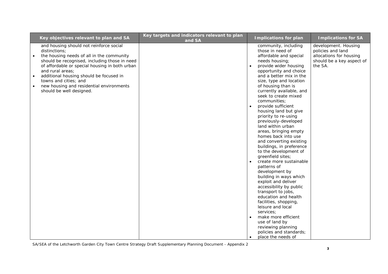| Key objectives relevant to plan and SA                                                                                                                                                                                                                                                                                                                                                             | Key targets and indicators relevant to plan<br>and SA | <b>Implications for plan</b>                                                                                                                                                                                                                                                                                                                                                                                                                                                                                                                                                                                                                                                                                                                                                                                                                                                                                                                                             | <b>Implications for SA</b>                                                                                   |
|----------------------------------------------------------------------------------------------------------------------------------------------------------------------------------------------------------------------------------------------------------------------------------------------------------------------------------------------------------------------------------------------------|-------------------------------------------------------|--------------------------------------------------------------------------------------------------------------------------------------------------------------------------------------------------------------------------------------------------------------------------------------------------------------------------------------------------------------------------------------------------------------------------------------------------------------------------------------------------------------------------------------------------------------------------------------------------------------------------------------------------------------------------------------------------------------------------------------------------------------------------------------------------------------------------------------------------------------------------------------------------------------------------------------------------------------------------|--------------------------------------------------------------------------------------------------------------|
| and housing should not reinforce social<br>distinctions;<br>the housing needs of all in the community<br>should be recognised, including those in need<br>of affordable or special housing in both urban<br>and rural areas;<br>additional housing should be focused in<br>$\bullet$<br>towns and cities; and<br>new housing and residential environments<br>$\bullet$<br>should be well designed. |                                                       | community, including<br>those in need of<br>affordable and special<br>needs housing;<br>provide wider housing<br>opportunity and choice<br>and a better mix in the<br>size, type and location<br>of housing than is<br>currently available, and<br>seek to create mixed<br>communities;<br>provide sufficient<br>$\bullet$<br>housing land but give<br>priority to re-using<br>previously-developed<br>land within urban<br>areas, bringing empty<br>homes back into use<br>and converting existing<br>buildings, in preference<br>to the development of<br>greenfield sites;<br>create more sustainable<br>$\bullet$<br>patterns of<br>development by<br>building in ways which<br>exploit and deliver<br>accessibility by public<br>transport to jobs,<br>education and health<br>facilities, shopping,<br>leisure and local<br>services:<br>make more efficient<br>$\bullet$<br>use of land by<br>reviewing planning<br>policies and standards;<br>place the needs of | development. Housing<br>policies and land<br>allocations for housing<br>should be a key aspect of<br>the SA. |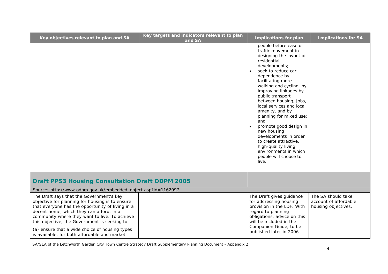| Key objectives relevant to plan and SA                                                                                                                                                                                                                                                                                                                                                          | Key targets and indicators relevant to plan<br>and SA | <b>Implications for plan</b>                                                                                                                                                                                                                                                                                                                                                                                                                                                                                                                                  | <b>Implications for SA</b>                                         |
|-------------------------------------------------------------------------------------------------------------------------------------------------------------------------------------------------------------------------------------------------------------------------------------------------------------------------------------------------------------------------------------------------|-------------------------------------------------------|---------------------------------------------------------------------------------------------------------------------------------------------------------------------------------------------------------------------------------------------------------------------------------------------------------------------------------------------------------------------------------------------------------------------------------------------------------------------------------------------------------------------------------------------------------------|--------------------------------------------------------------------|
|                                                                                                                                                                                                                                                                                                                                                                                                 |                                                       | people before ease of<br>traffic movement in<br>designing the layout of<br>residential<br>developments;<br>seek to reduce car<br>$\bullet$<br>dependence by<br>facilitating more<br>walking and cycling, by<br>improving linkages by<br>public transport<br>between housing, jobs,<br>local services and local<br>amenity, and by<br>planning for mixed use;<br>and<br>promote good design in<br>$\bullet$<br>new housing<br>developments in order<br>to create attractive,<br>high-quality living<br>environments in which<br>people will choose to<br>live. |                                                                    |
| <b>Draft PPS3 Housing Consultation Draft ODPM 2005</b>                                                                                                                                                                                                                                                                                                                                          |                                                       |                                                                                                                                                                                                                                                                                                                                                                                                                                                                                                                                                               |                                                                    |
| Source: http://www.odpm.gov.uk/embedded_object.asp?id=1162097                                                                                                                                                                                                                                                                                                                                   |                                                       |                                                                                                                                                                                                                                                                                                                                                                                                                                                                                                                                                               |                                                                    |
| The Draft says that the Government's key<br>objective for planning for housing is to ensure<br>that everyone has the opportunity of living in a<br>decent home, which they can afford, in a<br>community where they want to live. To achieve<br>this objective, the Government is seeking to:<br>(a) ensure that a wide choice of housing types<br>is available, for both affordable and market |                                                       | The Draft gives guidance<br>for addressing housing<br>provision in the LDF. With<br>regard to planning<br>obligations, advice on this<br>will be included in the<br>Companion Guide, to be<br>published later in 2006.                                                                                                                                                                                                                                                                                                                                        | The SA should take<br>account of affordable<br>housing objectives. |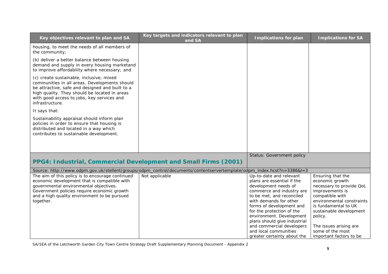| Key objectives relevant to plan and SA                                                                                                                                                                                                                         | Key targets and indicators relevant to plan<br>and SA                                                                  | <b>Implications for plan</b>                                                                                                                                                                                                                                                           | <b>Implications for SA</b>                                                                                                                                                                        |
|----------------------------------------------------------------------------------------------------------------------------------------------------------------------------------------------------------------------------------------------------------------|------------------------------------------------------------------------------------------------------------------------|----------------------------------------------------------------------------------------------------------------------------------------------------------------------------------------------------------------------------------------------------------------------------------------|---------------------------------------------------------------------------------------------------------------------------------------------------------------------------------------------------|
| housing, to meet the needs of all members of<br>the community;                                                                                                                                                                                                 |                                                                                                                        |                                                                                                                                                                                                                                                                                        |                                                                                                                                                                                                   |
| (b) deliver a better balance between housing<br>demand and supply in every housing marketand<br>to improve affordability where necessary; and                                                                                                                  |                                                                                                                        |                                                                                                                                                                                                                                                                                        |                                                                                                                                                                                                   |
| (c) create sustainable, inclusive, mixed<br>communities in all areas. Developments should<br>be attractive, safe and designed and built to a<br>high quality. They should be located in areas<br>with good access to jobs, key services and<br>infrastructure. |                                                                                                                        |                                                                                                                                                                                                                                                                                        |                                                                                                                                                                                                   |
| It says that:                                                                                                                                                                                                                                                  |                                                                                                                        |                                                                                                                                                                                                                                                                                        |                                                                                                                                                                                                   |
| Sustainability appraisal should inform plan<br>policies in order to ensure that housing is<br>distributed and located in a way which<br>contributes to sustainable development.                                                                                |                                                                                                                        |                                                                                                                                                                                                                                                                                        |                                                                                                                                                                                                   |
|                                                                                                                                                                                                                                                                |                                                                                                                        |                                                                                                                                                                                                                                                                                        |                                                                                                                                                                                                   |
|                                                                                                                                                                                                                                                                |                                                                                                                        | Status: Government policy                                                                                                                                                                                                                                                              |                                                                                                                                                                                                   |
| PPG4: Industrial, Commercial Development and Small Firms (2001)                                                                                                                                                                                                |                                                                                                                        |                                                                                                                                                                                                                                                                                        |                                                                                                                                                                                                   |
|                                                                                                                                                                                                                                                                | Source: http://www.odpm.gov.uk/stellent/groups/odpm_control/documents/contentservertemplate/odpm_index.hcst?n=3386&l=3 |                                                                                                                                                                                                                                                                                        |                                                                                                                                                                                                   |
| The aim of this policy is to encourage continued<br>economic development that is compatible with<br>governmental environmental objectives.<br>Government policies require economic growth<br>and a high quality environment to be pursued<br>together.         | Not applicable                                                                                                         | Up-to-date and relevant<br>plans are essential if the<br>development needs of<br>commerce and industry are<br>to be met, and reconciled<br>with demands for other<br>forms of development and<br>for the protection of the<br>environment. Development<br>plans should give industrial | Ensuring that the<br>economic growth<br>necessary to provide QoL<br>improvements is<br>compatible with<br>environmental constraints<br>is fundamental to UK<br>sustainable development<br>policy. |
|                                                                                                                                                                                                                                                                |                                                                                                                        | and commercial developers<br>and local communities<br>greater certainty about the                                                                                                                                                                                                      | The issues arising are<br>some of the most<br>important factors to be                                                                                                                             |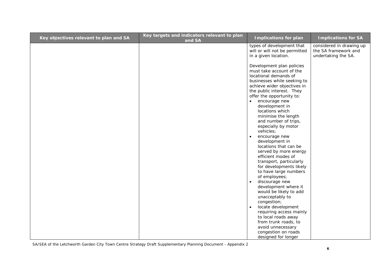| Key objectives relevant to plan and SA | Key targets and indicators relevant to plan<br>and SA | <b>Implications for plan</b>                                                                                                                                                                                                                                                                                                                                                                                                                                                                                                                                                                                                                | <b>Implications for SA</b>                                              |
|----------------------------------------|-------------------------------------------------------|---------------------------------------------------------------------------------------------------------------------------------------------------------------------------------------------------------------------------------------------------------------------------------------------------------------------------------------------------------------------------------------------------------------------------------------------------------------------------------------------------------------------------------------------------------------------------------------------------------------------------------------------|-------------------------------------------------------------------------|
|                                        |                                                       | types of development that<br>will or will not be permitted<br>in a given location.                                                                                                                                                                                                                                                                                                                                                                                                                                                                                                                                                          | considered in drawing up<br>the SA framework and<br>undertaking the SA. |
|                                        |                                                       | Development plan policies<br>must take account of the<br>locational demands of<br>businesses while seeking to<br>achieve wider objectives in<br>the public interest. They<br>offer the opportunity to:<br>encourage new<br>development in<br>locations which<br>minimise the length<br>and number of trips,<br>especially by motor<br>vehicles;<br>encourage new<br>$\bullet$<br>development in<br>locations that can be<br>served by more energy<br>efficient modes of<br>transport, particularly<br>for developments likely<br>to have large numbers<br>of employees;<br>discourage new<br>development where it<br>would be likely to add |                                                                         |
|                                        |                                                       | unacceptably to<br>congestion;<br>locate development<br>$\bullet$<br>requiring access mainly                                                                                                                                                                                                                                                                                                                                                                                                                                                                                                                                                |                                                                         |
|                                        |                                                       | to local roads away<br>from trunk roads, to<br>avoid unnecessary                                                                                                                                                                                                                                                                                                                                                                                                                                                                                                                                                                            |                                                                         |
|                                        |                                                       | congestion on roads<br>designed for longer                                                                                                                                                                                                                                                                                                                                                                                                                                                                                                                                                                                                  |                                                                         |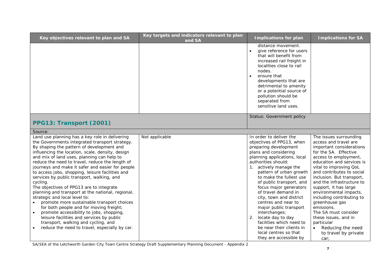| Key objectives relevant to plan and SA                                                                                                                                                                                                                                                                                                                                                                                                                                                                                                                                                                                                                                                                                                                                                                                                                                           | Key targets and indicators relevant to plan<br>and SA | <b>Implications for plan</b>                                                                                                                                                                                                                                                                                                                                                                                                                                                                                                                               | <b>Implications for SA</b>                                                                                                                                                                                                                                                                                                                                                                                                                                                                                     |
|----------------------------------------------------------------------------------------------------------------------------------------------------------------------------------------------------------------------------------------------------------------------------------------------------------------------------------------------------------------------------------------------------------------------------------------------------------------------------------------------------------------------------------------------------------------------------------------------------------------------------------------------------------------------------------------------------------------------------------------------------------------------------------------------------------------------------------------------------------------------------------|-------------------------------------------------------|------------------------------------------------------------------------------------------------------------------------------------------------------------------------------------------------------------------------------------------------------------------------------------------------------------------------------------------------------------------------------------------------------------------------------------------------------------------------------------------------------------------------------------------------------------|----------------------------------------------------------------------------------------------------------------------------------------------------------------------------------------------------------------------------------------------------------------------------------------------------------------------------------------------------------------------------------------------------------------------------------------------------------------------------------------------------------------|
|                                                                                                                                                                                                                                                                                                                                                                                                                                                                                                                                                                                                                                                                                                                                                                                                                                                                                  |                                                       | distance movement.<br>give reference for users<br>that will benefit from<br>increased rail freight in<br>localities close to rail<br>nodes.<br>ensure that<br>developments that are<br>detrimental to amenity<br>or a potential source of<br>pollution should be<br>separated from<br>sensitive land uses.                                                                                                                                                                                                                                                 |                                                                                                                                                                                                                                                                                                                                                                                                                                                                                                                |
| PPG13: Transport (2001)                                                                                                                                                                                                                                                                                                                                                                                                                                                                                                                                                                                                                                                                                                                                                                                                                                                          |                                                       | Status: Government policy                                                                                                                                                                                                                                                                                                                                                                                                                                                                                                                                  |                                                                                                                                                                                                                                                                                                                                                                                                                                                                                                                |
| Source:                                                                                                                                                                                                                                                                                                                                                                                                                                                                                                                                                                                                                                                                                                                                                                                                                                                                          |                                                       |                                                                                                                                                                                                                                                                                                                                                                                                                                                                                                                                                            |                                                                                                                                                                                                                                                                                                                                                                                                                                                                                                                |
| Land use planning has a key role in delivering<br>the Governments integrated transport strategy.<br>By shaping the pattern of development and<br>influencing the location, scale, density, design<br>and mix of land uses, planning can help to<br>reduce the need to travel, reduce the length of<br>journeys and make it safer and easier for people<br>to access jobs, shopping, leisure facilities and<br>services by public transport, walking, and<br>cycling.<br>The objectives of PPG13 are to integrate<br>planning and transport at the national, regional,<br>strategic and local level to:<br>promote more sustainable transport choices<br>for both people and for moving freight;<br>promote accessibility to jobs, shopping,<br>leisure facilities and services by public<br>transport, walking and cycling, and<br>reduce the need to travel, especially by car. | Not applicable                                        | In order to deliver the<br>objectives of PPG13, when<br>preparing development<br>plans and considering<br>planning applications, local<br>authorities should:<br>1. actively manage the<br>pattern of urban growth<br>to make the fullest use<br>of public transport, and<br>focus major generators<br>of travel demand in<br>city, town and district<br>centres and near to<br>major public transport<br>interchanges;<br>2. locate day to day<br>facilities which need to<br>be near their clients in<br>local centres so that<br>they are accessible by | The issues surrounding<br>access and travel are<br>important considerations<br>for the SA. Effective<br>access to employment,<br>education and services is<br>vital to improving QoL<br>and contributes to social<br>inclusion. But transport,<br>and the infrastructure to<br>support, it has large<br>environmental impacts,<br>including contributing to<br>greenhouse gas<br>emissions.<br>The SA must consider<br>these issues, and in<br>particular<br>Reducing the need<br>to travel by private<br>car; |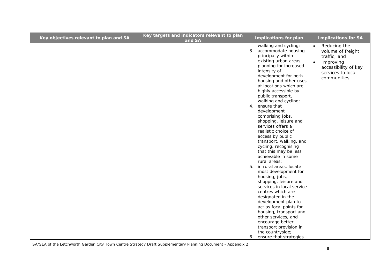| Key objectives relevant to plan and SA | Key targets and indicators relevant to plan<br>and SA | <b>Implications for plan</b>                                                                                                                                                                                                                                                                                                                                                                                                                                                                                                                                                                                                                                                                                                                                                                                                                                                                                                            | <b>Implications for SA</b>                                                                                                                           |
|----------------------------------------|-------------------------------------------------------|-----------------------------------------------------------------------------------------------------------------------------------------------------------------------------------------------------------------------------------------------------------------------------------------------------------------------------------------------------------------------------------------------------------------------------------------------------------------------------------------------------------------------------------------------------------------------------------------------------------------------------------------------------------------------------------------------------------------------------------------------------------------------------------------------------------------------------------------------------------------------------------------------------------------------------------------|------------------------------------------------------------------------------------------------------------------------------------------------------|
|                                        |                                                       | walking and cycling;<br>3. accommodate housing<br>principally within<br>existing urban areas,<br>planning for increased<br>intensity of<br>development for both<br>housing and other uses<br>at locations which are<br>highly accessible by<br>public transport,<br>walking and cycling;<br>4. ensure that<br>development<br>comprising jobs,<br>shopping, leisure and<br>services offers a<br>realistic choice of<br>access by public<br>transport, walking, and<br>cycling, recognising<br>that this may be less<br>achievable in some<br>rural areas;<br>5.<br>in rural areas, locate<br>most development for<br>housing, jobs,<br>shopping, leisure and<br>services in local service<br>centres which are<br>designated in the<br>development plan to<br>act as focal points for<br>housing, transport and<br>other services, and<br>encourage better<br>transport provision in<br>the countryside;<br>ensure that strategies<br>6. | $\bullet$<br>Reducing the<br>volume of freight<br>traffic; and<br>Improving<br>$\bullet$<br>accessibility of key<br>services to local<br>communities |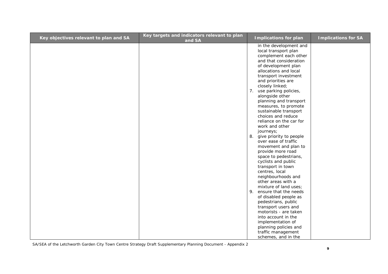| Key objectives relevant to plan and SA | Key targets and indicators relevant to plan<br>and SA |    | <b>Implications for plan</b>                 | <b>Implications for SA</b> |
|----------------------------------------|-------------------------------------------------------|----|----------------------------------------------|----------------------------|
|                                        |                                                       |    | in the development and                       |                            |
|                                        |                                                       |    | local transport plan                         |                            |
|                                        |                                                       |    | complement each other                        |                            |
|                                        |                                                       |    | and that consideration                       |                            |
|                                        |                                                       |    | of development plan<br>allocations and local |                            |
|                                        |                                                       |    | transport investment                         |                            |
|                                        |                                                       |    | and priorities are                           |                            |
|                                        |                                                       |    | closely linked;                              |                            |
|                                        |                                                       | 7. | use parking policies,                        |                            |
|                                        |                                                       |    | alongside other                              |                            |
|                                        |                                                       |    | planning and transport                       |                            |
|                                        |                                                       |    | measures, to promote                         |                            |
|                                        |                                                       |    | sustainable transport                        |                            |
|                                        |                                                       |    | choices and reduce                           |                            |
|                                        |                                                       |    | reliance on the car for                      |                            |
|                                        |                                                       |    | work and other                               |                            |
|                                        |                                                       |    | journeys;                                    |                            |
|                                        |                                                       | 8. | give priority to people                      |                            |
|                                        |                                                       |    | over ease of traffic                         |                            |
|                                        |                                                       |    | movement and plan to                         |                            |
|                                        |                                                       |    | provide more road                            |                            |
|                                        |                                                       |    | space to pedestrians,                        |                            |
|                                        |                                                       |    | cyclists and public<br>transport in town     |                            |
|                                        |                                                       |    | centres, local                               |                            |
|                                        |                                                       |    | neighbourhoods and                           |                            |
|                                        |                                                       |    | other areas with a                           |                            |
|                                        |                                                       |    | mixture of land uses;                        |                            |
|                                        |                                                       | 9. | ensure that the needs                        |                            |
|                                        |                                                       |    | of disabled people as                        |                            |
|                                        |                                                       |    | pedestrians, public                          |                            |
|                                        |                                                       |    | transport users and                          |                            |
|                                        |                                                       |    | motorists - are taken                        |                            |
|                                        |                                                       |    | into account in the                          |                            |
|                                        |                                                       |    | implementation of                            |                            |
|                                        |                                                       |    | planning policies and                        |                            |
|                                        |                                                       |    | traffic management                           |                            |
|                                        |                                                       |    | schemes, and in the                          |                            |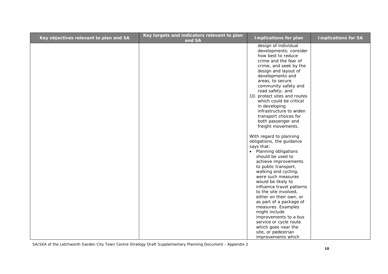| Key objectives relevant to plan and SA | Key targets and indicators relevant to plan<br>and SA | <b>Implications for plan</b>                                                                                                                                                                                                                                                                                                                                                                                                                                                                                    | <b>Implications for SA</b> |
|----------------------------------------|-------------------------------------------------------|-----------------------------------------------------------------------------------------------------------------------------------------------------------------------------------------------------------------------------------------------------------------------------------------------------------------------------------------------------------------------------------------------------------------------------------------------------------------------------------------------------------------|----------------------------|
|                                        |                                                       | design of individual<br>developments; consider<br>how best to reduce<br>crime and the fear of<br>crime, and seek by the<br>design and layout of<br>developments and<br>areas, to secure<br>community safety and<br>road safety; and<br>10. protect sites and routes<br>which could be critical<br>in developing<br>infrastructure to widen<br>transport choices for<br>both passenger and<br>freight movements.                                                                                                 |                            |
|                                        |                                                       | With regard to planning<br>obligations, the guidance<br>says that:<br>• Planning obligations<br>should be used to<br>achieve improvements<br>to public transport,<br>walking and cycling,<br>were such measures<br>would be likely to<br>influence travel patterns<br>to the site involved,<br>either on their own, or<br>as part of a package of<br>measures. Examples<br>might include<br>improvements to a bus<br>service or cycle route<br>which goes near the<br>site, or pedestrian<br>improvements which |                            |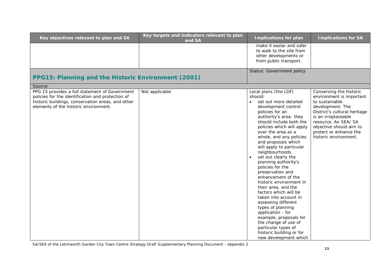| Key objectives relevant to plan and SA                                                                                                                                                            | Key targets and indicators relevant to plan<br>and SA | <b>Implications for plan</b>                                                                                                                                                                                                                                                                                                                                                                                                                                                                                                                                                                                                                                                                                                 | <b>Implications for SA</b>                                                                                                                                                                                                                             |
|---------------------------------------------------------------------------------------------------------------------------------------------------------------------------------------------------|-------------------------------------------------------|------------------------------------------------------------------------------------------------------------------------------------------------------------------------------------------------------------------------------------------------------------------------------------------------------------------------------------------------------------------------------------------------------------------------------------------------------------------------------------------------------------------------------------------------------------------------------------------------------------------------------------------------------------------------------------------------------------------------------|--------------------------------------------------------------------------------------------------------------------------------------------------------------------------------------------------------------------------------------------------------|
|                                                                                                                                                                                                   |                                                       | make it easier and safer<br>to walk to the site from<br>other developments or<br>from public transport.                                                                                                                                                                                                                                                                                                                                                                                                                                                                                                                                                                                                                      |                                                                                                                                                                                                                                                        |
| PPG15: Planning and the Historic Environment (2001)                                                                                                                                               |                                                       | <b>Status: Government policy</b>                                                                                                                                                                                                                                                                                                                                                                                                                                                                                                                                                                                                                                                                                             |                                                                                                                                                                                                                                                        |
| Source:                                                                                                                                                                                           |                                                       |                                                                                                                                                                                                                                                                                                                                                                                                                                                                                                                                                                                                                                                                                                                              |                                                                                                                                                                                                                                                        |
| PPG 15 provides a full statement of Government<br>policies for the identification and protection of<br>historic buildings, conservation areas, and other<br>elements of the historic environment. | Not applicable                                        | Local plans (the LDF)<br>should:<br>set out more detailed<br>development control<br>policies for an<br>authority's area: they<br>should include both the<br>policies which will apply<br>over the area as a<br>whole, and any policies<br>and proposals which<br>will apply to particular<br>neighbourhoods.<br>set out clearly the<br>planning authority's<br>policies for the<br>preservation and<br>enhancement of the<br>historic environment in<br>their area, and the<br>factors which will be<br>taken into account in<br>assessing different<br>types of planning<br>application - for<br>example, proposals for<br>the change of use of<br>particular types of<br>historic building or for<br>new development which | Conserving the historic<br>environment is important<br>to sustainable<br>development. The<br>District's cultural heritage<br>is an irreplaceable<br>resource. An SEA/ SA<br>objective should aim to<br>protect or enhance the<br>historic environment. |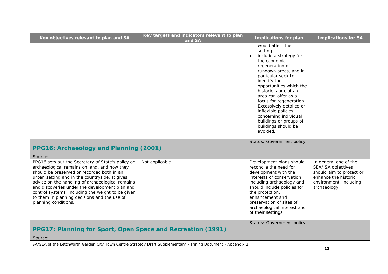| Key objectives relevant to plan and SA                                                                                                                                                                                                                                                                                                                                                                                               | Key targets and indicators relevant to plan<br>and SA | <b>Implications for plan</b>                                                                                                                                                                                                                                                                                                                                                                                          | <b>Implications for SA</b>                                                                                                                |
|--------------------------------------------------------------------------------------------------------------------------------------------------------------------------------------------------------------------------------------------------------------------------------------------------------------------------------------------------------------------------------------------------------------------------------------|-------------------------------------------------------|-----------------------------------------------------------------------------------------------------------------------------------------------------------------------------------------------------------------------------------------------------------------------------------------------------------------------------------------------------------------------------------------------------------------------|-------------------------------------------------------------------------------------------------------------------------------------------|
|                                                                                                                                                                                                                                                                                                                                                                                                                                      |                                                       | would affect their<br>setting.<br>include a strategy for<br>$\bullet$<br>the economic<br>regeneration of<br>rundown areas, and in<br>particular seek to<br>identify the<br>opportunities which the<br>historic fabric of an<br>area can offer as a<br>focus for regeneration.<br>Excessively detailed or<br>inflexible policies<br>concerning individual<br>buildings or groups of<br>buildings should be<br>avoided. |                                                                                                                                           |
| PPG16: Archaeology and Planning (2001)                                                                                                                                                                                                                                                                                                                                                                                               |                                                       | Status: Government policy                                                                                                                                                                                                                                                                                                                                                                                             |                                                                                                                                           |
| Source:                                                                                                                                                                                                                                                                                                                                                                                                                              |                                                       |                                                                                                                                                                                                                                                                                                                                                                                                                       |                                                                                                                                           |
| PPG16 sets out the Secretary of State's policy on<br>archaeological remains on land, and how they<br>should be preserved or recorded both in an<br>urban setting and in the countryside. It gives<br>advice on the handling of archaeological remains<br>and discoveries under the development plan and<br>control systems, including the weight to be given<br>to them in planning decisions and the use of<br>planning conditions. | Not applicable                                        | Development plans should<br>reconcile the need for<br>development with the<br>interests of conservation<br>including archaeology and<br>should include policies for<br>the protection,<br>enhancement and<br>preservation of sites of<br>archaeological interest and<br>of their settings.                                                                                                                            | In general one of the<br>SEA/ SA objectives<br>should aim to protect or<br>enhance the historic<br>environment, including<br>archaeology. |
| PPG17: Planning for Sport, Open Space and Recreation (1991)                                                                                                                                                                                                                                                                                                                                                                          |                                                       | Status: Government policy                                                                                                                                                                                                                                                                                                                                                                                             |                                                                                                                                           |
| Source:                                                                                                                                                                                                                                                                                                                                                                                                                              |                                                       |                                                                                                                                                                                                                                                                                                                                                                                                                       |                                                                                                                                           |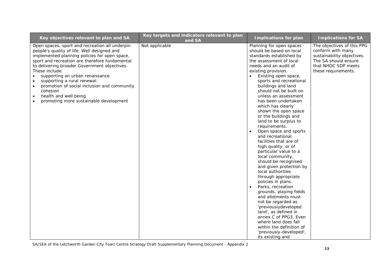| Key objectives relevant to plan and SA                                                                                                                                                                                                                                                                                                                                                                                                                                                                                  | Key targets and indicators relevant to plan<br>and SA | <b>Implications for plan</b>                                                                                                                                                                                                                                                                                                                                                                                                                                                                                                                                                                                                                                                                                                                                                                                                                                                                                                                                          | <b>Implications for SA</b>                                                                                                                          |
|-------------------------------------------------------------------------------------------------------------------------------------------------------------------------------------------------------------------------------------------------------------------------------------------------------------------------------------------------------------------------------------------------------------------------------------------------------------------------------------------------------------------------|-------------------------------------------------------|-----------------------------------------------------------------------------------------------------------------------------------------------------------------------------------------------------------------------------------------------------------------------------------------------------------------------------------------------------------------------------------------------------------------------------------------------------------------------------------------------------------------------------------------------------------------------------------------------------------------------------------------------------------------------------------------------------------------------------------------------------------------------------------------------------------------------------------------------------------------------------------------------------------------------------------------------------------------------|-----------------------------------------------------------------------------------------------------------------------------------------------------|
| Open spaces, sport and recreation all underpin<br>people's quality of life. Well designed and<br>implemented planning policies for open space,<br>sport and recreation are therefore fundamental<br>to delivering broader Government objectives.<br>These include:<br>supporting an urban renaissance.<br>$\bullet$<br>supporting a rural renewal.<br>$\bullet$<br>promotion of social inclusion and community<br>$\bullet$<br>cohesion<br>health and well being<br>$\bullet$<br>promoting more sustainable development | Not applicable                                        | Planning for open spaces<br>should be based on local<br>standards established by<br>the assessment of local<br>needs and an audit of<br>existing provision.<br>Existing open space,<br>sports and recreational<br>buildings and land<br>should not be built on<br>unless an assessment<br>has been undertaken<br>which has clearly<br>shown the open space<br>or the buildings and<br>land to be surplus to<br>requirements.<br>Open space and sports<br>and recreational<br>facilities that are of<br>high quality, or of<br>particular value to a<br>local community,<br>should be recognised<br>and given protection by<br>local authorities<br>through appropriate<br>policies in plans.<br>Parks, recreation<br>grounds, playing fields<br>and allotments must<br>not be regarded as<br>'previouslydeveloped<br>land', as defined in<br>annex C of PPG3. Even<br>where land does fall<br>within the definition of<br>'previously-developed',<br>its existing and | The objectives of this PPG<br>conform with many<br>sustainability objectives.<br>The SA should ensure<br>that NHDC SDP meets<br>these requirements. |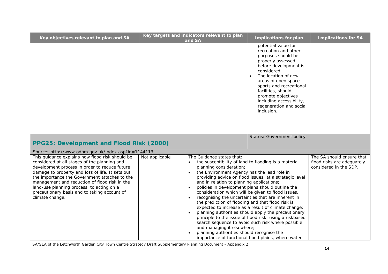| Key objectives relevant to plan and SA                                                                                                                                                                                                                                                                                                                                                                                                                     |                | Key targets and indicators relevant to plan<br>and SA                                                                                                         | <b>Implications for plan</b>                                                                                                                                                                                                                                                                                                                                               | <b>Implications for SA</b>                                                        |
|------------------------------------------------------------------------------------------------------------------------------------------------------------------------------------------------------------------------------------------------------------------------------------------------------------------------------------------------------------------------------------------------------------------------------------------------------------|----------------|---------------------------------------------------------------------------------------------------------------------------------------------------------------|----------------------------------------------------------------------------------------------------------------------------------------------------------------------------------------------------------------------------------------------------------------------------------------------------------------------------------------------------------------------------|-----------------------------------------------------------------------------------|
|                                                                                                                                                                                                                                                                                                                                                                                                                                                            |                |                                                                                                                                                               | potential value for<br>recreation and other<br>purposes should be<br>properly assessed<br>before development is<br>considered.<br>The location of new<br>$\bullet$<br>areas of open space,<br>sports and recreational<br>facilities, should<br>promote objectives<br>including accessibility,<br>regeneration and social<br>inclusion.<br><b>Status: Government policy</b> |                                                                                   |
| PPG25: Development and Flood Risk (2000)                                                                                                                                                                                                                                                                                                                                                                                                                   |                |                                                                                                                                                               |                                                                                                                                                                                                                                                                                                                                                                            |                                                                                   |
| Source: http://www.odpm.gov.uk/index.asp?id=1144113<br>This guidance explains how flood risk should be<br>considered at all stages of the planning and<br>development process in order to reduce future<br>damage to property and loss of life. It sets out<br>the importance the Government attaches to the<br>management and reduction of flood risk in the<br>land-use planning process, to acting on a<br>precautionary basis and to taking account of | Not applicable | The Guidance states that:<br>planning consideration;<br>the Environment Agency has the lead role in<br>$\bullet$<br>and in relation to planning applications; | the susceptibility of land to flooding is a material<br>providing advice on flood issues, at a strategic level<br>policies in development plans should outline the<br>consideration which will be given to flood issues,                                                                                                                                                   | The SA should ensure that<br>flood risks are adequately<br>considered in the SDP. |
| climate change.                                                                                                                                                                                                                                                                                                                                                                                                                                            |                | the prediction of flooding and that flood risk is<br>and managing it elsewhere;<br>planning authorities should recognise the                                  | recognising the uncertainties that are inherent in<br>expected to increase as a result of climate change;<br>planning authorities should apply the precautionary<br>principle to the issue of flood risk, using a riskbased<br>search sequence to avoid such risk where possible<br>importance of functional flood plains, where water                                     |                                                                                   |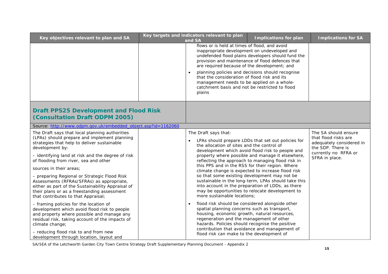| Key objectives relevant to plan and SA                                                                                                                                                                                                                                                                                                                                                                                                                                                                                            | Key targets and indicators relevant to plan<br>and $SA$                                                                                                                                                                                                                                                 | <b>Implications for plan</b>                                                                                                                                                                                                                                                                                                                                                                                                                                                           | <b>Implications for SA</b>                                                                                                              |
|-----------------------------------------------------------------------------------------------------------------------------------------------------------------------------------------------------------------------------------------------------------------------------------------------------------------------------------------------------------------------------------------------------------------------------------------------------------------------------------------------------------------------------------|---------------------------------------------------------------------------------------------------------------------------------------------------------------------------------------------------------------------------------------------------------------------------------------------------------|----------------------------------------------------------------------------------------------------------------------------------------------------------------------------------------------------------------------------------------------------------------------------------------------------------------------------------------------------------------------------------------------------------------------------------------------------------------------------------------|-----------------------------------------------------------------------------------------------------------------------------------------|
|                                                                                                                                                                                                                                                                                                                                                                                                                                                                                                                                   | flows or is held at times of flood, and avoid<br>inappropriate development on undeveloped and<br>are required because of the development; and<br>that the consideration of flood risk and its<br>management needs to be applied on a whole-<br>catchment basis and not be restricted to flood<br>plains | undefended flood plains developers should fund the<br>provision and maintenance of flood defences that<br>planning policies and decisions should recognise                                                                                                                                                                                                                                                                                                                             |                                                                                                                                         |
| <b>Draft PPS25 Development and Flood Risk</b><br>(Consultation Draft ODPM 2005)                                                                                                                                                                                                                                                                                                                                                                                                                                                   |                                                                                                                                                                                                                                                                                                         |                                                                                                                                                                                                                                                                                                                                                                                                                                                                                        |                                                                                                                                         |
| Source: http://www.odpm.gov.uk/embedded_object.asp?id=1162060                                                                                                                                                                                                                                                                                                                                                                                                                                                                     |                                                                                                                                                                                                                                                                                                         |                                                                                                                                                                                                                                                                                                                                                                                                                                                                                        |                                                                                                                                         |
| The Draft says that local planning authorities<br>(LPAs) should prepare and implement planning<br>strategies that help to deliver sustainable<br>development by:<br>- identifying land at risk and the degree of risk<br>of flooding from river, sea and other<br>sources in their areas;<br>- preparing Regional or Strategic Flood Risk<br>Assessments (RFRAs/SFRAs) as appropriate,<br>either as part of the Sustainability Appraisal of<br>their plans or as a freestanding assessment<br>that contributes to that Appraisal; | The Draft says that:<br>the allocation of sites and the control of<br>so that some existing development may not be<br>more sustainable locations;                                                                                                                                                       | LPAs should prepare LDDs that set out policies for<br>development which avoid flood risk to people and<br>property where possible and manage it elsewhere,<br>reflecting the approach to managing flood risk in<br>this PPS and in the RSS for their region. Where<br>climate change is expected to increase flood risk<br>sustainable in the long-term, LPAs should take this<br>into account in the preparation of LDDs, as there<br>may be opportunities to relocate development to | The SA should ensure<br>that flood risks are<br>adequately considered in<br>the SDP. There is<br>currently no RFRA or<br>SFRA in place. |
| - framing policies for the location of<br>development which avoid flood risk to people<br>and property where possible and manage any<br>residual risk, taking account of the impacts of<br>climate change;<br>- reducing flood risk to and from new<br>development through location, layout and                                                                                                                                                                                                                                   | flood risk should be considered alongside other<br>spatial planning concerns such as transport,<br>housing, economic growth, natural resources,<br>regeneration and the management of other<br>hazards. Policies should recognise the positive<br>flood risk can make to the development of             | contribution that avoidance and management of                                                                                                                                                                                                                                                                                                                                                                                                                                          |                                                                                                                                         |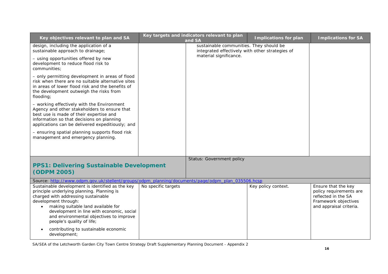| Key objectives relevant to plan and SA                                                                                                                                                                                                                                                                                   |                     | Key targets and indicators relevant to plan<br>and SA                                      | <b>Implications for plan</b> | <b>Implications for SA</b>                                                                                               |
|--------------------------------------------------------------------------------------------------------------------------------------------------------------------------------------------------------------------------------------------------------------------------------------------------------------------------|---------------------|--------------------------------------------------------------------------------------------|------------------------------|--------------------------------------------------------------------------------------------------------------------------|
| design, including the application of a<br>sustainable approach to drainage;                                                                                                                                                                                                                                              |                     | sustainable communities. They should be<br>integrated effectively with other strategies of |                              |                                                                                                                          |
| - using opportunities offered by new<br>development to reduce flood risk to<br>communities;                                                                                                                                                                                                                              |                     | material significance.                                                                     |                              |                                                                                                                          |
| - only permitting development in areas of flood<br>risk when there are no suitable alternative sites<br>in areas of lower flood risk and the benefits of<br>the development outweigh the risks from<br>flooding;                                                                                                         |                     |                                                                                            |                              |                                                                                                                          |
| - working effectively with the Environment<br>Agency and other stakeholders to ensure that<br>best use is made of their expertise and<br>information so that decisions on planning<br>applications can be delivered expeditiously; and                                                                                   |                     |                                                                                            |                              |                                                                                                                          |
| - ensuring spatial planning supports flood risk<br>management and emergency planning.                                                                                                                                                                                                                                    |                     |                                                                                            |                              |                                                                                                                          |
|                                                                                                                                                                                                                                                                                                                          |                     | <b>Status: Government policy</b>                                                           |                              |                                                                                                                          |
| <b>PPS1: Delivering Sustainable Development</b><br>(ODPM 2005)                                                                                                                                                                                                                                                           |                     |                                                                                            |                              |                                                                                                                          |
| Source: http://www.odpm.gov.uk/stellent/groups/odpm_planning/documents/page/odpm_plan_035506.hcsp                                                                                                                                                                                                                        |                     |                                                                                            |                              |                                                                                                                          |
| Sustainable development is identified as the key<br>principle underlying planning. Planning is<br>charged with addressing sustainable<br>development through:<br>making suitable land available for<br>development in line with economic, social<br>and environmental objectives to improve<br>people's quality of life; | No specific targets |                                                                                            | Key policy context.          | Ensure that the key<br>policy requirements are<br>reflected in the SA<br>Framework objectives<br>and appraisal criteria. |
| contributing to sustainable economic<br>development;                                                                                                                                                                                                                                                                     |                     |                                                                                            |                              |                                                                                                                          |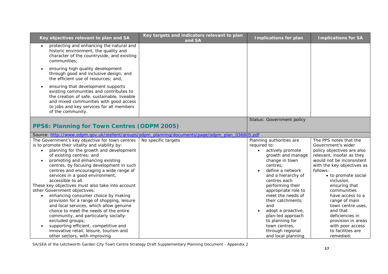| Key objectives relevant to plan and SA                                                                                                                                                                                                                                                                                                                                                                                                                                                                                                                          | Key targets and indicators relevant to plan<br>and SA                                            | <b>Implications for plan</b>                                                                                                                                                                                                                                                | <b>Implications for SA</b>                                                                                                                                                                                                                                                               |
|-----------------------------------------------------------------------------------------------------------------------------------------------------------------------------------------------------------------------------------------------------------------------------------------------------------------------------------------------------------------------------------------------------------------------------------------------------------------------------------------------------------------------------------------------------------------|--------------------------------------------------------------------------------------------------|-----------------------------------------------------------------------------------------------------------------------------------------------------------------------------------------------------------------------------------------------------------------------------|------------------------------------------------------------------------------------------------------------------------------------------------------------------------------------------------------------------------------------------------------------------------------------------|
| protecting and enhancing the natural and<br>$\bullet$<br>historic environment, the quality and<br>character of the countryside, and existing<br>communities;                                                                                                                                                                                                                                                                                                                                                                                                    |                                                                                                  |                                                                                                                                                                                                                                                                             |                                                                                                                                                                                                                                                                                          |
| ensuring high quality development<br>$\bullet$<br>through good and inclusive design, and<br>the efficient use of resources; and,                                                                                                                                                                                                                                                                                                                                                                                                                                |                                                                                                  |                                                                                                                                                                                                                                                                             |                                                                                                                                                                                                                                                                                          |
| ensuring that development supports<br>$\bullet$<br>existing communities and contributes to<br>the creation of safe, sustainable, liveable<br>and mixed communities with good access<br>to jobs and key services for all members<br>of the community.                                                                                                                                                                                                                                                                                                            |                                                                                                  |                                                                                                                                                                                                                                                                             |                                                                                                                                                                                                                                                                                          |
|                                                                                                                                                                                                                                                                                                                                                                                                                                                                                                                                                                 |                                                                                                  | Status: Government policy                                                                                                                                                                                                                                                   |                                                                                                                                                                                                                                                                                          |
| PPS6: Planning for Town Centres (ODPM 2005)                                                                                                                                                                                                                                                                                                                                                                                                                                                                                                                     |                                                                                                  |                                                                                                                                                                                                                                                                             |                                                                                                                                                                                                                                                                                          |
|                                                                                                                                                                                                                                                                                                                                                                                                                                                                                                                                                                 | Source: http://www.odpm.gov.uk/stellent/groups/odpm_planning/documents/page/odpm_plan_036805.pdf |                                                                                                                                                                                                                                                                             |                                                                                                                                                                                                                                                                                          |
| The Government's key objective for town centres<br>is to promote their vitality and viability by:<br>planning for the growth and development<br>$\bullet$<br>of existing centres; and<br>promoting and enhancing existing<br>$\bullet$<br>centres, by focusing development in such<br>centres and encouraging a wide range of<br>services in a good environment,<br>accessible to all.<br>These key objectives must also take into account<br>other Government objectives:<br>enhancing consumer choice by making<br>provision for a range of shopping, leisure | No specific targets                                                                              | Planning authorities are<br>required to:<br>actively promote<br>$\bullet$<br>growth and manage<br>change in town<br>centres:<br>define a network<br>and a hierarchy of<br>centres each<br>performing their<br>appropriate role to<br>meet the needs of<br>their catchments: | The PPS notes that the<br>Government's wider<br>policy objectives are also<br>relevant, insofar as they<br>would not be inconsistent<br>with the key objectives as<br>follows:<br>• to promote social<br>inclusion,<br>ensuring that<br>communities<br>have access to a<br>range of main |
| and local services, which allow genuine<br>choice to meet the needs of the entire<br>community, and particularly socially-<br>excluded groups;<br>supporting efficient, competitive and<br>innovative retail, leisure, tourism and<br>other sectors, with improving                                                                                                                                                                                                                                                                                             |                                                                                                  | and<br>adopt a proactive,<br>$\bullet$<br>plan-led approach<br>to planning for<br>town centres,<br>through regional<br>and local planning.                                                                                                                                  | town centre uses,<br>and that<br>deficiencies in<br>provision in areas<br>with poor access<br>to facilities are<br>remedied;                                                                                                                                                             |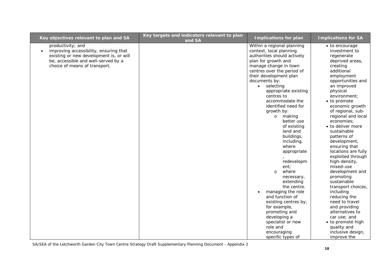| productivity; and<br>improving accessibility, ensuring that<br>$\bullet$<br>existing or new development is, or will<br>be, accessible and well-served by a | Within a regional planning<br>context, local planning<br>authorities should actively<br>plan for growth and<br>manage change in town                                                                                                                                                                                                                                                                                                                                                                                                                                                          | $\bullet$ to encourage<br>investment to<br>regenerate<br>deprived areas,                                                                                                                                                                                                                                                                                                                                                                                                                                                                                                                                       |
|------------------------------------------------------------------------------------------------------------------------------------------------------------|-----------------------------------------------------------------------------------------------------------------------------------------------------------------------------------------------------------------------------------------------------------------------------------------------------------------------------------------------------------------------------------------------------------------------------------------------------------------------------------------------------------------------------------------------------------------------------------------------|----------------------------------------------------------------------------------------------------------------------------------------------------------------------------------------------------------------------------------------------------------------------------------------------------------------------------------------------------------------------------------------------------------------------------------------------------------------------------------------------------------------------------------------------------------------------------------------------------------------|
| choice of means of transport.                                                                                                                              | centres over the period of<br>their development plan<br>documents by:<br>selecting<br>$\bullet$<br>appropriate existing<br>centres to<br>accommodate the<br>identified need for<br>growth by:<br>o making<br>better use<br>of existing<br>land and<br>buildings,<br>including,<br>where<br>appropriate<br>redevelopm<br>ent;<br>where<br>$\circ$<br>necessary,<br>extending<br>the centre.<br>managing the role<br>$\bullet$<br>and function of<br>existing centres by,<br>for example,<br>promoting and<br>developing a<br>specialist or new<br>role and<br>encouraging<br>specific types of | creating<br>additional<br>employment<br>opportunities and<br>an improved<br>physical<br>environment;<br>• to promote<br>economic growth<br>of regional, sub-<br>regional and local<br>economies;<br>• to deliver more<br>sustainable<br>patterns of<br>development,<br>ensuring that<br>locations are fully<br>exploited through<br>high-density,<br>mixed-use<br>development and<br>promoting<br>sustainable<br>transport choices,<br>including<br>reducing the<br>need to travel<br>and providing<br>alternatives to<br>car use; and<br>• to promote high<br>quality and<br>inclusive design,<br>improve the |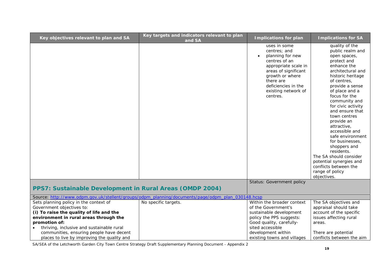| Key objectives relevant to plan and SA                                                                                                                                                                                  | Key targets and indicators relevant to plan<br>and SA                                             | <b>Implications for plan</b>                                                                                                                                                                                             | <b>Implications for SA</b>                                                                                                                                                                                                                                                                                                                                                                                                                                                                     |
|-------------------------------------------------------------------------------------------------------------------------------------------------------------------------------------------------------------------------|---------------------------------------------------------------------------------------------------|--------------------------------------------------------------------------------------------------------------------------------------------------------------------------------------------------------------------------|------------------------------------------------------------------------------------------------------------------------------------------------------------------------------------------------------------------------------------------------------------------------------------------------------------------------------------------------------------------------------------------------------------------------------------------------------------------------------------------------|
|                                                                                                                                                                                                                         |                                                                                                   | uses in some<br>centres; and<br>planning for new<br>$\bullet$<br>centres of an<br>appropriate scale in<br>areas of significant<br>growth or where<br>there are<br>deficiencies in the<br>existing network of<br>centres. | quality of the<br>public realm and<br>open spaces,<br>protect and<br>enhance the<br>architectural and<br>historic heritage<br>of centres,<br>provide a sense<br>of place and a<br>focus for the<br>community and<br>for civic activity<br>and ensure that<br>town centres<br>provide an<br>attractive,<br>accessible and<br>safe environment<br>for businesses,<br>shoppers and<br>residents.<br>The SA should consider<br>potential synergies and<br>conflicts between the<br>range of policy |
|                                                                                                                                                                                                                         |                                                                                                   | <b>Status: Government policy</b>                                                                                                                                                                                         | objectives.                                                                                                                                                                                                                                                                                                                                                                                                                                                                                    |
| PPS7: Sustainable Development in Rural Areas (OMDP 2004)                                                                                                                                                                |                                                                                                   |                                                                                                                                                                                                                          |                                                                                                                                                                                                                                                                                                                                                                                                                                                                                                |
|                                                                                                                                                                                                                         | Source: http://www.odpm.gov.uk/stellent/groups/odpm_planning/documents/page/odpm_plan_030148.hcsp |                                                                                                                                                                                                                          |                                                                                                                                                                                                                                                                                                                                                                                                                                                                                                |
| Sets planning policy in the context of<br>Government objectives to:<br>(i) To raise the quality of life and the<br>environment in rural areas through the<br>promotion of:<br>thriving, inclusive and sustainable rural | No specific targets.                                                                              | Within the broader context<br>of the Government's<br>sustainable development<br>policy the PPS suggests:<br>Good quality, carefully-<br>sited accessible                                                                 | The SA objectives and<br>appraisal should take<br>account of the specific<br>issues affecting rural<br>areas.                                                                                                                                                                                                                                                                                                                                                                                  |
| communities, ensuring people have decent<br>places to live by improving the quality and                                                                                                                                 |                                                                                                   | development within<br>existing towns and villages                                                                                                                                                                        | There are potential<br>conflicts between the aim                                                                                                                                                                                                                                                                                                                                                                                                                                               |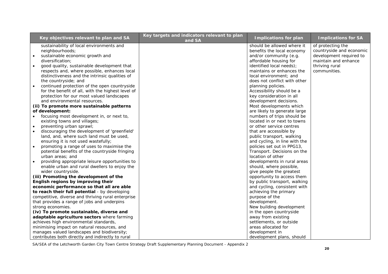| Key objectives relevant to plan and SA                      | Key targets and indicators relevant to plan<br>and SA | <b>Implications for plan</b>  | <b>Implications for SA</b> |
|-------------------------------------------------------------|-------------------------------------------------------|-------------------------------|----------------------------|
| sustainability of local environments and                    |                                                       | should be allowed where it    | of protecting the          |
| neighbourhoods;                                             |                                                       | benefits the local economy    | countryside and economic   |
| sustainable economic growth and<br>$\bullet$                |                                                       | and/or community (e.g.        | development required to    |
| diversification:                                            |                                                       | affordable housing for        | maintain and enhance       |
| good quality, sustainable development that                  |                                                       | identified local needs);      | thriving rural             |
| respects and, where possible, enhances local                |                                                       | maintains or enhances the     | communities.               |
| distinctiveness and the intrinsic qualities of              |                                                       | local environment; and        |                            |
| the countryside; and                                        |                                                       | does not conflict with other  |                            |
| continued protection of the open countryside<br>$\bullet$   |                                                       | planning policies.            |                            |
| for the benefit of all, with the highest level of           |                                                       | Accessibility should be a     |                            |
| protection for our most valued landscapes                   |                                                       | key consideration in all      |                            |
| and environmental resources.                                |                                                       | development decisions.        |                            |
| (ii) To promote more sustainable patterns                   |                                                       | Most developments which       |                            |
| of development:                                             |                                                       | are likely to generate large  |                            |
| focusing most development in, or next to,                   |                                                       | numbers of trips should be    |                            |
| existing towns and villages;                                |                                                       | located in or next to towns   |                            |
| preventing urban sprawl;<br>$\bullet$                       |                                                       | or other service centres      |                            |
| discouraging the development of 'greenfield'                |                                                       | that are accessible by        |                            |
| land, and, where such land must be used,                    |                                                       | public transport, walking     |                            |
| ensuring it is not used wastefully;                         |                                                       | and cycling, in line with the |                            |
| promoting a range of uses to maximise the<br>$\bullet$      |                                                       | policies set out in PPG13,    |                            |
| potential benefits of the countryside fringing              |                                                       | Transport. Decisions on the   |                            |
| urban areas; and                                            |                                                       | location of other             |                            |
| providing appropriate leisure opportunities to<br>$\bullet$ |                                                       | developments in rural areas   |                            |
| enable urban and rural dwellers to enjoy the                |                                                       | should, where possible,       |                            |
| wider countryside.                                          |                                                       | give people the greatest      |                            |
| (iii) Promoting the development of the                      |                                                       | opportunity to access them    |                            |
| English regions by improving their                          |                                                       | by public transport, walking  |                            |
| economic performance so that all are able                   |                                                       | and cycling, consistent with  |                            |
| to reach their full potential - by developing               |                                                       | achieving the primary         |                            |
| competitive, diverse and thriving rural enterprise          |                                                       | purpose of the                |                            |
| that provides a range of jobs and underpins                 |                                                       | development.                  |                            |
| strong economies.                                           |                                                       | New building development      |                            |
| (iv) To promote sustainable, diverse and                    |                                                       | in the open countryside       |                            |
| adaptable agriculture sectors where farming                 |                                                       | away from existing            |                            |
| achieves high environmental standards,                      |                                                       | settlements, or outside       |                            |
| minimising impact on natural resources, and                 |                                                       | areas allocated for           |                            |
| manages valued landscapes and biodiversity;                 |                                                       | development in                |                            |
| contributes both directly and indirectly to rural           |                                                       | development plans, should     |                            |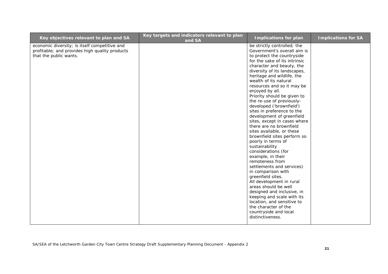| Key objectives relevant to plan and SA                                                                                    | Key targets and indicators relevant to plan<br>and SA | <b>Implications for plan</b>                                                                                                                                                                                                                                                                                                                                                                                                                                                                                                                                                                                                                                                                                                                                                                                                                                                                                                                                               | <b>Implications for SA</b> |
|---------------------------------------------------------------------------------------------------------------------------|-------------------------------------------------------|----------------------------------------------------------------------------------------------------------------------------------------------------------------------------------------------------------------------------------------------------------------------------------------------------------------------------------------------------------------------------------------------------------------------------------------------------------------------------------------------------------------------------------------------------------------------------------------------------------------------------------------------------------------------------------------------------------------------------------------------------------------------------------------------------------------------------------------------------------------------------------------------------------------------------------------------------------------------------|----------------------------|
| economic diversity; is itself competitive and<br>profitable; and provides high quality products<br>that the public wants. |                                                       | be strictly controlled; the<br>Government's overall aim is<br>to protect the countryside<br>for the sake of its intrinsic<br>character and beauty, the<br>diversity of its landscapes,<br>heritage and wildlife, the<br>wealth of its natural<br>resources and so it may be<br>enjoyed by all.<br>Priority should be given to<br>the re-use of previously-<br>developed ('brownfield')<br>sites in preference to the<br>development of greenfield<br>sites, except in cases where<br>there are no brownfield<br>sites available, or these<br>brownfield sites perform so<br>poorly in terms of<br>sustainability<br>considerations (for<br>example, in their<br>remoteness from<br>settlements and services)<br>in comparison with<br>greenfield sites.<br>All development in rural<br>areas should be well<br>designed and inclusive, in<br>keeping and scale with its<br>location, and sensitive to<br>the character of the<br>countryside and local<br>distinctiveness. |                            |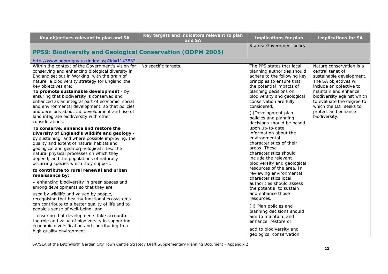| Key objectives relevant to plan and SA                                                                                                                                                                                                                                                                                                                                                                                                                                                                                                                                                  | Key targets and indicators relevant to plan<br>and SA | <b>Implications for plan</b>                                                                                                                                                                                                                                                                                                                       | <b>Implications for SA</b>                                                                                                                                                                                                                                                         |
|-----------------------------------------------------------------------------------------------------------------------------------------------------------------------------------------------------------------------------------------------------------------------------------------------------------------------------------------------------------------------------------------------------------------------------------------------------------------------------------------------------------------------------------------------------------------------------------------|-------------------------------------------------------|----------------------------------------------------------------------------------------------------------------------------------------------------------------------------------------------------------------------------------------------------------------------------------------------------------------------------------------------------|------------------------------------------------------------------------------------------------------------------------------------------------------------------------------------------------------------------------------------------------------------------------------------|
| PPS9: Biodiversity and Geological Conservation (ODPM 2005)                                                                                                                                                                                                                                                                                                                                                                                                                                                                                                                              |                                                       | Status: Government policy                                                                                                                                                                                                                                                                                                                          |                                                                                                                                                                                                                                                                                    |
| http://www.odpm.gov.uk/index.asp?id=1143832                                                                                                                                                                                                                                                                                                                                                                                                                                                                                                                                             |                                                       |                                                                                                                                                                                                                                                                                                                                                    |                                                                                                                                                                                                                                                                                    |
| Within the context of the Government's vision for<br>conserving and enhancing biological diversity in<br>England set out in Working with the grain of<br>nature: a biodiversity strategy for England the<br>key objectives are:<br>To promote sustainable development - by<br>ensuring that biodiversity is conserved and<br>enhanced as an integral part of economic, social<br>and environmental development, so that policies<br>and decisions about the development and use of<br>land integrate biodiversity with other<br>considerations.<br>To conserve, enhance and restore the | No specific targets.                                  | The PPS states that local<br>planning authorities should<br>adhere to the following key<br>principles to ensure that<br>the potential impacts of<br>planning decisions on<br>biodiversity and geological<br>conservation are fully<br>considered:<br>(i) Development plan<br>policies and planning<br>decisions should be based<br>upon up-to-date | Nature conservation is a<br>central tenet of<br>sustainable development.<br>The SA objectives will<br>include an objective to<br>maintain and enhance<br>biodiversity against which<br>to evaluate the degree to<br>which the LDF seeks to<br>protect and enhance<br>biodiversity. |
| diversity of England's wildlife and geology -<br>by sustaining, and where possible improving, the<br>quality and extent of natural habitat and<br>geological and geomorphological sites; the<br>natural physical processes on which they<br>depend; and the populations of naturally<br>occurring species which they support.                                                                                                                                                                                                                                                           |                                                       | information about the<br>environmental<br>characteristics of their<br>areas. These<br>characteristics should<br>include the relevant<br>biodiversity and geological                                                                                                                                                                                |                                                                                                                                                                                                                                                                                    |
| to contribute to rural renewal and urban<br>renaissance by:                                                                                                                                                                                                                                                                                                                                                                                                                                                                                                                             |                                                       | resources of the area. In<br>reviewing environmental                                                                                                                                                                                                                                                                                               |                                                                                                                                                                                                                                                                                    |
| - enhancing biodiversity in green spaces and<br>among developments so that they are                                                                                                                                                                                                                                                                                                                                                                                                                                                                                                     |                                                       | characteristics local<br>authorities should assess<br>the potential to sustain                                                                                                                                                                                                                                                                     |                                                                                                                                                                                                                                                                                    |
| used by wildlife and valued by people,<br>recognising that healthy functional ecosystems<br>can contribute to a better quality of life and to<br>people's sense of well-being; and                                                                                                                                                                                                                                                                                                                                                                                                      |                                                       | and enhance those<br>resources.<br>(ii) Plan policies and<br>planning decisions should                                                                                                                                                                                                                                                             |                                                                                                                                                                                                                                                                                    |
| - ensuring that developments take account of<br>the role and value of biodiversity in supporting<br>economic diversification and contributing to a<br>high quality environment.                                                                                                                                                                                                                                                                                                                                                                                                         |                                                       | aim to maintain, and<br>enhance, restore or<br>add to biodiversity and<br>geological conservation                                                                                                                                                                                                                                                  |                                                                                                                                                                                                                                                                                    |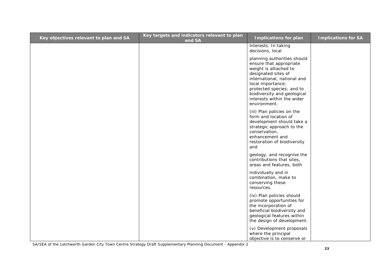| Key objectives relevant to plan and SA | Key targets and indicators relevant to plan<br>and SA | <b>Implications for plan</b>                                                                                                                                                                                                                                         | <b>Implications for SA</b> |
|----------------------------------------|-------------------------------------------------------|----------------------------------------------------------------------------------------------------------------------------------------------------------------------------------------------------------------------------------------------------------------------|----------------------------|
|                                        |                                                       | interests. In taking<br>decisions, local                                                                                                                                                                                                                             |                            |
|                                        |                                                       | planning authorities should<br>ensure that appropriate<br>weight is attached to<br>designated sites of<br>international, national and<br>local importance;<br>protected species; and to<br>biodiversity and geological<br>interests within the wider<br>environment. |                            |
|                                        |                                                       | (iii) Plan policies on the<br>form and location of<br>development should take a<br>strategic approach to the<br>conservation,<br>enhancement and<br>restoration of biodiversity<br>and                                                                               |                            |
|                                        |                                                       | geology, and recognise the<br>contributions that sites,<br>areas and features, both                                                                                                                                                                                  |                            |
|                                        |                                                       | individually and in<br>combination, make to<br>conserving these<br>resources.                                                                                                                                                                                        |                            |
|                                        |                                                       | (iv) Plan policies should<br>promote opportunities for<br>the incorporation of<br>beneficial biodiversity and<br>geological features within<br>the design of development.                                                                                            |                            |
|                                        |                                                       | (v) Development proposals<br>where the principal<br>objective is to conserve or                                                                                                                                                                                      |                            |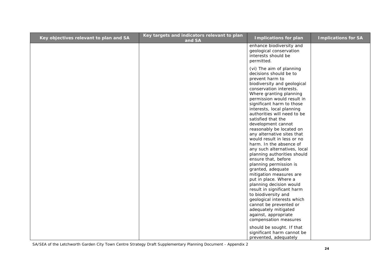| Key objectives relevant to plan and SA | Key targets and indicators relevant to plan<br>and SA | <b>Implications for plan</b>                                                                                                                                                                                                                                                                                                                                                                                                                                                                                                                                                                                                                                                                                                                            | <b>Implications for SA</b> |
|----------------------------------------|-------------------------------------------------------|---------------------------------------------------------------------------------------------------------------------------------------------------------------------------------------------------------------------------------------------------------------------------------------------------------------------------------------------------------------------------------------------------------------------------------------------------------------------------------------------------------------------------------------------------------------------------------------------------------------------------------------------------------------------------------------------------------------------------------------------------------|----------------------------|
|                                        |                                                       | enhance biodiversity and<br>geological conservation<br>interests should be<br>permitted.                                                                                                                                                                                                                                                                                                                                                                                                                                                                                                                                                                                                                                                                |                            |
|                                        |                                                       | (vi) The aim of planning<br>decisions should be to<br>prevent harm to<br>biodiversity and geological<br>conservation interests.<br>Where granting planning<br>permission would result in<br>significant harm to those<br>interests, local planning<br>authorities will need to be<br>satisfied that the<br>development cannot<br>reasonably be located on<br>any alternative sites that<br>would result in less or no<br>harm. In the absence of<br>any such alternatives, local<br>planning authorities should<br>ensure that, before<br>planning permission is<br>granted, adequate<br>mitigation measures are<br>put in place. Where a<br>planning decision would<br>result in significant harm<br>to biodiversity and<br>geological interests which |                            |
|                                        |                                                       | cannot be prevented or<br>adequately mitigated                                                                                                                                                                                                                                                                                                                                                                                                                                                                                                                                                                                                                                                                                                          |                            |
|                                        |                                                       | against, appropriate<br>compensation measures                                                                                                                                                                                                                                                                                                                                                                                                                                                                                                                                                                                                                                                                                                           |                            |
|                                        |                                                       | should be sought. If that<br>significant harm cannot be<br>prevented, adequately                                                                                                                                                                                                                                                                                                                                                                                                                                                                                                                                                                                                                                                                        |                            |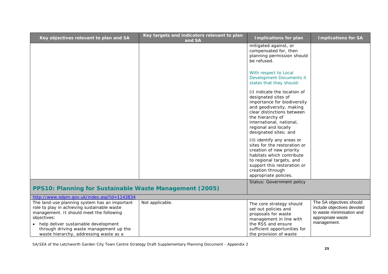| Key objectives relevant to plan and SA                                                                                                                                                                                                                                                 | Key targets and indicators relevant to plan<br>and SA | <b>Implications for plan</b>                                                                                                                                                                                                                  | <b>Implications for SA</b>                                                                                              |
|----------------------------------------------------------------------------------------------------------------------------------------------------------------------------------------------------------------------------------------------------------------------------------------|-------------------------------------------------------|-----------------------------------------------------------------------------------------------------------------------------------------------------------------------------------------------------------------------------------------------|-------------------------------------------------------------------------------------------------------------------------|
|                                                                                                                                                                                                                                                                                        |                                                       | mitigated against, or<br>compensated for, then<br>planning permission should<br>be refused.                                                                                                                                                   |                                                                                                                         |
|                                                                                                                                                                                                                                                                                        |                                                       | With respect to Local<br>Development Documents it<br>states that they should:                                                                                                                                                                 |                                                                                                                         |
|                                                                                                                                                                                                                                                                                        |                                                       | (i) indicate the location of<br>designated sites of<br>importance for biodiversity<br>and geodiversity, making<br>clear distinctions between<br>the hierarchy of<br>international, national,<br>regional and locally<br>designated sites; and |                                                                                                                         |
|                                                                                                                                                                                                                                                                                        |                                                       | (ii) identify any areas or<br>sites for the restoration or<br>creation of new priority<br>habitats which contribute<br>to regional targets, and<br>support this restoration or<br>creation through<br>appropriate policies.                   |                                                                                                                         |
| PPS10: Planning for Sustainable Waste Management (2005)                                                                                                                                                                                                                                |                                                       | Status: Government policy                                                                                                                                                                                                                     |                                                                                                                         |
| http://www.odpm.gov.uk/index.asp?id=1143834                                                                                                                                                                                                                                            |                                                       |                                                                                                                                                                                                                                               |                                                                                                                         |
| The land-use planning system has an important<br>role to play in achieving sustainable waste<br>management. It should meet the following<br>objectives:<br>• help deliver sustainable development<br>through driving waste management up the<br>waste hierarchy, addressing waste as a | Not applicable.                                       | The core strategy should<br>set out policies and<br>proposals for waste<br>management in line with<br>the RSS and ensure<br>sufficient opportunities for<br>the provision of waste                                                            | The SA objectives should<br>include objectives devoted<br>to waste minimisation and<br>appropriate waste<br>management. |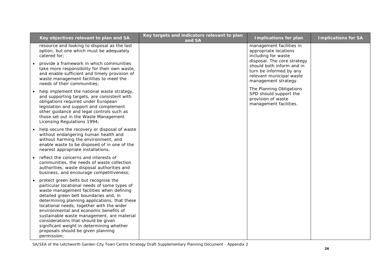| Key objectives relevant to plan and SA                                                                                                                                                                                                                                                                                                                                                                                                                                                                      | Key targets and indicators relevant to plan<br>and SA | <b>Implications for plan</b>                                                                                                            | <b>Implications for SA</b> |
|-------------------------------------------------------------------------------------------------------------------------------------------------------------------------------------------------------------------------------------------------------------------------------------------------------------------------------------------------------------------------------------------------------------------------------------------------------------------------------------------------------------|-------------------------------------------------------|-----------------------------------------------------------------------------------------------------------------------------------------|----------------------------|
| resource and looking to disposal as the last<br>option, but one which must be adequately<br>catered for:                                                                                                                                                                                                                                                                                                                                                                                                    |                                                       | management facilities in<br>appropriate locations<br>including for waste                                                                |                            |
| provide a framework in which communities<br>take more responsibility for their own waste,<br>and enable sufficient and timely provision of<br>waste management facilities to meet the<br>needs of their communities;                                                                                                                                                                                                                                                                                        |                                                       | disposal. The core strategy<br>should both inform and in<br>turn be informed by any<br>relevant municipal waste<br>management strategy. |                            |
| help implement the national waste strategy,<br>and supporting targets, are consistent with<br>obligations required under European<br>legislation and support and complement<br>other guidance and legal controls such as<br>those set out in the Waste Management<br>Licensing Regulations 1994;                                                                                                                                                                                                            |                                                       | The Planning Obligations<br>SPD should support the<br>provision of waste<br>management facilities.                                      |                            |
| help secure the recovery or disposal of waste<br>without endangering human health and<br>without harming the environment, and<br>enable waste to be disposed of in one of the<br>nearest appropriate installations;                                                                                                                                                                                                                                                                                         |                                                       |                                                                                                                                         |                            |
| reflect the concerns and interests of<br>communities, the needs of waste collection<br>authorities, waste disposal authorities and<br>business, and encourage competitiveness;                                                                                                                                                                                                                                                                                                                              |                                                       |                                                                                                                                         |                            |
| protect green belts but recognise the<br>particular locational needs of some types of<br>waste management facilities when defining<br>detailed green belt boundaries and, in<br>determining planning applications, that these<br>locational needs, together with the wider<br>environmental and economic benefits of<br>sustainable waste management, are material<br>considerations that should be given<br>significant weight in determining whether<br>proposals should be given planning<br>permission; |                                                       |                                                                                                                                         |                            |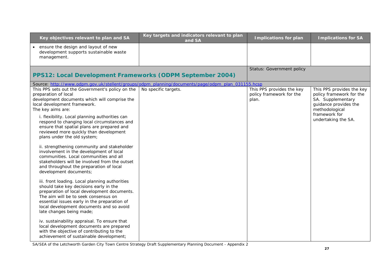| Key objectives relevant to plan and SA                                                                                                                                                                                                                                                                  | Key targets and indicators relevant to plan<br>and SA                                             | <b>Implications for plan</b>                                   | <b>Implications for SA</b>                                                                                            |
|---------------------------------------------------------------------------------------------------------------------------------------------------------------------------------------------------------------------------------------------------------------------------------------------------------|---------------------------------------------------------------------------------------------------|----------------------------------------------------------------|-----------------------------------------------------------------------------------------------------------------------|
| ensure the design and layout of new<br>development supports sustainable waste<br>management.                                                                                                                                                                                                            |                                                                                                   |                                                                |                                                                                                                       |
| PPS12: Local Development Frameworks (ODPM September 2004)                                                                                                                                                                                                                                               |                                                                                                   | Status: Government policy                                      |                                                                                                                       |
|                                                                                                                                                                                                                                                                                                         | Source: http://www.odpm.gov.uk/stellent/groups/odpm_planning/documents/page/odpm_plan_031155.hcsp |                                                                |                                                                                                                       |
| This PPS sets out the Government's policy on the<br>preparation of local<br>development documents which will comprise the<br>local development framework.<br>The key aims are:                                                                                                                          | No specific targets.                                                                              | This PPS provides the key<br>policy framework for the<br>plan. | This PPS provides the key<br>policy framework for the<br>SA. Supplementary<br>guidance provides the<br>methodological |
| i. flexibility. Local planning authorities can<br>respond to changing local circumstances and<br>ensure that spatial plans are prepared and<br>reviewed more quickly than development<br>plans under the old system;                                                                                    |                                                                                                   |                                                                | framework for<br>undertaking the SA.                                                                                  |
| ii. strengthening community and stakeholder<br>involvement in the development of local<br>communities. Local communities and all<br>stakeholders will be involved from the outset<br>and throughout the preparation of local<br>development documents;                                                  |                                                                                                   |                                                                |                                                                                                                       |
| iii. front loading. Local planning authorities<br>should take key decisions early in the<br>preparation of local development documents.<br>The aim will be to seek consensus on<br>essential issues early in the preparation of<br>local development documents and so avoid<br>late changes being made; |                                                                                                   |                                                                |                                                                                                                       |
| iv. sustainability appraisal. To ensure that<br>local development documents are prepared<br>with the objective of contributing to the<br>achievement of sustainable development;                                                                                                                        |                                                                                                   |                                                                |                                                                                                                       |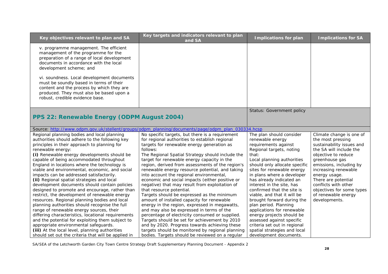| Key objectives relevant to plan and SA                                                                                                                                                                                                                                                                                                                                                                                                                                                                                                                                                                                                                                                                                                                                                                                                                                                                                                                                                                                   | Key targets and indicators relevant to plan<br>and SA                                                                                                                                                                                                                                                                                                                                                                                                                                                                                                                                                                                                                                                                                                                                                                                                                                                                                                                                                    | <b>Implications for plan</b>                                                                                                                                                                                                                                                                                                                                                                                                                                                                                                                                                                        | <b>Implications for SA</b>                                                                                                                                                                                                                                                                                                             |
|--------------------------------------------------------------------------------------------------------------------------------------------------------------------------------------------------------------------------------------------------------------------------------------------------------------------------------------------------------------------------------------------------------------------------------------------------------------------------------------------------------------------------------------------------------------------------------------------------------------------------------------------------------------------------------------------------------------------------------------------------------------------------------------------------------------------------------------------------------------------------------------------------------------------------------------------------------------------------------------------------------------------------|----------------------------------------------------------------------------------------------------------------------------------------------------------------------------------------------------------------------------------------------------------------------------------------------------------------------------------------------------------------------------------------------------------------------------------------------------------------------------------------------------------------------------------------------------------------------------------------------------------------------------------------------------------------------------------------------------------------------------------------------------------------------------------------------------------------------------------------------------------------------------------------------------------------------------------------------------------------------------------------------------------|-----------------------------------------------------------------------------------------------------------------------------------------------------------------------------------------------------------------------------------------------------------------------------------------------------------------------------------------------------------------------------------------------------------------------------------------------------------------------------------------------------------------------------------------------------------------------------------------------------|----------------------------------------------------------------------------------------------------------------------------------------------------------------------------------------------------------------------------------------------------------------------------------------------------------------------------------------|
| v. programme management. The efficient<br>management of the programme for the<br>preparation of a range of local development<br>documents in accordance with the local<br>development scheme; and                                                                                                                                                                                                                                                                                                                                                                                                                                                                                                                                                                                                                                                                                                                                                                                                                        |                                                                                                                                                                                                                                                                                                                                                                                                                                                                                                                                                                                                                                                                                                                                                                                                                                                                                                                                                                                                          |                                                                                                                                                                                                                                                                                                                                                                                                                                                                                                                                                                                                     |                                                                                                                                                                                                                                                                                                                                        |
| vi. soundness. Local development documents<br>must be soundly based in terms of their<br>content and the process by which they are<br>produced. They must also be based upon a<br>robust, credible evidence base.                                                                                                                                                                                                                                                                                                                                                                                                                                                                                                                                                                                                                                                                                                                                                                                                        |                                                                                                                                                                                                                                                                                                                                                                                                                                                                                                                                                                                                                                                                                                                                                                                                                                                                                                                                                                                                          |                                                                                                                                                                                                                                                                                                                                                                                                                                                                                                                                                                                                     |                                                                                                                                                                                                                                                                                                                                        |
| PPS 22: Renewable Energy (ODPM August 2004)                                                                                                                                                                                                                                                                                                                                                                                                                                                                                                                                                                                                                                                                                                                                                                                                                                                                                                                                                                              |                                                                                                                                                                                                                                                                                                                                                                                                                                                                                                                                                                                                                                                                                                                                                                                                                                                                                                                                                                                                          | Status: Government policy                                                                                                                                                                                                                                                                                                                                                                                                                                                                                                                                                                           |                                                                                                                                                                                                                                                                                                                                        |
|                                                                                                                                                                                                                                                                                                                                                                                                                                                                                                                                                                                                                                                                                                                                                                                                                                                                                                                                                                                                                          | Source: http://www.odpm.gov.uk/stellent/groups/odpm_planning/documents/page/odpm_plan_030334.hcsp                                                                                                                                                                                                                                                                                                                                                                                                                                                                                                                                                                                                                                                                                                                                                                                                                                                                                                        |                                                                                                                                                                                                                                                                                                                                                                                                                                                                                                                                                                                                     |                                                                                                                                                                                                                                                                                                                                        |
| Regional planning bodies and local planning<br>authorities should adhere to the following key<br>principles in their approach to planning for<br>renewable energy:<br>(i) Renewable energy developments should be<br>capable of being accommodated throughout<br>England in locations where the technology is<br>viable and environmental, economic, and social<br>impacts can be addressed satisfactorily.<br>(ii) Regional spatial strategies and local<br>development documents should contain policies<br>designed to promote and encourage, rather than<br>restrict, the development of renewable energy<br>resources. Regional planning bodies and local<br>planning authorities should recognise the full<br>range of renewable energy sources, their<br>differing characteristics, locational requirements<br>and the potential for exploiting them subject to<br>appropriate environmental safeguards.<br>(iii) At the local level, planning authorities<br>should set out the criteria that will be applied in | No specific targets, but there is a requirement<br>for regional authorities to establish regional<br>targets for renewable energy generation as<br>follows:<br>The Regional Spatial Strategy should include the<br>target for renewable energy capacity in the<br>region, derived from assessments of the region's<br>renewable energy resource potential, and taking<br>into account the regional environmental,<br>economic and social impacts (either positive or<br>negative) that may result from exploitation of<br>that resource potential.<br>Targets should be expressed as the minimum<br>amount of installed capacity for renewable<br>energy in the region, expressed in megawatts,<br>and may also be expressed in terms of the<br>percentage of electricity consumed or supplied.<br>Targets should be set for achievement by 2010<br>and by 2020. Progress towards achieving these<br>targets should be monitored by regional planning<br>bodies. Targets should be reviewed on a regular | The plan should consider<br>renewable energy<br>requirements against<br>Regional targets, noting<br>that:<br>Local planning authorities<br>should only allocate specific<br>sites for renewable energy<br>in plans where a developer<br>has already indicated an<br>interest in the site, has<br>confirmed that the site is<br>viable, and that it will be<br>brought forward during the<br>plan period. Planning<br>applications for renewable<br>energy projects should be<br>assessed against specific<br>criteria set out in regional<br>spatial strategies and local<br>development documents. | Climate change is one of<br>the most pressing<br>sustainability issues and<br>the SA will include the<br>objective to reduce<br>greenhouse gas<br>emissions, including by<br>increasing renewable<br>energy usage.<br>There are potential<br>conflicts with other<br>objectives for some types<br>of renewable energy<br>developments. |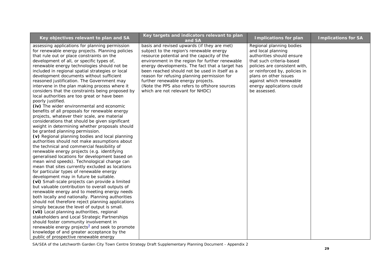| Key objectives relevant to plan and SA                                                                                                                                                                                                                                                                                                                                                                                                                                                                                                                                                                                                                                                                                                                                                                                                                                                                                                                                                                                                                                                                                                                                                                                                                                                                                                                                                                                                                                                                                                                                                                                                                                                                                                                                                                                                                                                                                | Key targets and indicators relevant to plan<br>and SA                                                                                                                                                                                                                                                                                                                                                                                                                   | <b>Implications for plan</b>                                                                                                                                                                                                                                               | <b>Implications for SA</b> |
|-----------------------------------------------------------------------------------------------------------------------------------------------------------------------------------------------------------------------------------------------------------------------------------------------------------------------------------------------------------------------------------------------------------------------------------------------------------------------------------------------------------------------------------------------------------------------------------------------------------------------------------------------------------------------------------------------------------------------------------------------------------------------------------------------------------------------------------------------------------------------------------------------------------------------------------------------------------------------------------------------------------------------------------------------------------------------------------------------------------------------------------------------------------------------------------------------------------------------------------------------------------------------------------------------------------------------------------------------------------------------------------------------------------------------------------------------------------------------------------------------------------------------------------------------------------------------------------------------------------------------------------------------------------------------------------------------------------------------------------------------------------------------------------------------------------------------------------------------------------------------------------------------------------------------|-------------------------------------------------------------------------------------------------------------------------------------------------------------------------------------------------------------------------------------------------------------------------------------------------------------------------------------------------------------------------------------------------------------------------------------------------------------------------|----------------------------------------------------------------------------------------------------------------------------------------------------------------------------------------------------------------------------------------------------------------------------|----------------------------|
| assessing applications for planning permission<br>for renewable energy projects. Planning policies<br>that rule out or place constraints on the<br>development of all, or specific types of,<br>renewable energy technologies should not be<br>included in regional spatial strategies or local<br>development documents without sufficient<br>reasoned justification. The Government may<br>intervene in the plan making process where it<br>considers that the constraints being proposed by<br>local authorities are too great or have been<br>poorly justified.<br>(iv) The wider environmental and economic<br>benefits of all proposals for renewable energy<br>projects, whatever their scale, are material<br>considerations that should be given significant<br>weight in determining whether proposals should<br>be granted planning permission.<br>(v) Regional planning bodies and local planning<br>authorities should not make assumptions about<br>the technical and commercial feasibility of<br>renewable energy projects (e.g. identifying<br>generalised locations for development based on<br>mean wind speeds). Technological change can<br>mean that sites currently excluded as locations<br>for particular types of renewable energy<br>development may in future be suitable.<br>(vi) Small-scale projects can provide a limited<br>but valuable contribution to overall outputs of<br>renewable energy and to meeting energy needs<br>both locally and nationally. Planning authorities<br>should not therefore reject planning applications<br>simply because the level of output is small.<br>(vii) Local planning authorities, regional<br>stakeholders and Local Strategic Partnerships<br>should foster community involvement in<br>renewable energy projects <sup>3</sup> and seek to promote<br>knowledge of and greater acceptance by the<br>public of prospective renewable energy | basis and revised upwards (if they are met)<br>subject to the region's renewable energy<br>resource potential and the capacity of the<br>environment in the region for further renewable<br>energy developments. The fact that a target has<br>been reached should not be used in itself as a<br>reason for refusing planning permission for<br>further renewable energy projects.<br>(Note the PPS also refers to offshore sources<br>which are not relevant for NHDC) | Regional planning bodies<br>and local planning<br>authorities should ensure<br>that such criteria-based<br>policies are consistent with,<br>or reinforced by, policies in<br>plans on other issues<br>against which renewable<br>energy applications could<br>be assessed. |                            |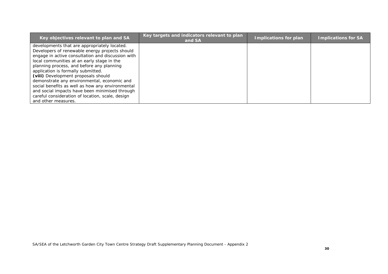| Key objectives relevant to plan and SA            | Key targets and indicators relevant to plan<br>and SA | Implications for plan | <b>Implications for SA</b> |
|---------------------------------------------------|-------------------------------------------------------|-----------------------|----------------------------|
| developments that are appropriately located.      |                                                       |                       |                            |
| Developers of renewable energy projects should    |                                                       |                       |                            |
| engage in active consultation and discussion with |                                                       |                       |                            |
| local communities at an early stage in the        |                                                       |                       |                            |
| planning process, and before any planning         |                                                       |                       |                            |
| application is formally submitted.                |                                                       |                       |                            |
| (viii) Development proposals should               |                                                       |                       |                            |
| demonstrate any environmental, economic and       |                                                       |                       |                            |
| social benefits as well as how any environmental  |                                                       |                       |                            |
| and social impacts have been minimised through    |                                                       |                       |                            |
| careful consideration of location, scale, design  |                                                       |                       |                            |
| and other measures.                               |                                                       |                       |                            |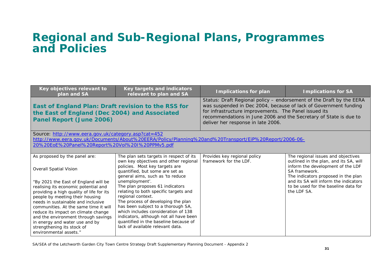## **Regional and Sub-Regional Plans, Programmes and Policies**

| Key objectives relevant to<br>plan and SA                                                                                                                                                                                                                                                                                                                                                                                                                                            | Key targets and indicators<br>relevant to plan and SA                                                                                                                                                                                                                                                                                                                                                                                                                                                                                                  | <b>Implications for plan</b>                                                                                                                                                                                                                                                                                 | <b>Implications for SA</b>                                                                                                                                                                                                                                                |  |
|--------------------------------------------------------------------------------------------------------------------------------------------------------------------------------------------------------------------------------------------------------------------------------------------------------------------------------------------------------------------------------------------------------------------------------------------------------------------------------------|--------------------------------------------------------------------------------------------------------------------------------------------------------------------------------------------------------------------------------------------------------------------------------------------------------------------------------------------------------------------------------------------------------------------------------------------------------------------------------------------------------------------------------------------------------|--------------------------------------------------------------------------------------------------------------------------------------------------------------------------------------------------------------------------------------------------------------------------------------------------------------|---------------------------------------------------------------------------------------------------------------------------------------------------------------------------------------------------------------------------------------------------------------------------|--|
| East of England Plan: Draft revision to the RSS for<br>the East of England (Dec 2004) and Associated<br>Panel Report (June 2006)                                                                                                                                                                                                                                                                                                                                                     |                                                                                                                                                                                                                                                                                                                                                                                                                                                                                                                                                        | Status: Draft Regional policy – endorsement of the Draft by the EERA<br>was suspended in Dec 2004, because of lack of Government funding<br>for infrastructure improvements. The Panel issued its<br>recommendations in June 2006 and the Secretary of State is due to<br>deliver her response in late 2006. |                                                                                                                                                                                                                                                                           |  |
| Source: http://www.eera.gov.uk/category.asp?cat=452                                                                                                                                                                                                                                                                                                                                                                                                                                  |                                                                                                                                                                                                                                                                                                                                                                                                                                                                                                                                                        |                                                                                                                                                                                                                                                                                                              |                                                                                                                                                                                                                                                                           |  |
|                                                                                                                                                                                                                                                                                                                                                                                                                                                                                      |                                                                                                                                                                                                                                                                                                                                                                                                                                                                                                                                                        | http://www.eera.gov.uk/Documents/About%20EERA/Policy/Planning%20and%20Transport/EiP%20Report/2006-06-                                                                                                                                                                                                        |                                                                                                                                                                                                                                                                           |  |
| 20%20EoE%20Panel%20Report%20Vol%20I%20PPMv5.pdf                                                                                                                                                                                                                                                                                                                                                                                                                                      |                                                                                                                                                                                                                                                                                                                                                                                                                                                                                                                                                        |                                                                                                                                                                                                                                                                                                              |                                                                                                                                                                                                                                                                           |  |
| As proposed by the panel are:<br><b>Overall Spatial Vision</b><br>"By 2021 the East of England will be<br>realising its economic potential and<br>providing a high quality of life for its<br>people by meeting their housing<br>needs in sustainable and inclusive<br>communities. At the same time it will<br>reduce its impact on climate change<br>and the environment through savings<br>in energy and water use and by<br>strengthening its stock of<br>environmental assets." | The plan sets targets in respect of its<br>own key objectives and other regional<br>policies. Most key targets are<br>quantified, but some are set as<br>general aims, such as 'to reduce<br>unemployment'.<br>The plan proposes 61 indicators<br>relating to both specific targets and<br>regional context.<br>The process of developing the plan<br>has been subject to a thorough SA,<br>which includes consideration of 138<br>indicators, although not all have been<br>quantified in the baseline because of<br>lack of available relevant data. | Provides key regional policy<br>framework for the LDF.                                                                                                                                                                                                                                                       | The regional issues and objectives<br>outlined in the plan, and its SA, will<br>inform the development of the LDF<br>SA framework.<br>The indicators proposed in the plan<br>and its SA will inform the indicators<br>to be used for the baseline data for<br>the LDF SA. |  |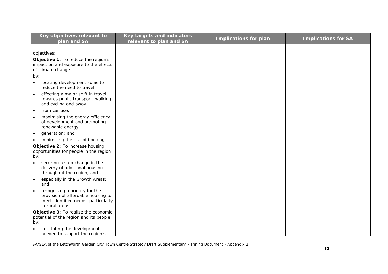| Key objectives relevant to                                               | <b>Key targets and indicators</b> | <b>Implications for plan</b> | <b>Implications for SA</b> |
|--------------------------------------------------------------------------|-----------------------------------|------------------------------|----------------------------|
| plan and SA                                                              | relevant to plan and SA           |                              |                            |
|                                                                          |                                   |                              |                            |
| objectives:                                                              |                                   |                              |                            |
| Objective 1: To reduce the region's                                      |                                   |                              |                            |
| impact on and exposure to the effects                                    |                                   |                              |                            |
| of climate change                                                        |                                   |                              |                            |
| by:                                                                      |                                   |                              |                            |
| locating development so as to<br>$\bullet$<br>reduce the need to travel: |                                   |                              |                            |
| effecting a major shift in travel<br>$\bullet$                           |                                   |                              |                            |
| towards public transport, walking                                        |                                   |                              |                            |
| and cycling and away                                                     |                                   |                              |                            |
| from car use;<br>$\bullet$                                               |                                   |                              |                            |
| maximising the energy efficiency                                         |                                   |                              |                            |
| of development and promoting                                             |                                   |                              |                            |
| renewable energy                                                         |                                   |                              |                            |
| generation; and<br>$\bullet$                                             |                                   |                              |                            |
| minimising the risk of flooding.                                         |                                   |                              |                            |
| Objective 2: To increase housing                                         |                                   |                              |                            |
| opportunities for people in the region                                   |                                   |                              |                            |
| by:                                                                      |                                   |                              |                            |
| securing a step change in the<br>$\bullet$                               |                                   |                              |                            |
| delivery of additional housing                                           |                                   |                              |                            |
| throughout the region, and                                               |                                   |                              |                            |
| especially in the Growth Areas;<br>$\bullet$                             |                                   |                              |                            |
| and                                                                      |                                   |                              |                            |
| recognising a priority for the<br>$\bullet$                              |                                   |                              |                            |
| provision of affordable housing to                                       |                                   |                              |                            |
| meet identified needs, particularly                                      |                                   |                              |                            |
| in rural areas.                                                          |                                   |                              |                            |
| Objective 3: To realise the economic                                     |                                   |                              |                            |
| potential of the region and its people                                   |                                   |                              |                            |
| by:                                                                      |                                   |                              |                            |
| facilitating the development                                             |                                   |                              |                            |
| needed to support the region's                                           |                                   |                              |                            |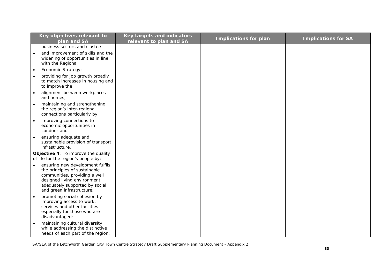| Key objectives relevant to                                                                                                                                                                       | Key targets and indicators | <b>Implications for plan</b> | <b>Implications for SA</b> |
|--------------------------------------------------------------------------------------------------------------------------------------------------------------------------------------------------|----------------------------|------------------------------|----------------------------|
| plan and SA                                                                                                                                                                                      | relevant to plan and SA    |                              |                            |
| business sectors and clusters                                                                                                                                                                    |                            |                              |                            |
| and improvement of skills and the<br>widening of opportunities in line<br>with the Regional                                                                                                      |                            |                              |                            |
| Economic Strategy;<br>$\bullet$                                                                                                                                                                  |                            |                              |                            |
| providing for job growth broadly<br>to match increases in housing and<br>to improve the                                                                                                          |                            |                              |                            |
| alignment between workplaces<br>and homes;                                                                                                                                                       |                            |                              |                            |
| maintaining and strengthening<br>$\bullet$<br>the region's inter-regional<br>connections particularly by                                                                                         |                            |                              |                            |
| improving connections to<br>$\bullet$<br>economic opportunities in<br>London; and                                                                                                                |                            |                              |                            |
| ensuring adequate and<br>$\bullet$<br>sustainable provision of transport<br>infrastructure.                                                                                                      |                            |                              |                            |
| Objective 4: To improve the quality<br>of life for the region's people by:                                                                                                                       |                            |                              |                            |
| ensuring new development fulfils<br>the principles of sustainable<br>communities, providing a well<br>designed living environment<br>adequately supported by social<br>and green infrastructure; |                            |                              |                            |
| promoting social cohesion by<br>$\bullet$<br>improving access to work,<br>services and other facilities<br>especially for those who are<br>disadvantaged:                                        |                            |                              |                            |
| maintaining cultural diversity<br>$\bullet$<br>while addressing the distinctive<br>needs of each part of the region;                                                                             |                            |                              |                            |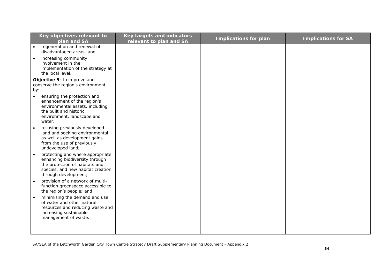|           | Key objectives relevant to                                         | Key targets and indicators | <b>Implications for plan</b> | <b>Implications for SA</b> |
|-----------|--------------------------------------------------------------------|----------------------------|------------------------------|----------------------------|
|           | plan and SA<br>regeneration and renewal of                         | relevant to plan and SA    |                              |                            |
|           | disadvantaged areas; and                                           |                            |                              |                            |
| $\bullet$ | increasing community<br>involvement in the                         |                            |                              |                            |
|           | implementation of the strategy at<br>the local level.              |                            |                              |                            |
|           | Objective 5: to improve and                                        |                            |                              |                            |
|           | conserve the region's environment                                  |                            |                              |                            |
| by:       |                                                                    |                            |                              |                            |
| $\bullet$ | ensuring the protection and<br>enhancement of the region's         |                            |                              |                            |
|           | environmental assets, including                                    |                            |                              |                            |
|           | the built and historic<br>environment, landscape and               |                            |                              |                            |
|           | water;                                                             |                            |                              |                            |
|           | re-using previously developed                                      |                            |                              |                            |
|           | land and seeking environmental<br>as well as development gains     |                            |                              |                            |
|           | from the use of previously                                         |                            |                              |                            |
|           | undeveloped land;                                                  |                            |                              |                            |
|           | protecting and where appropriate<br>enhancing biodiversity through |                            |                              |                            |
|           | the protection of habitats and                                     |                            |                              |                            |
|           | species, and new habitat creation                                  |                            |                              |                            |
|           | through development;<br>provision of a network of multi-           |                            |                              |                            |
|           | function greenspace accessible to                                  |                            |                              |                            |
|           | the region's people; and                                           |                            |                              |                            |
|           | minimising the demand and use<br>of water and other natural        |                            |                              |                            |
|           | resources and reducing waste and                                   |                            |                              |                            |
|           | increasing sustainable                                             |                            |                              |                            |
|           | management of waste.                                               |                            |                              |                            |
|           |                                                                    |                            |                              |                            |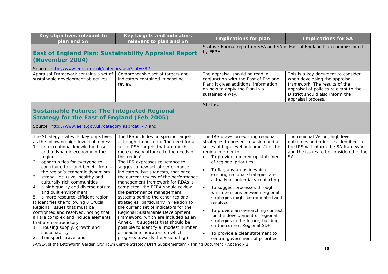| Key objectives relevant to<br>plan and SA                                                                                                                                                                                                                                                                                                                                                                                                                                                                                                                                                                                                                                                                                 | <b>Key targets and indicators</b><br>relevant to plan and SA                                                                                                                                                                                                                                                                                                                                                                                                                                                                                                                                                                                                                                                                                                                                        | <b>Implications for plan</b>                                                                                                                                                                                                                                                                                                                                                                                                                                                                                                                                                                                                                                                          | <b>Implications for SA</b>                                                                                                                                                                             |
|---------------------------------------------------------------------------------------------------------------------------------------------------------------------------------------------------------------------------------------------------------------------------------------------------------------------------------------------------------------------------------------------------------------------------------------------------------------------------------------------------------------------------------------------------------------------------------------------------------------------------------------------------------------------------------------------------------------------------|-----------------------------------------------------------------------------------------------------------------------------------------------------------------------------------------------------------------------------------------------------------------------------------------------------------------------------------------------------------------------------------------------------------------------------------------------------------------------------------------------------------------------------------------------------------------------------------------------------------------------------------------------------------------------------------------------------------------------------------------------------------------------------------------------------|---------------------------------------------------------------------------------------------------------------------------------------------------------------------------------------------------------------------------------------------------------------------------------------------------------------------------------------------------------------------------------------------------------------------------------------------------------------------------------------------------------------------------------------------------------------------------------------------------------------------------------------------------------------------------------------|--------------------------------------------------------------------------------------------------------------------------------------------------------------------------------------------------------|
| <b>East of England Plan: Sustainability Appraisal Report</b><br>(November 2004)                                                                                                                                                                                                                                                                                                                                                                                                                                                                                                                                                                                                                                           |                                                                                                                                                                                                                                                                                                                                                                                                                                                                                                                                                                                                                                                                                                                                                                                                     | Status: Formal report on SEA and SA of East of England Plan commissioned<br>by EERA                                                                                                                                                                                                                                                                                                                                                                                                                                                                                                                                                                                                   |                                                                                                                                                                                                        |
| Source: http://www.eera.gov.uk/category.asp?cat=382                                                                                                                                                                                                                                                                                                                                                                                                                                                                                                                                                                                                                                                                       |                                                                                                                                                                                                                                                                                                                                                                                                                                                                                                                                                                                                                                                                                                                                                                                                     |                                                                                                                                                                                                                                                                                                                                                                                                                                                                                                                                                                                                                                                                                       |                                                                                                                                                                                                        |
| Appraisal Framework contains a set of<br>sustainable development objectives                                                                                                                                                                                                                                                                                                                                                                                                                                                                                                                                                                                                                                               | Comprehensive set of targets and<br>indicators contained in baseline<br>review                                                                                                                                                                                                                                                                                                                                                                                                                                                                                                                                                                                                                                                                                                                      | The appraisal should be read in<br>conjunction with the East of England<br>Plan: it gives additional information<br>on how to apply the Plan in a<br>sustainable way.                                                                                                                                                                                                                                                                                                                                                                                                                                                                                                                 | This is a key document to consider<br>when developing the appraisal<br>framework. The results of the<br>appraisal of policies relevant to the<br>District should also inform the<br>appraisal process. |
|                                                                                                                                                                                                                                                                                                                                                                                                                                                                                                                                                                                                                                                                                                                           |                                                                                                                                                                                                                                                                                                                                                                                                                                                                                                                                                                                                                                                                                                                                                                                                     | Status:                                                                                                                                                                                                                                                                                                                                                                                                                                                                                                                                                                                                                                                                               |                                                                                                                                                                                                        |
| <b>Sustainable Futures: The Integrated Regional</b><br><b>Strategy for the East of England (Feb 2005)</b>                                                                                                                                                                                                                                                                                                                                                                                                                                                                                                                                                                                                                 |                                                                                                                                                                                                                                                                                                                                                                                                                                                                                                                                                                                                                                                                                                                                                                                                     |                                                                                                                                                                                                                                                                                                                                                                                                                                                                                                                                                                                                                                                                                       |                                                                                                                                                                                                        |
| Source: http://www.eera.gov.uk/category.asp?cat=47 and                                                                                                                                                                                                                                                                                                                                                                                                                                                                                                                                                                                                                                                                    |                                                                                                                                                                                                                                                                                                                                                                                                                                                                                                                                                                                                                                                                                                                                                                                                     |                                                                                                                                                                                                                                                                                                                                                                                                                                                                                                                                                                                                                                                                                       |                                                                                                                                                                                                        |
| The Strategy states its key objectives<br>as the following high level outcomes:<br>1. an exceptional knowledge base<br>and a dynamic economy in the<br>region<br>2. opportunities for everyone to<br>contribute to - and benefit from -<br>the region's economic dynamism<br>3. strong, inclusive, healthy and<br>culturally rich communities<br>4. a high quality and diverse natural<br>and built environment<br>5. a more resource-efficient region<br>It identifies the following 8 Crucial<br>Regional Issues that must be<br>confronted and resolved, noting that<br>all are complex and include elements<br>that are contradictory:<br>1. Housing supply, growth and<br>sustainability<br>2. Transport, travel and | The IRS includes no specific targets,<br>although it does note 'the need for a<br>set of PSA targets that are much<br>more closely attuned to the needs of<br>this region'.<br>The IRS expresses reluctance to<br>suggest a new set of performance<br>indicators, but suggests, that once<br>the current review of the performance<br>management framework for RDAs is<br>completed, the EERA should review<br>the performance management<br>systems behind the other regional<br>strategies, particularly in relation to<br>the current set of indicators for the<br>Regional Sustainable Development<br>Framework, which are included as an<br>Annex. It suggests that should be<br>possible to identify a 'modest number<br>of headline indicators on which<br>progress towards the Vision, high | The IRS draws on existing regional<br>strategies to present a 'Vision and a<br>series of high level outcomes' for the<br>region in order to:<br>To provide a joined-up statement<br>of regional priorities<br>To flag any areas in which<br>$\bullet$<br>existing regional strategies are<br>actually or potentially conflicting<br>To suggest processes through<br>$\bullet$<br>which tensions between regional<br>strategies might be mitigated and<br>resolved<br>To provide an overarching context<br>for the development of regional<br>strategies in the future, building<br>on the current Regional SDF<br>To provide a clear statement to<br>central government of priorities | The regional Vision, high level<br>outcomes and priorities identified in<br>the IRS will inform the SA framework<br>and the issues to be considered in the<br>SA.                                      |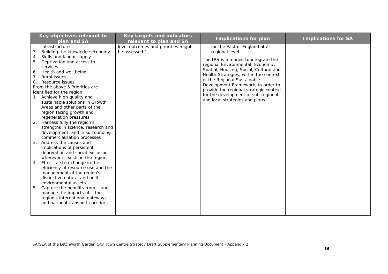| Key objectives relevant to<br>plan and SA                                                                                                                                                                                                                                                                                                                                                                                                                                                                                                                                                                                                                                                                                                                                                                                                                                                                                                                           | <b>Key targets and indicators</b><br>relevant to plan and SA | <b>Implications for plan</b>                                                                                                                                                                                                                                                                                                                                                                             | <b>Implications for SA</b> |
|---------------------------------------------------------------------------------------------------------------------------------------------------------------------------------------------------------------------------------------------------------------------------------------------------------------------------------------------------------------------------------------------------------------------------------------------------------------------------------------------------------------------------------------------------------------------------------------------------------------------------------------------------------------------------------------------------------------------------------------------------------------------------------------------------------------------------------------------------------------------------------------------------------------------------------------------------------------------|--------------------------------------------------------------|----------------------------------------------------------------------------------------------------------------------------------------------------------------------------------------------------------------------------------------------------------------------------------------------------------------------------------------------------------------------------------------------------------|----------------------------|
| infrastructure<br>Building the knowledge economy<br>3.<br>Skills and labour supply<br>4.<br>Deprivation and access to<br>5.<br>services<br>Health and well being<br>6.<br>Rural issues<br>8.<br>Resource issues<br>From the above 5 Priorities are<br>identified for the region:<br>Achieve high quality and<br>sustainable solutions in Growth<br>Areas and other parts of the<br>region facing growth and<br>regeneration pressures<br>Harness fully the region's<br>2.<br>strengths in science, research and<br>development, and in surrounding<br>commercialisation processes<br>Address the causes and<br>3.<br>implications of persistent<br>deprivation and social exclusion<br>wherever it exists in the region<br>Effect a step-change in the<br>4.<br>efficiency of resource use and the<br>management of the region's<br>distinctive natural and built<br>environmental assets<br>5.<br>Capture the benefits from - and<br>manage the impacts of $-$ the | level outcomes and priorities might<br>be assessed.'         | for the East of England at a<br>regional level.<br>The IRS is intended to integrate the<br>regional Environmental, Economic,<br>Spatial, Housing, Social, Cultural and<br>Health Strategies, within the context<br>of the Regional Sustainable<br>Development Framework, in order to<br>provide the regional strategic context<br>for the development of sub-regional<br>and local strategies and plans. |                            |
| region's international gateways<br>and national transport corridors                                                                                                                                                                                                                                                                                                                                                                                                                                                                                                                                                                                                                                                                                                                                                                                                                                                                                                 |                                                              |                                                                                                                                                                                                                                                                                                                                                                                                          |                            |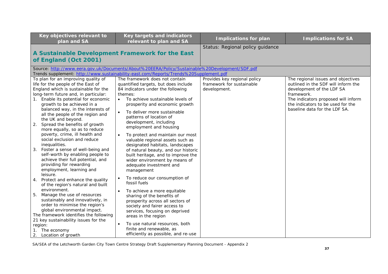| Key objectives relevant to<br>plan and SA                                                                                                                                                                                                                                                                                                                                                                                                                                                                                                                                                                                                                                                                                                                                                                                                                                                                                                                                                                                                                          | Key targets and indicators<br>relevant to plan and SA                                                                                                                                                                                                                                                                                                                                                                                                                                                                                                                                                                                                                                                                                                                                                                                                                                                                                                              | <b>Implications for plan</b>                                              | <b>Implications for SA</b>                                                                                                                                                                                                        |
|--------------------------------------------------------------------------------------------------------------------------------------------------------------------------------------------------------------------------------------------------------------------------------------------------------------------------------------------------------------------------------------------------------------------------------------------------------------------------------------------------------------------------------------------------------------------------------------------------------------------------------------------------------------------------------------------------------------------------------------------------------------------------------------------------------------------------------------------------------------------------------------------------------------------------------------------------------------------------------------------------------------------------------------------------------------------|--------------------------------------------------------------------------------------------------------------------------------------------------------------------------------------------------------------------------------------------------------------------------------------------------------------------------------------------------------------------------------------------------------------------------------------------------------------------------------------------------------------------------------------------------------------------------------------------------------------------------------------------------------------------------------------------------------------------------------------------------------------------------------------------------------------------------------------------------------------------------------------------------------------------------------------------------------------------|---------------------------------------------------------------------------|-----------------------------------------------------------------------------------------------------------------------------------------------------------------------------------------------------------------------------------|
| A Sustainable Development Framework for the East<br>of England (Oct 2001)                                                                                                                                                                                                                                                                                                                                                                                                                                                                                                                                                                                                                                                                                                                                                                                                                                                                                                                                                                                          |                                                                                                                                                                                                                                                                                                                                                                                                                                                                                                                                                                                                                                                                                                                                                                                                                                                                                                                                                                    | Status: Regional policy guidance                                          |                                                                                                                                                                                                                                   |
|                                                                                                                                                                                                                                                                                                                                                                                                                                                                                                                                                                                                                                                                                                                                                                                                                                                                                                                                                                                                                                                                    | Source: http://www.eera.gov.uk/Documents/About%20EERA/Policy/Sustainable%20Development/SDF.pdf<br>Trends supplement: http://www.sustainability-east.com/Reports/Trends%20Supplement.pdf                                                                                                                                                                                                                                                                                                                                                                                                                                                                                                                                                                                                                                                                                                                                                                            |                                                                           |                                                                                                                                                                                                                                   |
| To plan for an improving quality of<br>life for the people of the East of<br>England which is sustainable for the<br>long-term future and, in particular:<br>Enable its potential for economic<br>1.<br>growth to be achieved in a<br>balanced way, in the interests of<br>all the people of the region and<br>the UK and beyond.<br>Spread the benefits of growth<br>2.<br>more equally, so as to reduce<br>poverty, crime, ill health and<br>social exclusion and reduce<br>inequalities.<br>3.<br>Foster a sense of well-being and<br>self-worth by enabling people to<br>achieve their full potential, and<br>providing for rewarding<br>employment, learning and<br>leisure.<br>Protect and enhance the quality<br>4.<br>of the region's natural and built<br>environment.<br>Manage the use of resources<br>5.<br>sustainably and innovatively, in<br>order to minimise the region's<br>global environmental impact.<br>The framework identifies the following<br>21 key sustainability issues for the<br>region:<br>The economy<br>2.<br>Location of growth | The framework does not contain<br>quantified targets, but does include<br>84 indicators under the following<br>themes:<br>To achieve sustainable levels of<br>$\bullet$<br>prosperity and economic growth<br>To deliver more sustainable<br>$\bullet$<br>patterns of location of<br>development, including<br>employment and housing<br>To protect and maintain our most<br>valuable regional assets such as<br>designated habitats, landscapes<br>of natural beauty, and our historic<br>built heritage, and to improve the<br>wider environment by means of<br>adequate investment and<br>management<br>To reduce our consumption of<br>$\bullet$<br>fossil fuels<br>To achieve a more equitable<br>sharing of the benefits of<br>prosperity across all sectors of<br>society and fairer access to<br>services, focusing on deprived<br>areas in the region<br>To use natural resources, both<br>finite and renewable, as<br>efficiently as possible, and re-use | Provides key regional policy<br>framework for sustainable<br>development. | The regional issues and objectives<br>outlined in the SDF will inform the<br>development of the LDF SA<br>framework.<br>The indicators proposed will inform<br>the indicators to be used for the<br>baseline data for the LDF SA. |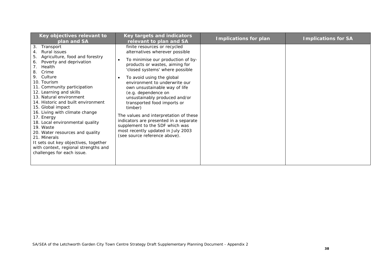| Key objectives relevant to<br>plan and SA                                                                                                                                                                                                                                                                                                                                                                                                                                                                                                                                                            | Key targets and indicators<br>relevant to plan and SA                                                                                                                                                                                                                                                                                                                                                                                                                                                                                                                                | <b>Implications for plan</b> | <b>Implications for SA</b> |
|------------------------------------------------------------------------------------------------------------------------------------------------------------------------------------------------------------------------------------------------------------------------------------------------------------------------------------------------------------------------------------------------------------------------------------------------------------------------------------------------------------------------------------------------------------------------------------------------------|--------------------------------------------------------------------------------------------------------------------------------------------------------------------------------------------------------------------------------------------------------------------------------------------------------------------------------------------------------------------------------------------------------------------------------------------------------------------------------------------------------------------------------------------------------------------------------------|------------------------------|----------------------------|
| 3.<br>Transport<br>Rural issues<br>4.<br>Agriculture, food and forestry<br>5.<br>Poverty and deprivation<br>6.<br>$7_{\cdot}$<br>Health<br>Crime<br>8.<br>9. Culture<br>10. Tourism<br>11. Community participation<br>12. Learning and skills<br>13. Natural environment<br>14. Historic and built environment<br>15. Global impact<br>16. Living with climate change<br>17. Energy<br>18. Local environmental quality<br>19. Waste<br>20. Water resources and quality<br>21. Minerals<br>It sets out key objectives, together<br>with context, regional strengths and<br>challenges for each issue. | finite resources or recycled<br>alternatives wherever possible<br>To minimise our production of by-<br>products or wastes, aiming for<br>'closed systems' where possible<br>To avoid using the global<br>$\bullet$<br>environment to underwrite our<br>own unsustainable way of life<br>(e.g. dependence on<br>unsustainably produced and/or<br>transported food imports or<br>timber)<br>The values and interpretation of these<br>indicators are presented in a separate<br>supplement to the SDF which was<br>most recently updated in July 2003<br>(see source reference above). |                              |                            |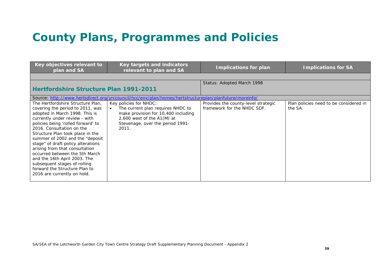## **County Plans, Programmes and Policies**

| Key objectives relevant to<br>plan and SA                                                                                                                                                                                                                                                                                                                                                                                                                                                                                    | Key targets and indicators<br>relevant to plan and SA                                                                                                                           | <b>Implications for plan</b>                                       | <b>Implications for SA</b>                        |
|------------------------------------------------------------------------------------------------------------------------------------------------------------------------------------------------------------------------------------------------------------------------------------------------------------------------------------------------------------------------------------------------------------------------------------------------------------------------------------------------------------------------------|---------------------------------------------------------------------------------------------------------------------------------------------------------------------------------|--------------------------------------------------------------------|---------------------------------------------------|
|                                                                                                                                                                                                                                                                                                                                                                                                                                                                                                                              |                                                                                                                                                                                 |                                                                    |                                                   |
|                                                                                                                                                                                                                                                                                                                                                                                                                                                                                                                              |                                                                                                                                                                                 | Status: Adopted March 1998                                         |                                                   |
| <b>Hertfordshire Structure Plan 1991-2011</b>                                                                                                                                                                                                                                                                                                                                                                                                                                                                                |                                                                                                                                                                                 |                                                                    |                                                   |
|                                                                                                                                                                                                                                                                                                                                                                                                                                                                                                                              | Source: http://www.hertsdirect.org/yrccouncil/hcc/env/plan/homes/hertstructureplan/planfuture/moreinfo/                                                                         |                                                                    |                                                   |
| The Hertfordshire Structure Plan,<br>covering the period to 2011, was<br>adopted in March 1998. This is<br>currently under review - with<br>policies being 'rolled forward' to<br>2016. Consultation on the<br>Structure Plan took place in the<br>summer of 2002 and the "deposit<br>stage" of draft policy alterations<br>arising from that consultation<br>occurred between the 5th March<br>and the 16th April 2003. The<br>subsequent stages of rolling<br>forward the Structure Plan to<br>2016 are currently on hold. | Key policies for NHDC:<br>The current plan requires NHDC to<br>make provision for 10,400 including<br>$2,600$ west of the A1(M) at<br>Stevenage, over the period 1991-<br>2011. | Provides the county-level strategic<br>framework for the NHDC SDF. | Plan policies need to be considered in<br>the SA. |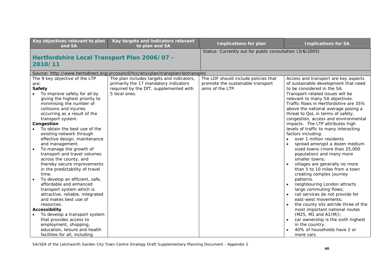| Key objectives relevant to plan<br>and SA                                                                                                                                                                                                                                                                                                                                                                                                                                                                                                                                                                                                                                                                                                                                                                                               | Key targets and indicators relevant<br>to plan and SA   | <b>Implications for plan</b>                             | <b>Implications for SA</b>                                                                                                                                                                                                                                                                                                                                                                                                                                                                                                                                                                                                                                                                                                                                                                                                                                                                                                                                                                                           |  |  |
|-----------------------------------------------------------------------------------------------------------------------------------------------------------------------------------------------------------------------------------------------------------------------------------------------------------------------------------------------------------------------------------------------------------------------------------------------------------------------------------------------------------------------------------------------------------------------------------------------------------------------------------------------------------------------------------------------------------------------------------------------------------------------------------------------------------------------------------------|---------------------------------------------------------|----------------------------------------------------------|----------------------------------------------------------------------------------------------------------------------------------------------------------------------------------------------------------------------------------------------------------------------------------------------------------------------------------------------------------------------------------------------------------------------------------------------------------------------------------------------------------------------------------------------------------------------------------------------------------------------------------------------------------------------------------------------------------------------------------------------------------------------------------------------------------------------------------------------------------------------------------------------------------------------------------------------------------------------------------------------------------------------|--|--|
| Hertfordshire Local Transport Plan 2006/07 -<br>2010/11                                                                                                                                                                                                                                                                                                                                                                                                                                                                                                                                                                                                                                                                                                                                                                                 |                                                         | Status: Currently out for public consultation (3/6/2005) |                                                                                                                                                                                                                                                                                                                                                                                                                                                                                                                                                                                                                                                                                                                                                                                                                                                                                                                                                                                                                      |  |  |
| Source: http://www.hertsdirect.org/yrccouncil/hcc/env/plan/transplan/loctranspln/                                                                                                                                                                                                                                                                                                                                                                                                                                                                                                                                                                                                                                                                                                                                                       |                                                         |                                                          |                                                                                                                                                                                                                                                                                                                                                                                                                                                                                                                                                                                                                                                                                                                                                                                                                                                                                                                                                                                                                      |  |  |
| The 9 key objective of the LTP                                                                                                                                                                                                                                                                                                                                                                                                                                                                                                                                                                                                                                                                                                                                                                                                          | The plan includes targets and indicators,               | The LDF should include policies that                     | Access and transport are key aspects                                                                                                                                                                                                                                                                                                                                                                                                                                                                                                                                                                                                                                                                                                                                                                                                                                                                                                                                                                                 |  |  |
| are:                                                                                                                                                                                                                                                                                                                                                                                                                                                                                                                                                                                                                                                                                                                                                                                                                                    | primarily the 17 mandatory indicators                   | promote the sustainable transport                        | of sustainable development that need                                                                                                                                                                                                                                                                                                                                                                                                                                                                                                                                                                                                                                                                                                                                                                                                                                                                                                                                                                                 |  |  |
|                                                                                                                                                                                                                                                                                                                                                                                                                                                                                                                                                                                                                                                                                                                                                                                                                                         |                                                         |                                                          |                                                                                                                                                                                                                                                                                                                                                                                                                                                                                                                                                                                                                                                                                                                                                                                                                                                                                                                                                                                                                      |  |  |
| <b>Safety</b><br>To improve safety for all by<br>giving the highest priority to<br>minimising the number of<br>collisions and injuries<br>occurring as a result of the<br>transport system.<br>Congestion<br>To obtain the best use of the<br>existing network through<br>effective design, maintenance<br>and management.<br>To manage the growth of<br>transport and travel volumes<br>across the county, and<br>thereby secure improvements<br>in the predictability of travel<br>time.<br>To develop an efficient, safe,<br>affordable and enhanced<br>transport system which is<br>attractive, reliable, integrated<br>and makes best use of<br>resources.<br>Accessibility<br>To develop a transport system<br>that provides access to<br>employment, shopping,<br>education, leisure and health<br>facilities for all, including | required by the DfT, supplemented with<br>5 local ones. | aims of the LTP.                                         | to be considered in the SA.<br>Transport-related issues will be<br>relevant to many SA objectives.<br>Traffic flows in Hertfordshire are 35%<br>above the national average posing a<br>threat to QoL in terms of safety,<br>congestion, access and environmental<br>impacts. The LTP attributes high<br>levels of traffic to many interacting<br>factors including:<br>over 1 million residents<br>spread amongst a dozen medium<br>sized towns (more than 25,000<br>population) and many more<br>smaller towns;<br>villages are generally no more<br>$\bullet$<br>than 5 to 10 miles from a town<br>creating complex journey<br>patterns.<br>neighbouring London attracts<br>$\bullet$<br>large commuting flows;<br>rail services do not provide for<br>east-west movements;<br>the county sits astride three of the<br>$\bullet$<br>most important national routes<br>$(M25, M1$ and $A1(M))$ ;<br>car ownership is the sixth highest<br>$\bullet$<br>in the country.<br>40% of households have 2 or<br>more cars. |  |  |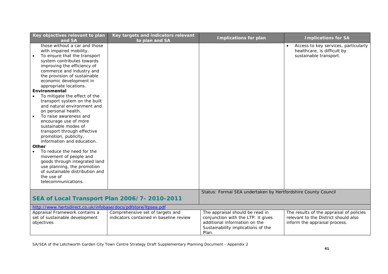| Key objectives relevant to plan<br>and SA                                                                                                                                                                                                                                                                                                                                                                                                                                                                                                                                                                                                                                                                                                                           | Key targets and indicators relevant<br>to plan and SA                       | <b>Implications for plan</b>                                                                                                                          | <b>Implications for SA</b>                                                                                        |
|---------------------------------------------------------------------------------------------------------------------------------------------------------------------------------------------------------------------------------------------------------------------------------------------------------------------------------------------------------------------------------------------------------------------------------------------------------------------------------------------------------------------------------------------------------------------------------------------------------------------------------------------------------------------------------------------------------------------------------------------------------------------|-----------------------------------------------------------------------------|-------------------------------------------------------------------------------------------------------------------------------------------------------|-------------------------------------------------------------------------------------------------------------------|
| those without a car and those<br>with impaired mobility.<br>To ensure that the transport<br>system contributes towards<br>improving the efficiency of<br>commerce and industry and<br>the provision of sustainable<br>economic development in<br>appropriate locations.<br>Environmental<br>To mitigate the effect of the<br>transport system on the built<br>and natural environment and<br>on personal health.<br>To raise awareness and<br>encourage use of more<br>sustainable modes of<br>transport through effective<br>promotion, publicity,<br>information and education.<br>Other<br>To reduce the need for the<br>movement of people and<br>goods through integrated land<br>use planning, the promotion<br>of sustainable distribution and<br>the use of |                                                                             |                                                                                                                                                       | Access to key services, particularly<br>$\bullet$<br>healthcare, is difficult by<br>sustainable transport.        |
| telecommunications.                                                                                                                                                                                                                                                                                                                                                                                                                                                                                                                                                                                                                                                                                                                                                 |                                                                             |                                                                                                                                                       |                                                                                                                   |
|                                                                                                                                                                                                                                                                                                                                                                                                                                                                                                                                                                                                                                                                                                                                                                     |                                                                             | Status: Formal SEA undertaken by Hertfordshire County Council                                                                                         |                                                                                                                   |
|                                                                                                                                                                                                                                                                                                                                                                                                                                                                                                                                                                                                                                                                                                                                                                     | SEA of Local Transport Plan 2006/7- 2010-2011                               |                                                                                                                                                       |                                                                                                                   |
| http://www.hertsdirect.co.uk/infobase/docs/pdfstore/ltpsea.pdf                                                                                                                                                                                                                                                                                                                                                                                                                                                                                                                                                                                                                                                                                                      |                                                                             |                                                                                                                                                       |                                                                                                                   |
| Appraisal Framework contains a<br>set of sustainable development<br>objectives                                                                                                                                                                                                                                                                                                                                                                                                                                                                                                                                                                                                                                                                                      | Comprehensive set of targets and<br>indicators contained in baseline review | The appraisal should be read in<br>conjunction with the LTP: it gives<br>additional information on the<br>Sustainability implications of the<br>Plan. | The results of the appraisal of policies<br>relevant to the District should also<br>inform the appraisal process. |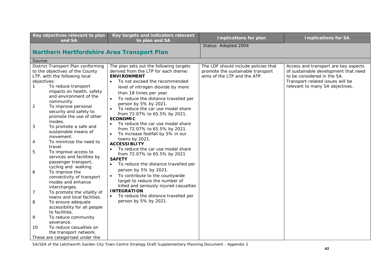| Key objectives relevant to plan<br>and SA                                   | Key targets and indicators relevant<br>to plan and SA                          | <b>Implications for plan</b>         | <b>Implications for SA</b>           |
|-----------------------------------------------------------------------------|--------------------------------------------------------------------------------|--------------------------------------|--------------------------------------|
|                                                                             |                                                                                | Status: Adopted 2004                 |                                      |
| <b>Northern Hertfordshire Area Transport Plan</b>                           |                                                                                |                                      |                                      |
| Source:                                                                     |                                                                                |                                      |                                      |
| District Transport Plan conforming                                          | The plan sets out the following targets                                        | The LDF should include policies that | Access and transport are key aspects |
| to the objectives of the County                                             | derived from the LTP for each theme:                                           | promote the sustainable transport    | of sustainable development that need |
| LTP, with the following local                                               | <b>ENVIRONMENT</b>                                                             | aims of the LTP and the ATP.         | to be considered in the SA.          |
| objectives:                                                                 | To not exceed the recommended                                                  |                                      | Transport-related issues will be     |
| To reduce transport<br>$\mathbf{1}$                                         | level of nitrogen dioxide by more                                              |                                      | relevant to many SA objectives.      |
| impacts on health, safety                                                   | than 18 times per year.                                                        |                                      |                                      |
| and environment of the                                                      | To reduce the distance travelled per                                           |                                      |                                      |
| community.<br>To improve personal<br>2                                      | person by 5% by 2021.                                                          |                                      |                                      |
| security and safety to                                                      | To reduce the car use modal share                                              |                                      |                                      |
| promote the use of other                                                    | from 72.07% to 65.5% by 2021.                                                  |                                      |                                      |
| modes.                                                                      | <b>ECONOMIC</b>                                                                |                                      |                                      |
| 3<br>To promote a safe and                                                  | To reduce the car use modal share                                              |                                      |                                      |
| sustainable means of                                                        | from 72.07% to 65.5% by 2021.                                                  |                                      |                                      |
| movement.                                                                   | To increase footfall by 5% in our                                              |                                      |                                      |
| To minimise the need to<br>4                                                | towns by 2021.                                                                 |                                      |                                      |
| travel.                                                                     | <b>ACCESSIBLITY</b>                                                            |                                      |                                      |
| 5<br>To improve access to                                                   | To reduce the car use modal share                                              |                                      |                                      |
| services and facilities by                                                  | from 72.07% to 65.5% by 2021<br><b>SAFETY</b>                                  |                                      |                                      |
| passenger transport,                                                        | To reduce the distance travelled per<br>$\bullet$                              |                                      |                                      |
| cycling and walking.                                                        | person by 5% by 2021.                                                          |                                      |                                      |
| To improve the<br>6                                                         |                                                                                |                                      |                                      |
| connectivity of transport                                                   | To contribute to the countywide<br>$\bullet$<br>target to reduce the number of |                                      |                                      |
| modes and enhance                                                           | killed and seriously injured casualties                                        |                                      |                                      |
| interchanges.                                                               | <b>INTEGRATION</b>                                                             |                                      |                                      |
| $\overline{7}$<br>To promote the vitality of<br>towns and local facilities. | To reduce the distance travelled per                                           |                                      |                                      |
| 8<br>To ensure adequate                                                     | person by 5% by 2021.                                                          |                                      |                                      |
| accessibility for all people                                                |                                                                                |                                      |                                      |
| to facilities.                                                              |                                                                                |                                      |                                      |
| 9<br>To reduce community                                                    |                                                                                |                                      |                                      |
| severance.                                                                  |                                                                                |                                      |                                      |
| To reduce casualties on<br>10                                               |                                                                                |                                      |                                      |
| the transport network.                                                      |                                                                                |                                      |                                      |
| These are categorised under the                                             |                                                                                |                                      |                                      |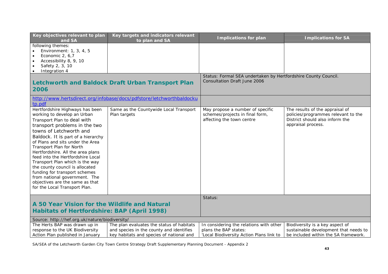| Key objectives relevant to plan<br>and SA                                                                                                                                                                                                                                                                                                                                                                                                                                                                                                             | Key targets and indicators relevant<br>to plan and SA                                                                             | <b>Implications for plan</b>                                                                                 | <b>Implications for SA</b>                                                                                                      |
|-------------------------------------------------------------------------------------------------------------------------------------------------------------------------------------------------------------------------------------------------------------------------------------------------------------------------------------------------------------------------------------------------------------------------------------------------------------------------------------------------------------------------------------------------------|-----------------------------------------------------------------------------------------------------------------------------------|--------------------------------------------------------------------------------------------------------------|---------------------------------------------------------------------------------------------------------------------------------|
| following themes:<br>Environment: 1, 3, 4, 5<br>Economic 2, 6,7<br>$\bullet$<br>Accessibility 8, 9, 10<br>Safety 2, 3, 10<br>Integration 4                                                                                                                                                                                                                                                                                                                                                                                                            |                                                                                                                                   |                                                                                                              |                                                                                                                                 |
| 2006                                                                                                                                                                                                                                                                                                                                                                                                                                                                                                                                                  | <b>Letchworth and Baldock Draft Urban Transport Plan</b>                                                                          | Status: Formal SEA undertaken by Hertfordshire County Council.<br><b>Consultation Draft June 2006</b>        |                                                                                                                                 |
| tp.pdf                                                                                                                                                                                                                                                                                                                                                                                                                                                                                                                                                | http://www.hertsdirect.org/infobase/docs/pdfstore/letchworthbaldocku                                                              |                                                                                                              |                                                                                                                                 |
| Hertfordshire Highways has been<br>working to develop an Urban<br>Transport Plan to deal with<br>transport problems in the two<br>towns of Letchworth and<br>Baldock. It is part of a hierarchy<br>of Plans and sits under the Area<br>Transport Plan for North<br>Hertfordshire. All the area plans<br>feed into the Hertfordshire Local<br>Transport Plan which is the way<br>the county council is allocated<br>funding for transport schemes<br>from national government. The<br>objectives are the same as that<br>for the Local Transport Plan. | Same as the Countywide Local Transport<br>Plan targets                                                                            | May propose a number of specific<br>schemes/projects in final form,<br>affecting the town centre             | The results of the appraisal of<br>policies/programmes relevant to the<br>District should also inform the<br>appraisal process. |
|                                                                                                                                                                                                                                                                                                                                                                                                                                                                                                                                                       |                                                                                                                                   | Status:                                                                                                      |                                                                                                                                 |
| A 50 Year Vision for the Wildlife and Natural<br>Habitats of Hertfordshire: BAP (April 1998)                                                                                                                                                                                                                                                                                                                                                                                                                                                          |                                                                                                                                   |                                                                                                              |                                                                                                                                 |
| Source: http://hef.org.uk/nature/biodiversity/                                                                                                                                                                                                                                                                                                                                                                                                                                                                                                        |                                                                                                                                   |                                                                                                              |                                                                                                                                 |
| The Herts BAP was drawn up in<br>response to the UK Biodiversity<br>Action Plan published in January                                                                                                                                                                                                                                                                                                                                                                                                                                                  | The plan evaluates the status of habitats<br>and species in the county and identifies<br>key habitats and species of national and | In considering the relations with other<br>plans the BAP states:<br>'Local Biodiversity Action Plans link to | Biodiversity is a key aspect of<br>sustainable development that needs to<br>be included within the SA framework.                |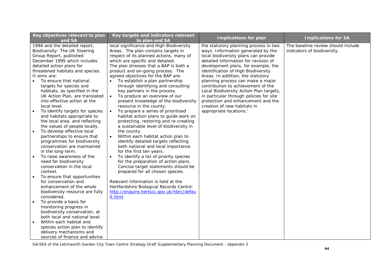| Key objectives relevant to plan<br>and SA                                                                                                                                                                                                                                                                                                                                                                                                                                                                                                                                                                                                                                                                                                                                                                                                                                                                                  | Key targets and indicators relevant<br>to plan and SA                                                                                                                                                                                                                                                                                                                                                                                                                                                                                                                                                                                                                                                                                                                                                                                                                                                                                                                                                                                                                                                                                                                            | <b>Implications for plan</b>                                                                                                                                                                                                                                                                                                                                                                                                                                                                                                                    | <b>Implications for SA</b>                                        |
|----------------------------------------------------------------------------------------------------------------------------------------------------------------------------------------------------------------------------------------------------------------------------------------------------------------------------------------------------------------------------------------------------------------------------------------------------------------------------------------------------------------------------------------------------------------------------------------------------------------------------------------------------------------------------------------------------------------------------------------------------------------------------------------------------------------------------------------------------------------------------------------------------------------------------|----------------------------------------------------------------------------------------------------------------------------------------------------------------------------------------------------------------------------------------------------------------------------------------------------------------------------------------------------------------------------------------------------------------------------------------------------------------------------------------------------------------------------------------------------------------------------------------------------------------------------------------------------------------------------------------------------------------------------------------------------------------------------------------------------------------------------------------------------------------------------------------------------------------------------------------------------------------------------------------------------------------------------------------------------------------------------------------------------------------------------------------------------------------------------------|-------------------------------------------------------------------------------------------------------------------------------------------------------------------------------------------------------------------------------------------------------------------------------------------------------------------------------------------------------------------------------------------------------------------------------------------------------------------------------------------------------------------------------------------------|-------------------------------------------------------------------|
| 1994 and the detailed report,<br>Biodiversity: The UK Steering<br>Group Report, published<br>December 1995 which includes<br>detailed action plans for<br>threatened habitats and species.<br>It aims are:<br>To ensure that national<br>$\bullet$<br>targets for species and<br>habitats, as specified in the<br>UK Action Plan, are translated<br>into effective action at the<br>local level.<br>To identify targets for species<br>and habitats appropriate to<br>the local area, and reflecting<br>the values of people locally.<br>To develop effective local<br>partnerships to ensure that<br>programmes for biodiversity<br>conservation are maintained<br>in the long-term.<br>To raise awareness of the<br>need for biodiversity<br>conservation in the local<br>context.<br>To ensure that opportunities<br>for conservation and<br>enhancement of the whole<br>biodiversity resource are fully<br>considered. | local significance and High Biodiversity<br>Areas. The plan contains targets in<br>respect of its planned actions, many of<br>which are specific and detailed.<br>The plan stresses that a BAP is both a<br>product and on-going process. The<br>agreed objectives for the BAP are:<br>To establish a plan partnership<br>$\bullet$<br>through identifying and consulting<br>key partners in the process.<br>To produce an overview of our<br>$\bullet$<br>present knowledge of the biodiversity<br>resource in the county.<br>To prepare a series of prioritised<br>$\bullet$<br>habitat action plans to guide work on<br>protecting, restoring and re-creating<br>a sustainable level of biodiversity in<br>the county.<br>Within each habitat action plan to<br>identify detailed targets reflecting<br>both national and local importance<br>for the first ten years.<br>To identify a list of priority species<br>for the preparation of action plans.<br>Concise target statements should be<br>prepared for all chosen species.<br>Relevant information is held at the<br>Hertfordshire Biological Records Centre:<br>http://enquire.hertscc.gov.uk/hbrc/defau<br>It.html | the statutory planning process in two<br>ways. Information generated by the<br>local biodiversity plans can provide<br>detailed information for revision of<br>development plans, for example, the<br>identification of High Biodiversity<br>Areas. In addition, the statutory<br>planning process can make a major<br>contribution to achievement of the<br>Local Biodiversity Action Plan targets,<br>in particular through policies for site<br>protection and enhancement and the<br>creation of new habitats in<br>appropriate locations.' | The baseline review should include<br>indicators of biodiversity. |
| To provide a basis for<br>$\bullet$<br>monitoring progress in<br>biodiversity conservation, at<br>both local and national level.                                                                                                                                                                                                                                                                                                                                                                                                                                                                                                                                                                                                                                                                                                                                                                                           |                                                                                                                                                                                                                                                                                                                                                                                                                                                                                                                                                                                                                                                                                                                                                                                                                                                                                                                                                                                                                                                                                                                                                                                  |                                                                                                                                                                                                                                                                                                                                                                                                                                                                                                                                                 |                                                                   |
| Within each habitat and<br>species action plan to identify<br>delivery mechanisms and<br>sources of finance and advice.                                                                                                                                                                                                                                                                                                                                                                                                                                                                                                                                                                                                                                                                                                                                                                                                    |                                                                                                                                                                                                                                                                                                                                                                                                                                                                                                                                                                                                                                                                                                                                                                                                                                                                                                                                                                                                                                                                                                                                                                                  |                                                                                                                                                                                                                                                                                                                                                                                                                                                                                                                                                 |                                                                   |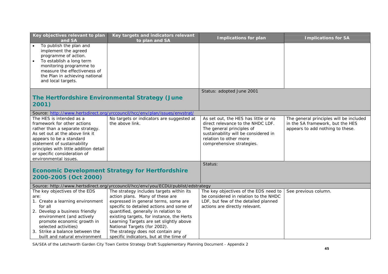| Key objectives relevant to plan<br>and SA                                                                                                                                                                                                                                                    | Key targets and indicators relevant<br>to plan and SA                                                                                                                                                                                                                                                                                                                                                           | <b>Implications for plan</b>                                                                                                                                                                          | <b>Implications for SA</b>                                                                                      |
|----------------------------------------------------------------------------------------------------------------------------------------------------------------------------------------------------------------------------------------------------------------------------------------------|-----------------------------------------------------------------------------------------------------------------------------------------------------------------------------------------------------------------------------------------------------------------------------------------------------------------------------------------------------------------------------------------------------------------|-------------------------------------------------------------------------------------------------------------------------------------------------------------------------------------------------------|-----------------------------------------------------------------------------------------------------------------|
| To publish the plan and<br>implement the agreed<br>programme of action.<br>To establish a long term<br>monitoring programme to<br>measure the effectiveness of<br>the Plan in achieving national<br>and local targets.                                                                       |                                                                                                                                                                                                                                                                                                                                                                                                                 |                                                                                                                                                                                                       |                                                                                                                 |
|                                                                                                                                                                                                                                                                                              |                                                                                                                                                                                                                                                                                                                                                                                                                 | Status: adopted June 2001                                                                                                                                                                             |                                                                                                                 |
| 2001)                                                                                                                                                                                                                                                                                        | The Hertfordshire Environmental Strategy (June                                                                                                                                                                                                                                                                                                                                                                  |                                                                                                                                                                                                       |                                                                                                                 |
|                                                                                                                                                                                                                                                                                              | Source: http://www.hertsdirect.org/yrccouncil/hcc/env/plan/issues/envstrat/                                                                                                                                                                                                                                                                                                                                     |                                                                                                                                                                                                       |                                                                                                                 |
| The HES is intended as a<br>framework for other actions<br>rather than a separate strategy.<br>As set out at the above link it<br>appears to be a standard<br>statement of sustainability<br>principles with little addition detail<br>or specific consideration of<br>environmental issues. | No targets or indicators are suggested at<br>the above link.                                                                                                                                                                                                                                                                                                                                                    | As set out, the HES has little or no<br>direct relevance to the NHDC LDF.<br>The general principles of<br>sustainability will be considered in<br>relation to other more<br>comprehensive strategies. | The general principles will be included<br>in the SA framework, but the HES<br>appears to add nothing to these. |
|                                                                                                                                                                                                                                                                                              |                                                                                                                                                                                                                                                                                                                                                                                                                 | Status:                                                                                                                                                                                               |                                                                                                                 |
| 2000-2005 (Oct 2000)                                                                                                                                                                                                                                                                         | <b>Economic Development Strategy for Hertfordshire</b>                                                                                                                                                                                                                                                                                                                                                          |                                                                                                                                                                                                       |                                                                                                                 |
|                                                                                                                                                                                                                                                                                              | Source: http://www.hertsdirect.org/yrccouncil/hcc/env/you/ECDU/publist/edstrategy                                                                                                                                                                                                                                                                                                                               |                                                                                                                                                                                                       |                                                                                                                 |
| The key objectives of the EDS<br>are:<br>1. Create a learning environment<br>for all<br>2. Develop a business friendly<br>environment (and actively<br>promote economic growth in<br>selected activities)<br>3. Strike a balance between the<br>built and natural environment                | The strategy includes targets within its<br>action plans. Many of these are<br>expressed in general terms, some are<br>specific to detailed actions and some of<br>quantified, generally in relation to<br>existing targets, for instance, the Herts<br>Learning Targets are set slightly above<br>National Targets (for 2002).<br>The strategy does not contain any<br>specific indicators, but at the time of | The key objectives of the EDS need to<br>be considered in relation to the NHDC<br>LDF, but few of the detailed planned<br>actions are directly relevant.                                              | See previous column.                                                                                            |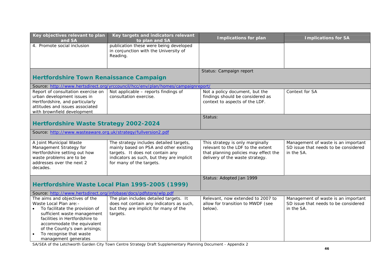| Key objectives relevant to plan                                                                                                                                                                                                                                                | Key targets and indicators relevant                                                                                                                                                            | <b>Implications for plan</b>                                                                                                                      | <b>Implications for SA</b>                                                                |
|--------------------------------------------------------------------------------------------------------------------------------------------------------------------------------------------------------------------------------------------------------------------------------|------------------------------------------------------------------------------------------------------------------------------------------------------------------------------------------------|---------------------------------------------------------------------------------------------------------------------------------------------------|-------------------------------------------------------------------------------------------|
| and SA<br>4. Promote social inclusion                                                                                                                                                                                                                                          | to plan and SA<br>publication these were being developed<br>in conjunction with the University of<br>Reading.                                                                                  |                                                                                                                                                   |                                                                                           |
|                                                                                                                                                                                                                                                                                |                                                                                                                                                                                                | Status: Campaign report                                                                                                                           |                                                                                           |
| <b>Hertfordshire Town Renaissance Campaign</b>                                                                                                                                                                                                                                 |                                                                                                                                                                                                |                                                                                                                                                   |                                                                                           |
|                                                                                                                                                                                                                                                                                | Source: http://www.hertsdirect.org/yrccouncil/hcc/env/plan/homes/campaignreport/                                                                                                               |                                                                                                                                                   |                                                                                           |
| Report of consultation exercise on<br>urban development issues in<br>Hertfordshire, and particularly<br>attitudes and issues associated<br>with brownfield development                                                                                                         | Not applicable - reports findings of<br>consultation exercise.                                                                                                                                 | Not a policy document, but the<br>findings should be considered as<br>context to aspects of the LDF.                                              | Context for SA                                                                            |
|                                                                                                                                                                                                                                                                                |                                                                                                                                                                                                | Status:                                                                                                                                           |                                                                                           |
| <b>Hertfordshire Waste Strategy 2002-2024</b>                                                                                                                                                                                                                                  |                                                                                                                                                                                                |                                                                                                                                                   |                                                                                           |
| Source: http://www.wasteaware.org.uk/strategy/fullversion2.pdf                                                                                                                                                                                                                 |                                                                                                                                                                                                |                                                                                                                                                   |                                                                                           |
| A Joint Municipal Waste<br>Management Strategy for<br>Hertfordshire setting out how<br>waste problems are to be<br>addresses over the next 2<br>decades.                                                                                                                       | The strategy includes detailed targets,<br>mainly based on PSA and other existing<br>targets. It does not contain any<br>indicators as such, but they are implicit<br>for many of the targets. | This strategy is only marginally<br>relevant to the LDF to the extent<br>that planning policies may effect the<br>delivery of the waste strategy. | Management of waste is an important<br>SD issue that needs to be considered<br>in the SA. |
|                                                                                                                                                                                                                                                                                |                                                                                                                                                                                                | Status: Adopted Jan 1999                                                                                                                          |                                                                                           |
|                                                                                                                                                                                                                                                                                | Hertfordshire Waste Local Plan 1995-2005 (1999)                                                                                                                                                |                                                                                                                                                   |                                                                                           |
| Source: http://www.hertsdirect.org/infobase/docs/pdfstore/wlp.pdf                                                                                                                                                                                                              |                                                                                                                                                                                                |                                                                                                                                                   |                                                                                           |
| The aims and objectives of the<br>Waste Local Plan are: -<br>To facilitate the provision of<br>sufficient waste management<br>facilities in Hertfordshire to<br>accommodate the equivalent<br>of the County's own arisings;<br>To recognise that waste<br>management generates | The plan includes detailed targets. It<br>does not contain any indicators as such,<br>but they are implicit for many of the<br>targets.                                                        | Relevant, now extended to 2007 to<br>allow for transition to MWDF (see<br>below).                                                                 | Management of waste is an important<br>SD issue that needs to be considered<br>in the SA. |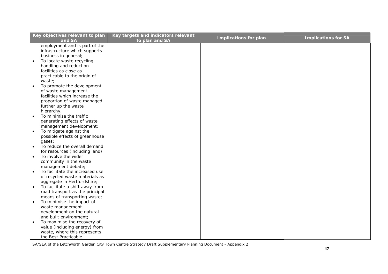|           | Key objectives relevant to plan<br>and SA      | Key targets and indicators relevant<br>to plan and SA | <b>Implications for plan</b> | <b>Implications for SA</b> |
|-----------|------------------------------------------------|-------------------------------------------------------|------------------------------|----------------------------|
|           | employment and is part of the                  |                                                       |                              |                            |
|           | infrastructure which supports                  |                                                       |                              |                            |
|           | business in general;                           |                                                       |                              |                            |
|           | To locate waste recycling,                     |                                                       |                              |                            |
|           | handling and reduction                         |                                                       |                              |                            |
|           | facilities as close as                         |                                                       |                              |                            |
|           | practicable to the origin of                   |                                                       |                              |                            |
|           | waste;                                         |                                                       |                              |                            |
| $\bullet$ | To promote the development                     |                                                       |                              |                            |
|           | of waste management                            |                                                       |                              |                            |
|           | facilities which increase the                  |                                                       |                              |                            |
|           | proportion of waste managed                    |                                                       |                              |                            |
|           | further up the waste                           |                                                       |                              |                            |
|           | hierarchy;                                     |                                                       |                              |                            |
|           | To minimise the traffic                        |                                                       |                              |                            |
|           | generating effects of waste                    |                                                       |                              |                            |
|           | management development;                        |                                                       |                              |                            |
|           | To mitigate against the                        |                                                       |                              |                            |
|           | possible effects of greenhouse                 |                                                       |                              |                            |
|           | gases;                                         |                                                       |                              |                            |
| $\bullet$ | To reduce the overall demand                   |                                                       |                              |                            |
|           | for resources (including land);                |                                                       |                              |                            |
| $\bullet$ | To involve the wider                           |                                                       |                              |                            |
|           | community in the waste                         |                                                       |                              |                            |
|           | management debate;                             |                                                       |                              |                            |
|           | To facilitate the increased use                |                                                       |                              |                            |
|           | of recycled waste materials as                 |                                                       |                              |                            |
|           | aggregate in Hertfordshire;                    |                                                       |                              |                            |
|           | To facilitate a shift away from                |                                                       |                              |                            |
|           | road transport as the principal                |                                                       |                              |                            |
|           | means of transporting waste;                   |                                                       |                              |                            |
|           | To minimise the impact of                      |                                                       |                              |                            |
|           | waste management<br>development on the natural |                                                       |                              |                            |
|           | and built environment;                         |                                                       |                              |                            |
|           | To maximise the recovery of                    |                                                       |                              |                            |
|           | value (including energy) from                  |                                                       |                              |                            |
|           | waste, where this represents                   |                                                       |                              |                            |
|           | the Best Practicable                           |                                                       |                              |                            |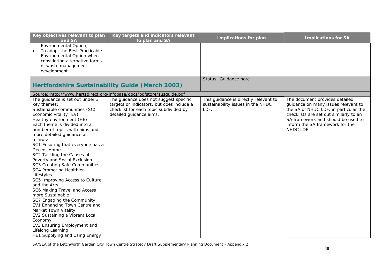| Key objectives relevant to plan<br>and SA                                                                                                                                                                                                                                                                                                                                                                                                                                                                                                                                                                                                                                                                                                                                   | Key targets and indicators relevant<br>to plan and SA                                                                                                    | <b>Implications for plan</b>                                                       | <b>Implications for SA</b>                                                                                                                                                                                                                     |
|-----------------------------------------------------------------------------------------------------------------------------------------------------------------------------------------------------------------------------------------------------------------------------------------------------------------------------------------------------------------------------------------------------------------------------------------------------------------------------------------------------------------------------------------------------------------------------------------------------------------------------------------------------------------------------------------------------------------------------------------------------------------------------|----------------------------------------------------------------------------------------------------------------------------------------------------------|------------------------------------------------------------------------------------|------------------------------------------------------------------------------------------------------------------------------------------------------------------------------------------------------------------------------------------------|
| Environmental Option;<br>To adopt the Best Practicable<br>$\bullet$<br>Environmental Option when<br>considering alternative forms<br>of waste management<br>development.                                                                                                                                                                                                                                                                                                                                                                                                                                                                                                                                                                                                    |                                                                                                                                                          |                                                                                    |                                                                                                                                                                                                                                                |
|                                                                                                                                                                                                                                                                                                                                                                                                                                                                                                                                                                                                                                                                                                                                                                             | <b>Hertfordshire Sustainability Guide (March 2003)</b>                                                                                                   | Status: Guidance note                                                              |                                                                                                                                                                                                                                                |
|                                                                                                                                                                                                                                                                                                                                                                                                                                                                                                                                                                                                                                                                                                                                                                             | Source: http://www.hertsdirect.org/infobase/docs/pdfstore/susguide.pdf                                                                                   |                                                                                    |                                                                                                                                                                                                                                                |
| The guidance is set out under 3<br>key themes:<br>Sustainable communities (SC)<br>Economic vitality (EV)<br>Healthy environment (HE)<br>Each theme is divided into a<br>number of topics with aims and<br>more detailed guidance as<br>follows:<br>SC1 Ensuring that everyone has a<br>Decent Home<br>SC2 Tackling the Causes of<br>Poverty and Social Exclusion<br>SC3 Creating Safe Communities<br>SC4 Promoting Healthier<br>Lifestyles<br>SC5 Improving Access to Culture<br>and the Arts<br>SC6 Making Travel and Access<br>more Sustainable<br>SC7 Engaging the Community<br>EV1 Enhancing Town Centre and<br>Market Town Vitality<br>EV2 Sustaining a Vibrant Local<br>Economy<br>EV3 Ensuring Employment and<br>Lifelong Learning<br>HE1 Supplying and Using Energy | The guidance does not suggest specific<br>targets or indicators, but does include a<br>checklist for each topic subdivided by<br>detailed guidance aims. | This guidance is directly relevant to<br>sustainability issues in the NHDC<br>LDF. | The document provides detailed<br>guidance on many issues relevant to<br>the SA of NHDC LDF, in particular the<br>checklists are set out similarly to an<br>SA framework and should be used to<br>inform the SA framework for the<br>NHDC LDF. |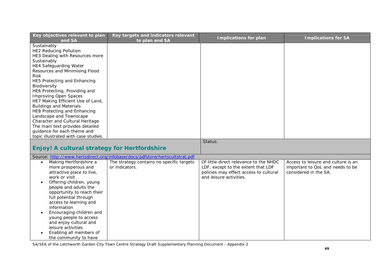| Key objectives relevant to plan<br>and SA                                                                                                                                                                                                                                                               | Key targets and indicators relevant<br>to plan and SA                        | <b>Implications for plan</b>                                                                                                                      | <b>Implications for SA</b>                                                                       |
|---------------------------------------------------------------------------------------------------------------------------------------------------------------------------------------------------------------------------------------------------------------------------------------------------------|------------------------------------------------------------------------------|---------------------------------------------------------------------------------------------------------------------------------------------------|--------------------------------------------------------------------------------------------------|
| Sustainably<br><b>HE2 Reducing Pollution</b><br>HE3 Dealing with Resources more<br>Sustainably<br><b>HE4 Safeguarding Water</b><br>Resources and Minimising Flood<br><b>Risk</b><br>HE5 Protecting and Enhancing                                                                                        |                                                                              |                                                                                                                                                   |                                                                                                  |
| Biodiversity<br>HE6 Protecting, Providing and<br><b>Improving Open Spaces</b><br>HE7 Making Efficient Use of Land,<br><b>Buildings and Materials</b>                                                                                                                                                    |                                                                              |                                                                                                                                                   |                                                                                                  |
| HE8 Protecting and Enhancing<br>Landscape and Townscape<br>Character and Cultural Heritage<br>The main text provides detailed<br>guidance for each theme and<br>topic illustrated with case studies.                                                                                                    |                                                                              |                                                                                                                                                   |                                                                                                  |
|                                                                                                                                                                                                                                                                                                         |                                                                              | Status:                                                                                                                                           |                                                                                                  |
| Enjoy! A cultural strategy for Hertfordshire                                                                                                                                                                                                                                                            |                                                                              |                                                                                                                                                   |                                                                                                  |
|                                                                                                                                                                                                                                                                                                         | Source: http://www.hertsdirect.org/infobase/docs/pdfstore/hertscultstrat.pdf |                                                                                                                                                   |                                                                                                  |
| Making Hertfordshire a<br>$\bullet$<br>more prosperous and<br>attractive place to live,<br>work or visit<br>Offering children, young<br>people and adults the<br>opportunity to reach their<br>full potential through<br>access to learning and<br>information<br>Encouraging children and<br>$\bullet$ | The strategy contains no specific targets<br>or indicators.                  | Of little direct relevance to the NHDC<br>LDF, except to the extent that LDF<br>policies may effect access to cultural<br>and leisure activities. | Access to leisure and culture is an<br>important to QoL and needs to be<br>considered in the SA. |
| young people to access<br>and enjoy cultural and<br>leisure activities<br>Enabling all members of<br>the community to have                                                                                                                                                                              |                                                                              |                                                                                                                                                   |                                                                                                  |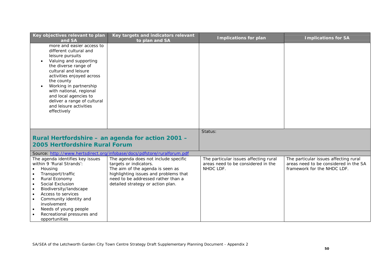| Key objectives relevant to plan<br>and SA                                                                                                                                                                                                                                                                                                                                              | Key targets and indicators relevant<br>to plan and SA                                                                                                                                                                  | <b>Implications for plan</b>                                                             | <b>Implications for SA</b>                                                                                    |
|----------------------------------------------------------------------------------------------------------------------------------------------------------------------------------------------------------------------------------------------------------------------------------------------------------------------------------------------------------------------------------------|------------------------------------------------------------------------------------------------------------------------------------------------------------------------------------------------------------------------|------------------------------------------------------------------------------------------|---------------------------------------------------------------------------------------------------------------|
| more and easier access to<br>different cultural and<br>leisure pursuits<br>Valuing and supporting<br>$\bullet$<br>the diverse range of<br>cultural and leisure<br>activities enjoyed across<br>the county<br>Working in partnership<br>$\bullet$<br>with national, regional<br>and local agencies to<br>deliver a range of cultural<br>and leisure activities<br>effectively           |                                                                                                                                                                                                                        | Status:                                                                                  |                                                                                                               |
| 2005 Hertfordshire Rural Forum                                                                                                                                                                                                                                                                                                                                                         | Rural Hertfordshire – an agenda for action 2001 –                                                                                                                                                                      |                                                                                          |                                                                                                               |
|                                                                                                                                                                                                                                                                                                                                                                                        | Source: http://www.hertsdirect.org/infobase/docs/pdfstore/ruralforum.pdf                                                                                                                                               |                                                                                          |                                                                                                               |
| The agenda identifies key issues<br>within 9 'Rural Strands':<br>Housing<br>Transport/traffic<br>$\bullet$<br>Rural Economy<br>$\bullet$<br>Social Exclusion<br>$\bullet$<br>Biodiversity/landscape<br>$\bullet$<br>Access to services<br>$\bullet$<br>Community identity and<br>$\bullet$<br>involvement<br>Needs of young people<br>٠<br>Recreational pressures and<br>opportunities | The agenda does not include specific<br>targets or indicators.<br>The aim of the agenda is seen as<br>highlighting issues and problems that<br>need to be addressed rather than a<br>detailed strategy or action plan. | The particular issues affecting rural<br>areas need to be considered in the<br>NHDC LDF. | The particular issues affecting rural<br>areas need to be considered in the SA<br>framework for the NHDC LDF. |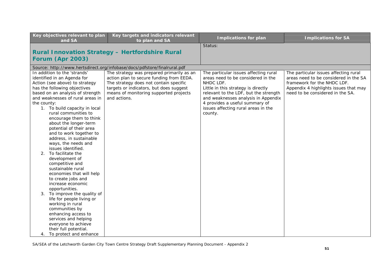| Key objectives relevant to plan<br>and SA | Key targets and indicators relevant<br>to plan and SA                    | <b>Implications for plan</b>          | <b>Implications for SA</b>            |
|-------------------------------------------|--------------------------------------------------------------------------|---------------------------------------|---------------------------------------|
|                                           |                                                                          | Status:                               |                                       |
|                                           | <b>Rural Innovation Strategy - Hertfordshire Rural</b>                   |                                       |                                       |
| Forum (Apr 2003)                          |                                                                          |                                       |                                       |
|                                           |                                                                          |                                       |                                       |
|                                           | Source: http://www.hertsdirect.org/infobase/docs/pdfstore/finalrural.pdf |                                       |                                       |
| In addition to the 'strands'              | The strategy was prepared primarily as an                                | The particular issues affecting rural | The particular issues affecting rural |
| identified in an Agenda for               | action plan to secure funding from EEDA.                                 | areas need to be considered in the    | areas need to be considered in the SA |
| Action (see above) to strategy            | The strategy does not contain specific                                   | NHDC LDF.                             | framework for the NHDC LDF.           |
| has the following objectives              | targets or indicators, but does suggest                                  | Little in this strategy is directly   | Appendix 4 highlights issues that may |
| based on an analysis of strength          | means of monitoring supported projects                                   | relevant to the LDF, but the strength | need to be considered in the SA.      |
| and weaknesses of rural areas in          | and actions.                                                             | and weaknesses analysis in Appendix   |                                       |
| the county:                               |                                                                          | 4 provides a useful summary of        |                                       |
| 1. To build capacity in local             |                                                                          | issues affecting rural areas in the   |                                       |
| rural communities to                      |                                                                          | county.                               |                                       |
| encourage them to think                   |                                                                          |                                       |                                       |
| about the longer-term                     |                                                                          |                                       |                                       |
| potential of their area                   |                                                                          |                                       |                                       |
| and to work together to                   |                                                                          |                                       |                                       |
| address, in sustainable                   |                                                                          |                                       |                                       |
| ways, the needs and                       |                                                                          |                                       |                                       |
| issues identified.                        |                                                                          |                                       |                                       |
| 2. To facilitate the                      |                                                                          |                                       |                                       |
| development of                            |                                                                          |                                       |                                       |
| competitive and<br>sustainable rural      |                                                                          |                                       |                                       |
| economies that will help                  |                                                                          |                                       |                                       |
| to create jobs and                        |                                                                          |                                       |                                       |
| increase economic                         |                                                                          |                                       |                                       |
| opportunities.                            |                                                                          |                                       |                                       |
| 3. To improve the quality of              |                                                                          |                                       |                                       |
| life for people living or                 |                                                                          |                                       |                                       |
| working in rural                          |                                                                          |                                       |                                       |
| communities by                            |                                                                          |                                       |                                       |
| enhancing access to                       |                                                                          |                                       |                                       |
| services and helping                      |                                                                          |                                       |                                       |
| everyone to achieve                       |                                                                          |                                       |                                       |
| their full potential.                     |                                                                          |                                       |                                       |
| To protect and enhance<br>4.              |                                                                          |                                       |                                       |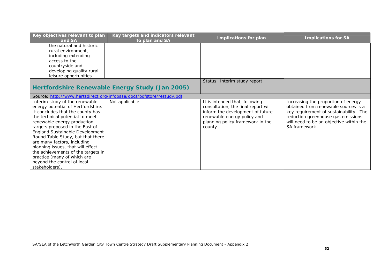| Key objectives relevant to plan<br>and SA | Key targets and indicators relevant<br>to plan and SA                 | <b>Implications for plan</b>        | <b>Implications for SA</b>              |
|-------------------------------------------|-----------------------------------------------------------------------|-------------------------------------|-----------------------------------------|
| the natural and historic                  |                                                                       |                                     |                                         |
| rural environment,                        |                                                                       |                                     |                                         |
| including extending                       |                                                                       |                                     |                                         |
| access to the                             |                                                                       |                                     |                                         |
| countryside and                           |                                                                       |                                     |                                         |
| developing quality rural                  |                                                                       |                                     |                                         |
| leisure opportunities.                    |                                                                       |                                     |                                         |
|                                           |                                                                       | Status: Interim study report        |                                         |
|                                           | Hertfordshire Renewable Energy Study (Jan 2005)                       |                                     |                                         |
|                                           | Source: http://www.hertsdirect.org/infobase/docs/pdfstore/restudy.pdf |                                     |                                         |
| Interim study of the renewable            | Not applicable                                                        | It is intended that, following      | Increasing the proportion of energy     |
| energy potential of Hertfordshire.        |                                                                       | consultation, the final report will | obtained from renewable sources is a    |
| It concludes that the county has          |                                                                       | inform the development of future    | key requirement of sustainability. The  |
| the technical potential to meet           |                                                                       | renewable energy policy and         | reduction greenhouse gas emissions      |
| renewable energy production               |                                                                       | planning policy framework in the    | will need to be an objective within the |
| targets proposed in the East of           |                                                                       | county.                             | SA framework.                           |
| England Sustainable Development           |                                                                       |                                     |                                         |
| Round Table Study, but that there         |                                                                       |                                     |                                         |
| are many factors, including               |                                                                       |                                     |                                         |
| planning issues, that will effect         |                                                                       |                                     |                                         |
| the achievements of the targets in        |                                                                       |                                     |                                         |
| practice (many of which are               |                                                                       |                                     |                                         |
| beyond the control of local               |                                                                       |                                     |                                         |
| stakeholders).                            |                                                                       |                                     |                                         |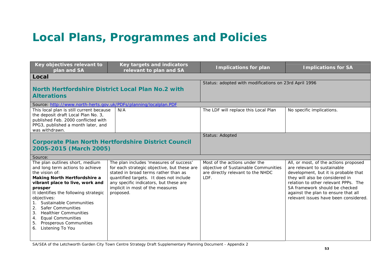## **Local Plans, Programmes and Policies**

| Key objectives relevant to<br>plan and SA                                                                                                                                                                                                                                                                                                                                                                                  | Key targets and indicators<br>relevant to plan and SA                                                                                                                                                                                                                | <b>Implications for plan</b>                                                                                       | <b>Implications for SA</b>                                                                                                                                                                                                                                                                                |
|----------------------------------------------------------------------------------------------------------------------------------------------------------------------------------------------------------------------------------------------------------------------------------------------------------------------------------------------------------------------------------------------------------------------------|----------------------------------------------------------------------------------------------------------------------------------------------------------------------------------------------------------------------------------------------------------------------|--------------------------------------------------------------------------------------------------------------------|-----------------------------------------------------------------------------------------------------------------------------------------------------------------------------------------------------------------------------------------------------------------------------------------------------------|
| Local                                                                                                                                                                                                                                                                                                                                                                                                                      |                                                                                                                                                                                                                                                                      |                                                                                                                    |                                                                                                                                                                                                                                                                                                           |
| North Hertfordshire District Local Plan No.2 with<br><b>Alterations</b>                                                                                                                                                                                                                                                                                                                                                    |                                                                                                                                                                                                                                                                      | Status: adopted with modifications on 23rd April 1996                                                              |                                                                                                                                                                                                                                                                                                           |
| Source: http://www.north-herts.gov.uk/PDFs/planning/localplan.PDF                                                                                                                                                                                                                                                                                                                                                          |                                                                                                                                                                                                                                                                      |                                                                                                                    |                                                                                                                                                                                                                                                                                                           |
| This local plan is still current because<br>the deposit draft Local Plan No. 3,<br>published Feb. 2000 conflicted with<br>PPG3, published a month later, and<br>was withdrawn.                                                                                                                                                                                                                                             | N/A                                                                                                                                                                                                                                                                  | The LDF will replace this Local Plan                                                                               | No specific implications.                                                                                                                                                                                                                                                                                 |
|                                                                                                                                                                                                                                                                                                                                                                                                                            |                                                                                                                                                                                                                                                                      | Status: Adopted                                                                                                    |                                                                                                                                                                                                                                                                                                           |
|                                                                                                                                                                                                                                                                                                                                                                                                                            | <b>Corporate Plan North Hertfordshire District Council</b>                                                                                                                                                                                                           |                                                                                                                    |                                                                                                                                                                                                                                                                                                           |
| 2005-2015 (March 2005)                                                                                                                                                                                                                                                                                                                                                                                                     |                                                                                                                                                                                                                                                                      |                                                                                                                    |                                                                                                                                                                                                                                                                                                           |
| Source:                                                                                                                                                                                                                                                                                                                                                                                                                    |                                                                                                                                                                                                                                                                      |                                                                                                                    |                                                                                                                                                                                                                                                                                                           |
| The plan outlines short, medium<br>and long term actions to achieve<br>the vision of:<br><b>Making North Hertfordshire a</b><br>vibrant place to live, work and<br>prosper<br>It identifies the following strategic<br>objectives:<br>1. Sustainable Communities<br><b>Safer Communities</b><br>2.<br>3. Healthier Communities<br><b>Equal Communities</b><br>4.<br>Prosperous Communities<br>5.<br>Listening To You<br>6. | The plan includes 'measures of success'<br>for each strategic objective, but these are<br>stated in broad terms rather than as<br>quantified targets. It does not include<br>any specific indicators, but these are<br>implicit in most of the measures<br>proposed. | Most of the actions under the<br>objective of Sustainable Communities<br>are directly relevant to the NHDC<br>LDF. | All, or most, of the actions proposed<br>are relevant to sustainable<br>development, but it is probable that<br>they will also be considered in<br>relation to other relevant PPPs. The<br>SA framework should be checked<br>against the plan to ensure that all<br>relevant issues have been considered. |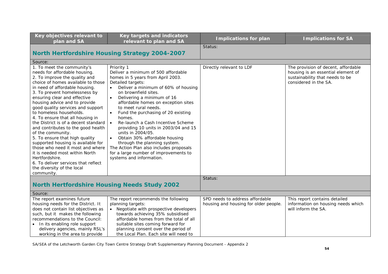| Key objectives relevant to<br>plan and SA                                                                                                                                                                                                                                                                                                                                                                                                                                                                                                                                                                                                                                                                                        | Key targets and indicators<br>relevant to plan and SA                                                                                                                                                                                                                                                                                                                                                                                                                                                                                                                                                                                             | <b>Implications for plan</b>                                             | <b>Implications for SA</b>                                                                                                            |
|----------------------------------------------------------------------------------------------------------------------------------------------------------------------------------------------------------------------------------------------------------------------------------------------------------------------------------------------------------------------------------------------------------------------------------------------------------------------------------------------------------------------------------------------------------------------------------------------------------------------------------------------------------------------------------------------------------------------------------|---------------------------------------------------------------------------------------------------------------------------------------------------------------------------------------------------------------------------------------------------------------------------------------------------------------------------------------------------------------------------------------------------------------------------------------------------------------------------------------------------------------------------------------------------------------------------------------------------------------------------------------------------|--------------------------------------------------------------------------|---------------------------------------------------------------------------------------------------------------------------------------|
|                                                                                                                                                                                                                                                                                                                                                                                                                                                                                                                                                                                                                                                                                                                                  |                                                                                                                                                                                                                                                                                                                                                                                                                                                                                                                                                                                                                                                   | Status:                                                                  |                                                                                                                                       |
|                                                                                                                                                                                                                                                                                                                                                                                                                                                                                                                                                                                                                                                                                                                                  | <b>North Hertfordshire Housing Strategy 2004-2007</b>                                                                                                                                                                                                                                                                                                                                                                                                                                                                                                                                                                                             |                                                                          |                                                                                                                                       |
| Source:                                                                                                                                                                                                                                                                                                                                                                                                                                                                                                                                                                                                                                                                                                                          |                                                                                                                                                                                                                                                                                                                                                                                                                                                                                                                                                                                                                                                   |                                                                          |                                                                                                                                       |
| 1. To meet the community's<br>needs for affordable housing.<br>2. To improve the quality and<br>choice of homes available to those<br>in need of affordable housing.<br>3. To prevent homelessness by<br>ensuring clear and effective<br>housing advice and to provide<br>good quality services and support<br>to homeless households.<br>4. To ensure that all housing in<br>the District is of a decent standard<br>and contributes to the good health<br>of the community.<br>5. To ensure that high quality<br>supported housing is available for<br>those who need it most and where<br>it is needed most within North<br>Hertfordshire.<br>6. To deliver services that reflect<br>the diversity of the local<br>community. | Priority 1<br>Deliver a minimum of 500 affordable<br>homes in 5 years from April 2003.<br>Detailed targets:<br>Deliver a minimum of 60% of housing<br>on brownfield sites.<br>Delivering a minimum of 16<br>affordable homes on exception sites<br>to meet rural needs.<br>Fund the purchasing of 20 existing<br>$\bullet$<br>homes.<br>Re-launch a Cash Incentive Scheme<br>$\bullet$<br>providing 10 units in 2003/04 and 15<br>units in 2004/05.<br>Obtain 30% affordable housing<br>$\bullet$<br>through the planning system.<br>The Action Plan also includes proposals<br>for a large number of improvements to<br>systems and information. | Directly relevant to LDF                                                 | The provision of decent, affordable<br>housing is an essential element of<br>sustainability that needs to be<br>considered in the SA. |
|                                                                                                                                                                                                                                                                                                                                                                                                                                                                                                                                                                                                                                                                                                                                  |                                                                                                                                                                                                                                                                                                                                                                                                                                                                                                                                                                                                                                                   | Status:                                                                  |                                                                                                                                       |
| <b>North Hertfordshire Housing Needs Study 2002</b>                                                                                                                                                                                                                                                                                                                                                                                                                                                                                                                                                                                                                                                                              |                                                                                                                                                                                                                                                                                                                                                                                                                                                                                                                                                                                                                                                   |                                                                          |                                                                                                                                       |
| Source:                                                                                                                                                                                                                                                                                                                                                                                                                                                                                                                                                                                                                                                                                                                          |                                                                                                                                                                                                                                                                                                                                                                                                                                                                                                                                                                                                                                                   |                                                                          |                                                                                                                                       |
| The report examines future<br>housing needs for the District. It<br>does not contain list objectives as<br>such, but it makes the following<br>recommendations to the Council:<br>• In its enabling role support<br>delivery agencies, mainly RSL's<br>working in the area to provide                                                                                                                                                                                                                                                                                                                                                                                                                                            | The report recommends the following<br>planning targets:<br>• Negotiate with prospective developers<br>towards achieving 35% subsidised<br>affordable homes from the total of all<br>suitable sites coming forward for<br>planning consent over the period of<br>the Local Plan. Each site will need to                                                                                                                                                                                                                                                                                                                                           | SPD needs to address affordable<br>housing and housing for older people. | This report contains detailed<br>information on housing needs which<br>will inform the SA.                                            |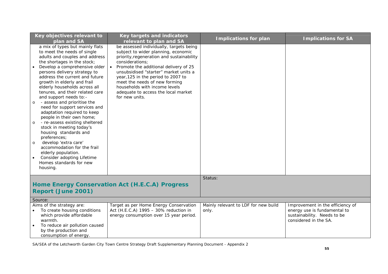| Key objectives relevant to<br>plan and SA                                                                                                                                                                                                                                                                                                                                                                                                                                                                                                                                                                                                                                                                                                                                               | Key targets and indicators<br>relevant to plan and SA                                                                                                                                                                                                                                                                                                                                             | <b>Implications for plan</b>                  | <b>Implications for SA</b>                                                                                               |
|-----------------------------------------------------------------------------------------------------------------------------------------------------------------------------------------------------------------------------------------------------------------------------------------------------------------------------------------------------------------------------------------------------------------------------------------------------------------------------------------------------------------------------------------------------------------------------------------------------------------------------------------------------------------------------------------------------------------------------------------------------------------------------------------|---------------------------------------------------------------------------------------------------------------------------------------------------------------------------------------------------------------------------------------------------------------------------------------------------------------------------------------------------------------------------------------------------|-----------------------------------------------|--------------------------------------------------------------------------------------------------------------------------|
| a mix of types but mainly flats<br>to meet the needs of single<br>adults and couples and address<br>the shortages in the stock;<br>Develop a comprehensive older<br>persons delivery strategy to<br>address the current and future<br>growth in elderly and frail<br>elderly households across all<br>tenures, and their related care<br>and support needs to: -<br>- assess and prioritise the<br>$\circ$<br>need for support services and<br>adaptation required to keep<br>people in their own home;<br>- re-assess existing sheltered<br>$\circ$<br>stock in meeting today's<br>housing standards and<br>preferences;<br>develop 'extra care'<br>$\circ$<br>accommodation for the frail<br>elderly population.<br>Consider adopting Lifetime<br>Homes standards for new<br>housing. | be assessed individually, targets being<br>subject to wider planning, economic<br>priority, regeneration and sustainability<br>considerations;<br>Promote the additional delivery of 25<br>unsubsidised "starter" market units a<br>year, 125 in the period to 2007 to<br>meet the needs of new forming<br>households with income levels<br>adequate to access the local market<br>for new units. |                                               |                                                                                                                          |
|                                                                                                                                                                                                                                                                                                                                                                                                                                                                                                                                                                                                                                                                                                                                                                                         |                                                                                                                                                                                                                                                                                                                                                                                                   | Status:                                       |                                                                                                                          |
| Report (June 2001)                                                                                                                                                                                                                                                                                                                                                                                                                                                                                                                                                                                                                                                                                                                                                                      | Home Energy Conservation Act (H.E.C.A) Progress                                                                                                                                                                                                                                                                                                                                                   |                                               |                                                                                                                          |
| Source:                                                                                                                                                                                                                                                                                                                                                                                                                                                                                                                                                                                                                                                                                                                                                                                 |                                                                                                                                                                                                                                                                                                                                                                                                   |                                               |                                                                                                                          |
| Aims of the strategy are:<br>To create housing conditions<br>which provide affordable<br>warmth.<br>To reduce air pollution caused<br>by the production and<br>consumption of energy.                                                                                                                                                                                                                                                                                                                                                                                                                                                                                                                                                                                                   | Target as per Home Energy Conservation<br>Act (H.E.C.A) 1995 - 30% reduction in<br>energy consumption over 15 year period.                                                                                                                                                                                                                                                                        | Mainly relevant to LDF for new build<br>only. | Improvement in the efficiency of<br>energy use is fundamental to<br>sustainability. Needs to be<br>considered in the SA. |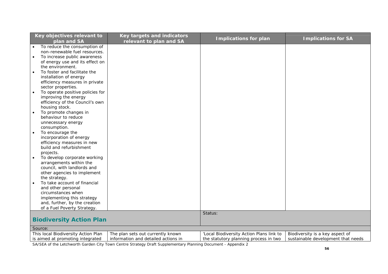| Key objectives relevant to                    | Key targets and indicators          | <b>Implications for plan</b>             | <b>Implications for SA</b>         |
|-----------------------------------------------|-------------------------------------|------------------------------------------|------------------------------------|
| plan and SA                                   | relevant to plan and SA             |                                          |                                    |
| To reduce the consumption of                  |                                     |                                          |                                    |
| non-renewable fuel resources.                 |                                     |                                          |                                    |
| To increase public awareness                  |                                     |                                          |                                    |
| of energy use and its effect on               |                                     |                                          |                                    |
| the environment.                              |                                     |                                          |                                    |
| To foster and facilitate the                  |                                     |                                          |                                    |
| installation of energy                        |                                     |                                          |                                    |
| efficiency measures in private                |                                     |                                          |                                    |
| sector properties.                            |                                     |                                          |                                    |
| To operate positive policies for<br>$\bullet$ |                                     |                                          |                                    |
| improving the energy                          |                                     |                                          |                                    |
| efficiency of the Council's own               |                                     |                                          |                                    |
| housing stock.                                |                                     |                                          |                                    |
| To promote changes in                         |                                     |                                          |                                    |
| behaviour to reduce                           |                                     |                                          |                                    |
| unnecessary energy                            |                                     |                                          |                                    |
| consumption.                                  |                                     |                                          |                                    |
| To encourage the                              |                                     |                                          |                                    |
| incorporation of energy                       |                                     |                                          |                                    |
| efficiency measures in new                    |                                     |                                          |                                    |
| build and refurbishment                       |                                     |                                          |                                    |
| projects.                                     |                                     |                                          |                                    |
| To develop corporate working                  |                                     |                                          |                                    |
| arrangements within the                       |                                     |                                          |                                    |
| council, with landlords and                   |                                     |                                          |                                    |
|                                               |                                     |                                          |                                    |
| other agencies to implement                   |                                     |                                          |                                    |
| the strategy.                                 |                                     |                                          |                                    |
| To take account of financial                  |                                     |                                          |                                    |
| and other personal                            |                                     |                                          |                                    |
| circumstances when                            |                                     |                                          |                                    |
| implementing this strategy                    |                                     |                                          |                                    |
| and, further, by the creation                 |                                     |                                          |                                    |
| of a Fuel Poverty Strategy.                   |                                     |                                          |                                    |
|                                               |                                     | Status:                                  |                                    |
| <b>Biodiversity Action Plan</b>               |                                     |                                          |                                    |
| Source:                                       |                                     |                                          |                                    |
| This local Biodiversity Action Plan           | The plan sets out currently known   | 'Local Biodiversity Action Plans link to | Biodiversity is a key aspect of    |
| is aimed at promoting integrated              | information and detailed actions in | the statutory planning process in two    | sustainable development that needs |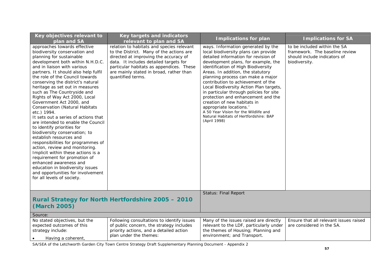| Key objectives relevant to<br>plan and SA                                                                                                                                                                                                                                                                                                                                                                                                                                                                                                                                                                                                                                                                                                                                                                                                                                                                                  | <b>Key targets and indicators</b><br>relevant to plan and SA                                                                                                                                                                                                                         | <b>Implications for plan</b>                                                                                                                                                                                                                                                                                                                                                                                                                                                                                                                                                                             | <b>Implications for SA</b>                                                                                      |
|----------------------------------------------------------------------------------------------------------------------------------------------------------------------------------------------------------------------------------------------------------------------------------------------------------------------------------------------------------------------------------------------------------------------------------------------------------------------------------------------------------------------------------------------------------------------------------------------------------------------------------------------------------------------------------------------------------------------------------------------------------------------------------------------------------------------------------------------------------------------------------------------------------------------------|--------------------------------------------------------------------------------------------------------------------------------------------------------------------------------------------------------------------------------------------------------------------------------------|----------------------------------------------------------------------------------------------------------------------------------------------------------------------------------------------------------------------------------------------------------------------------------------------------------------------------------------------------------------------------------------------------------------------------------------------------------------------------------------------------------------------------------------------------------------------------------------------------------|-----------------------------------------------------------------------------------------------------------------|
| approaches towards effective<br>biodiversity conservation and<br>planning for sustainable<br>development both within N.H.D.C.<br>and in liaison with various<br>partners. It should also help fulfil<br>the role of the Council towards<br>conserving the district's natural<br>heritage as set out in measures<br>such as The Countryside and<br>Rights of Way Act 2000, Local<br>Government Act 2000, and<br><b>Conservation (Natural Habitats</b><br>etc.) 1994.<br>It sets out a series of actions that<br>are intended to enable the Council<br>to identify priorities for<br>biodiversity conservation; to<br>establish resources and<br>responsibilities for programmes of<br>action, review and monitoring.<br>Implicit within these actions is a<br>requirement for promotion of<br>enhanced awareness and<br>education in biodiversity issues<br>and opportunities for involvement<br>for all levels of society. | relation to habitats and species relevant<br>to the District. Many of the actions are<br>directed at improving the accuracy of<br>data. It includes detailed targets for<br>particular habitats as appendices. These<br>are mainly stated in broad, rather than<br>quantified terms. | ways. Information generated by the<br>local biodiversity plans can provide<br>detailed information for revision of<br>development plans, for example, the<br>identification of High Biodiversity<br>Areas. In addition, the statutory<br>planning process can make a major<br>contribution to achievement of the<br>Local Biodiversity Action Plan targets,<br>in particular through policies for site<br>protection and enhancement and the<br>creation of new habitats in<br>appropriate locations.<br>A 50 Year Vision for the Wildlife and<br>Natural Habitats of Hertfordshire: BAP<br>(April 1998) | to be included within the SA<br>framework. The baseline review<br>should include indicators of<br>biodiversity. |
| (March 2005)                                                                                                                                                                                                                                                                                                                                                                                                                                                                                                                                                                                                                                                                                                                                                                                                                                                                                                               | Rural Strategy for North Hertfordshire 2005 - 2010                                                                                                                                                                                                                                   | <b>Status: Final Report</b>                                                                                                                                                                                                                                                                                                                                                                                                                                                                                                                                                                              |                                                                                                                 |
| Source:                                                                                                                                                                                                                                                                                                                                                                                                                                                                                                                                                                                                                                                                                                                                                                                                                                                                                                                    |                                                                                                                                                                                                                                                                                      |                                                                                                                                                                                                                                                                                                                                                                                                                                                                                                                                                                                                          |                                                                                                                 |
| No stated objectives, but the<br>expected outcomes of this<br>strategy include:<br>Having a coherent,                                                                                                                                                                                                                                                                                                                                                                                                                                                                                                                                                                                                                                                                                                                                                                                                                      | Following consultations to identify issues<br>of public concern, the strategy includes<br>priority actions, and a detailed action<br>plan under the themes:                                                                                                                          | Many of the issues raised are directly<br>relevant to the LDF, particularly under<br>the themes of Housing; Planning and<br>environment; and Transport.                                                                                                                                                                                                                                                                                                                                                                                                                                                  | Ensure that all relevant issues raised<br>are considered in the SA.                                             |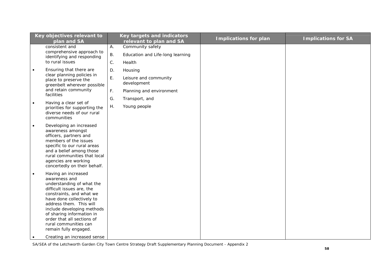| Key objectives relevant to<br>plan and SA                                                                                                                                                                                                                                                                                                                                 | Key targets and indicators<br>relevant to plan and SA | <b>Implications for plan</b> | <b>Implications for SA</b> |
|---------------------------------------------------------------------------------------------------------------------------------------------------------------------------------------------------------------------------------------------------------------------------------------------------------------------------------------------------------------------------|-------------------------------------------------------|------------------------------|----------------------------|
| consistent and                                                                                                                                                                                                                                                                                                                                                            | Community safety<br>Α.                                |                              |                            |
| comprehensive approach to                                                                                                                                                                                                                                                                                                                                                 |                                                       |                              |                            |
| identifying and responding                                                                                                                                                                                                                                                                                                                                                | <b>B.</b><br>Education and Life-long learning         |                              |                            |
| to rural issues                                                                                                                                                                                                                                                                                                                                                           | $\mathsf C.$<br>Health                                |                              |                            |
| Ensuring that there are<br>$\bullet$                                                                                                                                                                                                                                                                                                                                      | D.<br>Housing                                         |                              |                            |
| clear planning policies in<br>place to preserve the<br>greenbelt wherever possible                                                                                                                                                                                                                                                                                        | Ε.<br>Leisure and community<br>development            |                              |                            |
| and retain community<br>facilities                                                                                                                                                                                                                                                                                                                                        | $\mathsf{F}.$<br>Planning and environment             |                              |                            |
|                                                                                                                                                                                                                                                                                                                                                                           | G.<br>Transport, and                                  |                              |                            |
| Having a clear set of<br>$\bullet$<br>priorities for supporting the<br>diverse needs of our rural<br>communities                                                                                                                                                                                                                                                          | Young people<br>Η.                                    |                              |                            |
| Developing an increased<br>$\bullet$<br>awareness amongst<br>officers, partners and<br>members of the issues<br>specific to our rural areas<br>and a belief among those<br>rural communities that local<br>agencies are working<br>concertedly on their behalf.                                                                                                           |                                                       |                              |                            |
| Having an increased<br>$\bullet$<br>awareness and<br>understanding of what the<br>difficult issues are, the<br>constraints, and what we<br>have done collectively to<br>address them. This will<br>include developing methods<br>of sharing information in<br>order that all sections of<br>rural communities can<br>remain fully engaged.<br>Creating an increased sense |                                                       |                              |                            |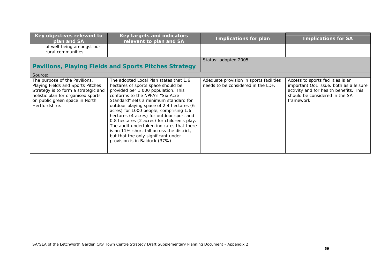| Key objectives relevant to<br>plan and SA                                                                                                                                                           | <b>Key targets and indicators</b><br>relevant to plan and SA                                                                                                                                                                                                                                                                                                                                                                                                                                                                                         | <b>Implications for plan</b>                                                  | <b>Implications for SA</b>                                                                                                                                            |
|-----------------------------------------------------------------------------------------------------------------------------------------------------------------------------------------------------|------------------------------------------------------------------------------------------------------------------------------------------------------------------------------------------------------------------------------------------------------------------------------------------------------------------------------------------------------------------------------------------------------------------------------------------------------------------------------------------------------------------------------------------------------|-------------------------------------------------------------------------------|-----------------------------------------------------------------------------------------------------------------------------------------------------------------------|
| of well-being amongst our<br>rural communities.                                                                                                                                                     |                                                                                                                                                                                                                                                                                                                                                                                                                                                                                                                                                      |                                                                               |                                                                                                                                                                       |
|                                                                                                                                                                                                     | <b>Pavilions, Playing Fields and Sports Pitches Strategy</b>                                                                                                                                                                                                                                                                                                                                                                                                                                                                                         | Status: adopted 2005                                                          |                                                                                                                                                                       |
| Source:                                                                                                                                                                                             |                                                                                                                                                                                                                                                                                                                                                                                                                                                                                                                                                      |                                                                               |                                                                                                                                                                       |
| The purpose of the Pavilions,<br>Playing Fields and Sports Pitches<br>Strategy is to form a strategic and<br>holistic plan for organised sports<br>on public green space in North<br>Hertfordshire. | The adopted Local Plan states that 1.6<br>hectares of sports space should be<br>provided per 1,000 population. This<br>conforms to the NPFA's "Six Acre<br>Standard" sets a minimum standard for<br>outdoor playing space of 2.4 hectares (6<br>acres) for 1000 people, comprising 1.6<br>hectares (4 acres) for outdoor sport and<br>0.8 hectares (2 acres) for children's play.<br>The audit undertaken indicates that there<br>is an 11% short-fall across the district,<br>but that the only significant under<br>provision is in Baldock (37%). | Adequate provision in sports facilities<br>needs to be considered in the LDF. | Access to sports facilities is an<br>important QoL issue, both as a leisure<br>activity and for health benefits. This<br>should be considered in the SA<br>framework. |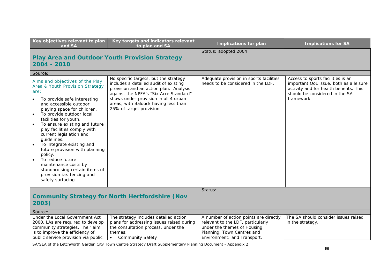| Key objectives relevant to plan<br>and SA                                                                                                                                                                                                                                                                                                                                                                                                                                                                                                                              | Key targets and indicators relevant<br>to plan and SA                                                                                                                                                                                                                          | <b>Implications for plan</b>                                                                                                                                             | <b>Implications for SA</b>                                                                                                                                            |
|------------------------------------------------------------------------------------------------------------------------------------------------------------------------------------------------------------------------------------------------------------------------------------------------------------------------------------------------------------------------------------------------------------------------------------------------------------------------------------------------------------------------------------------------------------------------|--------------------------------------------------------------------------------------------------------------------------------------------------------------------------------------------------------------------------------------------------------------------------------|--------------------------------------------------------------------------------------------------------------------------------------------------------------------------|-----------------------------------------------------------------------------------------------------------------------------------------------------------------------|
| <b>Play Area and Outdoor Youth Provision Strategy</b><br>2004 - 2010                                                                                                                                                                                                                                                                                                                                                                                                                                                                                                   |                                                                                                                                                                                                                                                                                | Status: adopted 2004                                                                                                                                                     |                                                                                                                                                                       |
| Source:                                                                                                                                                                                                                                                                                                                                                                                                                                                                                                                                                                |                                                                                                                                                                                                                                                                                |                                                                                                                                                                          |                                                                                                                                                                       |
| Aims and objectives of the Play<br>Area & Youth Provision Strategy<br>are:<br>To provide safe interesting<br>and accessible outdoor<br>playing space for children.<br>To provide outdoor local<br>$\bullet$<br>facilities for youth.<br>To ensure existing and future<br>play facilities comply with<br>current legislation and<br>guidelines.<br>To integrate existing and<br>$\bullet$<br>future provision with planning<br>policy.<br>To reduce future<br>maintenance costs by<br>standardising certain items of<br>provision i.e. fencing and<br>safety surfacing. | No specific targets, but the strategy<br>includes a detailed audit of existing<br>provision and an action plan. Analysis<br>against the NPFA's "Six Acre Standard"<br>shows under-provision in all 4 urban<br>areas, with Baldock having less than<br>25% of target provision. | Adequate provision in sports facilities<br>needs to be considered in the LDF.                                                                                            | Access to sports facilities is an<br>important QoL issue, both as a leisure<br>activity and for health benefits. This<br>should be considered in the SA<br>framework. |
|                                                                                                                                                                                                                                                                                                                                                                                                                                                                                                                                                                        |                                                                                                                                                                                                                                                                                | Status:                                                                                                                                                                  |                                                                                                                                                                       |
| <b>Community Strategy for North Hertfordshire (Nov</b><br>2003)                                                                                                                                                                                                                                                                                                                                                                                                                                                                                                        |                                                                                                                                                                                                                                                                                |                                                                                                                                                                          |                                                                                                                                                                       |
| Source:                                                                                                                                                                                                                                                                                                                                                                                                                                                                                                                                                                |                                                                                                                                                                                                                                                                                |                                                                                                                                                                          |                                                                                                                                                                       |
| Under the Local Government Act<br>2000, LAs are required to develop<br>community strategies. Their aim<br>is to improve the efficiency of<br>public service provision via public                                                                                                                                                                                                                                                                                                                                                                                       | The strategy includes detailed action<br>plans for addressing issues raised during<br>the consultation process, under the<br>themes:<br><b>Community Safety</b>                                                                                                                | A number of action points are directly<br>relevant to the LDF, particularly<br>under the themes of Housing;<br>Planning, Town Centres and<br>Environment; and Transport. | The SA should consider issues raised<br>in the strategy.                                                                                                              |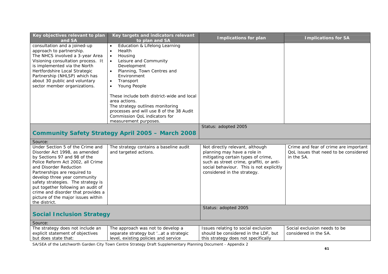| Key objectives relevant to plan<br>and SA                                                                                                                                                                                                                                                                                                                                                                 | Key targets and indicators relevant<br>to plan and SA                                                                                                                                                                                                                                                                                                                                                   | <b>Implications for plan</b>                                                                                                                                                                                                | <b>Implications for SA</b>                                                                   |
|-----------------------------------------------------------------------------------------------------------------------------------------------------------------------------------------------------------------------------------------------------------------------------------------------------------------------------------------------------------------------------------------------------------|---------------------------------------------------------------------------------------------------------------------------------------------------------------------------------------------------------------------------------------------------------------------------------------------------------------------------------------------------------------------------------------------------------|-----------------------------------------------------------------------------------------------------------------------------------------------------------------------------------------------------------------------------|----------------------------------------------------------------------------------------------|
| consultation and a joined-up<br>approach to partnership.<br>The NHCS involved a 3-year Area<br>Visioning consultation process. It<br>is implemented via the North<br>Hertfordshire Local Strategic<br>Partnership (NHLSP) which has<br>about 30 public and voluntary<br>sector member organizations.                                                                                                      | Education & Lifelong Learning<br>Health<br>$\bullet$<br>Housing<br>Leisure and Community<br>$\bullet$<br>Development<br>Planning, Town Centres and<br>Environment<br>Transport<br>Young People<br>These include both district-wide and local<br>area actions.<br>The strategy outlines monitoring<br>processes and will use 8 of the 38 Audit<br>Commission QoL indicators for<br>measurement purposes. |                                                                                                                                                                                                                             |                                                                                              |
|                                                                                                                                                                                                                                                                                                                                                                                                           |                                                                                                                                                                                                                                                                                                                                                                                                         | Status: adopted 2005                                                                                                                                                                                                        |                                                                                              |
|                                                                                                                                                                                                                                                                                                                                                                                                           | <b>Community Safety Strategy April 2005 - March 2008</b>                                                                                                                                                                                                                                                                                                                                                |                                                                                                                                                                                                                             |                                                                                              |
| Source:                                                                                                                                                                                                                                                                                                                                                                                                   |                                                                                                                                                                                                                                                                                                                                                                                                         |                                                                                                                                                                                                                             |                                                                                              |
| Under Section 5 of the Crime and<br>Disorder Act 1998, as amended<br>by Sections 97 and 98 of the<br>Police Reform Act 2002, all Crime<br>and Disorder Reduction<br>Partnerships are required to<br>develop three year community<br>safety strategies. The strategy is<br>put together following an audit of<br>crime and disorder that provides a<br>picture of the major issues within<br>the district. | The strategy contains a baseline audit<br>and targeted actions.                                                                                                                                                                                                                                                                                                                                         | Not directly relevant, although<br>planning may have a role in<br>mitigating certain types of crime,<br>such as street crime, graffiti, or anti-<br>social behaviour. This is not explicitly<br>considered in the strategy. | Crime and fear of crime are important<br>QoL issues that need to be considered<br>in the SA. |
|                                                                                                                                                                                                                                                                                                                                                                                                           |                                                                                                                                                                                                                                                                                                                                                                                                         | Status: adopted 2005                                                                                                                                                                                                        |                                                                                              |
| <b>Social Inclusion Strategy</b>                                                                                                                                                                                                                                                                                                                                                                          |                                                                                                                                                                                                                                                                                                                                                                                                         |                                                                                                                                                                                                                             |                                                                                              |
| Source:                                                                                                                                                                                                                                                                                                                                                                                                   |                                                                                                                                                                                                                                                                                                                                                                                                         |                                                                                                                                                                                                                             |                                                                                              |
| The strategy does not include an<br>explicit statement of objectives<br>but does state that:                                                                                                                                                                                                                                                                                                              | The approach was not to develop a<br>separate strategy but 'at a strategic<br>level, existing policies and service                                                                                                                                                                                                                                                                                      | Issues relating to social exclusion<br>should be considered in the LDF, but<br>this strategy does not specifically                                                                                                          | Social exclusion needs to be<br>considered in the SA.                                        |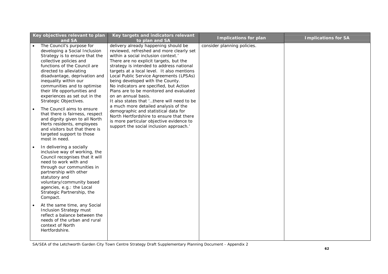| Key objectives relevant to plan<br>and SA                                                                                                                                                                                                                                                                                                                                                                                                                                                                                                                                                           | Key targets and indicators relevant<br>to plan and SA                                                                                                                                                                                                                                                                                                                                                                                                                                                                                                                                                                                                                                                                   | <b>Implications for plan</b> | <b>Implications for SA</b> |
|-----------------------------------------------------------------------------------------------------------------------------------------------------------------------------------------------------------------------------------------------------------------------------------------------------------------------------------------------------------------------------------------------------------------------------------------------------------------------------------------------------------------------------------------------------------------------------------------------------|-------------------------------------------------------------------------------------------------------------------------------------------------------------------------------------------------------------------------------------------------------------------------------------------------------------------------------------------------------------------------------------------------------------------------------------------------------------------------------------------------------------------------------------------------------------------------------------------------------------------------------------------------------------------------------------------------------------------------|------------------------------|----------------------------|
| The Council's purpose for<br>developing a Social Inclusion<br>Strategy is to ensure that the<br>collective policies and<br>functions of the Council are<br>directed to alleviating<br>disadvantage, deprivation and<br>inequality within our<br>communities and to optimise<br>their life opportunities and<br>experiences as set out in the<br>Strategic Objectives.<br>The Council aims to ensure<br>$\bullet$<br>that there is fairness, respect<br>and dignity given to all North<br>Herts residents, employees<br>and visitors but that there is<br>targeted support to those<br>most in need. | delivery already happening should be<br>reviewed, refreshed and more clearly set<br>within a social inclusion context.<br>There are no explicit targets, but the<br>strategy is intended to address national<br>targets at a local level. It also mentions<br>Local Public Service Agreements (LPSAs)<br>being developed with the County.<br>No indicators are specified, but Action<br>Plans are to be monitored and evaluated<br>on an annual basis.<br>It also states that 'there will need to be<br>a much more detailed analysis of the<br>demographic and statistical data for<br>North Hertfordshire to ensure that there<br>is more particular objective evidence to<br>support the social inclusion approach.' | consider planning policies.  |                            |
| In delivering a socially<br>$\bullet$<br>inclusive way of working, the<br>Council recognises that it will<br>need to work with and<br>through our communities in<br>partnership with other<br>statutory and<br>voluntary/community based<br>agencies, e.g.: the Local<br>Strategic Partnership, the<br>Compact.<br>At the same time, any Social<br><b>Inclusion Strategy must</b><br>reflect a balance between the<br>needs of the urban and rural<br>context of North<br>Hertfordshire.                                                                                                            |                                                                                                                                                                                                                                                                                                                                                                                                                                                                                                                                                                                                                                                                                                                         |                              |                            |
|                                                                                                                                                                                                                                                                                                                                                                                                                                                                                                                                                                                                     |                                                                                                                                                                                                                                                                                                                                                                                                                                                                                                                                                                                                                                                                                                                         |                              |                            |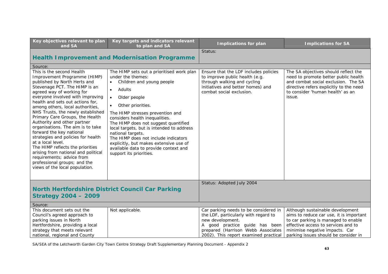| Key objectives relevant to plan<br>and SA                                                                                                                                                                                                                                                                                                                                                                                                                                                                                                                                                                                                                                        | Key targets and indicators relevant<br>to plan and SA                                                                                                                                                                                                                                                                                                                                                                                                                                                                   | <b>Implications for plan</b>                                                                                                                                              | <b>Implications for SA</b>                                                                                                                                                                                   |
|----------------------------------------------------------------------------------------------------------------------------------------------------------------------------------------------------------------------------------------------------------------------------------------------------------------------------------------------------------------------------------------------------------------------------------------------------------------------------------------------------------------------------------------------------------------------------------------------------------------------------------------------------------------------------------|-------------------------------------------------------------------------------------------------------------------------------------------------------------------------------------------------------------------------------------------------------------------------------------------------------------------------------------------------------------------------------------------------------------------------------------------------------------------------------------------------------------------------|---------------------------------------------------------------------------------------------------------------------------------------------------------------------------|--------------------------------------------------------------------------------------------------------------------------------------------------------------------------------------------------------------|
|                                                                                                                                                                                                                                                                                                                                                                                                                                                                                                                                                                                                                                                                                  |                                                                                                                                                                                                                                                                                                                                                                                                                                                                                                                         | Status:                                                                                                                                                                   |                                                                                                                                                                                                              |
|                                                                                                                                                                                                                                                                                                                                                                                                                                                                                                                                                                                                                                                                                  | <b>Health Improvement and Modernisation Programme</b>                                                                                                                                                                                                                                                                                                                                                                                                                                                                   |                                                                                                                                                                           |                                                                                                                                                                                                              |
| Source:                                                                                                                                                                                                                                                                                                                                                                                                                                                                                                                                                                                                                                                                          |                                                                                                                                                                                                                                                                                                                                                                                                                                                                                                                         |                                                                                                                                                                           |                                                                                                                                                                                                              |
| This is the second Health<br>Improvement Programme (HIMP)<br>published by North Herts and<br>Stevenage PCT. The HIMP is an<br>agreed way of working for<br>everyone involved with improving<br>health and sets out actions for,<br>among others, local authorities,<br>NHS Trusts, the newly established<br>Primary Care Groups, the Health<br>Authority and other partner<br>organisations. The aim is to take<br>forward the key national<br>strategies and policies for health<br>at a local level.<br>The HIMP reflects the priorities<br>arising from national and political<br>requirements; advice from<br>professional groups; and the<br>views of the local population. | The HIMP sets out a prioritised work plan<br>under the themes:<br>Children and young people<br>Adults<br>$\bullet$<br>Older people<br>$\bullet$<br>Other priorities.<br>$\bullet$<br>The HIMP stresses prevention and<br>considers health inequalities.<br>The HIMP does not suggest quantified<br>local targets, but is intended to address<br>national targets.<br>The HIMP does not include indicators<br>explicitly, but makes extensive use of<br>available data to provide context and<br>support its priorities. | Ensure that the LDF includes policies<br>to improve public health (e.g.<br>through walking and cycling<br>initiatives and better homes) and<br>combat social exclusion.   | The SA objectives should reflect the<br>need to promote better public health<br>and combat social exclusion. The SA<br>directive refers explicitly to the need<br>to consider 'human health' as an<br>issue. |
| <b>North Hertfordshire District Council Car Parking</b><br><b>Strategy 2004 - 2009</b>                                                                                                                                                                                                                                                                                                                                                                                                                                                                                                                                                                                           |                                                                                                                                                                                                                                                                                                                                                                                                                                                                                                                         | Status: Adopted July 2004                                                                                                                                                 |                                                                                                                                                                                                              |
| Source:                                                                                                                                                                                                                                                                                                                                                                                                                                                                                                                                                                                                                                                                          |                                                                                                                                                                                                                                                                                                                                                                                                                                                                                                                         |                                                                                                                                                                           |                                                                                                                                                                                                              |
| This document sets out the<br>Council's agreed approach to<br>parking issues in North<br>Hertfordshire, providing a local<br>strategy that meets relevant                                                                                                                                                                                                                                                                                                                                                                                                                                                                                                                        | Not applicable.                                                                                                                                                                                                                                                                                                                                                                                                                                                                                                         | Car parking needs to be considered in<br>the LDF, particularly with regard to<br>new development.<br>A good practice guide has been<br>prepared (Harrison Webb Associates | Although sustainable development<br>aims to reduce car use, it is important<br>to car parking is managed to enable<br>effective access to services and to<br>minimise negative impacts. Car                  |
| national, regional and County                                                                                                                                                                                                                                                                                                                                                                                                                                                                                                                                                                                                                                                    |                                                                                                                                                                                                                                                                                                                                                                                                                                                                                                                         | 2002). This report examined practical                                                                                                                                     | parking issues should be consider in                                                                                                                                                                         |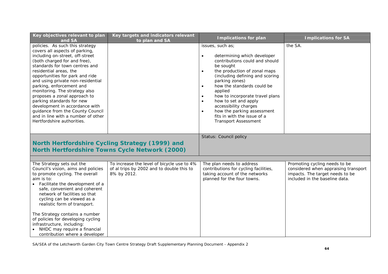| Key objectives relevant to plan<br>and SA                                                                                                                                                                                                                                                                                                                                                                                                                                                                                                    | Key targets and indicators relevant<br>to plan and SA                                                    | <b>Implications for plan</b>                                                                                                                                                                                                                                                                                                                                                                                                                                                               | <b>Implications for SA</b>                                                                                                                 |
|----------------------------------------------------------------------------------------------------------------------------------------------------------------------------------------------------------------------------------------------------------------------------------------------------------------------------------------------------------------------------------------------------------------------------------------------------------------------------------------------------------------------------------------------|----------------------------------------------------------------------------------------------------------|--------------------------------------------------------------------------------------------------------------------------------------------------------------------------------------------------------------------------------------------------------------------------------------------------------------------------------------------------------------------------------------------------------------------------------------------------------------------------------------------|--------------------------------------------------------------------------------------------------------------------------------------------|
| policies. As such this strategy<br>covers all aspects of parking,<br>including on-street, off-street<br>(both charged for and free),<br>standards for town centres and<br>residential areas, the<br>opportunities for park and ride<br>and using private non-residential<br>parking, enforcement and<br>monitoring. The strategy also<br>proposes a zonal approach to<br>parking standards for new<br>development in accordance with<br>guidance from the County Council<br>and in line with a number of other<br>Hertfordshire authorities. |                                                                                                          | issues, such as;<br>determining which developer<br>$\bullet$<br>contributions could and should<br>be sought<br>the production of zonal maps<br>$\bullet$<br>(including defining and scoring<br>parking zones)<br>how the standards could be<br>$\bullet$<br>applied<br>how to incorporate travel plans<br>$\bullet$<br>how to set and apply<br>$\bullet$<br>accessibility charges<br>how the parking assessment<br>$\bullet$<br>fits in with the issue of a<br><b>Transport Assessment</b> | the SA.                                                                                                                                    |
|                                                                                                                                                                                                                                                                                                                                                                                                                                                                                                                                              | North Hertfordshire Cycling Strategy (1999) and<br><b>North Hertfordshire Towns Cycle Network (2000)</b> | Status: Council policy                                                                                                                                                                                                                                                                                                                                                                                                                                                                     |                                                                                                                                            |
|                                                                                                                                                                                                                                                                                                                                                                                                                                                                                                                                              |                                                                                                          |                                                                                                                                                                                                                                                                                                                                                                                                                                                                                            |                                                                                                                                            |
| The Strategy sets out the<br>Council's vision, aims and policies<br>to promote cycling. The overall<br>aim is to:<br>• Facilitate the development of a<br>safe, convenient and coherent<br>network of facilities so that<br>cycling can be viewed as a<br>realistic form of transport.                                                                                                                                                                                                                                                       | To increase the level of bicycle use to 4%<br>of al trips by 2002 and to double this to<br>8% by 2012.   | The plan needs to address<br>contributions for cycling facilities,<br>taking account of the networks<br>planned for the four towns.                                                                                                                                                                                                                                                                                                                                                        | Promoting cycling needs to be<br>considered when appraising transport<br>impacts. The target needs to be<br>included in the baseline data. |
| The Strategy contains a number<br>of policies for developing cycling<br>infrastructure, including:<br>• NHDC may require a financial<br>contribution where a developer                                                                                                                                                                                                                                                                                                                                                                       |                                                                                                          |                                                                                                                                                                                                                                                                                                                                                                                                                                                                                            |                                                                                                                                            |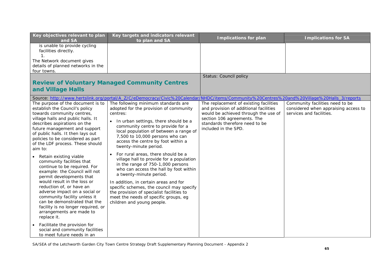| Key objectives relevant to plan<br>and SA                                                                                                                                                                                                                                                                                                                                                                                                                                                                                                                                                                                                                                                                                          | Key targets and indicators relevant<br>to plan and SA                                                                                                                                                                                                                                                                                                                                                                                                                                                                                                                                                                                                                                                                    | <b>Implications for plan</b>                                                                                                                                                                                      | <b>Implications for SA</b>                                                                          |
|------------------------------------------------------------------------------------------------------------------------------------------------------------------------------------------------------------------------------------------------------------------------------------------------------------------------------------------------------------------------------------------------------------------------------------------------------------------------------------------------------------------------------------------------------------------------------------------------------------------------------------------------------------------------------------------------------------------------------------|--------------------------------------------------------------------------------------------------------------------------------------------------------------------------------------------------------------------------------------------------------------------------------------------------------------------------------------------------------------------------------------------------------------------------------------------------------------------------------------------------------------------------------------------------------------------------------------------------------------------------------------------------------------------------------------------------------------------------|-------------------------------------------------------------------------------------------------------------------------------------------------------------------------------------------------------------------|-----------------------------------------------------------------------------------------------------|
| is unable to provide cycling<br>facilities directly.<br>$\mathbf{1}$ .<br>The Network document gives<br>details of planned networks in the<br>four towns.                                                                                                                                                                                                                                                                                                                                                                                                                                                                                                                                                                          |                                                                                                                                                                                                                                                                                                                                                                                                                                                                                                                                                                                                                                                                                                                          |                                                                                                                                                                                                                   |                                                                                                     |
|                                                                                                                                                                                                                                                                                                                                                                                                                                                                                                                                                                                                                                                                                                                                    |                                                                                                                                                                                                                                                                                                                                                                                                                                                                                                                                                                                                                                                                                                                          | Status: Council policy                                                                                                                                                                                            |                                                                                                     |
| and Village Halls                                                                                                                                                                                                                                                                                                                                                                                                                                                                                                                                                                                                                                                                                                                  | <b>Review of Voluntary Managed Community Centres</b>                                                                                                                                                                                                                                                                                                                                                                                                                                                                                                                                                                                                                                                                     |                                                                                                                                                                                                                   |                                                                                                     |
|                                                                                                                                                                                                                                                                                                                                                                                                                                                                                                                                                                                                                                                                                                                                    | Source: http://www.hertslink.org/portal/A Z/C/eDemocracy/Civic%20Calendar/NHDC/items/Community%20Centres%20and%20Village%20Halls 3/reports                                                                                                                                                                                                                                                                                                                                                                                                                                                                                                                                                                               |                                                                                                                                                                                                                   |                                                                                                     |
| The purpose of the document is to<br>establish the Council's policy<br>towards community centres,<br>village halls and public halls. It<br>describes aspirations on the<br>future management and support<br>of public halls. It then lays out<br>policies to be considered as part<br>of the LDF process. These should<br>aim to:<br>Retain existing viable<br>community facilities that<br>continue to be required. For<br>example: the Council will not<br>permit developments that<br>would result in the loss or<br>reduction of, or have an<br>adverse impact on a social or<br>community facility unless it<br>can be demonstrated that the<br>facility is no longer required, or<br>arrangements are made to<br>replace it. | The following minimum standards are<br>adopted for the provision of community<br>centres:<br>In urban settings, there should be a<br>community centre to provide for a<br>local population of between a range of<br>7,500 to 10,000 persons who can<br>access the centre by foot within a<br>twenty-minute period.<br>For rural areas, there should be a<br>village hall to provide for a population<br>in the range of 750-1,000 persons<br>who can access the hall by foot within<br>a twenty-minute period.<br>In addition, in certain areas and for<br>specific schemes, the council may specify<br>the provision of specialist facilities to<br>meet the needs of specific groups, eg<br>children and young people. | The replacement of existing facilities<br>and provision of additional facilities<br>would be achieved through the use of<br>section 106 agreements. The<br>standards therefore need to be<br>included in the SPD. | Community facilities need to be<br>considered when appraising access to<br>services and facilities. |
| Facilitate the provision for<br>social and community facilities<br>to meet future needs in an                                                                                                                                                                                                                                                                                                                                                                                                                                                                                                                                                                                                                                      |                                                                                                                                                                                                                                                                                                                                                                                                                                                                                                                                                                                                                                                                                                                          |                                                                                                                                                                                                                   |                                                                                                     |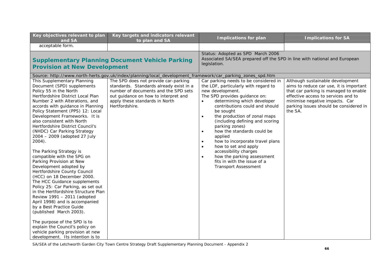| Key objectives relevant to plan<br>and SA                                                                                                                                                                                                                                                                                                                                                                                                                                                                                                                                                                                                                                                                                                                                                                                                                                                                                                                                       | Key targets and indicators relevant<br>to plan and SA                                                                                                                                                               | <b>Implications for plan</b>                                                                                                                                                                                                                                                                                                                                                                                                                                                                                                                                                                    | <b>Implications for SA</b>                                                                                                                                                                                                                         |
|---------------------------------------------------------------------------------------------------------------------------------------------------------------------------------------------------------------------------------------------------------------------------------------------------------------------------------------------------------------------------------------------------------------------------------------------------------------------------------------------------------------------------------------------------------------------------------------------------------------------------------------------------------------------------------------------------------------------------------------------------------------------------------------------------------------------------------------------------------------------------------------------------------------------------------------------------------------------------------|---------------------------------------------------------------------------------------------------------------------------------------------------------------------------------------------------------------------|-------------------------------------------------------------------------------------------------------------------------------------------------------------------------------------------------------------------------------------------------------------------------------------------------------------------------------------------------------------------------------------------------------------------------------------------------------------------------------------------------------------------------------------------------------------------------------------------------|----------------------------------------------------------------------------------------------------------------------------------------------------------------------------------------------------------------------------------------------------|
| acceptable form.                                                                                                                                                                                                                                                                                                                                                                                                                                                                                                                                                                                                                                                                                                                                                                                                                                                                                                                                                                |                                                                                                                                                                                                                     |                                                                                                                                                                                                                                                                                                                                                                                                                                                                                                                                                                                                 |                                                                                                                                                                                                                                                    |
| <b>Supplementary Planning Document Vehicle Parking</b><br><b>Provision at New Development</b>                                                                                                                                                                                                                                                                                                                                                                                                                                                                                                                                                                                                                                                                                                                                                                                                                                                                                   |                                                                                                                                                                                                                     | Status: Adopted as SPD March 2006<br>Associated SA/SEA prepared off the SPD in line with national and European<br>legislation.                                                                                                                                                                                                                                                                                                                                                                                                                                                                  |                                                                                                                                                                                                                                                    |
|                                                                                                                                                                                                                                                                                                                                                                                                                                                                                                                                                                                                                                                                                                                                                                                                                                                                                                                                                                                 | Source: http://www.north-herts.gov.uk/index/planning/local_development_framework/car_parking_zones_spd.htm                                                                                                          |                                                                                                                                                                                                                                                                                                                                                                                                                                                                                                                                                                                                 |                                                                                                                                                                                                                                                    |
| This Supplementary Planning<br>Document (SPD) supplements<br>Policy 55 in the North<br>Hertfordshire District Local Plan<br>Number 2 with Alterations, and<br>accords with guidance in Planning<br>Policy Statement (PPS) 12: Local<br>Development Frameworks. It is<br>also consistent with North<br>Hertfordshire District Council's<br>(NHDC) Car Parking Strategy<br>2004 - 2009 (adopted 27 July<br>$2004$ ).<br>The Parking Strategy is<br>compatible with the SPG on<br>Parking Provision at New<br>Development adopted by<br>Hertfordshire County Council<br>(HCC) on 18 December 2000.<br>The HCC Guidance supplements<br>Policy 25: Car Parking, as set out<br>in the Hertfordshire Structure Plan<br>Review 1991 - 2011 (adopted<br>April 1998) and is accompanied<br>by a Best Practice Guide<br>(published March 2003).<br>The purpose of the SPD is to<br>explain the Council's policy on<br>vehicle parking provision at new<br>development. Its intention is to | The SPD does not provide car-parking<br>standards. Standards already exist in a<br>number of documents and the SPD sets<br>out guidance on how to interpret and<br>apply these standards in North<br>Hertfordshire. | Car parking needs to be considered in<br>the LDF, particularly with regard to<br>new development.<br>The SPD provides guidance on:<br>determining which developer<br>contributions could and should<br>be sought<br>the production of zonal maps<br>$\bullet$<br>(including defining and scoring<br>parking zones)<br>how the standards could be<br>$\bullet$<br>applied<br>how to incorporate travel plans<br>$\bullet$<br>how to set and apply<br>$\bullet$<br>accessibility charges<br>how the parking assessment<br>$\bullet$<br>fits in with the issue of a<br><b>Transport Assessment</b> | Although sustainable development<br>aims to reduce car use, it is important<br>that car parking is managed to enable<br>effective access to services and to<br>minimise negative impacts. Car<br>parking issues should be considered in<br>the SA. |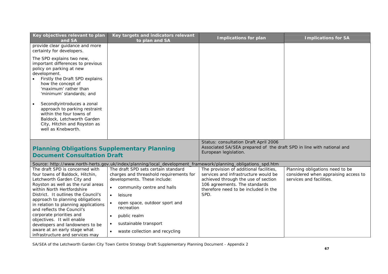| Key objectives relevant to plan<br>and SA                                                                                                                                                                                                                                                                             | Key targets and indicators relevant<br>to plan and SA                                                                                                                                                                            | <b>Implications for plan</b>                                                                                                                                                                            | <b>Implications for SA</b>                                                                          |
|-----------------------------------------------------------------------------------------------------------------------------------------------------------------------------------------------------------------------------------------------------------------------------------------------------------------------|----------------------------------------------------------------------------------------------------------------------------------------------------------------------------------------------------------------------------------|---------------------------------------------------------------------------------------------------------------------------------------------------------------------------------------------------------|-----------------------------------------------------------------------------------------------------|
| provide clear guidance and more<br>certainty for developers.                                                                                                                                                                                                                                                          |                                                                                                                                                                                                                                  |                                                                                                                                                                                                         |                                                                                                     |
| The SPD explains two new,<br>important differences to previous<br>policy on parking at new<br>development.<br>Firstly the Draft SPD explains<br>how the concept of<br>'maximum' rather than<br>'minimum' standards; and                                                                                               |                                                                                                                                                                                                                                  |                                                                                                                                                                                                         |                                                                                                     |
| Secondlyintroduces a zonal<br>approach to parking restraint<br>within the four towns of<br>Baldock, Letchworth Garden<br>City, Hitchin and Royston as<br>well as Knebworth.                                                                                                                                           |                                                                                                                                                                                                                                  |                                                                                                                                                                                                         |                                                                                                     |
| <b>Planning Obligations Supplementary Planning</b>                                                                                                                                                                                                                                                                    |                                                                                                                                                                                                                                  | Status: consultation Draft April 2006<br>Associated SA/SEA prepared of the draft SPD in line with national and<br>European legislation.                                                                 |                                                                                                     |
| <b>Document Consultation Draft</b>                                                                                                                                                                                                                                                                                    |                                                                                                                                                                                                                                  |                                                                                                                                                                                                         |                                                                                                     |
|                                                                                                                                                                                                                                                                                                                       | Source: http://www.north-herts.gov.uk/index/planning/local_development_framework/planning_obligations_spd.htm                                                                                                                    |                                                                                                                                                                                                         |                                                                                                     |
| The draft SPD is concerned with<br>four towns of Baldock, Hitchin,<br>Letchworth Garden City and<br>Royston as well as the rural areas<br>within North Hertfordshire<br>District. It outlines the Council's<br>approach to planning obligations<br>in relation to planning applications<br>and reflects the Council's | The draft SPD sets certain standard<br>charges and threashold requirements for<br>developments. These include:<br>community centre and halls<br>$\bullet$<br>$\bullet$<br>leisure<br>open space, outdoor sport and<br>recreation | The provision of additional facilities,<br>services and infrastructure would be<br>achieved through the use of section<br>106 agreements. The standards<br>therefore need to be included in the<br>SPD. | Planning obligations need to be<br>considered when appraising access to<br>services and facilities. |
| corporate priorities and                                                                                                                                                                                                                                                                                              | public realm<br>$\bullet$                                                                                                                                                                                                        |                                                                                                                                                                                                         |                                                                                                     |
| objectives. It will enable<br>developers and landowners to be                                                                                                                                                                                                                                                         | sustainable transport                                                                                                                                                                                                            |                                                                                                                                                                                                         |                                                                                                     |
| aware at an early stage what<br>infrastructure and services may                                                                                                                                                                                                                                                       | waste collection and recycling<br>$\bullet$                                                                                                                                                                                      |                                                                                                                                                                                                         |                                                                                                     |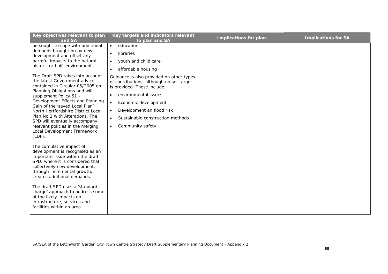| Key objectives relevant to plan<br>and SA                                                                                                                                                                                                                                                                                                                                                                                       | Key targets and indicators relevant<br>to plan and SA                                                                                                                                                                                                                                                         | <b>Implications for plan</b> | <b>Implications for SA</b> |
|---------------------------------------------------------------------------------------------------------------------------------------------------------------------------------------------------------------------------------------------------------------------------------------------------------------------------------------------------------------------------------------------------------------------------------|---------------------------------------------------------------------------------------------------------------------------------------------------------------------------------------------------------------------------------------------------------------------------------------------------------------|------------------------------|----------------------------|
| be sought to cope with additional<br>demands brought on by new<br>development and offset any<br>harmful impacts to the natural,<br>historic or built environment.                                                                                                                                                                                                                                                               | education<br>$\bullet$<br>libraries<br>$\bullet$<br>youth and child care<br>$\bullet$<br>affordable housing<br>$\bullet$                                                                                                                                                                                      |                              |                            |
| The Draft SPD takes into account<br>the latest Government advice<br>contained in Circular 05/2005 on<br>Planning Obligations and will<br>supplement Policy 51 -<br>Development Effects and Planning<br>Gain of the 'saved Local Plan'<br>North Hertfordshire District Local<br>Plan No.2 with Alterations. The<br>SPD will eventually accompany<br>relevant policies in the merging<br>Local Development Framework<br>$(LDF)$ . | Guidance is also provided on other types<br>of contributions, although no set target<br>is provided. These include:<br>environmental issues<br>Economic development<br>$\bullet$<br>Development an flood risk<br>$\bullet$<br>Sustainable construction methods<br>$\bullet$<br>Community safety.<br>$\bullet$ |                              |                            |
| The cumulative impact of<br>development is recognised as an<br>important issue within the draft<br>SPD, where it is considered that<br>collectively new development,<br>through incremental growth,<br>creates additional demands.<br>The draft SPD uses a 'standard<br>charge' approach to address some<br>of the likely impacts on<br>infrastructure, services and<br>facilities within an area.                              |                                                                                                                                                                                                                                                                                                               |                              |                            |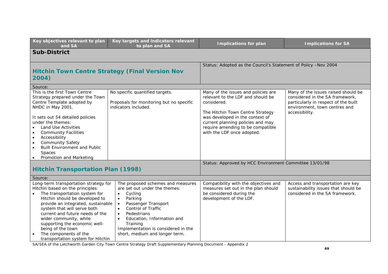| Key objectives relevant to plan<br>and SA                                                                                                                                                                                                                                                                                                                                                                       | Key targets and indicators relevant<br>to plan and SA                                                                                                                                                                                                                                             | <b>Implications for plan</b>                                                                                                                                                                                                                                           | <b>Implications for SA</b>                                                                                                                                        |  |  |
|-----------------------------------------------------------------------------------------------------------------------------------------------------------------------------------------------------------------------------------------------------------------------------------------------------------------------------------------------------------------------------------------------------------------|---------------------------------------------------------------------------------------------------------------------------------------------------------------------------------------------------------------------------------------------------------------------------------------------------|------------------------------------------------------------------------------------------------------------------------------------------------------------------------------------------------------------------------------------------------------------------------|-------------------------------------------------------------------------------------------------------------------------------------------------------------------|--|--|
| <b>Sub-District</b>                                                                                                                                                                                                                                                                                                                                                                                             |                                                                                                                                                                                                                                                                                                   |                                                                                                                                                                                                                                                                        |                                                                                                                                                                   |  |  |
| <b>Hitchin Town Centre Strategy (Final Version Nov</b><br>2004)                                                                                                                                                                                                                                                                                                                                                 |                                                                                                                                                                                                                                                                                                   | Status: Adopted as the Council's Statement of Policy -Nov 2004                                                                                                                                                                                                         |                                                                                                                                                                   |  |  |
| Source:                                                                                                                                                                                                                                                                                                                                                                                                         |                                                                                                                                                                                                                                                                                                   |                                                                                                                                                                                                                                                                        |                                                                                                                                                                   |  |  |
| This is the first Town Centre<br>Strategy prepared under the Town<br>Centre Template adopted by<br>NHDC in May 2001.<br>It sets out 54 detailed policies<br>under the themes:<br>Land Use Activities<br><b>Community Facilities</b><br>Accessibility<br>$\bullet$<br><b>Community Safety</b><br>$\bullet$<br><b>Built Environment and Public</b><br>$\bullet$<br>Spaces<br>Promotion and Marketing<br>$\bullet$ | No specific quantified targets.<br>Proposals for monitoring but no specific<br>indicators included.                                                                                                                                                                                               | Many of the issues and policies are<br>relevant to the LDF and should be<br>considered.<br>The Hitchin Town Centre Strategy<br>was developed in the context of<br>current planning policies and may<br>require amending to be compatible<br>with the LDF once adopted. | Many of the issues raised should be<br>considered in the SA framework,<br>particularly in respect of the built<br>environment, town centres and<br>accessibility. |  |  |
|                                                                                                                                                                                                                                                                                                                                                                                                                 |                                                                                                                                                                                                                                                                                                   | Status: Approved by HCC Environment Committee 13/01/98                                                                                                                                                                                                                 |                                                                                                                                                                   |  |  |
| <b>Hitchin Transportation Plan (1998)</b>                                                                                                                                                                                                                                                                                                                                                                       |                                                                                                                                                                                                                                                                                                   |                                                                                                                                                                                                                                                                        |                                                                                                                                                                   |  |  |
| Source:                                                                                                                                                                                                                                                                                                                                                                                                         |                                                                                                                                                                                                                                                                                                   |                                                                                                                                                                                                                                                                        |                                                                                                                                                                   |  |  |
| Long-term transportation strategy for<br>Hitchin based on the principles:<br>The transportation system for<br>Hitchin should be developed to<br>provide an integrated, sustainable<br>system that will serve both<br>current and future needs of the<br>wider community, while<br>supporting the economic well-<br>being of the town<br>The components of the<br>transportation system for Hitchin              | The proposed schemes and measures<br>are set out under the themes:<br>Cycling<br>$\bullet$<br>Parking<br>$\bullet$<br>Passenger Transport<br>Control of Traffic<br>Pedestrians<br>Education, Information and<br>Training<br>Implementation is considered in the<br>short, medium and longer term. | Compatibility with the objectives and<br>measures set out in the plan should<br>be considered during the<br>development of the LDF.                                                                                                                                    | Access and transportation are key<br>sustainability issues that should be<br>considered in the SA framework.                                                      |  |  |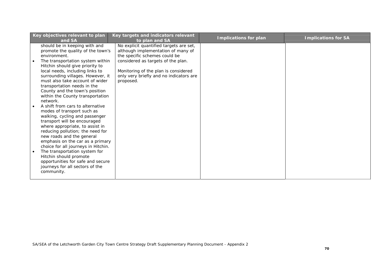| Key objectives relevant to plan<br>and SA                                                                                        | Key targets and indicators relevant<br>to plan and SA                                                          | <b>Implications for plan</b> | <b>Implications for SA</b> |
|----------------------------------------------------------------------------------------------------------------------------------|----------------------------------------------------------------------------------------------------------------|------------------------------|----------------------------|
| should be in keeping with and<br>promote the quality of the town's<br>environment.                                               | No explicit quantified targets are set,<br>although implementation of many of<br>the specific schemes could be |                              |                            |
| The transportation system within<br>Hitchin should give priority to<br>local needs, including links to                           | considered as targets of the plan.<br>Monitoring of the plan is considered                                     |                              |                            |
| surrounding villages. However, it<br>must also take account of wider<br>transportation needs in the                              | only very briefly and no indicators are<br>proposed.                                                           |                              |                            |
| County and the town's position<br>within the County transportation<br>network.                                                   |                                                                                                                |                              |                            |
| A shift from cars to alternative<br>modes of transport such as<br>walking, cycling and passenger<br>transport will be encouraged |                                                                                                                |                              |                            |
| where appropriate, to assist in<br>reducing pollution; the need for<br>new roads and the general                                 |                                                                                                                |                              |                            |
| emphasis on the car as a primary<br>choice for all journeys in Hitchin.<br>The transportation system for                         |                                                                                                                |                              |                            |
| Hitchin should promote<br>opportunities for safe and secure<br>journeys for all sectors of the<br>community.                     |                                                                                                                |                              |                            |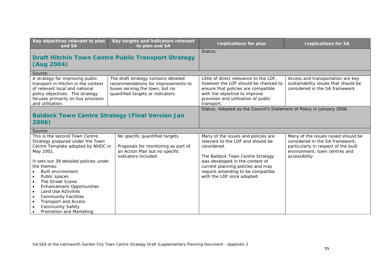| Key objectives relevant to plan<br>and SA                                                                                                                                                                                                                                                                                                                                                                                                                             | Key targets and indicators relevant<br>to plan and SA                                                                                              | <b>Implications for plan</b>                                                                                                                                                                                                                                           | <b>Implications for SA</b>                                                                                                                                        |
|-----------------------------------------------------------------------------------------------------------------------------------------------------------------------------------------------------------------------------------------------------------------------------------------------------------------------------------------------------------------------------------------------------------------------------------------------------------------------|----------------------------------------------------------------------------------------------------------------------------------------------------|------------------------------------------------------------------------------------------------------------------------------------------------------------------------------------------------------------------------------------------------------------------------|-------------------------------------------------------------------------------------------------------------------------------------------------------------------|
|                                                                                                                                                                                                                                                                                                                                                                                                                                                                       |                                                                                                                                                    | Status:                                                                                                                                                                                                                                                                |                                                                                                                                                                   |
|                                                                                                                                                                                                                                                                                                                                                                                                                                                                       | <b>Draft Hitchin Town Centre Public Transport Strategy</b>                                                                                         |                                                                                                                                                                                                                                                                        |                                                                                                                                                                   |
| (Aug 2004)                                                                                                                                                                                                                                                                                                                                                                                                                                                            |                                                                                                                                                    |                                                                                                                                                                                                                                                                        |                                                                                                                                                                   |
| Source:                                                                                                                                                                                                                                                                                                                                                                                                                                                               |                                                                                                                                                    |                                                                                                                                                                                                                                                                        |                                                                                                                                                                   |
| A strategy for improving public<br>transport in Hitchin in the context<br>of relevant local and national<br>policy objectives. The strategy<br>focuses primarily on bus provision<br>and utilisation.                                                                                                                                                                                                                                                                 | The draft strategy contains detailed<br>recommendations for improvements to<br>buses serving the town, but no<br>quantified targets or indicators. | Little of direct relevance to the LDF,<br>however the LDF should be checked to<br>ensure that policies are compatible<br>with the objective to improve<br>provision and utilisation of public<br>transport.                                                            | Access and transportation are key<br>sustainability issues that should be<br>considered in the SA framework.                                                      |
|                                                                                                                                                                                                                                                                                                                                                                                                                                                                       |                                                                                                                                                    | Status: Adopted as the Council's Statement of Policy in January 2006                                                                                                                                                                                                   |                                                                                                                                                                   |
| <b>Baldock Town Centre Strategy (Final Version Jan</b>                                                                                                                                                                                                                                                                                                                                                                                                                |                                                                                                                                                    |                                                                                                                                                                                                                                                                        |                                                                                                                                                                   |
| 2006)                                                                                                                                                                                                                                                                                                                                                                                                                                                                 |                                                                                                                                                    |                                                                                                                                                                                                                                                                        |                                                                                                                                                                   |
| Source:                                                                                                                                                                                                                                                                                                                                                                                                                                                               |                                                                                                                                                    |                                                                                                                                                                                                                                                                        |                                                                                                                                                                   |
| This is the second Town Centre<br>Strategy prepared under the Town<br>Centre Template adopted by NHDC in<br>May 2001.<br>It sets out 39 detailed policies under<br>the themes:<br>Built environment<br>Public spaces<br>The Street Scene<br><b>Enhancement Opportunities</b><br>$\bullet$<br><b>Land Use Activities</b><br>$\bullet$<br><b>Community Facilities</b><br>$\bullet$<br><b>Transport and Access</b><br><b>Community Safety</b><br>Promotion and Marketing | No specific quantified targets.<br>Proposals for monitoring as part of<br>an Action Plan but no specific<br>indicators included.                   | Many of the issues and policies are<br>relevant to the LDF and should be<br>considered.<br>The Baldock Town Centre Strategy<br>was developed in the context of<br>current planning policies and may<br>require amending to be compatible<br>with the LDF once adopted. | Many of the issues raised should be<br>considered in the SA framework,<br>particularly in respect of the built<br>environment, town centres and<br>accessibility. |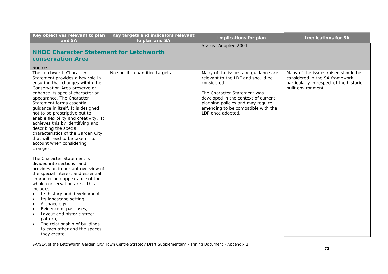| Key objectives relevant to plan<br>and SA                                                                                                                                                                                                                                                                                                                                                                                                                                                                                                                                                                                                                                                                                                                                                                                                                                                                                                                                                                                                              | Key targets and indicators relevant<br>to plan and SA | <b>Implications for plan</b>                                                                                                                                                                                                                                  | <b>Implications for SA</b>                                                                                                              |
|--------------------------------------------------------------------------------------------------------------------------------------------------------------------------------------------------------------------------------------------------------------------------------------------------------------------------------------------------------------------------------------------------------------------------------------------------------------------------------------------------------------------------------------------------------------------------------------------------------------------------------------------------------------------------------------------------------------------------------------------------------------------------------------------------------------------------------------------------------------------------------------------------------------------------------------------------------------------------------------------------------------------------------------------------------|-------------------------------------------------------|---------------------------------------------------------------------------------------------------------------------------------------------------------------------------------------------------------------------------------------------------------------|-----------------------------------------------------------------------------------------------------------------------------------------|
|                                                                                                                                                                                                                                                                                                                                                                                                                                                                                                                                                                                                                                                                                                                                                                                                                                                                                                                                                                                                                                                        |                                                       | Status: Adopted 2001                                                                                                                                                                                                                                          |                                                                                                                                         |
| <b>NHDC Character Statement for Letchworth</b>                                                                                                                                                                                                                                                                                                                                                                                                                                                                                                                                                                                                                                                                                                                                                                                                                                                                                                                                                                                                         |                                                       |                                                                                                                                                                                                                                                               |                                                                                                                                         |
| <b>conservation Area</b>                                                                                                                                                                                                                                                                                                                                                                                                                                                                                                                                                                                                                                                                                                                                                                                                                                                                                                                                                                                                                               |                                                       |                                                                                                                                                                                                                                                               |                                                                                                                                         |
| Source:                                                                                                                                                                                                                                                                                                                                                                                                                                                                                                                                                                                                                                                                                                                                                                                                                                                                                                                                                                                                                                                |                                                       |                                                                                                                                                                                                                                                               |                                                                                                                                         |
| The Letchworth Character<br>Statement provides a key role in<br>ensuring that changes within the<br>Conservation Area preserve or<br>enhance its special character or<br>appearance. The Character<br>Statement forms essential<br>guidance in itself. It is designed<br>not to be prescriptive but to<br>enable flexibility and creativity. It<br>achieves this by identifying and<br>describing the special<br>characteristics of the Garden City<br>that will need to be taken into<br>account when considering<br>changes.<br>The Character Statement is<br>divided into sections: and<br>provides an important overview of<br>the special interest and essential<br>character and appearance of the<br>whole conservation area. This<br>includes:<br>Its history and development,<br>$\bullet$<br>Its landscape setting,<br>Archaeology,<br>$\bullet$<br>Evidence of past uses,<br>$\bullet$<br>Layout and historic street<br>$\bullet$<br>pattern,<br>The relationship of buildings<br>$\bullet$<br>to each other and the spaces<br>they create, | No specific quantified targets.                       | Many of the issues and guidance are<br>relevant to the LDF and should be<br>considered.<br>The Character Statement was<br>developed in the context of current<br>planning policies and may require<br>amending to be compatible with the<br>LDF once adopted. | Many of the issues raised should be<br>considered in the SA framework,<br>particularly in respect of the historic<br>built environment. |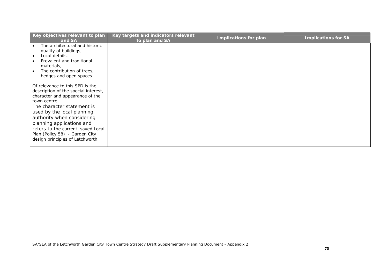| Key objectives relevant to plan<br>and SA | Key targets and indicators relevant<br>to plan and SA | Implications for plan | <b>Implications for SA</b> |
|-------------------------------------------|-------------------------------------------------------|-----------------------|----------------------------|
| The architectural and historic            |                                                       |                       |                            |
| quality of buildings,                     |                                                       |                       |                            |
| Local details,                            |                                                       |                       |                            |
| Prevalent and traditional<br>materials,   |                                                       |                       |                            |
| The contribution of trees,                |                                                       |                       |                            |
| hedges and open spaces.                   |                                                       |                       |                            |
|                                           |                                                       |                       |                            |
| Of relevance to this SPD is the           |                                                       |                       |                            |
| description of the special interest,      |                                                       |                       |                            |
| character and appearance of the           |                                                       |                       |                            |
| town centre.                              |                                                       |                       |                            |
| The character statement is                |                                                       |                       |                            |
| used by the local planning                |                                                       |                       |                            |
| authority when considering                |                                                       |                       |                            |
| planning applications and                 |                                                       |                       |                            |
| refers to the current saved Local         |                                                       |                       |                            |
| Plan (Policy 58) - Garden City            |                                                       |                       |                            |
| design principles of Letchworth.          |                                                       |                       |                            |
|                                           |                                                       |                       |                            |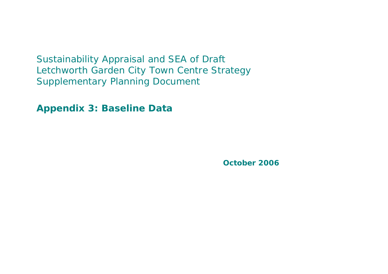Sustainability Appraisal and SEA of Draft Letchworth Garden City Town Centre Strategy Supplementary Planning Document

**Appendix 3: Baseline Data**

**October 2006**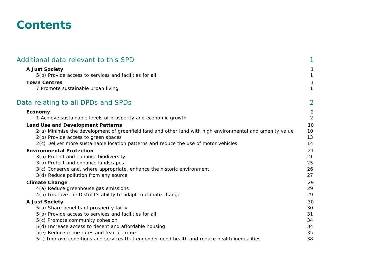### **Contents**

| 1                                      |
|----------------------------------------|
| 1<br>1                                 |
| 1<br>1                                 |
| $\overline{2}$                         |
| $\overline{c}$<br>$\overline{2}$       |
| 10<br>10<br>13<br>14                   |
| 21<br>21<br>25<br>26<br>27             |
| 29<br>29<br>29                         |
| 30<br>30<br>31<br>34<br>34<br>35<br>38 |
|                                        |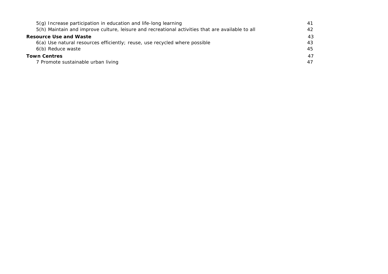| 5(g) Increase participation in education and life-long learning                                  | 41 |
|--------------------------------------------------------------------------------------------------|----|
| 5(h) Maintain and improve culture, leisure and recreational activities that are available to all | 42 |
| <b>Resource Use and Waste</b>                                                                    | 43 |
| 6(a) Use natural resources efficiently; reuse, use recycled where possible                       | 43 |
| 6(b) Reduce waste                                                                                | 45 |
| <b>Town Centres</b>                                                                              | 47 |
| 7 Promote sustainable urban living                                                               | 47 |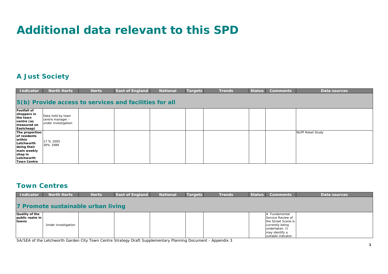# **Additional data relevant to this SPD**

### **A Just Society**

| Indicator                                                                                                                           | <b>North Herts</b>                                           | <b>Herts</b> | <b>East of England</b> | <b>National</b> | <b>Targets</b> | <b>Trends</b> | <b>Status</b> | <b>Comments</b> | Data sources             |  |  |
|-------------------------------------------------------------------------------------------------------------------------------------|--------------------------------------------------------------|--------------|------------------------|-----------------|----------------|---------------|---------------|-----------------|--------------------------|--|--|
| 5(b) Provide access to services and facilities for all                                                                              |                                                              |              |                        |                 |                |               |               |                 |                          |  |  |
| <b>Footfall of</b><br>shoppers in<br>the town<br>centre (as<br>measured on<br>Eastcheap)                                            | Data held by town<br>centre manager -<br>under investigation |              |                        |                 |                |               |               |                 |                          |  |  |
| The proportion<br>of residents<br>within<br>Letchworth<br>doing their<br>main weekly<br>shop in<br>Letchworth<br><b>Town Centre</b> | 17 % 2005<br>30% 1989                                        |              |                        |                 |                |               |               |                 | <b>NLPP Retail Study</b> |  |  |

#### **Town Centres**

| <b>Indicator</b>                                  | <b>North Herts</b>  | <b>Herts</b>                       | <b>East of England</b> | <b>National</b> | <b>Targets</b> | <b>Trends</b> | <b>Status</b> | <b>Comments</b>                                                                                                                       | Data sources |
|---------------------------------------------------|---------------------|------------------------------------|------------------------|-----------------|----------------|---------------|---------------|---------------------------------------------------------------------------------------------------------------------------------------|--------------|
|                                                   |                     | 7 Promote sustainable urban living |                        |                 |                |               |               |                                                                                                                                       |              |
| Quality of the<br>public realm in<br><b>towns</b> | Under investigation |                                    |                        |                 |                |               |               | Fundamental<br>Service Review of<br>the Street Scene is<br>currently being<br>undertaken. It<br>may identify a<br>suitable indicator. |              |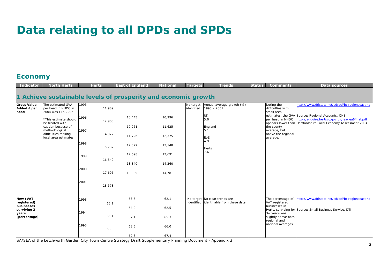# **Data relating to all DPDs and SPDs**

### **Economy**

| <b>Indicator</b>                          | <b>North Herts</b>                                            | <b>Herts</b>   | <b>East of England</b>                                         | <b>National</b>  | Targets                 | <b>Trends</b>                                                             | <b>Status</b> | <b>Comments</b>                                           | <b>Data sources</b>                                                                                                                                                    |
|-------------------------------------------|---------------------------------------------------------------|----------------|----------------------------------------------------------------|------------------|-------------------------|---------------------------------------------------------------------------|---------------|-----------------------------------------------------------|------------------------------------------------------------------------------------------------------------------------------------------------------------------------|
|                                           |                                                               |                | 1 Achieve sustainable levels of prosperity and economic growth |                  |                         |                                                                           |               |                                                           |                                                                                                                                                                        |
| <b>Gross Value</b><br>Added £ per<br>head | The estimated GVA<br>per head in NHDC in<br>2004 was £15,229* | 1995<br>11,989 |                                                                |                  | No target<br>identified | Annual average growth (%)<br>$1995 - 2001$                                |               | Noting the<br>difficulties with<br>small area             | http://www.dtistats.net/sd/bci/bciregionseast.ht<br>m                                                                                                                  |
|                                           | *This estimate should<br>be treated with                      | 1996<br>12,903 | 10,443                                                         | 10,996           |                         | UK<br>5.0                                                                 |               | per head in NHDC                                          | estimates, the GVA Source: Regional Accounts, ONS<br>http://enquire.hertscc.gov.uk/lea/lea6final.pdf<br>appears lower than Hertfordshire Local Economy Assessment 2004 |
|                                           | caution because of<br>methodological<br>difficulties making   | 1997<br>14,327 | 10,961<br>11,726                                               | 11.625<br>12,375 |                         | England<br>5.1                                                            |               | the county<br>average, but<br>above the regional          |                                                                                                                                                                        |
|                                           | local area estimates.                                         | 1998<br>15,732 | 12,372                                                         | 13,148           |                         | EoE<br>1.9                                                                |               | average.                                                  |                                                                                                                                                                        |
|                                           |                                                               | 1999           | 12,698                                                         | 13,691           |                         | <b>Herts</b><br>7.6                                                       |               |                                                           |                                                                                                                                                                        |
|                                           |                                                               | 16,540<br>2000 | 13,340                                                         | 14,260           |                         |                                                                           |               |                                                           |                                                                                                                                                                        |
|                                           |                                                               | 17,696         | 13,909                                                         | 14,781           |                         |                                                                           |               |                                                           |                                                                                                                                                                        |
|                                           |                                                               | 2001<br>18,578 |                                                                |                  |                         |                                                                           |               |                                                           |                                                                                                                                                                        |
| New (VAT<br>registered)                   |                                                               | 1993<br>65.1   | 63.6                                                           | 62.1             |                         | No target No clear trends are<br>identified identifiable from these data. |               | The percentage of<br>VAT registered                       | http://www.dtistats.net/sd/bci/bciregionseast.ht<br>m                                                                                                                  |
| businesses<br>surviving 3<br>years        |                                                               | 1994           | 64.2                                                           | 62.5             |                         |                                                                           |               | businesses in<br>$3 +$ years was                          | Herts. surviving for Source: Small Business Service, DTI                                                                                                               |
| (percentage)                              |                                                               | 65.1           | 67.1                                                           | 65.3             |                         |                                                                           |               | slightly above both<br>regional and<br>national averages. |                                                                                                                                                                        |
|                                           |                                                               | 1995<br>68.8   | 68.5<br>69.8                                                   | 66.0<br>67.4     |                         |                                                                           |               |                                                           |                                                                                                                                                                        |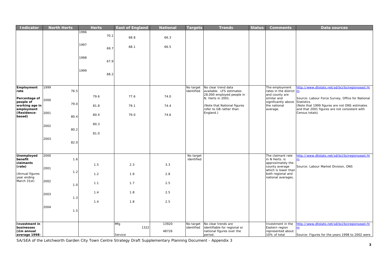| <b>Indicator</b>                                           | <b>North Herts</b> | <b>Herts</b> | <b>East of England</b> | <b>National</b> | <b>Targets</b>          | <b>Trends</b>                                                                               | <b>Status</b> | <b>Comments</b>                                                          | Data sources                                                                                                           |
|------------------------------------------------------------|--------------------|--------------|------------------------|-----------------|-------------------------|---------------------------------------------------------------------------------------------|---------------|--------------------------------------------------------------------------|------------------------------------------------------------------------------------------------------------------------|
|                                                            |                    | 1996<br>70.1 | 68.8                   | 66.3            |                         |                                                                                             |               |                                                                          |                                                                                                                        |
|                                                            |                    | 1997<br>69.7 | 68.1                   | 66.5            |                         |                                                                                             |               |                                                                          |                                                                                                                        |
|                                                            |                    | 1998<br>67.9 |                        |                 |                         |                                                                                             |               |                                                                          |                                                                                                                        |
|                                                            |                    | 1999<br>68.2 |                        |                 |                         |                                                                                             |               |                                                                          |                                                                                                                        |
| Employment<br>rate                                         | 1999<br>76.5       |              |                        |                 | No target<br>identified | No clear trend data<br>available. LFS estimates<br>28,000 employed people in                |               | The employment<br>rates in the district m<br>and county are              | http://www.dtistats.net/sd/bci/bciregionseast.ht                                                                       |
| Percentage of<br>people of<br>working age in               | 2000<br>79.0       | 79.6<br>81.8 | 77.6<br>79.1           | 74.0<br>74.4    |                         | N. Herts in 2001.<br>(Note that National figures                                            |               | similar and<br>significantly above<br>the national                       | Source: Labour Force Survey, Office for National<br><b>Statistics</b><br>(Note that 1999 figures are not ONS estimates |
| employment<br>(Residence-<br>based)                        | 2001               | 80.4         | 79.0                   | 74.6            |                         | refer to GB rather than<br>England.)                                                        |               | average.                                                                 | and that 2001 figures are not consistent with<br>Census totals)                                                        |
|                                                            | 80.4<br>2002       | 80.3         |                        |                 |                         |                                                                                             |               |                                                                          |                                                                                                                        |
|                                                            | 80.2               | 81.0         |                        |                 |                         |                                                                                             |               |                                                                          |                                                                                                                        |
|                                                            | 2003<br>82.0       |              |                        |                 |                         |                                                                                             |               |                                                                          |                                                                                                                        |
| Unemployed<br>benefit                                      | 2000               |              |                        |                 | No target<br>identified |                                                                                             |               | The claimant rate<br>in N Herts. is                                      | http://www.dtistats.net/sd/bci/bciregionseast.ht                                                                       |
| claimants<br>(rate)                                        | 1.6<br>2001        | 1.5          | 2.3                    | 3.3             |                         |                                                                                             |               | approximately the<br>county average<br>which is lower than               | Source: Labour Market Division, ONS                                                                                    |
| (Annual figures<br>year ending                             | 1.2                | 1.2          | 1.9                    | 2.8             |                         |                                                                                             |               | both regional and<br>national averages.                                  |                                                                                                                        |
| March 31st)                                                | 2002<br>1.0        | 1.1          | 1.7                    | 2.5             |                         |                                                                                             |               |                                                                          |                                                                                                                        |
|                                                            | 2003<br>1.3        | 1.4          | 1.8                    | 2.5             |                         |                                                                                             |               |                                                                          |                                                                                                                        |
|                                                            | 2004<br>1.5        | 1.4          | 1.8                    | 2.5             |                         |                                                                                             |               |                                                                          |                                                                                                                        |
| Investment in<br>businesses<br>(£m annual<br>average 1998- |                    |              | Mfg<br>1322<br>Service | 13920<br>48726  | No target<br>identified | No clear trends are<br>identifiable for regional or<br>national figures over the<br>period. |               | Investment in the<br>Eastern region<br>represented about<br>10% of total | http://www.dtistats.net/sd/bci/bciregionseast.ht<br>m<br>Source: Figures for the years 1998 to 2002 were               |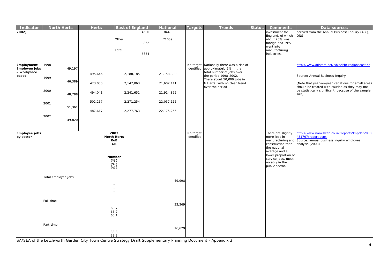| <b>Indicator</b>                                    | <b>North Herts</b>                                                                     | <b>Herts</b>                                        | <b>East of England</b>                                                     | <b>National</b>                                                      | <b>Targets</b>          | <b>Trends</b>                                                                                                                                                                                              | <b>Status</b> | <b>Comments</b>                                                                                                                                                           | Data sources                                                                                                                                                                                                                                                    |
|-----------------------------------------------------|----------------------------------------------------------------------------------------|-----------------------------------------------------|----------------------------------------------------------------------------|----------------------------------------------------------------------|-------------------------|------------------------------------------------------------------------------------------------------------------------------------------------------------------------------------------------------------|---------------|---------------------------------------------------------------------------------------------------------------------------------------------------------------------------|-----------------------------------------------------------------------------------------------------------------------------------------------------------------------------------------------------------------------------------------------------------------|
| 2002)                                               |                                                                                        |                                                     | 4680<br>Other<br>852<br>Total<br>6854                                      | 8443<br>71089                                                        |                         |                                                                                                                                                                                                            |               | investment for<br>England, of which<br>about 20% was<br>foreign and 19%<br>went into<br>manufacturing<br>industries.                                                      | derived from the Annual Business Inquiry (ABI),<br><b>ONS</b>                                                                                                                                                                                                   |
| Employment<br>Employee jobs<br>- workplace<br>based | 1998<br>49,197<br>1999<br>46,389<br>2000<br>48,788<br>2001<br>51,361<br>2002<br>49,820 | 495,646<br>473,030<br>494,041<br>502,267<br>487,617 | 2,188,185<br>2,147,063<br>2,241,651<br>2,271,254<br>2,277,763              | 21,158,389<br>21,602,111<br>21,914,852<br>22,057,115<br>22, 175, 255 | identified              | No target Nationally there was a rise of<br>approximately 5% in the<br>total number of jobs over<br>the period 1998-2002.<br>There about 50,000 jobs in<br>N Herts. with no clear trend<br>over the period |               |                                                                                                                                                                           | http://www.dtistats.net/sd/bci/bciregionseast.ht<br>m<br>Source: Annual Business Inquiry<br>(Note that year-on-year variations for small areas<br>should be treated with caution as they may not<br>be statistically significant because of the sample<br>size) |
| Employee jobs<br>by sector                          |                                                                                        |                                                     | 2003<br><b>North Herts</b><br>EoE<br>GB<br>Number<br>$(*)$<br>$(*)$<br>(%) |                                                                      | No target<br>identified |                                                                                                                                                                                                            |               | There are slightly<br>more jobs in<br>construction than<br>the national<br>average and a<br>lower proportion of<br>service jobs, most<br>notably in the<br>public sector. | http://www.nomisweb.co.uk/reports/lmp/la/2038<br>431797/report.aspx<br>manufacturing and Source: annual business inquiry employee<br>analysis (2003)                                                                                                            |
|                                                     | Total employee jobs                                                                    |                                                     |                                                                            | 49,998                                                               |                         |                                                                                                                                                                                                            |               |                                                                                                                                                                           |                                                                                                                                                                                                                                                                 |
|                                                     | Full-time                                                                              |                                                     | 66.7<br>66.7<br>68.1                                                       | 33,369                                                               |                         |                                                                                                                                                                                                            |               |                                                                                                                                                                           |                                                                                                                                                                                                                                                                 |
|                                                     | Part-time                                                                              |                                                     | 33.3<br>33.3                                                               | 16,629                                                               |                         |                                                                                                                                                                                                            |               |                                                                                                                                                                           |                                                                                                                                                                                                                                                                 |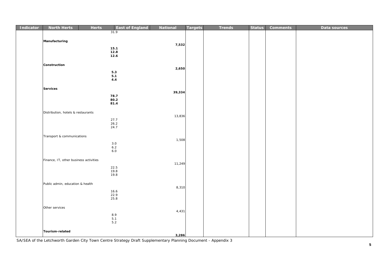| Indicator | <b>North Herts</b>                     | <b>Herts</b> | <b>East of England</b> | National | <b>Targets</b> | <b>Trends</b> | <b>Status</b> | <b>Comments</b> | Data sources |
|-----------|----------------------------------------|--------------|------------------------|----------|----------------|---------------|---------------|-----------------|--------------|
|           |                                        |              | 31.9                   |          |                |               |               |                 |              |
|           |                                        |              |                        |          |                |               |               |                 |              |
|           | Manufacturing                          |              |                        | 7,532    |                |               |               |                 |              |
|           |                                        |              | 15.1                   |          |                |               |               |                 |              |
|           |                                        |              | 12.8                   |          |                |               |               |                 |              |
|           |                                        |              | 12.6                   |          |                |               |               |                 |              |
|           | Construction                           |              |                        |          |                |               |               |                 |              |
|           |                                        |              |                        | 2,650    |                |               |               |                 |              |
|           |                                        |              | $5.3$<br>5.1           |          |                |               |               |                 |              |
|           |                                        |              | 4.4                    |          |                |               |               |                 |              |
|           |                                        |              |                        |          |                |               |               |                 |              |
|           | <b>Services</b>                        |              |                        |          |                |               |               |                 |              |
|           |                                        |              | 78.7                   | 39,334   |                |               |               |                 |              |
|           |                                        |              | 80.2                   |          |                |               |               |                 |              |
|           |                                        |              | 81.4                   |          |                |               |               |                 |              |
|           |                                        |              |                        |          |                |               |               |                 |              |
|           | Distribution, hotels & restaurants     |              |                        | 13,836   |                |               |               |                 |              |
|           |                                        |              | 27.7                   |          |                |               |               |                 |              |
|           |                                        |              | 26.2<br>24.7           |          |                |               |               |                 |              |
|           |                                        |              |                        |          |                |               |               |                 |              |
|           | Transport & communications             |              |                        |          |                |               |               |                 |              |
|           |                                        |              |                        | 1,508    |                |               |               |                 |              |
|           |                                        |              | 3.0<br>6.2             |          |                |               |               |                 |              |
|           |                                        |              | $6.0\,$                |          |                |               |               |                 |              |
|           |                                        |              |                        |          |                |               |               |                 |              |
|           | Finance, IT, other business activities |              |                        | 11,249   |                |               |               |                 |              |
|           |                                        |              | 22.5                   |          |                |               |               |                 |              |
|           |                                        |              | 19.8                   |          |                |               |               |                 |              |
|           |                                        |              | 19.8                   |          |                |               |               |                 |              |
|           | Public admin, education & health       |              |                        |          |                |               |               |                 |              |
|           |                                        |              |                        | 8,310    |                |               |               |                 |              |
|           |                                        |              | 16.6<br>22.9           |          |                |               |               |                 |              |
|           |                                        |              | 25.8                   |          |                |               |               |                 |              |
|           |                                        |              |                        |          |                |               |               |                 |              |
|           | Other services                         |              |                        |          |                |               |               |                 |              |
|           |                                        |              | 8.9                    | 4,431    |                |               |               |                 |              |
|           |                                        |              | 5.1                    |          |                |               |               |                 |              |
|           |                                        |              | $5.2$                  |          |                |               |               |                 |              |
|           | Tourism-related                        |              |                        |          |                |               |               |                 |              |
|           |                                        |              |                        | 3,286    |                |               |               |                 |              |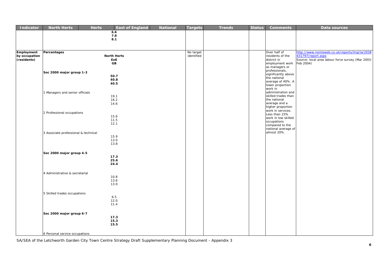| <b>Indicator</b>             | <b>North Herts</b>                   | <b>Herts</b> | <b>East of England</b>    | <b>National</b> | <b>Targets</b> | <b>Trends</b> | <b>Status</b> | <b>Comments</b>                           | Data sources                                                            |
|------------------------------|--------------------------------------|--------------|---------------------------|-----------------|----------------|---------------|---------------|-------------------------------------------|-------------------------------------------------------------------------|
|                              |                                      |              | 6.6                       |                 |                |               |               |                                           |                                                                         |
|                              |                                      |              | $\bf 7.8$<br>8.1          |                 |                |               |               |                                           |                                                                         |
|                              |                                      |              |                           |                 |                |               |               |                                           |                                                                         |
|                              |                                      |              |                           |                 |                |               |               |                                           |                                                                         |
| Employment                   | Percentages                          |              |                           |                 | No target      |               |               | Over half of                              | http://www.nomisweb.co.uk/reports/lmp/la/2038                           |
| by occupation<br>(residents) |                                      |              | <b>North Herts</b><br>EoE |                 | identified     |               |               | residents of the<br>district in           | 431797/report.aspx<br>Source: local area labour force survey (Mar 2003- |
|                              |                                      |              | GB                        |                 |                |               |               | employment work                           | Feb 2004)                                                               |
|                              |                                      |              |                           |                 |                |               |               | as managers or<br>professionals,          |                                                                         |
|                              | Soc 2000 major group 1-3             |              | 50.7                      |                 |                |               |               | significantly above                       |                                                                         |
|                              |                                      |              | 40.8                      |                 |                |               |               | the national                              |                                                                         |
|                              |                                      |              | 40.5                      |                 |                |               |               | average of 40%. A<br>lower proportion     |                                                                         |
|                              |                                      |              |                           |                 |                |               |               | work in                                   |                                                                         |
|                              | 1 Managers and senior officials      |              |                           |                 |                |               |               | administration and<br>skilled trades than |                                                                         |
|                              |                                      |              | 19.1<br>16.2              |                 |                |               |               | the national                              |                                                                         |
|                              |                                      |              | 14.6                      |                 |                |               |               | average and a                             |                                                                         |
|                              |                                      |              |                           |                 |                |               |               | higher proportion<br>work in services.    |                                                                         |
|                              | 2 Professional occupations           |              |                           |                 |                |               |               | Less than 15%                             |                                                                         |
|                              |                                      |              | 15.6<br>11.5              |                 |                |               |               | work in low skilled                       |                                                                         |
|                              |                                      |              | 12.1                      |                 |                |               |               | occupations<br>compared to the            |                                                                         |
|                              |                                      |              |                           |                 |                |               |               | national average of                       |                                                                         |
|                              | 3 Associate professional & technical |              |                           |                 |                |               |               | almost 20%.                               |                                                                         |
|                              |                                      |              | 15.9<br>13.0              |                 |                |               |               |                                           |                                                                         |
|                              |                                      |              | 13.8                      |                 |                |               |               |                                           |                                                                         |
|                              |                                      |              |                           |                 |                |               |               |                                           |                                                                         |
|                              | Soc 2000 major group 4-5             |              | 17.3                      |                 |                |               |               |                                           |                                                                         |
|                              |                                      |              | 25.6                      |                 |                |               |               |                                           |                                                                         |
|                              |                                      |              | 24.4                      |                 |                |               |               |                                           |                                                                         |
|                              |                                      |              |                           |                 |                |               |               |                                           |                                                                         |
|                              | 4 Administrative & secretarial       |              | 10.8                      |                 |                |               |               |                                           |                                                                         |
|                              |                                      |              | 13.6                      |                 |                |               |               |                                           |                                                                         |
|                              |                                      |              | 13.0                      |                 |                |               |               |                                           |                                                                         |
|                              |                                      |              |                           |                 |                |               |               |                                           |                                                                         |
|                              | 5 Skilled trades occupations         |              | 6.5                       |                 |                |               |               |                                           |                                                                         |
|                              |                                      |              | 12.0                      |                 |                |               |               |                                           |                                                                         |
|                              |                                      |              | 11.4                      |                 |                |               |               |                                           |                                                                         |
|                              | Soc 2000 major group 6-7             |              |                           |                 |                |               |               |                                           |                                                                         |
|                              |                                      |              | 17.3                      |                 |                |               |               |                                           |                                                                         |
|                              |                                      |              | 15.3                      |                 |                |               |               |                                           |                                                                         |
|                              |                                      |              | 15.5                      |                 |                |               |               |                                           |                                                                         |
|                              | 6 Personal service occupations       |              |                           |                 |                |               |               |                                           |                                                                         |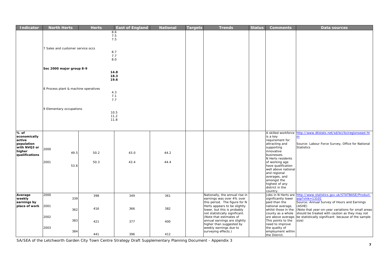| <b>Indicator</b>       | <b>North Herts</b>                   |      | <b>Herts</b> | <b>East of England</b> | <b>National</b> | <b>Targets</b> | <b>Trends</b>                                               | <b>Status</b> | <b>Comments</b>                            | Data sources                                                     |
|------------------------|--------------------------------------|------|--------------|------------------------|-----------------|----------------|-------------------------------------------------------------|---------------|--------------------------------------------|------------------------------------------------------------------|
|                        |                                      |      |              | 8.6                    |                 |                |                                                             |               |                                            |                                                                  |
|                        |                                      |      |              | 7.5                    |                 |                |                                                             |               |                                            |                                                                  |
|                        |                                      |      |              | 7.5                    |                 |                |                                                             |               |                                            |                                                                  |
|                        |                                      |      |              |                        |                 |                |                                                             |               |                                            |                                                                  |
|                        |                                      |      |              |                        |                 |                |                                                             |               |                                            |                                                                  |
|                        | 7 Sales and customer service occs    |      |              |                        |                 |                |                                                             |               |                                            |                                                                  |
|                        |                                      |      |              | 8.7<br>7.7             |                 |                |                                                             |               |                                            |                                                                  |
|                        |                                      |      |              | 8.0                    |                 |                |                                                             |               |                                            |                                                                  |
|                        |                                      |      |              |                        |                 |                |                                                             |               |                                            |                                                                  |
|                        |                                      |      |              |                        |                 |                |                                                             |               |                                            |                                                                  |
|                        | Soc 2000 major group 8-9             |      |              |                        |                 |                |                                                             |               |                                            |                                                                  |
|                        |                                      |      |              | 14.8                   |                 |                |                                                             |               |                                            |                                                                  |
|                        |                                      |      |              | 18.3                   |                 |                |                                                             |               |                                            |                                                                  |
|                        |                                      |      |              | 19.6                   |                 |                |                                                             |               |                                            |                                                                  |
|                        |                                      |      |              |                        |                 |                |                                                             |               |                                            |                                                                  |
|                        | 8 Process plant & machine operatives |      |              |                        |                 |                |                                                             |               |                                            |                                                                  |
|                        |                                      |      |              | 4.3                    |                 |                |                                                             |               |                                            |                                                                  |
|                        |                                      |      | 7.1          |                        |                 |                |                                                             |               |                                            |                                                                  |
|                        |                                      |      |              | 7.7                    |                 |                |                                                             |               |                                            |                                                                  |
|                        |                                      |      |              |                        |                 |                |                                                             |               |                                            |                                                                  |
|                        | 9 Elementary occupations             |      |              |                        |                 |                |                                                             |               |                                            |                                                                  |
|                        |                                      |      |              | 10.5                   |                 |                |                                                             |               |                                            |                                                                  |
|                        |                                      |      |              | 11.2                   |                 |                |                                                             |               |                                            |                                                                  |
|                        |                                      |      |              | 11.8                   |                 |                |                                                             |               |                                            |                                                                  |
|                        |                                      |      |              |                        |                 |                |                                                             |               |                                            |                                                                  |
|                        |                                      |      |              |                        |                 |                |                                                             |               |                                            |                                                                  |
|                        |                                      |      |              |                        |                 |                |                                                             |               |                                            |                                                                  |
| % of                   |                                      |      |              |                        |                 |                |                                                             |               | A skilled workforce                        | http://www.dtistats.net/sd/bci/bciregionseast.ht                 |
| economically<br>active |                                      |      |              |                        |                 |                |                                                             |               | is a key<br>requirement for                |                                                                  |
| population             |                                      |      |              |                        |                 |                |                                                             |               | attracting and                             | Source: Labour Force Survey, Office for National                 |
| with NVQ3 or           |                                      |      |              |                        |                 |                |                                                             |               | supporting                                 | <b>Statistics</b>                                                |
| higher                 | 2000                                 |      |              |                        |                 |                |                                                             |               | innovative                                 |                                                                  |
| qualifications         |                                      | 49.5 | 50.2         | 43.0                   | 44.2            |                |                                                             |               | businesses.                                |                                                                  |
|                        |                                      |      |              |                        |                 |                |                                                             |               | N Herts residents                          |                                                                  |
|                        | 2001                                 |      | 50.3         | 43.4                   | 44.4            |                |                                                             |               | of working age                             |                                                                  |
|                        |                                      | 53.6 |              |                        |                 |                |                                                             |               | have qualification                         |                                                                  |
|                        |                                      |      |              |                        |                 |                |                                                             |               | well above national                        |                                                                  |
|                        |                                      |      |              |                        |                 |                |                                                             |               | and regional                               |                                                                  |
|                        |                                      |      |              |                        |                 |                |                                                             |               | averages, and                              |                                                                  |
|                        |                                      |      |              |                        |                 |                |                                                             |               | amongst the                                |                                                                  |
|                        |                                      |      |              |                        |                 |                |                                                             |               | highest of any                             |                                                                  |
|                        |                                      |      |              |                        |                 |                |                                                             |               | district in the                            |                                                                  |
|                        |                                      |      |              |                        |                 |                |                                                             |               | country.                                   |                                                                  |
| Average<br>weekly      | 2000                                 | 339  | 398          | 349                    | 361             |                | Nationally, the annual rise in<br>earnings was over 4% over |               | Jobs in N Herts are<br>significantly lower | http://www.statistics.gov.uk/STATBASE/Product.<br>asp?vlnk=13101 |
| earnings by            |                                      |      |              |                        |                 |                | this period. The figure for N                               |               | paid than the                              | Source: Annual Survey of Hours and Earnings                      |
| place of work          | 2001                                 |      |              |                        |                 |                | Herts appears to be slightly                                |               | national average,                          | (ASHE)                                                           |
|                        |                                      | 362  | 416          | 366                    | 382             |                | lower, but this is probably                                 |               | whilst those in the                        | (Note that year-on-year variations for small areas               |
|                        |                                      |      |              |                        |                 |                | not statistically significant.                              |               | county as a whole                          | should be treated with caution as they may not                   |
|                        | 2002                                 |      |              |                        |                 |                | (Note that estimates of                                     |               | are above average                          | be statistically significant because of the sample               |
|                        |                                      | 383  | 421          | 377                    | 400             |                | annual earnings are slightly                                |               | This points to the                         | size)                                                            |
|                        |                                      |      |              |                        |                 |                | higher than suggested by                                    |               | need to improve                            |                                                                  |
|                        | 2003                                 |      |              |                        |                 |                | weekly earnings due to                                      |               | the quality of                             |                                                                  |
|                        |                                      | 384  |              |                        |                 |                | surveying effects.)                                         |               | employment within                          |                                                                  |
|                        |                                      |      | 441          | 396                    | 412             |                |                                                             |               | the District.                              |                                                                  |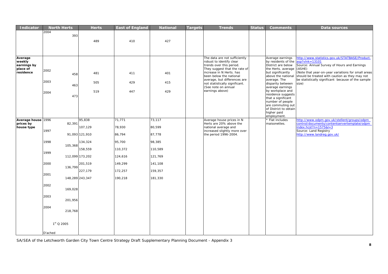| <b>Indicator</b>                                          | <b>North Herts</b> |                 | <b>Herts</b>              | <b>East of England</b> | <b>National</b>   | <b>Targets</b> | <b>Trends</b>                                                                                                                                                                 | <b>Status</b> | <b>Comments</b>                                                                                                                          | Data sources                                                                                                                                                                                                                          |
|-----------------------------------------------------------|--------------------|-----------------|---------------------------|------------------------|-------------------|----------------|-------------------------------------------------------------------------------------------------------------------------------------------------------------------------------|---------------|------------------------------------------------------------------------------------------------------------------------------------------|---------------------------------------------------------------------------------------------------------------------------------------------------------------------------------------------------------------------------------------|
|                                                           | 2004               | 393             | 489                       | 410                    | 427               |                |                                                                                                                                                                               |               |                                                                                                                                          |                                                                                                                                                                                                                                       |
| Average<br>weekly<br>earnings by<br>place of<br>residence | 2002               | 458             | 481                       | 411                    | 401               |                | The data are not sufficiently<br>robust to identify clear<br>trends over this period.<br>They suggest that the rate of<br>increase in N Herts. has<br>been below the national |               | Average earnings<br>by residents of the<br>District are below<br>the Herts. average<br>but significantly<br>above the national           | http://www.statistics.gov.uk/STATBASE/Product.<br>$asp?vlnk = 13101$<br>Source: Annual Survey of Hours and Earnings<br>(ASHE)<br>(Note that year-on-year variations for small areas<br>should be treated with caution as they may not |
|                                                           | 2003<br>2004       | 463             | 505<br>519                | 429<br>447             | 415<br>429        |                | average, but differences are<br>not statistically significant.<br>(See note on annual<br>earnings above)                                                                      |               | average. The<br>disparity between<br>average earnings<br>by workplace and                                                                | be statistically significant because of the sample<br>size)                                                                                                                                                                           |
|                                                           |                    | 473             |                           |                        |                   |                |                                                                                                                                                                               |               | residence suggests<br>that a significant<br>number of people<br>are commuting out<br>of District to obtain<br>higher paid<br>employment. |                                                                                                                                                                                                                                       |
| Average house 1996                                        |                    |                 | 95,838                    | 71,771                 | 73,117            |                | Average house prices in N                                                                                                                                                     |               | * Flat includes                                                                                                                          | http://www.odpm.gov.uk/stellent/groups/odpm<br>control/documents/contentservertemplate/odpm                                                                                                                                           |
| prices by<br>house type                                   | 1997               | 82,391          | 107,129<br>91,093 121,910 | 78,930<br>86,794       | 80,599<br>87,778  |                | Herts are 20% above the<br>national average and<br>increased slightly more over<br>the period 1996-2004.                                                                      |               | maisonettes.                                                                                                                             | $index.hcst?n = 1575& l = 3$<br>Source: Land Registry<br>http://www.landreg.gov.uk/                                                                                                                                                   |
|                                                           |                    |                 |                           |                        |                   |                |                                                                                                                                                                               |               |                                                                                                                                          |                                                                                                                                                                                                                                       |
|                                                           | 1998               | 105,368         | 134,324<br>158,559        | 95,700<br>110,372      | 98,385<br>110,589 |                |                                                                                                                                                                               |               |                                                                                                                                          |                                                                                                                                                                                                                                       |
|                                                           | 1999               | 112,099 173,202 |                           | 124,616                | 121,769           |                |                                                                                                                                                                               |               |                                                                                                                                          |                                                                                                                                                                                                                                       |
|                                                           | 2000               | 136,799         | 201,519                   | 149,299                | 141,108           |                |                                                                                                                                                                               |               |                                                                                                                                          |                                                                                                                                                                                                                                       |
|                                                           |                    |                 | 227,179                   | 172,257                | 159,357           |                |                                                                                                                                                                               |               |                                                                                                                                          |                                                                                                                                                                                                                                       |
|                                                           | 2001               | 148,289 243,347 |                           | 190,218                | 181,330           |                |                                                                                                                                                                               |               |                                                                                                                                          |                                                                                                                                                                                                                                       |
|                                                           | 2002               | 169,028         |                           |                        |                   |                |                                                                                                                                                                               |               |                                                                                                                                          |                                                                                                                                                                                                                                       |
|                                                           | 2003               | 201,956         |                           |                        |                   |                |                                                                                                                                                                               |               |                                                                                                                                          |                                                                                                                                                                                                                                       |
|                                                           | 2004               | 218,768         |                           |                        |                   |                |                                                                                                                                                                               |               |                                                                                                                                          |                                                                                                                                                                                                                                       |
|                                                           | $1st$ Q 2005       |                 |                           |                        |                   |                |                                                                                                                                                                               |               |                                                                                                                                          |                                                                                                                                                                                                                                       |
|                                                           | D'ached            |                 |                           |                        |                   |                |                                                                                                                                                                               |               |                                                                                                                                          |                                                                                                                                                                                                                                       |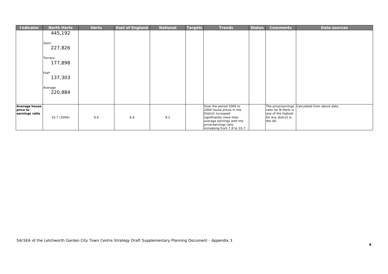| Indicator                                          | <b>North Herts</b> | <b>Herts</b> | <b>East of England</b> | <b>National</b> | Targets | <b>Trends</b>                                                                                                                                                                            | <b>Status</b> | <b>Comments</b>                                                              | Data sources                                   |
|----------------------------------------------------|--------------------|--------------|------------------------|-----------------|---------|------------------------------------------------------------------------------------------------------------------------------------------------------------------------------------------|---------------|------------------------------------------------------------------------------|------------------------------------------------|
|                                                    | 445,192            |              |                        |                 |         |                                                                                                                                                                                          |               |                                                                              |                                                |
|                                                    | Semi<br>227,826    |              |                        |                 |         |                                                                                                                                                                                          |               |                                                                              |                                                |
|                                                    | Terrace<br>177,898 |              |                        |                 |         |                                                                                                                                                                                          |               |                                                                              |                                                |
|                                                    | Flat*<br>137,303   |              |                        |                 |         |                                                                                                                                                                                          |               |                                                                              |                                                |
|                                                    | Average<br>220,884 |              |                        |                 |         |                                                                                                                                                                                          |               |                                                                              |                                                |
| <b>Average house</b><br>price to<br>earnings ratio | 10.7 (2004)        | 9.6          | 8.9                    | 8.2             |         | Over the period 2000 to<br>2004 house prices in the<br>District increased<br>significantly more than<br>average earnings with the<br>price/earnings ratio<br>increasing from 7.8 to 10.7 |               | ratio for N Herts is<br>one of the highest<br>for any district in<br>the UK. | The price/earnings Calculated from above data. |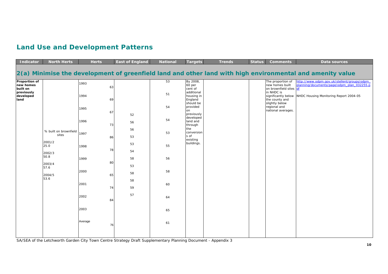### **Land Use and Development Patterns**

| <b>Indicator</b>                       | <b>North Herts</b>                       | <b>Herts</b>  | <b>East of England</b> | <b>National</b> | <b>Targets</b>                                   | <b>Trends</b> | <b>Status</b> | <b>Comments</b>                                                       | Data sources                                                                                              |
|----------------------------------------|------------------------------------------|---------------|------------------------|-----------------|--------------------------------------------------|---------------|---------------|-----------------------------------------------------------------------|-----------------------------------------------------------------------------------------------------------|
|                                        |                                          |               |                        |                 |                                                  |               |               |                                                                       | 2(a) Minimise the development of greenfield land and other land with high environmental and amenity value |
| Proportion of<br>new homes<br>built on |                                          | 1993<br>63    |                        | 53              | By 2008,<br>60 per<br>cent of                    |               |               | The proportion of<br>new homes built<br>on brownfield sites df        | http://www.odpm.gov.uk/stellent/groups/odpm<br>planning/documents/page/odpm_plan_032255.p                 |
| previously<br>developed<br>land        |                                          | 1994<br>69    |                        | 51              | additional<br>housing in<br>England<br>should be |               |               | in NHDC is<br>significantly below<br>the county and<br>slightly below | NHDC Housing Monitoring Report 2004-05                                                                    |
|                                        |                                          | 1995<br>67    | 52                     | 54              | provided<br>on<br>previously                     |               |               | regional and<br>national averages.                                    |                                                                                                           |
|                                        |                                          | 1996<br>73    | 56                     | 54              | developed<br>land and<br>through<br>the          |               |               |                                                                       |                                                                                                           |
|                                        | % built on brownfield<br>sites<br>2001/2 | 1997<br>86    | 56<br>53               | 53              | conversion<br>s of<br>existing                   |               |               |                                                                       |                                                                                                           |
|                                        | 25.0<br>2002/3                           | 1998<br>78    | 53<br>54               | 55              | buildings.                                       |               |               |                                                                       |                                                                                                           |
|                                        | 50.8<br>2003/4<br>57.6                   | 1999<br>80    | 58<br>53               | 56              |                                                  |               |               |                                                                       |                                                                                                           |
|                                        | 2004/5<br>53.6                           | 2000<br>65    | 58<br>58               | 58              |                                                  |               |               |                                                                       |                                                                                                           |
|                                        |                                          | 2001<br>74    | 59                     | 60              |                                                  |               |               |                                                                       |                                                                                                           |
|                                        |                                          | 2002<br>84    | 57                     | 64              |                                                  |               |               |                                                                       |                                                                                                           |
|                                        |                                          | 2003          |                        | 65              |                                                  |               |               |                                                                       |                                                                                                           |
|                                        |                                          | Average<br>76 |                        | 61              |                                                  |               |               |                                                                       |                                                                                                           |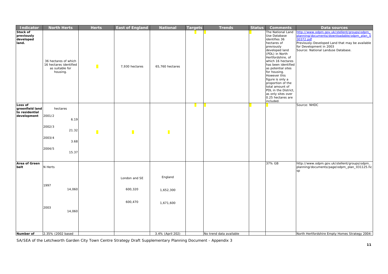| Indicator                                                   | <b>North Herts</b>                                                                 | <b>Herts</b> | <b>East of England</b>              | <b>National</b>                   | <b>Targets</b> | <b>Trends</b>           | <b>Status</b> | <b>Comments</b>                                                                                                                                                                                                                                                                                                                                                                        | Data sources                                                                                                                                                                                                                |
|-------------------------------------------------------------|------------------------------------------------------------------------------------|--------------|-------------------------------------|-----------------------------------|----------------|-------------------------|---------------|----------------------------------------------------------------------------------------------------------------------------------------------------------------------------------------------------------------------------------------------------------------------------------------------------------------------------------------------------------------------------------------|-----------------------------------------------------------------------------------------------------------------------------------------------------------------------------------------------------------------------------|
| Stock of<br>previously<br>developed<br>land.                | 36 hectares of which<br>16 hectares identified<br>as suitable for<br>housing.      |              | 7,930 hectares                      | 65,760 hectares                   |                |                         |               | The National Land<br>Use Database<br>identifies 36<br>hectares of<br>previously<br>developed land<br>(PDL) in North<br>Hertfordshire, of<br>which 16 hectares<br>has been identified<br>as potential sites<br>for housing.<br>However this<br>figure is only a<br>proportion of the<br>total amount of<br>PDL in the District,<br>as only sites over<br>0.25 hectares are<br>included. | http://www.odpm.gov.uk/stellent/groups/odpm<br>planning/documents/downloadable/odpm_plan_0<br>30372.pdf<br>Previously-Developed Land that may be available<br>for Development in 2003<br>Source: National Landuse Database. |
| Loss of<br>greenfield land<br>to residential<br>development | hectares<br>2001/2<br>6.19<br>2002/3<br>21.32<br>2003/4<br>3.68<br>2004/5<br>15.37 |              |                                     |                                   |                |                         |               |                                                                                                                                                                                                                                                                                                                                                                                        | Source: NHDC                                                                                                                                                                                                                |
| Area of Green<br>belt                                       | N Herts<br>1997<br>14,060<br>2003<br>14,060                                        |              | London and SE<br>600,320<br>600,470 | England<br>1,652,300<br>1,671,600 |                |                         |               | 37% GB                                                                                                                                                                                                                                                                                                                                                                                 | http://www.odpm.gov.uk/stellent/groups/odpm_<br>planning/documents/page/odpm_plan_031125.hc<br>sp                                                                                                                           |
| Number of                                                   | 2.35% (2002 based                                                                  |              |                                     | 3.4% (April 202)                  |                | No trend data available |               |                                                                                                                                                                                                                                                                                                                                                                                        | North Hertfordshire Empty Homes Strategy 2004-                                                                                                                                                                              |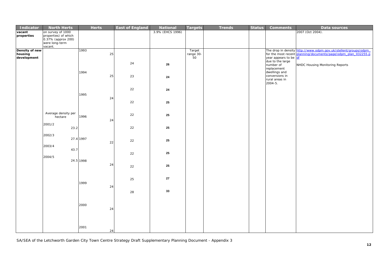| Indicator      | <b>North Herts</b>        | <b>Herts</b> |    | <b>East of England</b> | National         | <b>Targets</b> | <b>Trends</b> | <b>Status</b> | <b>Comments</b>                 | Data sources                                                     |
|----------------|---------------------------|--------------|----|------------------------|------------------|----------------|---------------|---------------|---------------------------------|------------------------------------------------------------------|
| vacant         | on survey of 1000         |              |    |                        | 3.9% (EHCS 1996) |                |               |               |                                 | 2007 (Oct 2004).                                                 |
| properties     | properties) of which      |              |    |                        |                  |                |               |               |                                 |                                                                  |
|                | 0.37% (approx 200)        |              |    |                        |                  |                |               |               |                                 |                                                                  |
|                | were long-term<br>vacant. |              |    |                        |                  |                |               |               |                                 |                                                                  |
| Density of new |                           | 1993         |    |                        |                  | Target         |               |               |                                 | The drop in density http://www.odpm.gov.uk/stellent/groups/odpm_ |
| housing        |                           |              | 25 |                        |                  | range 30-      |               |               |                                 | for the most recent planning/documents/page/odpm_plan_032255.p   |
| development    |                           |              |    |                        |                  | 50             |               |               | year appears to be df           |                                                                  |
|                |                           |              |    |                        |                  |                |               |               | due to the large                |                                                                  |
|                |                           |              |    | 24                     | 26               |                |               |               | number of                       | NHDC Housing Monitoring Reports                                  |
|                |                           |              |    |                        |                  |                |               |               | replacement                     |                                                                  |
|                |                           | 1994         |    |                        |                  |                |               |               | dwellings and<br>conversions in |                                                                  |
|                |                           |              | 25 | 23                     | 24               |                |               |               | rural areas in                  |                                                                  |
|                |                           |              |    |                        |                  |                |               |               | $2004 - 5.$                     |                                                                  |
|                |                           |              |    |                        |                  |                |               |               |                                 |                                                                  |
|                |                           |              |    | 22                     | 24               |                |               |               |                                 |                                                                  |
|                |                           | 1995         |    |                        |                  |                |               |               |                                 |                                                                  |
|                |                           |              | 24 |                        |                  |                |               |               |                                 |                                                                  |
|                |                           |              |    | 22                     | 25               |                |               |               |                                 |                                                                  |
|                |                           |              |    |                        |                  |                |               |               |                                 |                                                                  |
|                | Average density per       |              |    |                        |                  |                |               |               |                                 |                                                                  |
|                | hectare                   | 1996         |    | 22                     | 25               |                |               |               |                                 |                                                                  |
|                |                           |              | 24 |                        |                  |                |               |               |                                 |                                                                  |
|                | 2001/2                    |              |    |                        |                  |                |               |               |                                 |                                                                  |
|                | 23.2                      |              |    | 22                     | 25               |                |               |               |                                 |                                                                  |
|                | 2002/3                    |              |    |                        |                  |                |               |               |                                 |                                                                  |
|                |                           | 27.4 1997    |    |                        |                  |                |               |               |                                 |                                                                  |
|                |                           |              | 22 | 22                     | 25               |                |               |               |                                 |                                                                  |
|                | 2003/4                    |              |    |                        |                  |                |               |               |                                 |                                                                  |
|                | 43.7                      |              |    |                        | 25               |                |               |               |                                 |                                                                  |
|                | 2004/5                    |              |    | 22                     |                  |                |               |               |                                 |                                                                  |
|                |                           | 24.5 1998    |    |                        |                  |                |               |               |                                 |                                                                  |
|                |                           |              | 24 |                        |                  |                |               |               |                                 |                                                                  |
|                |                           |              |    | 22                     | 25               |                |               |               |                                 |                                                                  |
|                |                           |              |    |                        |                  |                |               |               |                                 |                                                                  |
|                |                           |              |    |                        | 27               |                |               |               |                                 |                                                                  |
|                |                           | 1999         |    | 25                     |                  |                |               |               |                                 |                                                                  |
|                |                           |              | 24 |                        |                  |                |               |               |                                 |                                                                  |
|                |                           |              |    |                        | 33               |                |               |               |                                 |                                                                  |
|                |                           |              |    | 28                     |                  |                |               |               |                                 |                                                                  |
|                |                           |              |    |                        |                  |                |               |               |                                 |                                                                  |
|                |                           |              |    |                        |                  |                |               |               |                                 |                                                                  |
|                |                           | 2000         | 24 |                        |                  |                |               |               |                                 |                                                                  |
|                |                           |              |    |                        |                  |                |               |               |                                 |                                                                  |
|                |                           |              |    |                        |                  |                |               |               |                                 |                                                                  |
|                |                           |              |    |                        |                  |                |               |               |                                 |                                                                  |
|                |                           |              |    |                        |                  |                |               |               |                                 |                                                                  |
|                |                           | 2001         |    |                        |                  |                |               |               |                                 |                                                                  |
|                |                           |              | 24 |                        |                  |                |               |               |                                 |                                                                  |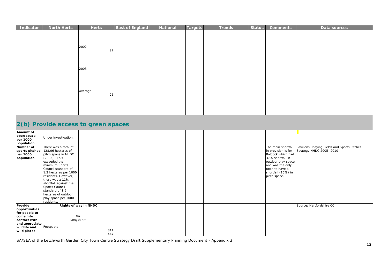| Indicator                                                                                                               | <b>North Herts</b>                                                                                                                                                                                                                                                                                                                      | <b>Herts</b>                                            | <b>East of England</b> | <b>National</b> | <b>Targets</b> | <b>Trends</b> | <b>Status</b> | <b>Comments</b>                                                                                                                                                                      | Data sources                                                             |
|-------------------------------------------------------------------------------------------------------------------------|-----------------------------------------------------------------------------------------------------------------------------------------------------------------------------------------------------------------------------------------------------------------------------------------------------------------------------------------|---------------------------------------------------------|------------------------|-----------------|----------------|---------------|---------------|--------------------------------------------------------------------------------------------------------------------------------------------------------------------------------------|--------------------------------------------------------------------------|
|                                                                                                                         |                                                                                                                                                                                                                                                                                                                                         | 2002<br>27                                              |                        |                 |                |               |               |                                                                                                                                                                                      |                                                                          |
|                                                                                                                         |                                                                                                                                                                                                                                                                                                                                         | 2003                                                    |                        |                 |                |               |               |                                                                                                                                                                                      |                                                                          |
|                                                                                                                         |                                                                                                                                                                                                                                                                                                                                         | Average<br>25                                           |                        |                 |                |               |               |                                                                                                                                                                                      |                                                                          |
|                                                                                                                         | 2(b) Provide access to green spaces                                                                                                                                                                                                                                                                                                     |                                                         |                        |                 |                |               |               |                                                                                                                                                                                      |                                                                          |
| Amount of<br>open space<br>per 1000                                                                                     | Under investigation.                                                                                                                                                                                                                                                                                                                    |                                                         |                        |                 |                |               |               |                                                                                                                                                                                      |                                                                          |
| population<br>Number of<br>sports pitched<br>per 1000<br>population                                                     | There was a total of<br>128.06 hectares of<br>pitch space in NHDC<br>(2003). This<br>exceeded the<br>minimum Sports<br>Council standard of<br>1.2 hectares per 1000<br>residents. However,<br>there was a 11%<br>shortfall against the<br>Sports Council<br>standard of 1.6<br>hectares of outdoor<br>play space per 1000<br>residents. |                                                         |                        |                 |                |               |               | The main shortfall<br>in provision is for<br>Baldock which had<br>37% shortfall in<br>outdoor play space<br>and was the only<br>town to have a<br>shortfall (16%) in<br>pitch space. | Pavilions, Playing Fields and Sports Pitches<br>Strategy NHDC 2005 -2010 |
| Provide<br>opportunities<br>for people to<br>come into<br>contact with<br>and appreciate<br>wildlife and<br>wild places | Footpaths                                                                                                                                                                                                                                                                                                                               | Rights of way in NHDC<br>No.<br>Length km<br>811<br>447 |                        |                 |                |               |               |                                                                                                                                                                                      | Source: Hertfordshire CC                                                 |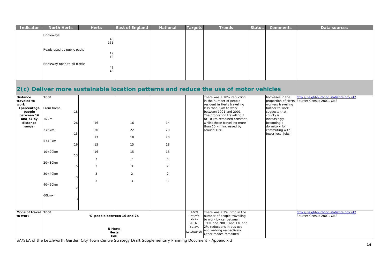| Indicator | <b>North Herts</b>            | <b>Herts</b> | <b>East of England</b> | National | <b>Targets</b> | <b>Trends</b> | <b>Status</b> | <b>Comments</b> | Data sources |
|-----------|-------------------------------|--------------|------------------------|----------|----------------|---------------|---------------|-----------------|--------------|
|           | Bridleways                    | 43           |                        |          |                |               |               |                 |              |
|           |                               | 151          |                        |          |                |               |               |                 |              |
|           | Roads used as public paths    | 19           |                        |          |                |               |               |                 |              |
|           |                               | 19           |                        |          |                |               |               |                 |              |
|           | Bridleway open to all traffic | 42           |                        |          |                |               |               |                 |              |
|           |                               | 46           |                        |          |                |               |               |                 |              |
|           |                               |              |                        |          |                |               |               |                 |              |

### **2(c) Deliver more sustainable location patterns and reduce the use of motor vehicles**

| <b>Distance</b><br>traveled to<br>work<br>(percentage<br>people<br>between 16<br>and 74 by<br>distance<br>range) | 2001<br>From home<br>$<$ 2 $km$<br>$2 < 5$ km<br>$5 < 10$ km | 18<br>26<br>15<br>16     | 16<br>20<br>17<br>15                                                | 16<br>22<br>18<br>15 | 14<br>20<br>20<br>18 |                                                            | There was a 10% reduction<br>in the number of people<br>resident in Herts travelling<br>less than 5km to work<br>between 1991 and 2001.<br>The proportion travelling 5<br>to 10 km remained constant,<br>whilst those travelling more<br>than 10 km increased by<br>around 10%. | Increases in the<br>workers travelling<br>further to work<br>suggests that<br>county is<br>increasingly<br>becoming a<br>dormitory for<br>commuting with<br>fewer local jobs. | http://neighbourhood.statistics.gov.uk/<br>proportion of Herts Source: Census 2001, ONS |
|------------------------------------------------------------------------------------------------------------------|--------------------------------------------------------------|--------------------------|---------------------------------------------------------------------|----------------------|----------------------|------------------------------------------------------------|---------------------------------------------------------------------------------------------------------------------------------------------------------------------------------------------------------------------------------------------------------------------------------|-------------------------------------------------------------------------------------------------------------------------------------------------------------------------------|-----------------------------------------------------------------------------------------|
|                                                                                                                  | $10<20$ km                                                   | 13                       | 16<br>$\overline{7}$                                                | 15<br>$\overline{7}$ | 15<br>5              |                                                            |                                                                                                                                                                                                                                                                                 |                                                                                                                                                                               |                                                                                         |
|                                                                                                                  | 20<30km                                                      | 5                        | 3                                                                   | 3                    | $\overline{2}$       |                                                            |                                                                                                                                                                                                                                                                                 |                                                                                                                                                                               |                                                                                         |
|                                                                                                                  | 30<40km                                                      | 3                        | 3<br>3                                                              | $\overline{2}$<br>3  | 2<br>3               |                                                            |                                                                                                                                                                                                                                                                                 |                                                                                                                                                                               |                                                                                         |
|                                                                                                                  | 40<60km                                                      | $\overline{\phantom{a}}$ |                                                                     |                      |                      |                                                            |                                                                                                                                                                                                                                                                                 |                                                                                                                                                                               |                                                                                         |
|                                                                                                                  | 60km<                                                        |                          |                                                                     |                      |                      |                                                            |                                                                                                                                                                                                                                                                                 |                                                                                                                                                                               |                                                                                         |
| Mode of travel 2001<br>to work                                                                                   |                                                              |                          | % people between 16 and 74<br><b>N</b> Herts<br><b>Herts</b><br>EoE |                      |                      | Local<br>targets<br>2021<br>Hitchin<br>62.2%<br>Letchworth | There was a 3% drop in the<br>number of people travelling<br>to work by car between<br>1991 and 2001, and 1% and<br>2% reductions in bus use<br>and walking respectively.<br>Other modes remained                                                                               |                                                                                                                                                                               | http://neighbourhood.statistics.gov.uk/<br>Source: Census 2001, ONS                     |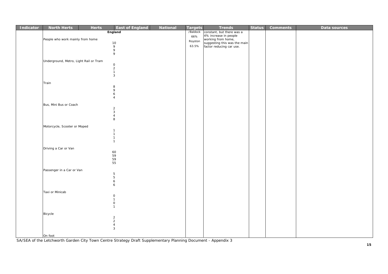| Indicator | <b>North Herts</b>                     | <b>Herts</b> | <b>East of England</b>                                                                                                          | <b>National</b> | <b>Targets</b> | <b>Trends</b>                                            | <b>Status</b> | <b>Comments</b> | Data sources |
|-----------|----------------------------------------|--------------|---------------------------------------------------------------------------------------------------------------------------------|-----------------|----------------|----------------------------------------------------------|---------------|-----------------|--------------|
|           |                                        |              | England                                                                                                                         |                 | /Baldock       | constant, but there was a                                |               |                 |              |
|           | People who work mainly from home       |              |                                                                                                                                 |                 | 66%            | 4% increase in people<br>working from home,              |               |                 |              |
|           |                                        |              | $10$                                                                                                                            |                 | Royston        | suggesting this was the main<br>factor reducing car use. |               |                 |              |
|           |                                        |              | $\begin{array}{c} 9 \\ 9 \end{array}$                                                                                           |                 | 63.5%          |                                                          |               |                 |              |
|           |                                        |              | 9                                                                                                                               |                 |                |                                                          |               |                 |              |
|           |                                        |              |                                                                                                                                 |                 |                |                                                          |               |                 |              |
|           | Underground, Metro, Light Rail or Tram |              |                                                                                                                                 |                 |                |                                                          |               |                 |              |
|           |                                        |              | $\mathsf{O}$<br>$\overline{2}$                                                                                                  |                 |                |                                                          |               |                 |              |
|           |                                        |              | $\overline{1}$                                                                                                                  |                 |                |                                                          |               |                 |              |
|           |                                        |              | $\overline{3}$                                                                                                                  |                 |                |                                                          |               |                 |              |
|           |                                        |              |                                                                                                                                 |                 |                |                                                          |               |                 |              |
|           | Train                                  |              |                                                                                                                                 |                 |                |                                                          |               |                 |              |
|           |                                        |              | $\begin{array}{c} 8 \\ 9 \end{array}$                                                                                           |                 |                |                                                          |               |                 |              |
|           |                                        |              | $\boldsymbol{6}$                                                                                                                |                 |                |                                                          |               |                 |              |
|           |                                        |              | $\overline{4}$                                                                                                                  |                 |                |                                                          |               |                 |              |
|           | Bus, Mini Bus or Coach                 |              |                                                                                                                                 |                 |                |                                                          |               |                 |              |
|           |                                        |              | $\overline{2}$<br>$\overline{3}$                                                                                                |                 |                |                                                          |               |                 |              |
|           |                                        |              | $\overline{a}$                                                                                                                  |                 |                |                                                          |               |                 |              |
|           |                                        |              | 8                                                                                                                               |                 |                |                                                          |               |                 |              |
|           | Motorcycle, Scooter or Moped           |              |                                                                                                                                 |                 |                |                                                          |               |                 |              |
|           |                                        |              | $\overline{1}$                                                                                                                  |                 |                |                                                          |               |                 |              |
|           |                                        |              | $\overline{1}$                                                                                                                  |                 |                |                                                          |               |                 |              |
|           |                                        |              | $\overline{1}$<br>$\overline{1}$                                                                                                |                 |                |                                                          |               |                 |              |
|           |                                        |              |                                                                                                                                 |                 |                |                                                          |               |                 |              |
|           | Driving a Car or Van                   |              |                                                                                                                                 |                 |                |                                                          |               |                 |              |
|           |                                        |              | 60<br>59                                                                                                                        |                 |                |                                                          |               |                 |              |
|           |                                        |              | 59                                                                                                                              |                 |                |                                                          |               |                 |              |
|           |                                        |              | 55                                                                                                                              |                 |                |                                                          |               |                 |              |
|           | Passenger in a Car or Van              |              |                                                                                                                                 |                 |                |                                                          |               |                 |              |
|           |                                        |              | 5                                                                                                                               |                 |                |                                                          |               |                 |              |
|           |                                        |              |                                                                                                                                 |                 |                |                                                          |               |                 |              |
|           |                                        |              |                                                                                                                                 |                 |                |                                                          |               |                 |              |
|           |                                        |              |                                                                                                                                 |                 |                |                                                          |               |                 |              |
|           |                                        |              |                                                                                                                                 |                 |                |                                                          |               |                 |              |
|           |                                        |              |                                                                                                                                 |                 |                |                                                          |               |                 |              |
|           |                                        |              | $\mathsf{O}$                                                                                                                    |                 |                |                                                          |               |                 |              |
|           |                                        |              |                                                                                                                                 |                 |                |                                                          |               |                 |              |
|           |                                        |              |                                                                                                                                 |                 |                |                                                          |               |                 |              |
|           |                                        |              |                                                                                                                                 |                 |                |                                                          |               |                 |              |
|           |                                        |              |                                                                                                                                 |                 |                |                                                          |               |                 |              |
|           |                                        |              | $\overline{3}$                                                                                                                  |                 |                |                                                          |               |                 |              |
|           |                                        |              |                                                                                                                                 |                 |                |                                                          |               |                 |              |
|           | Taxi or Minicab<br>Bicycle<br>On foot  |              | $5\phantom{.0}$<br>$\boldsymbol{6}$<br>6<br>$\mathsf{O}$<br>$\overline{1}$<br>$\overline{1}$<br>$\frac{2}{2}$<br>$\overline{4}$ |                 |                |                                                          |               |                 |              |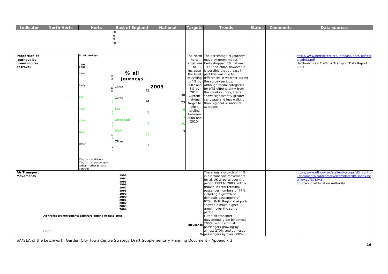| <b>Indicator</b>     | <b>North Herts</b> | <b>Herts</b>                                            | <b>East of England</b> | <b>National</b> | <b>Targets</b> | <b>Trends</b>                                            | <b>Status</b> | <b>Comments</b> | Data sources                                     |
|----------------------|--------------------|---------------------------------------------------------|------------------------|-----------------|----------------|----------------------------------------------------------|---------------|-----------------|--------------------------------------------------|
|                      |                    |                                                         | $10$                   |                 |                |                                                          |               |                 |                                                  |
|                      |                    |                                                         | 9                      |                 |                |                                                          |               |                 |                                                  |
|                      |                    |                                                         | 9                      |                 |                |                                                          |               |                 |                                                  |
|                      |                    |                                                         | 10                     |                 |                |                                                          |               |                 |                                                  |
|                      |                    |                                                         |                        |                 |                |                                                          |               |                 |                                                  |
|                      |                    |                                                         |                        |                 |                |                                                          |               |                 |                                                  |
| Proportion of        |                    | % all journeys                                          |                        |                 |                | The North The percentage of journeys                     |               |                 | http://www.hertsdirect.org/infobase/docs/pdfstor |
| journeys by          |                    |                                                         |                        |                 | Herts          | made by green modes in                                   |               |                 | e/ttdr03.pdf                                     |
| green modes          |                    | 1999                                                    |                        |                 | target was     | Herts dropped 6% between                                 |               |                 | Hertfordshire's Traffic & Transport Data Report  |
| of travel            |                    | 2002                                                    |                        |                 | to             | 1999 and 2002, however it                                |               |                 | 2003                                             |
|                      |                    |                                                         | $%$ all                |                 | increase       | is possible that at least in                             |               |                 |                                                  |
|                      |                    | Car/d                                                   |                        |                 | the level      | part this was due to                                     |               |                 |                                                  |
|                      |                    | 59<br>66                                                | journeys               |                 |                | of cycling differences in weather during                 |               |                 |                                                  |
|                      |                    |                                                         |                        |                 |                | to 4% by the survey periods.                             |               |                 |                                                  |
|                      |                    | Car/p                                                   | $_{11}$ Car/d          | 2003            |                | 2002 and Although modal categories                       |               |                 |                                                  |
|                      |                    | 10                                                      | 45                     |                 | 8% by<br>2012. | for NTS differ slightly from<br>the county survey, Herts |               |                 |                                                  |
|                      |                    |                                                         |                        | 40              | Current        | shows significantly greater                              |               |                 |                                                  |
|                      |                    | Bus                                                     | Car/p                  |                 | national       | car usage and less walking                               |               |                 |                                                  |
|                      |                    |                                                         | 24                     | 23              | target to      | than regional or national                                |               |                 |                                                  |
|                      |                    |                                                         |                        |                 | triple         | averages.                                                |               |                 |                                                  |
|                      |                    | Train                                                   | <b>Bus</b>             |                 | cycling        |                                                          |               |                 |                                                  |
|                      |                    |                                                         |                        |                 | between        |                                                          |               |                 |                                                  |
|                      |                    |                                                         |                        |                 | 2000 and       |                                                          |               |                 |                                                  |
|                      |                    | Cycle                                                   | Other pub              |                 | 2010.          |                                                          |               |                 |                                                  |
|                      |                    |                                                         |                        | 25              |                |                                                          |               |                 |                                                  |
|                      |                    |                                                         | Walk                   |                 |                |                                                          |               |                 |                                                  |
|                      |                    | <b>Nalk</b><br>12                                       | 23                     |                 |                |                                                          |               |                 |                                                  |
|                      |                    |                                                         |                        |                 |                |                                                          |               |                 |                                                  |
|                      |                    |                                                         | Other                  |                 |                |                                                          |               |                 |                                                  |
|                      |                    | Other                                                   | ্ব                     |                 |                |                                                          |               |                 |                                                  |
|                      |                    |                                                         |                        |                 |                |                                                          |               |                 |                                                  |
|                      |                    |                                                         |                        |                 |                |                                                          |               |                 |                                                  |
|                      |                    |                                                         |                        |                 |                |                                                          |               |                 |                                                  |
|                      |                    | Car/d - car drivers<br>$Car/p - car$ passengers         |                        |                 |                |                                                          |               |                 |                                                  |
|                      |                    | Other - other private                                   |                        |                 |                |                                                          |               |                 |                                                  |
|                      |                    | vehicles                                                |                        |                 |                |                                                          |               |                 |                                                  |
| <b>Air Transport</b> |                    |                                                         |                        |                 |                | There was a growth of 44%                                |               |                 | http://www.dft.gov.uk/stellent/groups/dft_contro |
| <b>Movements</b>     |                    |                                                         | 1993<br>1994           |                 |                | in air transport movements                               |               |                 | /documents/contentservertemplate/dft_index.hc    |
|                      |                    |                                                         | 1995                   |                 |                | for all UK airports over the                             |               |                 | $st?n = 11737& l = 3$                            |
|                      |                    |                                                         | 1996                   |                 |                | period 1993 to 2003, with a                              |               |                 | Source - Civil Aviation Authority                |
|                      |                    |                                                         | 1997                   |                 |                | growth in total terminal                                 |               |                 |                                                  |
|                      |                    |                                                         | 1998<br>1999           |                 |                | passenger numbers of 77%                                 |               |                 |                                                  |
|                      |                    |                                                         | 2000                   |                 |                | including a growth of<br>domestic passengers of          |               |                 |                                                  |
|                      |                    |                                                         | 2001                   |                 |                | 87%. Both Regional airports                              |               |                 |                                                  |
|                      |                    |                                                         | 2002                   |                 |                | showed a much higher                                     |               |                 |                                                  |
|                      |                    |                                                         | 2003<br>2004           |                 |                | growth over the same                                     |               |                 |                                                  |
|                      |                    |                                                         |                        |                 |                | period.                                                  |               |                 |                                                  |
|                      |                    | Air transport movements (aircraft landing or take-offs) |                        |                 |                | Luton air transport                                      |               |                 |                                                  |
|                      |                    |                                                         |                        |                 |                | movements grew by almost                                 |               |                 |                                                  |
|                      |                    |                                                         |                        |                 | Thousands      | 200%, with terminal                                      |               |                 |                                                  |
|                      |                    |                                                         |                        |                 |                | passengers growing by                                    |               |                 |                                                  |
|                      | Luton              |                                                         |                        |                 |                | almost 270% and domestic                                 |               |                 |                                                  |
|                      |                    |                                                         |                        |                 |                | 20 passengers by over 800%.                              |               |                 |                                                  |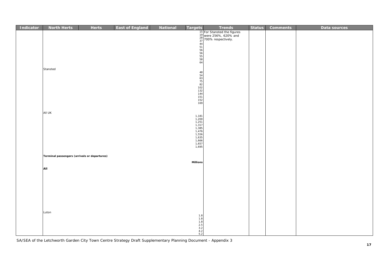| <b>Indicator</b> | <b>North Herts</b>                           | <b>Herts</b> | <b>East of England</b> | <b>National</b> | <b>Targets</b>                                                                                  | <b>Trends</b>                                                                                        | <b>Status</b> | <b>Comments</b> | Data sources |
|------------------|----------------------------------------------|--------------|------------------------|-----------------|-------------------------------------------------------------------------------------------------|------------------------------------------------------------------------------------------------------|---------------|-----------------|--------------|
|                  |                                              |              |                        |                 |                                                                                                 | 15<br>15 For Stansted the figures<br>28 700% respectively.<br>37<br>56<br>56<br>56<br>56<br>58<br>64 |               |                 |              |
|                  |                                              |              |                        |                 |                                                                                                 |                                                                                                      |               |                 |              |
|                  |                                              |              |                        |                 |                                                                                                 |                                                                                                      |               |                 |              |
|                  |                                              |              |                        |                 |                                                                                                 |                                                                                                      |               |                 |              |
|                  |                                              |              |                        |                 |                                                                                                 |                                                                                                      |               |                 |              |
|                  |                                              |              |                        |                 |                                                                                                 |                                                                                                      |               |                 |              |
|                  |                                              |              |                        |                 |                                                                                                 |                                                                                                      |               |                 |              |
|                  | Stansted                                     |              |                        |                 |                                                                                                 |                                                                                                      |               |                 |              |
|                  |                                              |              |                        |                 |                                                                                                 |                                                                                                      |               |                 |              |
|                  |                                              |              |                        |                 |                                                                                                 |                                                                                                      |               |                 |              |
|                  |                                              |              |                        |                 |                                                                                                 |                                                                                                      |               |                 |              |
|                  |                                              |              |                        |                 |                                                                                                 |                                                                                                      |               |                 |              |
|                  |                                              |              |                        |                 |                                                                                                 |                                                                                                      |               |                 |              |
|                  |                                              |              |                        |                 |                                                                                                 |                                                                                                      |               |                 |              |
|                  |                                              |              |                        |                 |                                                                                                 |                                                                                                      |               |                 |              |
|                  | All UK                                       |              |                        |                 |                                                                                                 |                                                                                                      |               |                 |              |
|                  |                                              |              |                        |                 |                                                                                                 |                                                                                                      |               |                 |              |
|                  |                                              |              |                        |                 | 1,181<br>1,200<br>1,251<br>1,317<br>1,385<br>1,476<br>1,556<br>1,635<br>1,665<br>1,657<br>1,695 |                                                                                                      |               |                 |              |
|                  |                                              |              |                        |                 |                                                                                                 |                                                                                                      |               |                 |              |
|                  |                                              |              |                        |                 |                                                                                                 |                                                                                                      |               |                 |              |
|                  |                                              |              |                        |                 |                                                                                                 |                                                                                                      |               |                 |              |
|                  |                                              |              |                        |                 |                                                                                                 |                                                                                                      |               |                 |              |
|                  |                                              |              |                        |                 |                                                                                                 |                                                                                                      |               |                 |              |
|                  | Terminal passengers (arrivals or departures) |              |                        |                 |                                                                                                 |                                                                                                      |               |                 |              |
|                  |                                              |              |                        |                 | <b>Millions</b>                                                                                 |                                                                                                      |               |                 |              |
|                  | All                                          |              |                        |                 |                                                                                                 |                                                                                                      |               |                 |              |
|                  |                                              |              |                        |                 |                                                                                                 |                                                                                                      |               |                 |              |
|                  |                                              |              |                        |                 |                                                                                                 |                                                                                                      |               |                 |              |
|                  |                                              |              |                        |                 |                                                                                                 |                                                                                                      |               |                 |              |
|                  |                                              |              |                        |                 |                                                                                                 |                                                                                                      |               |                 |              |
|                  |                                              |              |                        |                 |                                                                                                 |                                                                                                      |               |                 |              |
|                  |                                              |              |                        |                 |                                                                                                 |                                                                                                      |               |                 |              |
|                  |                                              |              |                        |                 |                                                                                                 |                                                                                                      |               |                 |              |
|                  | Luton                                        |              |                        |                 |                                                                                                 |                                                                                                      |               |                 |              |
|                  |                                              |              |                        |                 | $1.8$<br>$1.8$<br>$1.8$<br>$2.5$<br>$3.2$<br>$4.2$<br>$5.2$                                     |                                                                                                      |               |                 |              |
|                  |                                              |              |                        |                 |                                                                                                 |                                                                                                      |               |                 |              |
|                  |                                              |              |                        |                 |                                                                                                 |                                                                                                      |               |                 |              |
|                  |                                              |              |                        |                 |                                                                                                 |                                                                                                      |               |                 |              |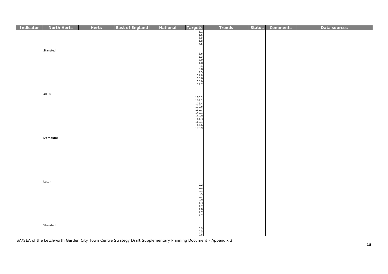| <b>Indicator</b> | <b>North Herts</b> | <b>Herts</b> | <b>East of England</b> | <b>National</b> | Targets                                                                                                                                                                                                                 | <b>Trends</b> | <b>Status</b> | <b>Comments</b> | Data sources |
|------------------|--------------------|--------------|------------------------|-----------------|-------------------------------------------------------------------------------------------------------------------------------------------------------------------------------------------------------------------------|---------------|---------------|-----------------|--------------|
|                  |                    |              |                        |                 | $6.1$<br>$6.6$<br>$6.5$<br>$6.8$<br>$7.5$                                                                                                                                                                               |               |               |                 |              |
|                  | Stansted           |              |                        |                 |                                                                                                                                                                                                                         |               |               |                 |              |
|                  |                    |              |                        |                 |                                                                                                                                                                                                                         |               |               |                 |              |
|                  |                    |              |                        |                 |                                                                                                                                                                                                                         |               |               |                 |              |
|                  |                    |              |                        |                 | 2.6<br>3.3<br>3.4<br>3.4<br>5.4<br>5.4<br>5.4<br>5.4<br>5.4<br>5<br>6.8<br>5<br>1<br>3.6<br>9<br>5<br>1<br>5.6<br>6<br>9<br>5<br>1<br>6.0<br>1<br>6.9<br>1<br>6.9<br>1<br>6<br>0<br>1<br>6<br>1<br>6<br>1<br>1<br>0.5.8 |               |               |                 |              |
|                  |                    |              |                        |                 |                                                                                                                                                                                                                         |               |               |                 |              |
|                  | All UK             |              |                        |                 |                                                                                                                                                                                                                         |               |               |                 |              |
|                  |                    |              |                        |                 | 100.1                                                                                                                                                                                                                   |               |               |                 |              |
|                  |                    |              |                        |                 | 109.2<br>109.2<br>115.4<br>120.6<br>130.7<br>142.1<br>161.3<br>162.1                                                                                                                                                    |               |               |                 |              |
|                  |                    |              |                        |                 |                                                                                                                                                                                                                         |               |               |                 |              |
|                  |                    |              |                        |                 | 167.6<br>176.9                                                                                                                                                                                                          |               |               |                 |              |
|                  |                    |              |                        |                 |                                                                                                                                                                                                                         |               |               |                 |              |
|                  | Domestic           |              |                        |                 |                                                                                                                                                                                                                         |               |               |                 |              |
|                  |                    |              |                        |                 |                                                                                                                                                                                                                         |               |               |                 |              |
|                  |                    |              |                        |                 |                                                                                                                                                                                                                         |               |               |                 |              |
|                  |                    |              |                        |                 |                                                                                                                                                                                                                         |               |               |                 |              |
|                  |                    |              |                        |                 |                                                                                                                                                                                                                         |               |               |                 |              |
|                  | Luton              |              |                        |                 |                                                                                                                                                                                                                         |               |               |                 |              |
|                  |                    |              |                        |                 | $0.2$<br>$0.1$                                                                                                                                                                                                          |               |               |                 |              |
|                  |                    |              |                        |                 |                                                                                                                                                                                                                         |               |               |                 |              |
|                  |                    |              |                        |                 | 0.1<br>0.5<br>0.7<br>0.9<br>1.3<br>1.7<br>1.7<br>1.7<br>1.7                                                                                                                                                             |               |               |                 |              |
|                  |                    |              |                        |                 |                                                                                                                                                                                                                         |               |               |                 |              |
|                  | Stansted           |              |                        |                 |                                                                                                                                                                                                                         |               |               |                 |              |
|                  |                    |              |                        |                 | $0.3$<br>$0.5$<br>$0.8$                                                                                                                                                                                                 |               |               |                 |              |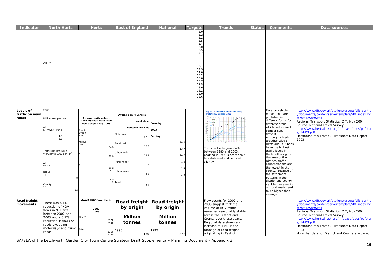| <b>Indicator</b>                             | <b>North Herts</b>                                                                                                                                                          | <b>Herts</b>                                                                                                                                                                    | <b>East of England</b>                                                                                                                                                                      | <b>National</b>                                                          | <b>Targets</b>                                                                                                                               | <b>Trends</b>                                                                                                                                                                                                                                                                                                                                 | <b>Status</b> | <b>Comments</b>                                                                                                                                                                                                                                                                                                                                                                                                                                                                                                                | Data sources                                                                                                                                                                                                                                                                                                                                                                                    |
|----------------------------------------------|-----------------------------------------------------------------------------------------------------------------------------------------------------------------------------|---------------------------------------------------------------------------------------------------------------------------------------------------------------------------------|---------------------------------------------------------------------------------------------------------------------------------------------------------------------------------------------|--------------------------------------------------------------------------|----------------------------------------------------------------------------------------------------------------------------------------------|-----------------------------------------------------------------------------------------------------------------------------------------------------------------------------------------------------------------------------------------------------------------------------------------------------------------------------------------------|---------------|--------------------------------------------------------------------------------------------------------------------------------------------------------------------------------------------------------------------------------------------------------------------------------------------------------------------------------------------------------------------------------------------------------------------------------------------------------------------------------------------------------------------------------|-------------------------------------------------------------------------------------------------------------------------------------------------------------------------------------------------------------------------------------------------------------------------------------------------------------------------------------------------------------------------------------------------|
|                                              | All UK                                                                                                                                                                      |                                                                                                                                                                                 |                                                                                                                                                                                             |                                                                          | 1.0<br>1.2<br>1.2<br>1.5<br>1.4<br>2.0<br>2.5<br>2.7<br>12.1<br>12.9<br>14.0<br>15.2<br>16.0<br>16.7<br>17.5<br>18.6<br>19.2<br>21.0<br>22.6 |                                                                                                                                                                                                                                                                                                                                               |               |                                                                                                                                                                                                                                                                                                                                                                                                                                                                                                                                |                                                                                                                                                                                                                                                                                                                                                                                                 |
| <b>Levels of</b><br>traffic on main<br>roads | 2003<br>Million vkm per day<br>Ex mway /trunk<br>4.1<br>3.0<br>Traffic concentration<br>vkm/day x 1000 per km $^2$<br>ΔH<br>Ex mt<br>NHerts<br>11<br>County<br>18<br>12     | Average daily vehicle<br>flows by road class '000<br>vehicles per day 2003<br>Roads<br>Urban<br>Rural<br>Mways<br>N/A<br>94.5<br>19.3<br>22.7<br>11.2<br>8.1<br>C<br>8.9<br>7.6 | Average daily vehicle<br>road class<br><b>Thousand vehicles</b><br>Motorway<br>82.8<br>Rural main<br>17.8<br>Urban main<br>18.1<br>Rural minor<br>1.2<br>Urban minor<br>2.6<br>Total<br>3.7 | flows by<br>2003<br>Per day<br>78.0<br>13.7<br>20.7<br>1.0<br>2.4<br>3.9 |                                                                                                                                              | <b>Figure 1.4 Historical Trends of County</b><br><b>Traffic Flow by Road Class</b><br>$\begin{array}{l} -\frac{\kappa_0+\kappa}{\kappa_0+\kappa}\\ -\frac{\kappa_0+\kappa}{\kappa_0+\kappa}\\ \end{array}$<br>Traffic in Herts grew 64%<br>between 1980 and 2003,<br>peaking in 1999 since when it<br>has stabilised and reduced<br>slightly. |               | Data on vehicle<br>movements are<br>published in<br>different forms for<br>different areas<br>which make direct<br>comparisons<br>difficult.<br>Although N Herts,<br>together with E<br>Herts and St Albans,<br>have the highest<br>traffic levels in<br>Herts, allowing for<br>the area of the<br>District, traffic<br>concentrations are<br>the lowest in the<br>county. Because of<br>the settlement<br>patterns in the<br>district and county<br>vehicle movements<br>on rural roads tend<br>to be higher than<br>average. | http://www.dft.gov.uk/stellent/groups/dft_contro<br>/documents/contentservertemplate/dft_index.hc<br>$st?n = 12589& l = 4$<br>Regional Transport Statistics, DfT, Nov 2004<br>Source: National Travel Survey<br>http://www.hertsdirect.org/infobase/docs/pdfstor<br>e/ttdr03.pdf<br>Hertfordshire's Traffic & Transport Data Report<br>2003                                                     |
| <b>Road freight</b><br>movements             | There was a 1%<br>reduction of HGV<br>flows in N. Herts<br>between 2002 and<br>2003 and a 0.7%<br>reduction in flows on<br>roads excluding<br>motorways and trunk<br>roads. | <b>AAWD HGV flows Herts</b><br>2002<br>2003<br>M'w/T<br>8520<br>8540<br>Prin.<br>1160<br>1140                                                                                   | Road freight Road freight<br>by origin<br><b>Million</b><br>tonnes<br>1993<br>170                                                                                                           | by origin<br><b>Million</b><br>tonnes<br>1993<br>1277                    |                                                                                                                                              | Flow counts for 2002 and<br>2003 suggest that the<br>volume of HGV traffic<br>remained reasonably stable<br>across the District and<br>County over those years.<br>Regional data shows an<br>increase of 17% in the<br>tonnage of road freight<br>originating in East of                                                                      |               |                                                                                                                                                                                                                                                                                                                                                                                                                                                                                                                                | http://www.dft.gov.uk/stellent/groups/dft_contro<br>/documents/contentservertemplate/dft_index.hc<br>$st?n = 12589& l = 4$<br>Regional Transport Statistics, DfT, Nov 2004<br>Source: National Travel Survey<br>http://www.hertsdirect.org/infobase/docs/pdfstor<br>e/ttdr03.pdf<br>Hertfordshire's Traffic & Transport Data Report<br>2003<br>Note that data for District and County are based |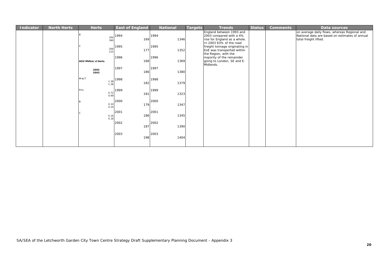| Indicator | <b>North Herts</b> | <b>Herts</b>                 | <b>East of England</b> | <b>National</b> | <b>Targets</b> | <b>Trends</b>                                                                                                  | <b>Status</b> | <b>Comments</b> | Data sources                                                                                                            |
|-----------|--------------------|------------------------------|------------------------|-----------------|----------------|----------------------------------------------------------------------------------------------------------------|---------------|-----------------|-------------------------------------------------------------------------------------------------------------------------|
|           |                    | 350<br>360                   | 1994<br>169            | 1994<br>1346    |                | England between 1993 and<br>2003 compared with a 4%<br>rise for England as a whole.<br>In 2003 63% of the road |               |                 | on average daily flows, whereas Regional and<br>National data are based on estimates of annual<br>total freight lifted. |
|           |                    | 200<br>215                   | 1995<br>177            | 1995<br>1352    |                | freight tonnage originating in<br>EoE was transported within<br>the Region, with the                           |               |                 |                                                                                                                         |
|           |                    | HGV MVKm/d Herts             | 1996<br>168            | 1996<br>1369    |                | majority of the remainder<br>going to London, SE and E.<br>Midlands.                                           |               |                 |                                                                                                                         |
|           |                    | 2002<br>2003                 | 1997<br>186            | 1997<br>1380    |                |                                                                                                                |               |                 |                                                                                                                         |
|           |                    | M'w/T<br>$\frac{1.38}{1.38}$ | 1998<br>182            | 1998<br>1379    |                |                                                                                                                |               |                 |                                                                                                                         |
|           |                    | Prin.<br>$0.72$<br>$0.69$    | 1999<br>181            | 1999<br>1323    |                |                                                                                                                |               |                 |                                                                                                                         |
|           |                    | <b>B</b><br>$0.10$<br>$0.10$ | 2000<br>179            | 2000<br>1347    |                |                                                                                                                |               |                 |                                                                                                                         |
|           |                    | $0.16$<br>$0.18$             | 2001<br>186            | 2001<br>1345    |                |                                                                                                                |               |                 |                                                                                                                         |
|           |                    |                              | 2002<br>187            | 2002<br>1390    |                |                                                                                                                |               |                 |                                                                                                                         |
|           |                    |                              | 2003<br>198            | 2003<br>1404    |                |                                                                                                                |               |                 |                                                                                                                         |
|           |                    |                              |                        |                 |                |                                                                                                                |               |                 |                                                                                                                         |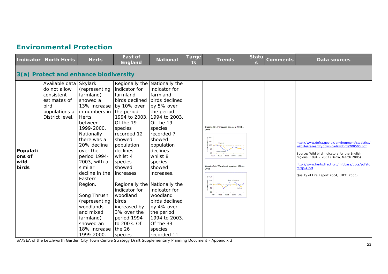#### **Environmental Protection**

| Indicator                           | <b>North Herts</b>                                                                              | <b>Herts</b>                                                                                                                                                                                                                                                                                                                                                                                            | <b>East of</b><br><b>England</b>                                                                                                                                                                                                                                                                                                                                                               | <b>National</b>                                                                                                                                                                                                                                                                                                                                      | <b>Targe</b><br>ts. | <b>Trends</b>                                                                                                                                                                                                                                                                                                                                                           | Statu<br>s | <b>Comments</b> | Data sources                                                                                                                                                                                                                                                                                             |
|-------------------------------------|-------------------------------------------------------------------------------------------------|---------------------------------------------------------------------------------------------------------------------------------------------------------------------------------------------------------------------------------------------------------------------------------------------------------------------------------------------------------------------------------------------------------|------------------------------------------------------------------------------------------------------------------------------------------------------------------------------------------------------------------------------------------------------------------------------------------------------------------------------------------------------------------------------------------------|------------------------------------------------------------------------------------------------------------------------------------------------------------------------------------------------------------------------------------------------------------------------------------------------------------------------------------------------------|---------------------|-------------------------------------------------------------------------------------------------------------------------------------------------------------------------------------------------------------------------------------------------------------------------------------------------------------------------------------------------------------------------|------------|-----------------|----------------------------------------------------------------------------------------------------------------------------------------------------------------------------------------------------------------------------------------------------------------------------------------------------------|
|                                     | 3(a) Protect and enhance biodiversity                                                           |                                                                                                                                                                                                                                                                                                                                                                                                         |                                                                                                                                                                                                                                                                                                                                                                                                |                                                                                                                                                                                                                                                                                                                                                      |                     |                                                                                                                                                                                                                                                                                                                                                                         |            |                 |                                                                                                                                                                                                                                                                                                          |
| Populati<br>ons of<br>wild<br>birds | Available data Skylark<br>do not allow<br>consistent<br>estimates of<br>bird<br>District level. | (representing<br>farmland)<br>showed a<br>13% increase<br>populations at in numbers in the period<br><b>Herts</b><br>between<br>1999-2000.<br>Nationally<br>there was a<br>20% decline<br>over the<br>period 1994-<br>2003, with a<br>similar<br>decline in the<br>Eastern<br>Region.<br>Song Thrush<br>(representing<br>woodlands<br>and mixed<br>farmland)<br>showed an<br>18% increase<br>1999-2000. | Regionally the Nationally the<br>indicator for<br>farmland<br>birds declined<br>by 10% over<br>1994 to 2003.<br>Of the 19<br>species<br>recorded 12<br>showed<br>population<br>declines<br>whilst 4<br>species<br>showed<br>increases<br>Regionally the Nationally the<br>indicator for<br>woodland<br>birds<br>increased by<br>3% over the<br>period 1994<br>to 2003. Of<br>the 26<br>species | indicator for<br>farmland<br>birds declined<br>by 5% over<br>the period<br>1994 to 2003.<br>Of the 19<br>species<br>recorded 7<br>showed<br>population<br>declines<br>whilst 8<br>species<br>showed<br>increases.<br>indicator for<br>woodland<br>birds declined<br>by 4% over<br>the period<br>1994 to 2003.<br>Of the 33<br>species<br>recorded 11 |                     | Chart 4.32 - Farmland species: 1994 -<br>2003<br>$\widehat{\mathsf{g}}$ 120<br>110<br>England<br>은 100 -<br>$90\,$ :<br><b>Fast of Fogia</b><br>80<br>1994<br>1998<br>2000<br>1996<br>Chart 4.34 - Woodland species: 1994 -<br>2003<br>$\widehat{\underline{\mathsf{g}}}$ 120<br>110<br>East of England<br>100<br>England<br>90<br>2000<br>2002<br>1994<br>1006<br>1008 |            |                 | http://www.defra.gov.uk/environment/statistics/<br>wildlife/research/download/wdbrds200503.pdf<br>Source: Wild bird indicators for the English<br>regions: 1994 - 2003 (Defra, March 2005)<br>http://www.hertsdirect.org/infobase/docs/pdfsto<br>re/gol4.pdf<br>Quality of Life Report 2004, (HEF, 2005) |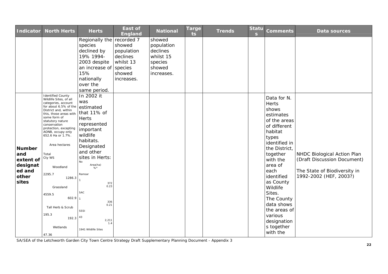| <b>Indicator</b>                                                          | <b>North Herts</b>                                                                                                                                                                                                                                                                                                                                                                                                                          | <b>Herts</b>                                                                                                                                                                                                                                                                                  | <b>East of</b><br><b>England</b>              | <b>National</b>                                          | Targe<br>ts | <b>Trends</b> | <b>Statu</b><br>$\mathbf{s}$ | <b>Comments</b>                                                                                                                                                                                                                                                                                                                     | <b>Data sources</b>                                                                                                  |
|---------------------------------------------------------------------------|---------------------------------------------------------------------------------------------------------------------------------------------------------------------------------------------------------------------------------------------------------------------------------------------------------------------------------------------------------------------------------------------------------------------------------------------|-----------------------------------------------------------------------------------------------------------------------------------------------------------------------------------------------------------------------------------------------------------------------------------------------|-----------------------------------------------|----------------------------------------------------------|-------------|---------------|------------------------------|-------------------------------------------------------------------------------------------------------------------------------------------------------------------------------------------------------------------------------------------------------------------------------------------------------------------------------------|----------------------------------------------------------------------------------------------------------------------|
|                                                                           |                                                                                                                                                                                                                                                                                                                                                                                                                                             | Regionally the recorded 7<br>species<br>declined by<br>19% 1994-<br>2003 despite                                                                                                                                                                                                              | showed<br>population<br>declines<br>whilst 13 | showed<br>population<br>declines<br>whilst 15<br>species |             |               |                              |                                                                                                                                                                                                                                                                                                                                     |                                                                                                                      |
|                                                                           |                                                                                                                                                                                                                                                                                                                                                                                                                                             | an increase of species<br>15%                                                                                                                                                                                                                                                                 | showed                                        | showed<br>increases.                                     |             |               |                              |                                                                                                                                                                                                                                                                                                                                     |                                                                                                                      |
|                                                                           |                                                                                                                                                                                                                                                                                                                                                                                                                                             | nationally<br>over the<br>same period.                                                                                                                                                                                                                                                        | increases.                                    |                                                          |             |               |                              |                                                                                                                                                                                                                                                                                                                                     |                                                                                                                      |
| <b>Number</b><br>and<br>extent of<br>designat<br>ed and<br>other<br>sites | <b>Identified County</b><br>Wildlife Sites, of all<br>categories, account<br>for about 6.5% of the<br>District and, within<br>this, those areas with<br>some form of<br>statutory nature<br>conservation<br>protection, excepting<br>AONB, occupy only<br>652.6 Ha or 1.7%.<br>Area hectares<br>Total<br>Cty WS<br>Woodland<br>2295.7<br>1286.3<br>Grassland<br>4559.5<br>602.9<br>Tall Herb & Scrub<br>195.3<br>192.3<br>Wetlands<br>47.36 | In 2002 it<br>was<br>estimated<br>that 11% of<br><b>Herts</b><br>represented<br>important<br>wildlife<br>habitats.<br>Designated<br>and other<br>sites in Herts:<br>No<br>Area(ha)<br>Ramsar<br>372<br>0.23<br><b>SAC</b><br>336<br>0.21<br>SSSI<br>43<br>2,211<br>1.4<br>1941 Wildlife Sites |                                               |                                                          |             |               |                              | Data for N.<br><b>Herts</b><br>shows<br>estimates<br>of the areas<br>of different<br>habitat<br>types<br>identified in<br>the District,<br>together<br>with the<br>area of<br>each<br>identified<br>as County<br>Wildlife<br>Sites.<br>The County<br>data shows<br>the areas of<br>various<br>designation<br>s together<br>with the | NHDC Biological Action Plan<br>(Draft Discussion Document)<br>The State of Biodiversity in<br>1992-2002 (HEF, 2003?) |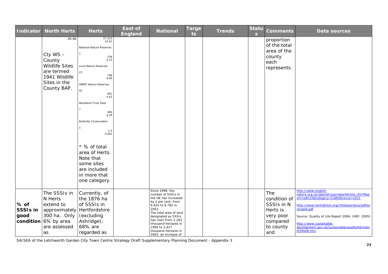| <b>Indicator</b>                     | <b>North Herts</b>                                                                                                     | <b>Herts</b>                                                                                                                                                                                                                                                                                                                                                       | East of<br><b>England</b> | <b>National</b>                                                                                                                                                                                                                                                                      | <b>Targe</b><br>ts | <b>Trends</b> | <b>Statu</b><br>$\mathbf{s}$ | <b>Comments</b>                                                                            | <b>Data sources</b>                                                                                                                                                                                                                                                                                                             |
|--------------------------------------|------------------------------------------------------------------------------------------------------------------------|--------------------------------------------------------------------------------------------------------------------------------------------------------------------------------------------------------------------------------------------------------------------------------------------------------------------------------------------------------------------|---------------------------|--------------------------------------------------------------------------------------------------------------------------------------------------------------------------------------------------------------------------------------------------------------------------------------|--------------------|---------------|------------------------------|--------------------------------------------------------------------------------------------|---------------------------------------------------------------------------------------------------------------------------------------------------------------------------------------------------------------------------------------------------------------------------------------------------------------------------------|
|                                      | 40.86<br>Cty WS-<br>County<br><b>Wildlife Sites</b><br>are termed<br>1941 Wildlife<br>Sites in the<br>County BAP.      | 17,215<br>10.67<br>National Nature Reserves<br>238<br>0.15<br>Local Nature Reserves<br>23<br>799<br>0.49<br><b>HMWT Nature Reserves</b><br>42<br>661<br>0.41<br>Woodland Trust Sites<br>460<br>0.29<br><b>Butterfly Conservation</b><br>1.5<br>0.001<br>* % of total<br>area of Herts.<br>Note that<br>some sites<br>are included<br>in more that<br>one category. |                           |                                                                                                                                                                                                                                                                                      |                    |               |                              | proportion<br>of the total<br>area of the<br>county<br>each<br>represents.                 |                                                                                                                                                                                                                                                                                                                                 |
| % of<br>SSSI <sub>s</sub> in<br>good | The SSSIs in<br>N Herts<br>extend to<br>approximately<br>300 ha. Only<br>condition $6\%$ by area<br>are assessed<br>as | Currently, of<br>the 1876 ha<br>of SSSIs in<br>Hertfordshire<br>(excluding<br>Ashridge),<br>68% are<br>regarded as                                                                                                                                                                                                                                                 |                           | Since 1999, the<br>number of SSSIs in<br>the UK has increased<br>by 2 per cent, from<br>6,625 to 6,782 in<br>2003.<br>The total area of land<br>designated as SSSIs<br>has risen from 2,263<br>thousand hectares in<br>1999 to 2,427<br>thousand hectares in<br>2003, an increase of |                    |               |                              | The<br>condition of<br>SSSIs in N<br>Herts is<br>very poor<br>compared<br>to county<br>and | http://www.english-<br>nature.org.uk/special/sssi/reportAction.cfm?Rep<br>ort=sdrt13&Category=C&Reference=1021<br>http://www.hertsdirect.org/infobase/docs/pdfsto<br>re/gol4.pdf<br>Source: Quality of Life Report 2004, (HEF, 2005)<br>http://www.sustainable-<br>development.gov.uk/sustainable/quality04/main<br>d/04s06.htm |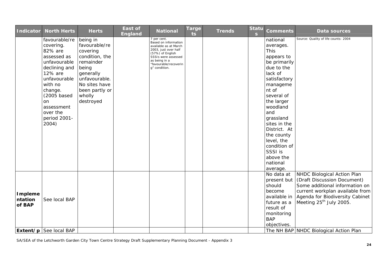| <b>Indicator</b>             | <b>North Herts</b>                                                                                                                                                                                             | <b>Herts</b>                                                                                                                                                          | <b>East of</b><br>England | <b>National</b>                                                                                                                                                                            | <b>Targe</b><br>ts | <b>Trends</b> | <b>Statu</b><br>$\mathbf{s}$ | <b>Comments</b>                                                                                                                                                                                                                                                                                                          | Data sources                                                                                                                                                                                              |
|------------------------------|----------------------------------------------------------------------------------------------------------------------------------------------------------------------------------------------------------------|-----------------------------------------------------------------------------------------------------------------------------------------------------------------------|---------------------------|--------------------------------------------------------------------------------------------------------------------------------------------------------------------------------------------|--------------------|---------------|------------------------------|--------------------------------------------------------------------------------------------------------------------------------------------------------------------------------------------------------------------------------------------------------------------------------------------------------------------------|-----------------------------------------------------------------------------------------------------------------------------------------------------------------------------------------------------------|
|                              | favourable/re<br>covering.<br>82% are<br>assessed as<br>unfavourable<br>declining and<br>12% are<br>unfavourable<br>with no<br>change.<br>(2005 based<br>on<br>assessment<br>over the<br>period 2001-<br>2004) | being in<br>favourable/re<br>covering<br>condition, the<br>remainder<br>being<br>generally<br>unfavourable.<br>No sites have<br>been partly or<br>wholly<br>destroyed |                           | 7 per cent.<br>Based on information<br>available as at March<br>2003, just over half<br>(57%) of English<br>SSSIs were assessed<br>as being in a<br>"favourable/recoverin<br>g" condition. |                    |               |                              | national<br>averages.<br><b>This</b><br>appears to<br>be primarily<br>due to the<br>lack of<br>satisfactory<br>manageme<br>nt of<br>several of<br>the larger<br>woodland<br>and<br>grassland<br>sites in the<br>District. At<br>the county<br>level, the<br>condition of<br>SSSI is<br>above the<br>national<br>average. | Source: Quality of life counts: 2004                                                                                                                                                                      |
| Impleme<br>ntation<br>of BAP | See local BAP                                                                                                                                                                                                  |                                                                                                                                                                       |                           |                                                                                                                                                                                            |                    |               |                              | No data at<br>present but<br>should<br>become<br>available in<br>future as a<br>result of<br>monitoring<br><b>BAP</b><br>objectives.                                                                                                                                                                                     | NHDC Biological Action Plan<br>(Draft Discussion Document)<br>Some additional information on<br>current workplan available from<br>Agenda for Biodiversity Cabinet<br>Meeting 25 <sup>th</sup> July 2005. |
|                              | Extent/p   See local BAP                                                                                                                                                                                       |                                                                                                                                                                       |                           |                                                                                                                                                                                            |                    |               |                              |                                                                                                                                                                                                                                                                                                                          | The NH BAP NHDC Biological Action Plan                                                                                                                                                                    |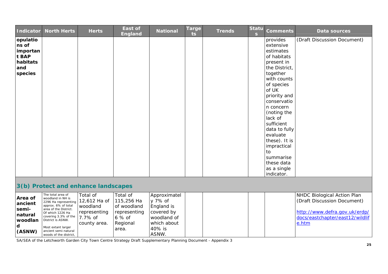| <b>Indicator</b>                                                     | <b>North Herts</b>                                                                                                                                                                                                                                      | <b>Herts</b>                                                                    | East of<br><b>England</b>                                                            | <b>National</b>                                                                                      | <b>Targe</b><br>ts | <b>Trends</b> | <b>Statu</b><br>$\mathbf{s}$ | <b>Comments</b>                                                                                                                                                                                                                                                                                                                                   | Data sources                                                                                                                            |
|----------------------------------------------------------------------|---------------------------------------------------------------------------------------------------------------------------------------------------------------------------------------------------------------------------------------------------------|---------------------------------------------------------------------------------|--------------------------------------------------------------------------------------|------------------------------------------------------------------------------------------------------|--------------------|---------------|------------------------------|---------------------------------------------------------------------------------------------------------------------------------------------------------------------------------------------------------------------------------------------------------------------------------------------------------------------------------------------------|-----------------------------------------------------------------------------------------------------------------------------------------|
| opulatio<br>ns of<br>importan<br>t BAP<br>habitats<br>and<br>species |                                                                                                                                                                                                                                                         |                                                                                 |                                                                                      |                                                                                                      |                    |               |                              | provides<br>extensive<br>estimates<br>of habitats<br>present in<br>the District,<br>together<br>with counts<br>of species<br>of UK<br>priority and<br>conservatio<br>n concern<br>(noting the<br>lack of<br>sufficient<br>data to fully<br>evaluate<br>these). It is<br>impractical<br>to<br>summarise<br>these data<br>as a single<br>indicator. | (Draft Discussion Document)                                                                                                             |
|                                                                      |                                                                                                                                                                                                                                                         | 3(b) Protect and enhance landscapes                                             |                                                                                      |                                                                                                      |                    |               |                              |                                                                                                                                                                                                                                                                                                                                                   |                                                                                                                                         |
| Area of<br>ancient<br>semi-<br>natural<br>woodlan<br>d<br>(ASNW)     | The total area of<br>woodland in NH is<br>2296 Ha representing<br>approx. 6% of total<br>area of the District.<br>Of which 1226 Ha<br>covering 3.3% of the<br>District is ASNW.<br>Most extant larger<br>ancient semi-natural<br>woods of the district, | Total of<br>12,612 Ha of<br>woodland<br>representing<br>7.7% of<br>county area. | Total of<br>115,256 Ha<br>of woodland<br>representing<br>6 % of<br>Regional<br>area. | Approximatel<br>y 7% of<br>England is<br>covered by<br>woodland of<br>which about<br>40% is<br>ASNW. |                    |               |                              |                                                                                                                                                                                                                                                                                                                                                   | NHDC Biological Action Plan<br>(Draft Discussion Document)<br>http://www.defra.gov.uk/erdp/<br>docs/eastchapter/east12/wildlif<br>e.htm |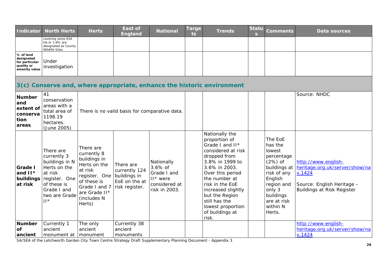| <b>Indicator</b>                                                         | <b>North Herts</b>                                                                                                                              | <b>Herts</b>                                                                                                                                                   | <b>East of</b><br><b>England</b>                                              | <b>National</b>                                                                          | Targe<br>ts. | <b>Trends</b>                                                                                                                                                                                                                                                                                  | <b>Statu</b><br>$\mathbf{s}$ | <b>Comments</b>                                                                                                                                                             | Data sources                                                                                                                       |
|--------------------------------------------------------------------------|-------------------------------------------------------------------------------------------------------------------------------------------------|----------------------------------------------------------------------------------------------------------------------------------------------------------------|-------------------------------------------------------------------------------|------------------------------------------------------------------------------------------|--------------|------------------------------------------------------------------------------------------------------------------------------------------------------------------------------------------------------------------------------------------------------------------------------------------------|------------------------------|-----------------------------------------------------------------------------------------------------------------------------------------------------------------------------|------------------------------------------------------------------------------------------------------------------------------------|
|                                                                          | covering some 634<br>Ha or 1.6% are<br>designated as County<br><b>Wildlife Sites</b>                                                            |                                                                                                                                                                |                                                                               |                                                                                          |              |                                                                                                                                                                                                                                                                                                |                              |                                                                                                                                                                             |                                                                                                                                    |
| % of land<br>designated<br>for particular<br>quality or<br>amenity value | Under<br>investigation                                                                                                                          |                                                                                                                                                                |                                                                               |                                                                                          |              |                                                                                                                                                                                                                                                                                                |                              |                                                                                                                                                                             |                                                                                                                                    |
|                                                                          |                                                                                                                                                 |                                                                                                                                                                |                                                                               |                                                                                          |              | 3(c) Conserve and, where appropriate, enhance the historic environment                                                                                                                                                                                                                         |                              |                                                                                                                                                                             |                                                                                                                                    |
| <b>Number</b><br>and<br>extent of<br>conserva<br>tion<br>areas           | 41<br>conservation<br>areas with a<br>total area of<br>1198.19<br>hectares.<br>(June 2005)                                                      |                                                                                                                                                                | There is no valid basis for comparative data.                                 |                                                                                          |              |                                                                                                                                                                                                                                                                                                |                              |                                                                                                                                                                             | Source: NHDC                                                                                                                       |
| Grade I<br>and $II*$<br>buildings<br>at risk                             | There are<br>currently 3<br>buildings in N<br>Herts on the<br>at risk<br>register. One<br>of these is<br>Grade I and<br>two are Grade<br>$  ^*$ | There are<br>currently 8<br>buildings in<br>Herts on the<br>at risk<br>register. One<br>of these is<br>Grade I and 7<br>are Grade II*<br>(includes N<br>Herts) | There are<br>currently 124<br>buildings in<br>EoE on the at<br>risk register. | Nationally<br>$3.6\%$ of<br>Grade I and<br>$II^*$ were<br>considered at<br>risk in 2003. |              | Nationally the<br>proportion of<br>Grade I and II*<br>considered at risk<br>dropped from<br>3.8% in 1999 to<br>3.6% in 2003.<br>Over this period<br>the number at<br>risk in the EoE<br>increased slightly<br>but the Region<br>still has the<br>lowest proportion<br>of buildings at<br>risk. |                              | The EoE<br>has the<br>lowest<br>percentage<br>$(2%)$ of<br>buildings at<br>risk of any<br>English<br>region and<br>only 3<br>buildings<br>are at risk<br>within N<br>Herts. | http://www.english-<br>heritage.org.uk/server/show/na<br>V.1424<br>Source: English Heritage -<br><b>Buildings at Risk Register</b> |
| <b>Number</b><br>of<br>ancient                                           | Currently 1<br>ancient<br>monument at                                                                                                           | The only<br>ancient<br>monument                                                                                                                                | Currently 38<br>ancient<br>monuments                                          |                                                                                          |              |                                                                                                                                                                                                                                                                                                |                              |                                                                                                                                                                             | http://www.english-<br>heritage.org.uk/server/show/na<br>V.1424                                                                    |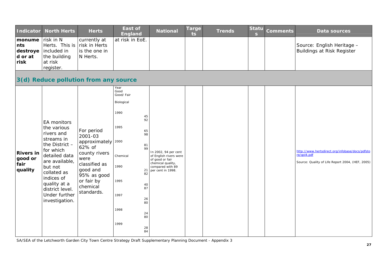| <b>Indicator</b>                               | <b>North Herts</b>                                                                                                                                                                                                                       | <b>Herts</b>                                                                                                                                                       | <b>East of</b><br><b>England</b>                                                                                                                                                                                   | <b>National</b>                                                                                                                 | <b>Targe</b><br>ts. | <b>Trends</b> | <b>Statu</b><br>$\mathbf{s}$ | <b>Comments</b> | Data sources                                                                                                       |
|------------------------------------------------|------------------------------------------------------------------------------------------------------------------------------------------------------------------------------------------------------------------------------------------|--------------------------------------------------------------------------------------------------------------------------------------------------------------------|--------------------------------------------------------------------------------------------------------------------------------------------------------------------------------------------------------------------|---------------------------------------------------------------------------------------------------------------------------------|---------------------|---------------|------------------------------|-----------------|--------------------------------------------------------------------------------------------------------------------|
| monume<br>nts<br>destroye<br>d or at<br>risk   | risk in N<br>Herts. This is<br>included in<br>the building<br>at risk<br>register.                                                                                                                                                       | currently at<br>risk in Herts<br>is the one in<br>N Herts.                                                                                                         | at risk in EoE.                                                                                                                                                                                                    |                                                                                                                                 |                     |               |                              |                 | Source: English Heritage -<br><b>Buildings at Risk Register</b>                                                    |
|                                                |                                                                                                                                                                                                                                          | 3(d) Reduce pollution from any source                                                                                                                              |                                                                                                                                                                                                                    |                                                                                                                                 |                     |               |                              |                 |                                                                                                                    |
| <b>Rivers in</b><br>good or<br>fair<br>quality | EA monitors<br>the various<br>rivers and<br>streams in<br>the District $-$<br>for which<br>detailed data<br>are available,<br>but not<br>collated as<br>indices of<br>quality at a<br>district level.<br>Under further<br>investigation. | For period<br>2001-03<br>approximately 2000<br>62% of<br>county rivers<br>were<br>classified as<br>good and<br>95% as good<br>or fair by<br>chemical<br>standards. | Year<br>Good<br>Good/Fair<br>Biological<br>1990<br>45<br>92<br>1995<br>65<br>98<br>81<br>99<br>Chemical<br>1990<br>21<br>82<br>1995<br>40<br>87<br>1997<br>26<br>80<br>1998<br>24<br>80<br>1999<br>$\frac{28}{84}$ | In 2002, 94 per cent<br>of English rivers were<br>of good or fair<br>chemical quality,<br>compared with 89<br>per cent in 1998. |                     |               |                              |                 | http://www.hertsdirect.org/infobase/docs/pdfsto<br>re/gol4.pdf<br>Source: Quality of Life Report 2004, (HEF, 2005) |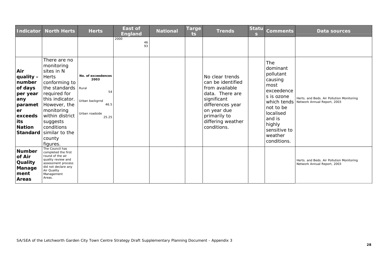| <b>Indicator</b>                                                                                             | <b>North Herts</b>                                                                                                                                                                                                                                              | <b>Herts</b>                                                                          | <b>East of</b><br><b>England</b> | <b>National</b> | <b>Targe</b><br>ts. | <b>Trends</b>                                                                                                                                                                   | S. | Statu Comments                                                                                                                                                                            | Data sources                                                             |
|--------------------------------------------------------------------------------------------------------------|-----------------------------------------------------------------------------------------------------------------------------------------------------------------------------------------------------------------------------------------------------------------|---------------------------------------------------------------------------------------|----------------------------------|-----------------|---------------------|---------------------------------------------------------------------------------------------------------------------------------------------------------------------------------|----|-------------------------------------------------------------------------------------------------------------------------------------------------------------------------------------------|--------------------------------------------------------------------------|
| Air<br>quality -<br>number<br>of days<br>per year<br>any<br>paramet<br>er<br>exceeds<br>its<br><b>Nation</b> | There are no<br>monitoring<br>sites in N<br><b>Herts</b><br>conforming to<br>the standards Rural<br>required for<br>this indicator.<br>However, the<br>monitoring<br>within district<br>suggests<br>conditions<br>Standard similar to the<br>county<br>figures. | No. of exceedences<br>2003<br>54<br>Urban backgrnd<br>46.5<br>Urban roadside<br>25.25 | 2000<br>46<br>93                 |                 |                     | No clear trends<br>can be identified<br>from available<br>data. There are<br>significant<br>differences year<br>on year due<br>primarily to<br>differing weather<br>conditions. |    | <b>The</b><br>dominant<br>pollutant<br>causing<br>most<br>exceedence<br>s is ozone<br>which tends<br>not to be<br>localised<br>and is<br>highly<br>sensitive to<br>weather<br>conditions. | Herts. and Beds. Air Pollution Monitoring<br>Network Annual Report, 2003 |
| <b>Number</b><br>of Air<br>Quality<br>Manage<br>ment<br>Areas                                                | The Council has<br>completed the first<br>round of the air<br>quality review and<br>assessment process<br>did not declare any<br>Air Quality<br>Management<br>Areas.                                                                                            |                                                                                       |                                  |                 |                     |                                                                                                                                                                                 |    |                                                                                                                                                                                           | Herts. and Beds. Air Pollution Monitoring<br>Network Annual Report, 2003 |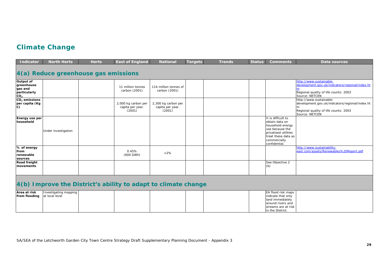## **Climate Change**

| <b>Indicator</b>                                                      | <b>North Herts</b>                      | <b>Herts</b>                                                   | <b>East of England</b>                            | <b>National</b>                                   | Targets | <b>Trends</b> | <b>Status</b> | <b>Comments</b>                                                                                                                                            | Data sources                                                                                                                          |
|-----------------------------------------------------------------------|-----------------------------------------|----------------------------------------------------------------|---------------------------------------------------|---------------------------------------------------|---------|---------------|---------------|------------------------------------------------------------------------------------------------------------------------------------------------------------|---------------------------------------------------------------------------------------------------------------------------------------|
|                                                                       |                                         | 4(a) Reduce greenhouse gas emissions                           |                                                   |                                                   |         |               |               |                                                                                                                                                            |                                                                                                                                       |
| Output of<br>greenhouse<br>gas and<br>particularly<br>CO <sub>2</sub> |                                         |                                                                | 11 million tonnes<br>carbon (2001)                | 114 million tonnes of<br>carbon (2001)            |         |               |               |                                                                                                                                                            | http://www.sustainable-<br>development.gov.uk/indicators/regional/index.ht<br>Regional quality of life counts: 2003<br>Source: NETCEN |
| CO <sub>2</sub> emissions<br>per capita (Kg<br>$\mathbf{C}$           |                                         |                                                                | 2,000 kg carbon per<br>capita per year.<br>(2001) | 2,300 kg carbon per<br>capita per year.<br>(2001) |         |               |               |                                                                                                                                                            | http://www.sustainable-<br>development.gov.uk/indicators/regional/index.ht<br>Regional quality of life counts: 2003<br>Source: NETCEN |
| Energy use per<br>household                                           | Under investigation                     |                                                                |                                                   |                                                   |         |               |               | It is difficult to<br>obtain data on<br>household energy<br>use because the<br>privatised utilities<br>treat these data as<br>commercially<br>confidential |                                                                                                                                       |
| % of energy<br>from<br>renewable<br>sources                           |                                         |                                                                | 0.45%<br>(600 GWh)                                | $<2\%$                                            |         |               |               |                                                                                                                                                            | http://www.sustainability-<br>east.com/assets/Renewables%20Report.pdf                                                                 |
| Road freight<br>movements                                             |                                         |                                                                |                                                   |                                                   |         |               |               | See Objective 2<br>(b)                                                                                                                                     |                                                                                                                                       |
|                                                                       |                                         | 4(b) Improve the District's ability to adapt to climate change |                                                   |                                                   |         |               |               |                                                                                                                                                            |                                                                                                                                       |
| Area at risk<br>from flooding                                         | Investigating mapping<br>at local level |                                                                |                                                   |                                                   |         |               |               | EA flood risk maps<br>indicate that only<br>land immediately<br>around rivers and<br>streams are at risk<br>in the District.                               |                                                                                                                                       |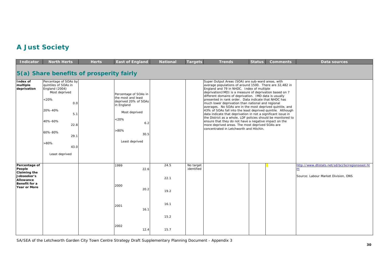## **A Just Society**

| <b>Indicator</b>                                                                                                   | <b>North Herts</b>                                                                                                                                                                               | <b>Herts</b> | <b>East of England</b>                                                                                                                                     | <b>National</b>              | <b>Targets</b>          | <b>Trends</b>                                                                                                                                                                                                                                                                                                                                                                                                                                                                                                                                                                                                                                                                                                                                                                                                | <b>Status</b> | <b>Comments</b> | <b>Data sources</b>                                                                     |
|--------------------------------------------------------------------------------------------------------------------|--------------------------------------------------------------------------------------------------------------------------------------------------------------------------------------------------|--------------|------------------------------------------------------------------------------------------------------------------------------------------------------------|------------------------------|-------------------------|--------------------------------------------------------------------------------------------------------------------------------------------------------------------------------------------------------------------------------------------------------------------------------------------------------------------------------------------------------------------------------------------------------------------------------------------------------------------------------------------------------------------------------------------------------------------------------------------------------------------------------------------------------------------------------------------------------------------------------------------------------------------------------------------------------------|---------------|-----------------|-----------------------------------------------------------------------------------------|
|                                                                                                                    | 5(a) Share benefits of prosperity fairly                                                                                                                                                         |              |                                                                                                                                                            |                              |                         |                                                                                                                                                                                                                                                                                                                                                                                                                                                                                                                                                                                                                                                                                                                                                                                                              |               |                 |                                                                                         |
| Index of<br>multiple<br>deprivation                                                                                | Percentage of SOAs by<br>quintiles of SOAs in<br>England (2004)<br>Most deprived<br>$< 20\%$<br>0.0<br>20%-40%<br>5.1<br>40%-60%<br>22.8<br>60%-80%<br>29.1<br>$>80\%$<br>43.0<br>Least deprived |              | Percentage of SOAs in<br>the most and least<br>deprived 20% of SOAs<br>in England<br>Most deprived<br>$< 20\%$<br>6.2<br>$>80\%$<br>30.5<br>Least deprived |                              |                         | Super Output Areas (SOA) are sub-ward areas, with<br>average populations of around 1500. There are 32,482 in<br>England and 79 in NHDC. Index of multiple<br>deprivation(IMD) is a measure of deprivation based on 7<br>different domains of deprivation. IMD data is usually<br>presented in rank order. Data indicate that NHDC has<br>much lower deprivation than national and regional<br>averages. No SOAs are in the most deprived quintile, and<br>43% of SOAs fall into the least deprived quintile. Although<br>data indicate that deprivation in not a significant issue in<br>the District as a whole, LDF policies should be monitored to<br>ensure that they do not have a negative impact on the<br>more deprived areas. The most deprived SOAs are<br>concentrated in Letchworth and Hitchin. |               |                 |                                                                                         |
| Percentage of<br>People<br><b>Claiming the</b><br>Jobseeker's<br>Allowance<br>Benefit for a<br><b>Year or More</b> |                                                                                                                                                                                                  |              | 1999<br>22.6<br>2000<br>20.2<br>2001<br>16.1                                                                                                               | 24.5<br>22.1<br>19.2<br>16.1 | No target<br>identified |                                                                                                                                                                                                                                                                                                                                                                                                                                                                                                                                                                                                                                                                                                                                                                                                              |               |                 | http://www.dtistats.net/sd/bci/bciregionseast.ht<br>Source: Labour Market Division, ONS |
|                                                                                                                    |                                                                                                                                                                                                  |              | 2002<br>12.4                                                                                                                                               | 15.2<br>15.7                 |                         |                                                                                                                                                                                                                                                                                                                                                                                                                                                                                                                                                                                                                                                                                                                                                                                                              |               |                 |                                                                                         |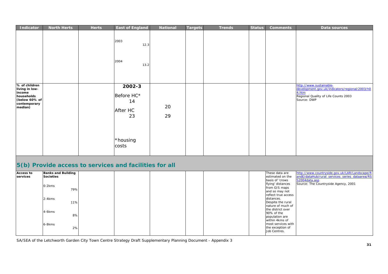| Indicator                                                                                           | <b>North Herts</b> | <b>Herts</b> | <b>East of England</b>                                                                                                                                                                                                                                                                        | <b>National</b> | Targets | <b>Trends</b> | <b>Status</b> | <b>Comments</b> | Data sources                                                                                                                              |
|-----------------------------------------------------------------------------------------------------|--------------------|--------------|-----------------------------------------------------------------------------------------------------------------------------------------------------------------------------------------------------------------------------------------------------------------------------------------------|-----------------|---------|---------------|---------------|-----------------|-------------------------------------------------------------------------------------------------------------------------------------------|
|                                                                                                     |                    |              | 2003<br>12.3                                                                                                                                                                                                                                                                                  |                 |         |               |               |                 |                                                                                                                                           |
|                                                                                                     |                    |              | 2004<br>13.2                                                                                                                                                                                                                                                                                  |                 |         |               |               |                 |                                                                                                                                           |
| % of children<br>living in low-<br>income<br>households<br>(below 60% of<br>contemporary<br>median) |                    |              | 2002-3<br>Before HC*<br>14<br>After HC<br>23                                                                                                                                                                                                                                                  | 20<br>29        |         |               |               |                 | http://www.sustainable-<br>development.gov.uk/indicators/regional/2003/h0<br>4.htm<br>Regional Quality of Life Counts 2003<br>Source: DWP |
|                                                                                                     |                    |              | *housing<br>costs                                                                                                                                                                                                                                                                             |                 |         |               |               |                 |                                                                                                                                           |
|                                                                                                     |                    |              | $\mathbf{r}$ / $\mathbf{N}$ $\mathbf{r}$ and $\mathbf{r}$ is a sequence of the sequence of $\mathbf{r}$ and $\mathbf{r}$ and $\mathbf{r}$ and $\mathbf{r}$ and $\mathbf{r}$ and $\mathbf{r}$ and $\mathbf{r}$ and $\mathbf{r}$ and $\mathbf{r}$ and $\mathbf{r}$ and $\mathbf{r}$ and $\math$ |                 |         |               |               |                 |                                                                                                                                           |

#### **5(b) Provide access to services and facilities for all**

| <b>Access to</b> | <b>Banks and Building</b> |  |  |  | These data are      | http://www.countryside.gov.uk/LAR/Landscape/R  |
|------------------|---------------------------|--|--|--|---------------------|------------------------------------------------|
| services         | <b>Societies</b>          |  |  |  | estimated on the    | andE/dataHub/rural services series dataarea/RS |
|                  |                           |  |  |  | basis of 'crows     | S2004data.asp                                  |
|                  |                           |  |  |  | flying' distances   | Source: The Countryside Agency, 2001           |
|                  | $0-2kms$<br>79%           |  |  |  | from GIS maps       |                                                |
|                  |                           |  |  |  | and so may not      |                                                |
|                  |                           |  |  |  | reflect true access |                                                |
|                  | $2 - 4$ kms               |  |  |  | distances.          |                                                |
|                  | 11%                       |  |  |  | Despite the rural   |                                                |
|                  |                           |  |  |  | nature of much of   |                                                |
|                  |                           |  |  |  | the district over   |                                                |
|                  | 4-6kms                    |  |  |  | 90% of the          |                                                |
|                  | 8%                        |  |  |  | population are      |                                                |
|                  |                           |  |  |  | within 4kms of      |                                                |
|                  | 6-8kms                    |  |  |  | most services with  |                                                |
|                  | 2%                        |  |  |  | the exception of    |                                                |
|                  |                           |  |  |  | Job Centres.        |                                                |
|                  |                           |  |  |  |                     |                                                |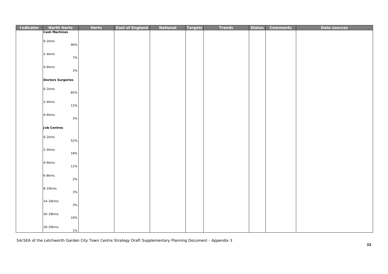| Indicator | <b>North Herts</b>       | <b>Herts</b> | <b>East of England</b> | National | <b>Targets</b> | <b>Trends</b> | <b>Status</b> | <b>Comments</b> | Data sources |
|-----------|--------------------------|--------------|------------------------|----------|----------------|---------------|---------------|-----------------|--------------|
|           | <b>Cash Machines</b>     |              |                        |          |                |               |               |                 |              |
|           | $0-2kms$<br>90%          |              |                        |          |                |               |               |                 |              |
|           | $2 - 4$ kms<br>7%        |              |                        |          |                |               |               |                 |              |
|           | 4-6kms<br>3%             |              |                        |          |                |               |               |                 |              |
|           | <b>Doctors Surgeries</b> |              |                        |          |                |               |               |                 |              |
|           | 0-2kms<br>85%            |              |                        |          |                |               |               |                 |              |
|           | $2-4kms$<br>12%          |              |                        |          |                |               |               |                 |              |
|           | 4-6kms<br>3%             |              |                        |          |                |               |               |                 |              |
|           | <b>Job Centres</b>       |              |                        |          |                |               |               |                 |              |
|           | 0-2kms<br>52%            |              |                        |          |                |               |               |                 |              |
|           | 2-4kms<br>18%            |              |                        |          |                |               |               |                 |              |
|           | 4-6kms<br>11%            |              |                        |          |                |               |               |                 |              |
|           | 6-8kms<br>$2\%$          |              |                        |          |                |               |               |                 |              |
|           | 8-10kms<br>3%            |              |                        |          |                |               |               |                 |              |
|           | 14-16kms<br>3%           |              |                        |          |                |               |               |                 |              |
|           | 16-18kms<br>10%          |              |                        |          |                |               |               |                 |              |
|           | 18-20kms<br>1%           |              |                        |          |                |               |               |                 |              |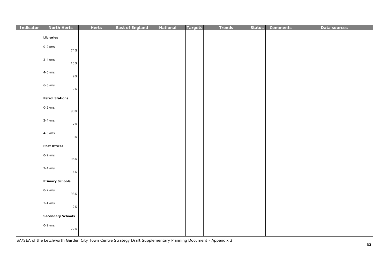| Indicator | <b>North Herts</b>       | <b>Herts</b> | <b>East of England</b> | <b>National</b> | <b>Targets</b> | <b>Trends</b> | <b>Status</b> | <b>Comments</b> | Data sources |
|-----------|--------------------------|--------------|------------------------|-----------------|----------------|---------------|---------------|-----------------|--------------|
|           | Libraries                |              |                        |                 |                |               |               |                 |              |
|           | 0-2kms<br>74%            |              |                        |                 |                |               |               |                 |              |
|           | $2-4kms$<br>15%          |              |                        |                 |                |               |               |                 |              |
|           | 4-6kms<br>9%             |              |                        |                 |                |               |               |                 |              |
|           | 6-8kms<br>2%             |              |                        |                 |                |               |               |                 |              |
|           | <b>Petrol Stations</b>   |              |                        |                 |                |               |               |                 |              |
|           | 0-2kms<br>90%            |              |                        |                 |                |               |               |                 |              |
|           | 2-4kms<br>7%             |              |                        |                 |                |               |               |                 |              |
|           | 4-6kms<br>3%             |              |                        |                 |                |               |               |                 |              |
|           | Post Offices             |              |                        |                 |                |               |               |                 |              |
|           | 0-2kms<br>96%            |              |                        |                 |                |               |               |                 |              |
|           | $2-4kms$<br>4%           |              |                        |                 |                |               |               |                 |              |
|           | <b>Primary Schools</b>   |              |                        |                 |                |               |               |                 |              |
|           | 0-2kms<br>98%            |              |                        |                 |                |               |               |                 |              |
|           | 2-4kms<br>2%             |              |                        |                 |                |               |               |                 |              |
|           | <b>Secondary Schools</b> |              |                        |                 |                |               |               |                 |              |
|           | 0-2kms<br>72%            |              |                        |                 |                |               |               |                 |              |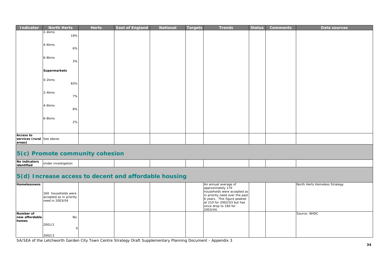| Indicator                                                | <b>North Herts</b>              | <b>Herts</b> | <b>East of England</b> | <b>National</b> | <b>Targets</b> | <b>Trends</b> | <b>Status</b> | <b>Comments</b> | Data sources |
|----------------------------------------------------------|---------------------------------|--------------|------------------------|-----------------|----------------|---------------|---------------|-----------------|--------------|
|                                                          | $2-4kms$<br>19%                 |              |                        |                 |                |               |               |                 |              |
|                                                          | 4-6kms<br>6%                    |              |                        |                 |                |               |               |                 |              |
|                                                          | 6-8kms<br>3%                    |              |                        |                 |                |               |               |                 |              |
|                                                          | <b>Supermarkets</b>             |              |                        |                 |                |               |               |                 |              |
|                                                          | 0-2kms<br>83%                   |              |                        |                 |                |               |               |                 |              |
|                                                          | $2-4$ kms<br>7%                 |              |                        |                 |                |               |               |                 |              |
|                                                          | 4-6kms<br>8%                    |              |                        |                 |                |               |               |                 |              |
|                                                          | 6-8kms<br>2%                    |              |                        |                 |                |               |               |                 |              |
| <b>Access to</b><br>services (rural See above.<br>areas) |                                 |              |                        |                 |                |               |               |                 |              |
|                                                          | 5(c) Promote community cohesion |              |                        |                 |                |               |               |                 |              |
| No indicators<br>identified                              | Under investigation             |              |                        |                 |                |               |               |                 |              |

# **5(d) Increase access to decent and affordable housing**

| <b>Homelessness</b>                  | 160 households were<br>accepted as in priority<br>need in 2003/04 |  |  | An annual average of<br>approximately 170<br>households were accepted as<br>in priority need over the past<br>6 years. This figure peaked<br>at 210 for 2002/03 but has<br>since drop to 160 for<br>2003/04. |  | North Herts Homeless Strategy |
|--------------------------------------|-------------------------------------------------------------------|--|--|--------------------------------------------------------------------------------------------------------------------------------------------------------------------------------------------------------------|--|-------------------------------|
| Number of<br>new affordable<br>homes | No.<br>2001/2<br>2002/3                                           |  |  |                                                                                                                                                                                                              |  | Source: NHDC                  |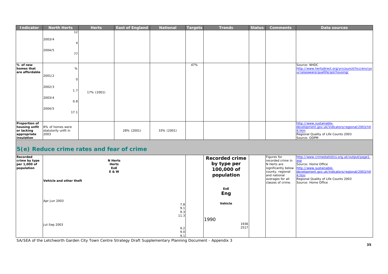| <b>Indicator</b>                                                          | <b>North Herts</b>                                              | <b>Herts</b> | <b>East of England</b> | <b>National</b> | Targets | <b>Trends</b> | <b>Status</b> | <b>Comments</b> | Data sources                                                                                                                               |
|---------------------------------------------------------------------------|-----------------------------------------------------------------|--------------|------------------------|-----------------|---------|---------------|---------------|-----------------|--------------------------------------------------------------------------------------------------------------------------------------------|
|                                                                           | 12<br>2003/4<br>2004/5<br>77                                    |              |                        |                 |         |               |               |                 |                                                                                                                                            |
| % of new<br>homes that<br>are affordable                                  | %<br>2001/2<br>2002/3<br>1.7<br>2003/4<br>0.8<br>2004/5<br>17.1 | 17% (2001)   |                        |                 | 47%     |               |               |                 | Source: NHDC<br>http://www.hertsdirect.org/yrccouncil/hcc/env/yo<br>u/raiseaware/quallife/gol/housing/                                     |
| Proportion of<br>housing unfit<br>or lacking<br>appropriate<br>insulation | 6% of homes were<br>statutorily unfit in<br>2003                |              | 28% (2001)             | 33% (2001)      |         |               |               |                 | http://www.sustainable-<br>development.gov.uk/indicators/regional/2003/h0<br>4.htm<br>Regional Quality of Life Counts 2003<br>Source: ODPM |

# **5(e) Reduce crime rates and fear of crime**

| Recorded<br>crime by type<br>per 1,000 of<br>population | <b>N</b> Herts<br><b>Herts</b><br>EoE<br><b>E&amp;W</b><br>Vehicle and other theft | <b>Recorded crime</b><br>by type per<br>100,000 of<br>population | Figures for<br>recorded crime in<br>N Herts are<br>county, regional<br>and national<br>averages for all<br>classes of crime. | http://www.crimestatistics.org.uk/output/page1.<br>asp<br>Source: Home Office<br>significantly below http://www.sustainable-<br>development.gov.uk/indicators/regional/2003/h0<br>4.htm<br>Regional Quality of Life Counts 2003<br>Source: Home Office |
|---------------------------------------------------------|------------------------------------------------------------------------------------|------------------------------------------------------------------|------------------------------------------------------------------------------------------------------------------------------|--------------------------------------------------------------------------------------------------------------------------------------------------------------------------------------------------------------------------------------------------------|
|                                                         | Apr-Jun 2003<br>7.8<br>9.1<br>9.3                                                  | EoE<br>Eng<br>Vehicle                                            |                                                                                                                              |                                                                                                                                                                                                                                                        |
|                                                         | 11.3<br>Jul-Sep 2003<br>9.2<br>9.0<br>9.1                                          | 1990<br>1936<br>2517                                             |                                                                                                                              |                                                                                                                                                                                                                                                        |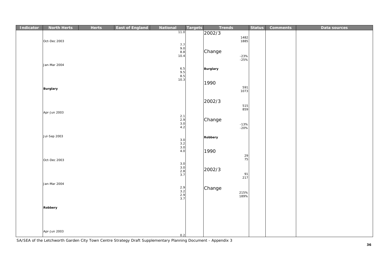| Indicator | <b>North Herts</b>  | <b>Herts</b> | <b>East of England</b> | National                         | <b>Targets</b> | <b>Trends</b>   |              | <b>Status</b> | <b>Comments</b> | Data sources |
|-----------|---------------------|--------------|------------------------|----------------------------------|----------------|-----------------|--------------|---------------|-----------------|--------------|
|           |                     |              |                        | 11.0                             |                | 2002/3          |              |               |                 |              |
|           |                     |              |                        |                                  |                |                 | 1482<br>1885 |               |                 |              |
|           | Oct-Dec 2003        |              |                        |                                  |                |                 |              |               |                 |              |
|           |                     |              |                        | $7.7$<br>9.0                     |                |                 |              |               |                 |              |
|           |                     |              |                        | 8.8                              |                | Change          |              |               |                 |              |
|           |                     |              |                        | 10.4                             |                |                 | -23%<br>-25% |               |                 |              |
|           |                     |              |                        |                                  |                |                 |              |               |                 |              |
|           | Jan-Mar 2004        |              |                        |                                  |                |                 |              |               |                 |              |
|           |                     |              |                        | $6.5$<br>9.5<br>8.5<br>10.3      |                | <b>Burglary</b> |              |               |                 |              |
|           |                     |              |                        |                                  |                |                 |              |               |                 |              |
|           |                     |              |                        |                                  |                |                 |              |               |                 |              |
|           |                     |              |                        |                                  |                | 1990            |              |               |                 |              |
|           | <b>Burglary</b>     |              |                        |                                  |                |                 | 591<br>1073  |               |                 |              |
|           |                     |              |                        |                                  |                |                 |              |               |                 |              |
|           |                     |              |                        |                                  |                |                 |              |               |                 |              |
|           |                     |              |                        |                                  |                | 2002/3          |              |               |                 |              |
|           |                     |              |                        |                                  |                |                 | 515<br>859   |               |                 |              |
|           | Apr-Jun 2003        |              |                        |                                  |                |                 |              |               |                 |              |
|           |                     |              |                        | $2.1$<br>$2.9$<br>$3.0$<br>$4.2$ |                |                 |              |               |                 |              |
|           |                     |              |                        |                                  |                | Change          |              |               |                 |              |
|           |                     |              |                        |                                  |                |                 | -13%<br>-20% |               |                 |              |
|           |                     |              |                        |                                  |                |                 |              |               |                 |              |
|           | <b>Jul-Sep 2003</b> |              |                        |                                  |                | Robbery         |              |               |                 |              |
|           |                     |              |                        | $3.0$<br>$3.2$<br>$3.0$          |                |                 |              |               |                 |              |
|           |                     |              |                        |                                  |                |                 |              |               |                 |              |
|           |                     |              |                        | 4.0                              |                | 1990            |              |               |                 |              |
|           |                     |              |                        |                                  |                |                 |              |               |                 |              |
|           | Oct-Dec 2003        |              |                        |                                  |                |                 | 29<br>75     |               |                 |              |
|           |                     |              |                        | $3.0$<br>$3.0$<br>$2.8$<br>$3.7$ |                |                 |              |               |                 |              |
|           |                     |              |                        |                                  |                | 2002/3          |              |               |                 |              |
|           |                     |              |                        |                                  |                |                 | 91           |               |                 |              |
|           |                     |              |                        |                                  |                |                 | 217          |               |                 |              |
|           | Jan-Mar 2004        |              |                        |                                  |                |                 |              |               |                 |              |
|           |                     |              |                        |                                  |                | Change          |              |               |                 |              |
|           |                     |              |                        | $2.9$<br>$3.2$<br>$2.9$<br>$3.7$ |                |                 | 215%         |               |                 |              |
|           |                     |              |                        |                                  |                |                 | 189%         |               |                 |              |
|           |                     |              |                        |                                  |                |                 |              |               |                 |              |
|           | Robbery             |              |                        |                                  |                |                 |              |               |                 |              |
|           |                     |              |                        |                                  |                |                 |              |               |                 |              |
|           |                     |              |                        |                                  |                |                 |              |               |                 |              |
|           |                     |              |                        |                                  |                |                 |              |               |                 |              |
|           |                     |              |                        |                                  |                |                 |              |               |                 |              |
|           | Apr-Jun 2003        |              |                        |                                  |                |                 |              |               |                 |              |
|           |                     |              |                        | 0.2                              |                |                 |              |               |                 |              |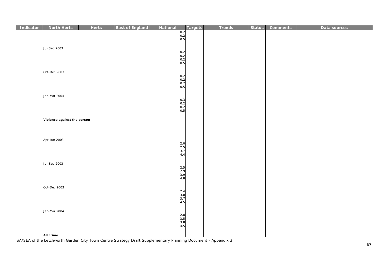| Indicator | <b>North Herts</b>          | <b>Herts</b> | <b>East of England</b> | National                         | Targets | <b>Trends</b> | <b>Status</b> | <b>Comments</b> | Data sources |
|-----------|-----------------------------|--------------|------------------------|----------------------------------|---------|---------------|---------------|-----------------|--------------|
|           |                             |              |                        | $\frac{0.2}{0.2}$<br>0.5         |         |               |               |                 |              |
|           |                             |              |                        |                                  |         |               |               |                 |              |
|           | <b>Jul-Sep 2003</b>         |              |                        |                                  |         |               |               |                 |              |
|           |                             |              |                        | $0.2$<br>0.2<br>0.2<br>0.5       |         |               |               |                 |              |
|           |                             |              |                        |                                  |         |               |               |                 |              |
|           |                             |              |                        |                                  |         |               |               |                 |              |
|           | Oct-Dec 2003                |              |                        |                                  |         |               |               |                 |              |
|           |                             |              |                        | $0.2$<br>0.2<br>0.2<br>0.5       |         |               |               |                 |              |
|           |                             |              |                        |                                  |         |               |               |                 |              |
|           |                             |              |                        |                                  |         |               |               |                 |              |
|           | Jan-Mar 2004                |              |                        |                                  |         |               |               |                 |              |
|           |                             |              |                        | $0.3$<br>$0.2$<br>$0.2$          |         |               |               |                 |              |
|           |                             |              |                        | 0.5                              |         |               |               |                 |              |
|           | Violence against the person |              |                        |                                  |         |               |               |                 |              |
|           |                             |              |                        |                                  |         |               |               |                 |              |
|           |                             |              |                        |                                  |         |               |               |                 |              |
|           | Apr-Jun 2003                |              |                        |                                  |         |               |               |                 |              |
|           |                             |              |                        | $2.0$<br>$2.5$<br>$3.7$          |         |               |               |                 |              |
|           |                             |              |                        |                                  |         |               |               |                 |              |
|           |                             |              |                        | 4.4                              |         |               |               |                 |              |
|           | <b>Jul-Sep 2003</b>         |              |                        |                                  |         |               |               |                 |              |
|           |                             |              |                        |                                  |         |               |               |                 |              |
|           |                             |              |                        | $2.5$<br>$2.9$<br>$3.9$<br>$4.8$ |         |               |               |                 |              |
|           |                             |              |                        |                                  |         |               |               |                 |              |
|           | Oct-Dec 2003                |              |                        |                                  |         |               |               |                 |              |
|           |                             |              |                        | $2.4$<br>$3.0$<br>$3.7$          |         |               |               |                 |              |
|           |                             |              |                        | 4.5                              |         |               |               |                 |              |
|           | Jan-Mar 2004                |              |                        |                                  |         |               |               |                 |              |
|           |                             |              |                        | $2.8$<br>$3.5$<br>$3.8$<br>$4.5$ |         |               |               |                 |              |
|           |                             |              |                        |                                  |         |               |               |                 |              |
|           |                             |              |                        |                                  |         |               |               |                 |              |
|           | All crime                   |              |                        |                                  |         |               |               |                 |              |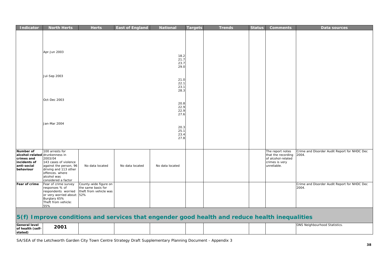| Indicator                                                                                             | <b>North Herts</b>                                                                                                                                              | <b>Herts</b>                                                          | <b>East of England</b> | <b>National</b>              | <b>Targets</b> | <b>Trends</b> | <b>Status</b> | <b>Comments</b>                                                                               | Data sources                                          |
|-------------------------------------------------------------------------------------------------------|-----------------------------------------------------------------------------------------------------------------------------------------------------------------|-----------------------------------------------------------------------|------------------------|------------------------------|----------------|---------------|---------------|-----------------------------------------------------------------------------------------------|-------------------------------------------------------|
|                                                                                                       | Apr-Jun 2003                                                                                                                                                    |                                                                       |                        | 18.2<br>21.7<br>23.7<br>29.0 |                |               |               |                                                                                               |                                                       |
|                                                                                                       | Jul-Sep 2003                                                                                                                                                    |                                                                       |                        | 21.0<br>22.1<br>23.1<br>28.3 |                |               |               |                                                                                               |                                                       |
|                                                                                                       | Oct-Dec 2003                                                                                                                                                    |                                                                       |                        | 20.8<br>22.9<br>22.9<br>27.6 |                |               |               |                                                                                               |                                                       |
|                                                                                                       | Jan-Mar 2004                                                                                                                                                    |                                                                       |                        | 20.3<br>25.1<br>23.4<br>27.8 |                |               |               |                                                                                               |                                                       |
| Number of<br>alcohol-related drunkenness in<br>crimes and<br>incidents of<br>anti-social<br>behaviour | 100 arrests for<br>2003/04<br>143 cases of violence<br>against the person, 96<br>driving and 113 other<br>offences. where<br>alcohol was<br>considered a factor | No data located                                                       | No data located        | No data located              |                |               |               | The report notes<br>that the recording<br>of alcohol-related<br>crimes is very<br>unreliable. | Crime and Disorder Audit Report for NHDC Dec<br>2004. |
| Fear of crime                                                                                         | Fear of crime survey<br>responses % of<br>respondents worried<br>or very worried about: 52%<br>Burglary 65%<br>Theft from vehicle:<br>55%                       | County-wide figure on<br>the same basis for<br>theft from vehicle was |                        |                              |                |               |               |                                                                                               | Crime and Disorder Audit Report for NHDC Dec<br>2004. |

# **5(f) Improve conditions and services that engender good health and reduce health inequalities**

| <b>General level</b> | 2001 |  |  |  | <b>ONS Neighbourhood Statistics.</b> |
|----------------------|------|--|--|--|--------------------------------------|
| of health (self-     |      |  |  |  |                                      |
| stated)              |      |  |  |  |                                      |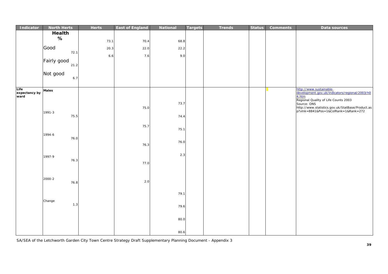| Indicator             | <b>North Herts</b> | <b>Herts</b> | <b>East of England</b> | <b>National</b> | <b>Targets</b> | <b>Trends</b> | <b>Status</b> | <b>Comments</b> | Data sources                                                                             |
|-----------------------|--------------------|--------------|------------------------|-----------------|----------------|---------------|---------------|-----------------|------------------------------------------------------------------------------------------|
|                       | Health             |              |                        |                 |                |               |               |                 |                                                                                          |
|                       | $\%$               | 73.1         | 70.4                   | 68.8            |                |               |               |                 |                                                                                          |
|                       |                    |              |                        |                 |                |               |               |                 |                                                                                          |
|                       | Good<br>72.1       | 20.3         | 22.0                   | 22.2            |                |               |               |                 |                                                                                          |
|                       |                    | 6.6          | 7.6                    | 9.0             |                |               |               |                 |                                                                                          |
|                       | Fairly good        |              |                        |                 |                |               |               |                 |                                                                                          |
|                       | 21.2               |              |                        |                 |                |               |               |                 |                                                                                          |
|                       | Not good           |              |                        |                 |                |               |               |                 |                                                                                          |
|                       | 6.7                |              |                        |                 |                |               |               |                 |                                                                                          |
|                       |                    |              |                        |                 |                |               |               |                 |                                                                                          |
| Life                  | <b>Males</b>       |              |                        |                 |                |               |               |                 | http://www.sustainable-                                                                  |
| expectancy by<br>ward |                    |              |                        |                 |                |               |               |                 | development.gov.uk/indicators/regional/2003/h0<br>4.htm                                  |
|                       |                    |              |                        | 73.7            |                |               |               |                 | Regional Quality of Life Counts 2003<br>Source: ONS                                      |
|                       |                    |              | 75.0                   |                 |                |               |               |                 | http://www.statistics.gov.uk/StatBase/Product.as<br>p?vlnk=8841&Pos=1&ColRank=1&Rank=272 |
|                       | 1991-3             |              |                        |                 |                |               |               |                 |                                                                                          |
|                       | 75.5               |              |                        | 74.4            |                |               |               |                 |                                                                                          |
|                       |                    |              | 75.7                   |                 |                |               |               |                 |                                                                                          |
|                       |                    |              |                        | 75.1            |                |               |               |                 |                                                                                          |
|                       | 1994-6             |              |                        |                 |                |               |               |                 |                                                                                          |
|                       | 76.0               |              |                        | 76.0            |                |               |               |                 |                                                                                          |
|                       |                    |              | 76.3                   |                 |                |               |               |                 |                                                                                          |
|                       |                    |              |                        | 2.3             |                |               |               |                 |                                                                                          |
|                       | 1997-9<br>76.3     |              |                        |                 |                |               |               |                 |                                                                                          |
|                       |                    |              | 77.0                   |                 |                |               |               |                 |                                                                                          |
|                       |                    |              |                        |                 |                |               |               |                 |                                                                                          |
|                       |                    |              |                        |                 |                |               |               |                 |                                                                                          |
|                       | 2000-2<br>76.8     |              | 2.0                    |                 |                |               |               |                 |                                                                                          |
|                       |                    |              |                        |                 |                |               |               |                 |                                                                                          |
|                       |                    |              |                        | 79.1            |                |               |               |                 |                                                                                          |
|                       |                    |              |                        |                 |                |               |               |                 |                                                                                          |
|                       | Change<br>1.3      |              |                        | 79.6            |                |               |               |                 |                                                                                          |
|                       |                    |              |                        |                 |                |               |               |                 |                                                                                          |
|                       |                    |              |                        |                 |                |               |               |                 |                                                                                          |
|                       |                    |              |                        | 80.0            |                |               |               |                 |                                                                                          |
|                       |                    |              |                        |                 |                |               |               |                 |                                                                                          |
|                       |                    |              |                        | 80.6            |                |               |               |                 |                                                                                          |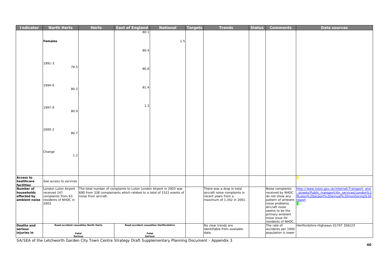| <b>Indicator</b>               | <b>North Herts</b>                   | <b>Herts</b>                         | <b>East of England</b>                                                                                                                     | <b>National</b>                        | <b>Targets</b> | <b>Trends</b>                                             | <b>Status</b> | <b>Comments</b>                           | Data sources                                                                                     |
|--------------------------------|--------------------------------------|--------------------------------------|--------------------------------------------------------------------------------------------------------------------------------------------|----------------------------------------|----------------|-----------------------------------------------------------|---------------|-------------------------------------------|--------------------------------------------------------------------------------------------------|
|                                |                                      |                                      | 80.1                                                                                                                                       |                                        |                |                                                           |               |                                           |                                                                                                  |
|                                |                                      |                                      |                                                                                                                                            |                                        |                |                                                           |               |                                           |                                                                                                  |
|                                | <b>Females</b>                       |                                      |                                                                                                                                            | 1.5                                    |                |                                                           |               |                                           |                                                                                                  |
|                                |                                      |                                      |                                                                                                                                            |                                        |                |                                                           |               |                                           |                                                                                                  |
|                                |                                      |                                      | 80.4                                                                                                                                       |                                        |                |                                                           |               |                                           |                                                                                                  |
|                                |                                      |                                      |                                                                                                                                            |                                        |                |                                                           |               |                                           |                                                                                                  |
|                                | 1991-3                               |                                      |                                                                                                                                            |                                        |                |                                                           |               |                                           |                                                                                                  |
|                                | 79.5                                 |                                      | 80.8                                                                                                                                       |                                        |                |                                                           |               |                                           |                                                                                                  |
|                                |                                      |                                      |                                                                                                                                            |                                        |                |                                                           |               |                                           |                                                                                                  |
|                                |                                      |                                      |                                                                                                                                            |                                        |                |                                                           |               |                                           |                                                                                                  |
|                                | 1994-6                               |                                      |                                                                                                                                            |                                        |                |                                                           |               |                                           |                                                                                                  |
|                                | 80.2                                 |                                      | 81.4                                                                                                                                       |                                        |                |                                                           |               |                                           |                                                                                                  |
|                                |                                      |                                      |                                                                                                                                            |                                        |                |                                                           |               |                                           |                                                                                                  |
|                                |                                      |                                      |                                                                                                                                            |                                        |                |                                                           |               |                                           |                                                                                                  |
|                                |                                      |                                      | 1.3                                                                                                                                        |                                        |                |                                                           |               |                                           |                                                                                                  |
|                                | 1997-9<br>80.0                       |                                      |                                                                                                                                            |                                        |                |                                                           |               |                                           |                                                                                                  |
|                                |                                      |                                      |                                                                                                                                            |                                        |                |                                                           |               |                                           |                                                                                                  |
|                                |                                      |                                      |                                                                                                                                            |                                        |                |                                                           |               |                                           |                                                                                                  |
|                                |                                      |                                      |                                                                                                                                            |                                        |                |                                                           |               |                                           |                                                                                                  |
|                                | 2000-2<br>80.7                       |                                      |                                                                                                                                            |                                        |                |                                                           |               |                                           |                                                                                                  |
|                                |                                      |                                      |                                                                                                                                            |                                        |                |                                                           |               |                                           |                                                                                                  |
|                                |                                      |                                      |                                                                                                                                            |                                        |                |                                                           |               |                                           |                                                                                                  |
|                                |                                      |                                      |                                                                                                                                            |                                        |                |                                                           |               |                                           |                                                                                                  |
|                                | Change                               |                                      |                                                                                                                                            |                                        |                |                                                           |               |                                           |                                                                                                  |
|                                | 1.2                                  |                                      |                                                                                                                                            |                                        |                |                                                           |               |                                           |                                                                                                  |
|                                |                                      |                                      |                                                                                                                                            |                                        |                |                                                           |               |                                           |                                                                                                  |
|                                |                                      |                                      |                                                                                                                                            |                                        |                |                                                           |               |                                           |                                                                                                  |
|                                |                                      |                                      |                                                                                                                                            |                                        |                |                                                           |               |                                           |                                                                                                  |
| <b>Access to</b><br>healthcare | See access to services               |                                      |                                                                                                                                            |                                        |                |                                                           |               |                                           |                                                                                                  |
| facilities                     |                                      |                                      |                                                                                                                                            |                                        |                |                                                           |               |                                           |                                                                                                  |
| Number of<br>households        | London Luton Airport<br>received 147 |                                      | The total number of complaints to Luton London Airport in 2003 was<br>680 from 338 complainants which related to a total of 1522 events of |                                        |                | There was a drop in total<br>aircraft noise complaints in |               | Noise complaints<br>received by NHDC      | http://www.luton.gov.uk/internet/Transport_and<br>streets/Public_transport/Air_services/London%2 |
| effected by                    | complaints from 63                   | noise from aircraft.                 |                                                                                                                                            |                                        |                | recent years from a                                       |               | do not show any                           | 0Luton%20airport%20annual%20monitoring%20                                                        |
| ambient noise                  | residents of NHDC in                 |                                      |                                                                                                                                            |                                        |                | maximum of 1,342 in 2001.                                 |               | pattern of ambient                        | report                                                                                           |
|                                | 2003.                                |                                      |                                                                                                                                            |                                        |                |                                                           |               | noise problems.<br>Aircraft noise         |                                                                                                  |
|                                |                                      |                                      |                                                                                                                                            |                                        |                |                                                           |               | seems to be the                           |                                                                                                  |
|                                |                                      |                                      |                                                                                                                                            |                                        |                |                                                           |               | primary ambient<br>noise issue for        |                                                                                                  |
|                                |                                      |                                      |                                                                                                                                            |                                        |                |                                                           |               | residents of NHDC.                        |                                                                                                  |
| Deaths and                     |                                      | Road accident casualties North Herts |                                                                                                                                            | Road accident casualties Hertfordshire |                | No clear trends are                                       |               | The rate of                               | Hertfordshire Highways 01707 356223                                                              |
| serious<br>injuries in         | Fatal                                |                                      | Fatal                                                                                                                                      |                                        |                | identifiable from available<br>data.                      |               | accidents per 1000<br>population is lower |                                                                                                  |
|                                |                                      | Serious                              | <b>Serious</b>                                                                                                                             |                                        |                |                                                           |               |                                           |                                                                                                  |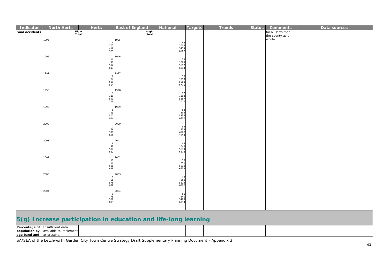| <b>Indicator</b> | <b>North Herts</b>                                                | <b>Herts</b>                                          | <b>East of England</b> | <b>National</b>                                           | <b>Targets</b> | <b>Trends</b> | <b>Status</b> | <b>Comments</b>           | Data sources |
|------------------|-------------------------------------------------------------------|-------------------------------------------------------|------------------------|-----------------------------------------------------------|----------------|---------------|---------------|---------------------------|--------------|
| road accidents   | Slight<br>Total                                                   |                                                       | Slight<br>Total        |                                                           |                |               |               | for N Herts than          |              |
|                  | 1995                                                              |                                                       | 1995                   |                                                           |                |               |               | the county as a<br>whole. |              |
|                  |                                                                   |                                                       |                        |                                                           |                |               |               |                           |              |
|                  |                                                                   | $\frac{102}{419}$                                     |                        | $\begin{array}{c} 45 \\ 1003 \\ 5454 \\ 6502 \end{array}$ |                |               |               |                           |              |
|                  |                                                                   |                                                       |                        |                                                           |                |               |               |                           |              |
|                  | 1996                                                              |                                                       | 1996                   |                                                           |                |               |               |                           |              |
|                  |                                                                   |                                                       |                        | 58<br>1099<br>5657                                        |                |               |               |                           |              |
|                  |                                                                   | $\begin{array}{c} 10 \\ 91 \\ 512 \\ 613 \end{array}$ |                        | 6814                                                      |                |               |               |                           |              |
|                  | 1997                                                              |                                                       | 1997                   |                                                           |                |               |               |                           |              |
|                  |                                                                   | 8                                                     |                        |                                                           |                |               |               |                           |              |
|                  |                                                                   | $87$<br>509<br>604                                    |                        | 58<br>1053<br>5660<br><i>6771</i>                         |                |               |               |                           |              |
|                  |                                                                   |                                                       |                        |                                                           |                |               |               |                           |              |
|                  | 1998                                                              | $\overline{Q}$                                        | 1998                   |                                                           |                |               |               |                           |              |
|                  |                                                                   | 119<br>591<br>719                                     |                        |                                                           |                |               |               |                           |              |
|                  |                                                                   |                                                       |                        | 57<br>1103<br>5857<br><i>7017</i>                         |                |               |               |                           |              |
|                  | 1999                                                              |                                                       | 1999                   |                                                           |                |               |               |                           |              |
|                  |                                                                   | -8                                                    |                        | 53<br>895<br>5754<br>6702                                 |                |               |               |                           |              |
|                  |                                                                   | $99$<br>507<br>614                                    |                        |                                                           |                |               |               |                           |              |
|                  |                                                                   |                                                       |                        |                                                           |                |               |               |                           |              |
|                  | 2000                                                              | $7^{\circ}$                                           | 2000                   |                                                           |                |               |               |                           |              |
|                  |                                                                   | $66$<br>577<br>$650$                                  |                        | $\begin{array}{c} 54 \\ 858 \\ 6287 \end{array}$          |                |               |               |                           |              |
|                  |                                                                   |                                                       |                        | 7199                                                      |                |               |               |                           |              |
|                  | 2001                                                              |                                                       | 2001                   |                                                           |                |               |               |                           |              |
|                  |                                                                   | 6                                                     |                        | $49$<br>845                                               |                |               |               |                           |              |
|                  |                                                                   | $99$<br>517<br>622                                    |                        | 5679<br>6573                                              |                |               |               |                           |              |
|                  | 2002                                                              |                                                       | 2002                   |                                                           |                |               |               |                           |              |
|                  |                                                                   |                                                       |                        |                                                           |                |               |               |                           |              |
|                  |                                                                   | $\begin{array}{c} 11 \\ 57 \\ 580 \\ 648 \end{array}$ |                        | 58<br>756<br>5819<br><i>6633</i>                          |                |               |               |                           |              |
|                  |                                                                   |                                                       |                        |                                                           |                |               |               |                           |              |
|                  | 2003                                                              | -5                                                    | 2003                   |                                                           |                |               |               |                           |              |
|                  |                                                                   | $58$<br>576<br>639                                    |                        |                                                           |                |               |               |                           |              |
|                  |                                                                   |                                                       |                        | $\begin{array}{r} 38 \\ 650 \\ 5514 \\ 6202 \end{array}$  |                |               |               |                           |              |
|                  | 2004                                                              |                                                       | 2004                   |                                                           |                |               |               |                           |              |
|                  |                                                                   | - 9                                                   |                        | $\begin{array}{c} 51 \\ 640 \\ 5483 \end{array}$          |                |               |               |                           |              |
|                  |                                                                   | $75$<br>529<br>613                                    |                        | 6174                                                      |                |               |               |                           |              |
|                  |                                                                   |                                                       |                        |                                                           |                |               |               |                           |              |
|                  |                                                                   |                                                       |                        |                                                           |                |               |               |                           |              |
|                  | $E(a)$ Increase neutrino tion in education and life lang learning |                                                       |                        |                                                           |                |               |               |                           |              |

#### **5(g) Increase participation in education and life-long learning**

|              | <b>Percentage of Insufficient data</b> |  |  |  |  |  |
|--------------|----------------------------------------|--|--|--|--|--|
|              | population by available to implement   |  |  |  |  |  |
| age band and | at present.                            |  |  |  |  |  |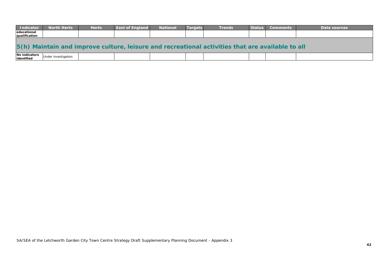| <b>Indicator</b>             | <b>North Herts</b>                                                                               | <b>Herts</b> | <b>East of England</b> | <b>National</b> | <b>Targets</b> | <b>Trends</b> | <b>Status</b> | <b>Comments</b> | Data sources |  |
|------------------------------|--------------------------------------------------------------------------------------------------|--------------|------------------------|-----------------|----------------|---------------|---------------|-----------------|--------------|--|
| educational<br>qualification |                                                                                                  |              |                        |                 |                |               |               |                 |              |  |
|                              |                                                                                                  |              |                        |                 |                |               |               |                 |              |  |
|                              | 5(h) Maintain and improve culture, leisure and recreational activities that are available to all |              |                        |                 |                |               |               |                 |              |  |

| No indicators<br>identified | investigation |  |  |  |  |
|-----------------------------|---------------|--|--|--|--|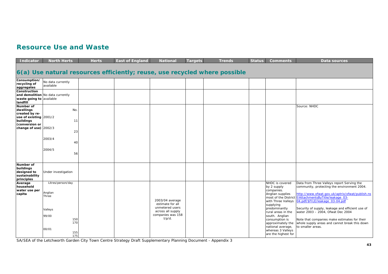#### **Resource Use and Waste**

| <b>Indicator</b>                                                      | <b>North Herts</b>                    |                          | <b>Herts</b> | <b>East of England</b> | <b>National</b>                                                        | Targets | <b>Trends</b>                                                              | <b>Status</b> | <b>Comments</b>                                                                                                                                               | <b>Data sources</b>                                                                                                                                                                                                                      |
|-----------------------------------------------------------------------|---------------------------------------|--------------------------|--------------|------------------------|------------------------------------------------------------------------|---------|----------------------------------------------------------------------------|---------------|---------------------------------------------------------------------------------------------------------------------------------------------------------------|------------------------------------------------------------------------------------------------------------------------------------------------------------------------------------------------------------------------------------------|
|                                                                       |                                       |                          |              |                        |                                                                        |         | 6(a) Use natural resources efficiently; reuse, use recycled where possible |               |                                                                                                                                                               |                                                                                                                                                                                                                                          |
| Consumption/<br>recycling of<br>aggregates                            | No data currently<br>available        |                          |              |                        |                                                                        |         |                                                                            |               |                                                                                                                                                               |                                                                                                                                                                                                                                          |
| Construction<br>waste going to available<br>landfill                  | and demolition No data currently      |                          |              |                        |                                                                        |         |                                                                            |               |                                                                                                                                                               |                                                                                                                                                                                                                                          |
| Number of<br>dwellings<br>created by re-<br>use of existing $2001/2$  | No.                                   |                          |              |                        |                                                                        |         |                                                                            |               |                                                                                                                                                               | Source: NHDC                                                                                                                                                                                                                             |
| buildings<br>(conversion or<br>change of use) $2002/3$                |                                       | 11<br>23                 |              |                        |                                                                        |         |                                                                            |               |                                                                                                                                                               |                                                                                                                                                                                                                                          |
|                                                                       | 2003/4<br>2004/5                      | 40                       |              |                        |                                                                        |         |                                                                            |               |                                                                                                                                                               |                                                                                                                                                                                                                                          |
|                                                                       |                                       | 56                       |              |                        |                                                                        |         |                                                                            |               |                                                                                                                                                               |                                                                                                                                                                                                                                          |
| Number of<br>buildings<br>designed to<br>sustainability<br>principles | Under investigation                   |                          |              |                        |                                                                        |         |                                                                            |               |                                                                                                                                                               |                                                                                                                                                                                                                                          |
| Average<br>household<br>water use per<br>capita                       | Litres/person/day<br>Anglian<br>Three |                          |              |                        | 2003/04 average<br>estimate for all                                    |         |                                                                            |               | NHDC is covered<br>by 2 supply<br>companies.<br>Anglian supplies<br>with Three Valleys<br>supplying                                                           | Data from Three Valleys report Serving the<br>community, protecting the environment 2004.<br>http://www.ofwat.gov.uk/aptrix/ofwat/publish.ns<br>most of the District f/AttachmentsByTitle/leakage 03-<br>04.pdf/\$FILE/leakage 03-04.pdf |
|                                                                       | Valleys<br>99/00<br>00/01             | 150<br>170<br>155<br>175 |              |                        | unmetered users<br>across all supply<br>companies was 158<br>$I/p/d$ . |         |                                                                            |               | predominantly<br>rural areas in the<br>south. Anglian<br>consumption is<br>approximately the<br>national average,<br>whereas 3 Valleys<br>are the highest for | Security of supply, leakage and efficient use of<br>water 2003 - 2004, Ofwat Dec 2004<br>Note that companies make estimates for their<br>whole supply areas and cannot break this down<br>to smaller areas.                              |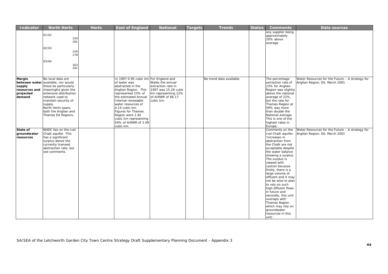| <b>Indicator</b>        | <b>North Herts</b>                 | <b>Herts</b> | <b>East of England</b>                | <b>National</b>      | <b>Targets</b> | <b>Trends</b>            | <b>Status</b> | <b>Comments</b>                      | Data sources                                    |
|-------------------------|------------------------------------|--------------|---------------------------------------|----------------------|----------------|--------------------------|---------------|--------------------------------------|-------------------------------------------------|
|                         |                                    |              |                                       |                      |                |                          |               | any supplier being                   |                                                 |
|                         | 01/02                              |              |                                       |                      |                |                          |               | approximately                        |                                                 |
|                         | 150                                |              |                                       |                      |                |                          |               | 20% above                            |                                                 |
|                         | 181                                |              |                                       |                      |                |                          |               | average.                             |                                                 |
|                         | 02/03                              |              |                                       |                      |                |                          |               |                                      |                                                 |
|                         | 159                                |              |                                       |                      |                |                          |               |                                      |                                                 |
|                         | 178                                |              |                                       |                      |                |                          |               |                                      |                                                 |
|                         |                                    |              |                                       |                      |                |                          |               |                                      |                                                 |
|                         | 03/04                              |              |                                       |                      |                |                          |               |                                      |                                                 |
|                         | 163                                |              |                                       |                      |                |                          |               |                                      |                                                 |
|                         | 191                                |              |                                       |                      |                |                          |               |                                      |                                                 |
|                         |                                    |              |                                       |                      |                |                          |               |                                      |                                                 |
|                         | No local data are                  |              | In 1997 0.95 cubic km For England and |                      |                | No trend data available. |               |                                      | Water Resources for the Future - A strategy for |
| Margin                  | between water available, nor would |              | of water was                          | Wales the annual     |                |                          |               | The percentage<br>extraction rate of | Anglian Region, EA, March 2001                  |
|                         | these be particularly              |              | abstracted in the                     | extraction rate in   |                |                          |               | 23% for Anglian                      |                                                 |
| supply<br>resources and | meaningful given the               |              | Anglian Region. This                  | 1997 was 15.26 cubic |                |                          |               | Region was slightly                  |                                                 |
| projected               | extensive distribution             |              | represented 23% of                    | km representing 22%  |                |                          |               | above the national                   |                                                 |
| demand                  | network used to                    |              | the estimated Annual                  | of AIRWR of 68.17    |                |                          |               | average of 22%,                      |                                                 |
|                         | maintain security of               |              | Internal renewable                    | cubic km.            |                |                          |               | but the rate for                     |                                                 |
|                         | supply.                            |              | water resources of                    |                      |                |                          |               | Thames Region at                     |                                                 |
|                         | North Herts spans                  |              | 4.14 cubic km.                        |                      |                |                          |               | 59% was more                         |                                                 |
|                         | both the Anglian and               |              | Figures for Thames                    |                      |                |                          |               | than double the                      |                                                 |
|                         | Thames EA Regions.                 |              | Region were 1.82                      |                      |                |                          |               | National average.                    |                                                 |
|                         |                                    |              | cubic km representing                 |                      |                |                          |               | This is one of the                   |                                                 |
|                         |                                    |              | 59% of AIRWR of 3.09                  |                      |                |                          |               | highest rates in                     |                                                 |
|                         |                                    |              | cubic km.                             |                      |                |                          |               | Europe.                              |                                                 |
| State of                | NHDC lies on the Ivel              |              |                                       |                      |                |                          |               | Comments on the                      | Water Resources for the Future - A strategy for |
| groundwater             | Chalk aquifer. This                |              |                                       |                      |                |                          |               | Ivel Chalk aquifer:                  | Anglian Region, EA, March 2001                  |
| resources               | has a significant                  |              |                                       |                      |                |                          |               | 'Increases in                        |                                                 |
|                         | surplus above the                  |              |                                       |                      |                |                          |               | abstraction from                     |                                                 |
|                         | currently licensed                 |              |                                       |                      |                |                          |               | the Chalk are not                    |                                                 |
|                         | abstraction rate, but              |              |                                       |                      |                |                          |               | acceptable despite                   |                                                 |
|                         | see comments.                      |              |                                       |                      |                |                          |               | the water balance                    |                                                 |
|                         |                                    |              |                                       |                      |                |                          |               | showing a surplus.                   |                                                 |
|                         |                                    |              |                                       |                      |                |                          |               | The surplus is                       |                                                 |
|                         |                                    |              |                                       |                      |                |                          |               | viewed with                          |                                                 |
|                         |                                    |              |                                       |                      |                |                          |               | caution because                      |                                                 |
|                         |                                    |              |                                       |                      |                |                          |               | firstly, there is a                  |                                                 |
|                         |                                    |              |                                       |                      |                |                          |               | large volume of                      |                                                 |
|                         |                                    |              |                                       |                      |                |                          |               | effluent and it may                  |                                                 |
|                         |                                    |              |                                       |                      |                |                          |               | not be wise to plan                  |                                                 |
|                         |                                    |              |                                       |                      |                |                          |               | to rely on such                      |                                                 |
|                         |                                    |              |                                       |                      |                |                          |               | high effluent flows                  |                                                 |
|                         |                                    |              |                                       |                      |                |                          |               | in future and                        |                                                 |
|                         |                                    |              |                                       |                      |                |                          |               | secondly, this unit                  |                                                 |
|                         |                                    |              |                                       |                      |                |                          |               | overlaps with                        |                                                 |
|                         |                                    |              |                                       |                      |                |                          |               | Thames Region                        |                                                 |
|                         |                                    |              |                                       |                      |                |                          |               | which may rely on                    |                                                 |
|                         |                                    |              |                                       |                      |                |                          |               | groundwater<br>resources in this     |                                                 |
|                         |                                    |              |                                       |                      |                |                          |               |                                      |                                                 |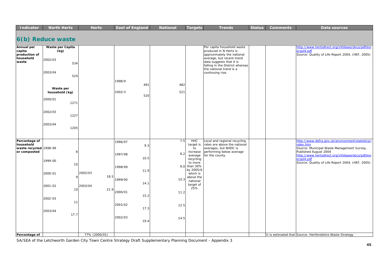| <b>Indicator</b>                                     | <b>North Herts</b>       | <b>Herts</b>    | <b>East of England</b> | <b>National</b> | <b>Targets</b>                   | <b>Trends</b>                                                                                                       | <b>Status</b> | <b>Comments</b> | <b>Data sources</b>                                                                                        |
|------------------------------------------------------|--------------------------|-----------------|------------------------|-----------------|----------------------------------|---------------------------------------------------------------------------------------------------------------------|---------------|-----------------|------------------------------------------------------------------------------------------------------------|
|                                                      |                          |                 |                        |                 |                                  |                                                                                                                     |               |                 |                                                                                                            |
|                                                      | 6(b) Reduce waste        |                 |                        |                 |                                  |                                                                                                                     |               |                 |                                                                                                            |
| Annual per<br>capita                                 | Waste per Capita<br>(kg) |                 |                        |                 |                                  | Per capita household waste<br>produced in N Herts is                                                                |               |                 | http://www.hertsdirect.org/infobase/docs/pdfstor<br>e/gol4.pdf                                             |
| production of<br>household                           |                          |                 |                        |                 |                                  | approximately the national                                                                                          |               |                 | Source: Quality of Life Report 2004, (HEF, 2005)                                                           |
| waste                                                | 2002/03<br>534           |                 |                        |                 |                                  | average, but recent trend<br>data suggests that it is<br>falling in the District whereas<br>the national trend is a |               |                 |                                                                                                            |
|                                                      | 2003/04<br>524           |                 |                        |                 |                                  | continuing rise.                                                                                                    |               |                 |                                                                                                            |
|                                                      |                          |                 | 1998/9                 |                 |                                  |                                                                                                                     |               |                 |                                                                                                            |
|                                                      | Waste per                |                 | 491                    | 482             |                                  |                                                                                                                     |               |                 |                                                                                                            |
|                                                      | household (kg)           |                 | 2002/3                 | 521             |                                  |                                                                                                                     |               |                 |                                                                                                            |
|                                                      | 2000/01                  |                 | 520                    |                 |                                  |                                                                                                                     |               |                 |                                                                                                            |
|                                                      | 1271                     |                 |                        |                 |                                  |                                                                                                                     |               |                 |                                                                                                            |
|                                                      | 2002/03<br>1227          |                 |                        |                 |                                  |                                                                                                                     |               |                 |                                                                                                            |
|                                                      | 2003/04<br>1205          |                 |                        |                 |                                  |                                                                                                                     |               |                 |                                                                                                            |
|                                                      |                          |                 |                        |                 |                                  |                                                                                                                     |               |                 |                                                                                                            |
| Percentage of<br>household<br>waste recycled 1998-99 |                          |                 | 1996/97<br>9.3         | 7.5             | <b>HHC</b><br>target is<br>to    | Local and regional recycling<br>rates are above the national<br>averages, but NHDC is                               |               |                 | http://www.defra.gov.uk/environment/statistics/i<br>ndex.htm<br>Source: Municipal Waste Management Survey, |
| or composted                                         | 8                        |                 | 1997/98<br>10.5        | 8.2             | increase<br>average<br>recycling | performing below average<br>for the county.                                                                         |               |                 | Published August 2004<br>http://www.hertsdirect.org/infobase/docs/pdfstor<br>e/gol4.pdf                    |
|                                                      | 1999-00<br>10            |                 | 1998/99                | 9.0             | to more<br>than 30%<br>by 2005/6 |                                                                                                                     |               |                 | Source: Quality of Life Report 2004, (HEF, 2005)                                                           |
|                                                      | 2000-01<br>9             | 2002/03<br>18.5 | 11.9                   |                 | which is                         |                                                                                                                     |               |                 |                                                                                                            |
|                                                      |                          |                 | 1999/00<br>14.1        | 10.3            | above the<br>national            |                                                                                                                     |               |                 |                                                                                                            |
|                                                      | 2001-02<br>10            | 2003/04<br>21.9 |                        |                 | target of<br>25%                 |                                                                                                                     |               |                 |                                                                                                            |
|                                                      |                          |                 | 2000/01<br>15.2        | 11.2            |                                  |                                                                                                                     |               |                 |                                                                                                            |
|                                                      | 2002-03<br>11            |                 |                        |                 |                                  |                                                                                                                     |               |                 |                                                                                                            |
|                                                      |                          |                 | 2001/02<br>17.3        | 12.5            |                                  |                                                                                                                     |               |                 |                                                                                                            |
|                                                      | 2003/04<br>17.7          |                 |                        |                 |                                  |                                                                                                                     |               |                 |                                                                                                            |
|                                                      |                          |                 | 2002/03<br>19.4        | 14.5            |                                  |                                                                                                                     |               |                 |                                                                                                            |
|                                                      |                          |                 |                        |                 |                                  |                                                                                                                     |               |                 |                                                                                                            |
| Percentage of                                        |                          | 77% (2000/01)   |                        |                 |                                  |                                                                                                                     |               |                 | It is estimated that Source: Hertfordshire Waste Strategy                                                  |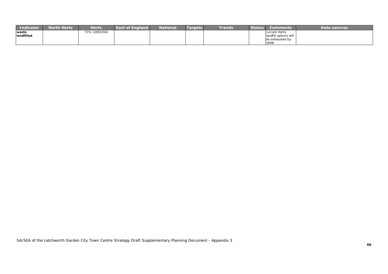| Indicator  | <b>North Herts</b> | Herts         | <b>East of England</b> | National | <b>argets</b> | <b>Trends</b> | <b>Status</b> | Comments              | Data sources |
|------------|--------------------|---------------|------------------------|----------|---------------|---------------|---------------|-----------------------|--------------|
| waste      |                    | 71% (2003/04) |                        |          |               |               |               | current Herts.        |              |
| landfilled |                    |               |                        |          |               |               |               | landfill options will |              |
|            |                    |               |                        |          |               |               |               | be exhausted by       |              |
|            |                    |               |                        |          |               |               |               | 2008.                 |              |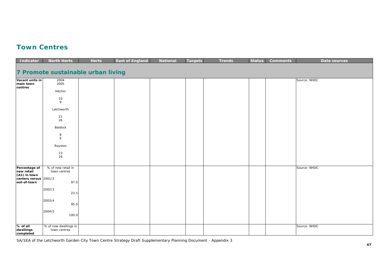### **Town Centres**

| Indicator                                           | <b>North Herts</b>                    | <b>Herts</b> | <b>East of England</b> | <b>National</b> | <b>Targets</b> | <b>Trends</b> | <b>Status</b> | <b>Comments</b> | Data sources |
|-----------------------------------------------------|---------------------------------------|--------------|------------------------|-----------------|----------------|---------------|---------------|-----------------|--------------|
| 7 Promote sustainable urban living                  |                                       |              |                        |                 |                |               |               |                 |              |
| Vacant units in<br>main town<br>centres             | 2004<br>2005                          |              |                        |                 |                |               |               |                 | Source: NHDC |
|                                                     | Hitchin                               |              |                        |                 |                |               |               |                 |              |
|                                                     | 10<br>9                               |              |                        |                 |                |               |               |                 |              |
|                                                     | Letchworth                            |              |                        |                 |                |               |               |                 |              |
|                                                     | 21<br>26                              |              |                        |                 |                |               |               |                 |              |
|                                                     | Baldock                               |              |                        |                 |                |               |               |                 |              |
|                                                     | 8<br>6                                |              |                        |                 |                |               |               |                 |              |
|                                                     | Royston                               |              |                        |                 |                |               |               |                 |              |
|                                                     | 13<br>16                              |              |                        |                 |                |               |               |                 |              |
| Percentage of                                       | % of new retail in                    |              |                        |                 |                |               |               |                 | Source: NHDC |
| new retail<br>(A1) in town<br>centers versus 2001/2 | town centres                          |              |                        |                 |                |               |               |                 |              |
| out-of-town                                         | 97.0                                  |              |                        |                 |                |               |               |                 |              |
|                                                     | 2002/3<br>23.5                        |              |                        |                 |                |               |               |                 |              |
|                                                     | 2003/4<br>95.0                        |              |                        |                 |                |               |               |                 |              |
|                                                     | 2004/5<br>100.0                       |              |                        |                 |                |               |               |                 |              |
| % of all<br>dwellings<br>completed                  | % of new dwellings in<br>town centres |              |                        |                 |                |               |               |                 | Source: NHDC |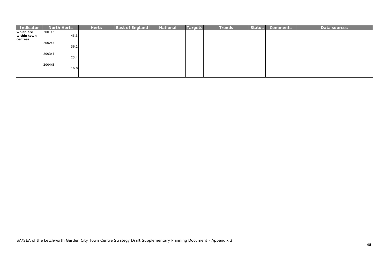| <b>Indicator</b> | <b>North Herts</b> | <b>Herts</b> | <b>East of England</b> | <b>National</b> | Targets | <b>Trends</b> | <b>Status</b> | <b>Comments</b> | Data sources |
|------------------|--------------------|--------------|------------------------|-----------------|---------|---------------|---------------|-----------------|--------------|
| which are        | 2001/2             |              |                        |                 |         |               |               |                 |              |
| within town      | 45.3               |              |                        |                 |         |               |               |                 |              |
| centres          | 2002/3             |              |                        |                 |         |               |               |                 |              |
|                  | 36.7               |              |                        |                 |         |               |               |                 |              |
|                  | 2003/4             |              |                        |                 |         |               |               |                 |              |
|                  | 23.4               |              |                        |                 |         |               |               |                 |              |
|                  | 2004/5             |              |                        |                 |         |               |               |                 |              |
|                  | 16.0               |              |                        |                 |         |               |               |                 |              |
|                  |                    |              |                        |                 |         |               |               |                 |              |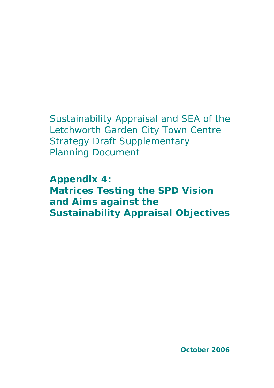# Sustainability Appraisal and SEA of the Letchworth Garden City Town Centre Strategy Draft Supplementary Planning Document

**Appendix 4: Matrices Testing the SPD Vision and Aims against the Sustainability Appraisal Objectives**

**October 2006**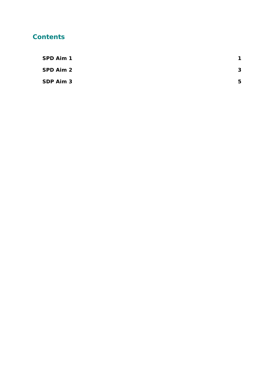### **Contents**

| SPD Aim 1 |    |
|-----------|----|
| SPD Aim 2 | -3 |
| SDP Aim 3 | 5  |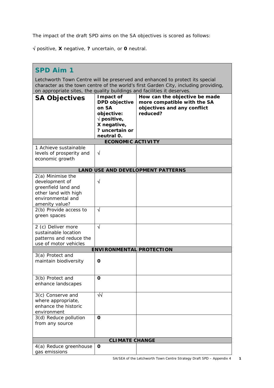The impact of the draft SPD aims on the SA objectives is scored as follows:

√ positive, **X** negative, **?** uncertain, or **0** neutral.

| <b>SPD Aim 1</b>                                                                                                                                                                                                                               |                                                                                                                                  |                                                                                                         |  |  |
|------------------------------------------------------------------------------------------------------------------------------------------------------------------------------------------------------------------------------------------------|----------------------------------------------------------------------------------------------------------------------------------|---------------------------------------------------------------------------------------------------------|--|--|
| Letchworth Town Centre will be preserved and enhanced to protect its special<br>character as the town centre of the world's first Garden City, including providing,<br>on appropriate sites, the quality buildings and facilities it deserves. |                                                                                                                                  |                                                                                                         |  |  |
| <b>SA Objectives</b>                                                                                                                                                                                                                           | Impact of<br>DPD objective<br>on SA<br>objective:<br>$\sqrt{\mathsf{positive}}$ ,<br>X negative,<br>? uncertain or<br>neutral 0. | How can the objective be made<br>more compatible with the SA<br>objectives and any conflict<br>reduced? |  |  |
|                                                                                                                                                                                                                                                | <b>ECONOMIC ACTIVITY</b>                                                                                                         |                                                                                                         |  |  |
| 1 Achieve sustainable<br>levels of prosperity and<br>economic growth                                                                                                                                                                           | $\sqrt{ }$                                                                                                                       |                                                                                                         |  |  |
|                                                                                                                                                                                                                                                |                                                                                                                                  | <b>LAND USE AND DEVELOPMENT PATTERNS</b>                                                                |  |  |
| $2(a)$ Minimise the<br>development of<br>greenfield land and<br>other land with high<br>environmental and<br>amenity value?<br>2(b) Provide access to                                                                                          | $\sqrt{ }$<br>N                                                                                                                  |                                                                                                         |  |  |
| green spaces                                                                                                                                                                                                                                   |                                                                                                                                  |                                                                                                         |  |  |
| 2 (c) Deliver more<br>sustainable location<br>patterns and reduce the<br>use of motor vehicles                                                                                                                                                 | $\sqrt{ }$                                                                                                                       |                                                                                                         |  |  |
|                                                                                                                                                                                                                                                | <b>ENVIRONMENTAL PROTECTION</b>                                                                                                  |                                                                                                         |  |  |
| 3(a) Protect and<br>maintain biodiversity                                                                                                                                                                                                      | O                                                                                                                                |                                                                                                         |  |  |
| 3(b) Protect and<br>enhance landscapes                                                                                                                                                                                                         | O                                                                                                                                |                                                                                                         |  |  |
| 3(c) Conserve and<br>where appropriate,<br>enhance the historic<br>environment                                                                                                                                                                 | ᄿ                                                                                                                                |                                                                                                         |  |  |
| 3(d) Reduce pollution<br>from any source                                                                                                                                                                                                       | $\mathbf 0$                                                                                                                      |                                                                                                         |  |  |
|                                                                                                                                                                                                                                                | <b>CLIMATE CHANGE</b>                                                                                                            |                                                                                                         |  |  |
| 4(a) Reduce greenhouse<br>gas emissions                                                                                                                                                                                                        | 0                                                                                                                                |                                                                                                         |  |  |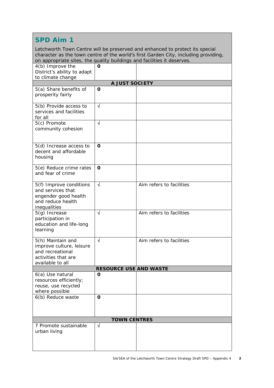Letchworth Town Centre will be preserved and enhanced to protect its special character as the town centre of the world's first Garden City, including providing, on appropriate sites, the quality buildings and facilities it deserves.

| on appropriate sites, the quality buildings and radilities it acserves.                                      |                               |                          |
|--------------------------------------------------------------------------------------------------------------|-------------------------------|--------------------------|
| 4(b) Improve the                                                                                             | O                             |                          |
| District's ability to adapt                                                                                  |                               |                          |
| to climate change                                                                                            |                               |                          |
|                                                                                                              | A JUST SOCIETY                |                          |
| 5(a) Share benefits of<br>prosperity fairly                                                                  | $\mathbf 0$                   |                          |
| 5(b) Provide access to<br>services and facilities<br>for all                                                 | $\sqrt{ }$                    |                          |
| 5(c) Promote<br>community cohesion                                                                           | $\sqrt{ }$                    |                          |
| 5(d) Increase access to<br>decent and affordable<br>housing                                                  | $\mathbf 0$                   |                          |
| 5(e) Reduce crime rates<br>and fear of crime                                                                 | $\mathbf 0$                   |                          |
| 5(f) Improve conditions<br>and services that<br>engender good health<br>and reduce health<br>inequalities    | $\sqrt{ }$                    | Aim refers to facilities |
| 5(g) Increase<br>participation in<br>education and life-long<br>learning                                     | $\sqrt{ }$                    | Aim refers to facilities |
| 5(h) Maintain and<br>improve culture, leisure<br>and recreational<br>activities that are<br>available to all | $\sqrt{ }$                    | Aim refers to facilities |
|                                                                                                              | <b>RESOURCE USE AND WASTE</b> |                          |
| 6(a) Use natural<br>resources efficiently;<br>reuse, use recycled<br>where possible                          | O                             |                          |
| 6(b) Reduce waste                                                                                            | O                             |                          |
|                                                                                                              | <b>TOWN CENTRES</b>           |                          |
| 7 Promote sustainable<br>urban living                                                                        | $\sqrt{}$                     |                          |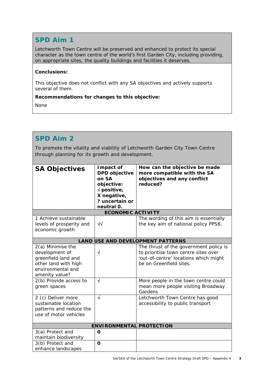Letchworth Town Centre will be preserved and enhanced to protect its special character as the town centre of the world's first Garden City, including providing, on appropriate sites, the quality buildings and facilities it deserves.

#### **Conclusions:**

This objective does not conflict with any SA objectives and actively supports several of them.

#### **Recommendations for changes to this objective:**

None

### **SPD Aim 2**

To promote the vitality and viability of Letchworth Garden City Town Centre through planning for its growth and development.

| <b>SA Objectives</b>                                                                                                      | Impact of<br><b>DPD</b> objective<br>on SA<br>objective:<br>$\sqrt{\text{positive}}$ , | How can the objective be made<br>more compatible with the SA<br>objectives and any conflict<br>reduced?                                            |
|---------------------------------------------------------------------------------------------------------------------------|----------------------------------------------------------------------------------------|----------------------------------------------------------------------------------------------------------------------------------------------------|
|                                                                                                                           | X negative,<br>? uncertain or                                                          |                                                                                                                                                    |
|                                                                                                                           | neutral 0.                                                                             |                                                                                                                                                    |
|                                                                                                                           | <b>ECONOMIC ACTIVITY</b>                                                               |                                                                                                                                                    |
| 1 Achieve sustainable<br>levels of prosperity and<br>economic growth                                                      | $\sqrt{2}$                                                                             | The wording of this aim is essentially<br>the key aim of national policy PPS6.                                                                     |
|                                                                                                                           |                                                                                        | <b>LAND USE AND DEVELOPMENT PATTERNS</b>                                                                                                           |
| 2(a) Minimise the<br>development of<br>greenfield land and<br>other land with high<br>environmental and<br>amenity value? | $\sqrt{}$                                                                              | The thrust of the government policy is<br>to prioritise town centre sites over<br>'out-of-centre' locations which might<br>be on Greenfield sites. |
| 2(b) Provide access to<br>green spaces                                                                                    | $\sqrt{ }$                                                                             | More people in the town centre could<br>mean more people visiting Broadway<br>Gardens                                                              |
| 2 (c) Deliver more<br>sustainable location<br>patterns and reduce the<br>use of motor vehicles                            | $\sqrt{ }$                                                                             | Letchworth Town Centre has good<br>accessibility to public transport                                                                               |
|                                                                                                                           | <b>ENVIRONMENTAL PROTECTION</b>                                                        |                                                                                                                                                    |
| 3(a) Protect and<br>maintain biodiversity                                                                                 | O                                                                                      |                                                                                                                                                    |
| 3(b) Protect and<br>enhance landscapes                                                                                    | $\mathbf{o}$                                                                           |                                                                                                                                                    |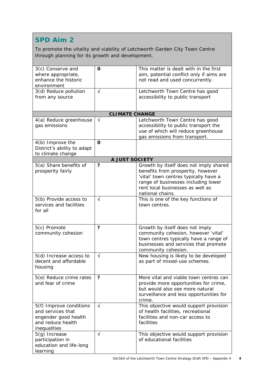To promote the vitality and viability of Letchworth Garden City Town Centre through planning for its growth and development.

| 3(c) Conserve and<br>where appropriate,<br>enhance the historic<br>environment<br>3(d) Reduce pollution<br>from any source | O<br>$\sqrt{ }$<br><b>CLIMATE CHANGE</b> | This matter is dealt with in the first<br>aim, potential conflict only if aims are<br>not read and used concurrently.<br>Letchworth Town Centre has good<br>accessibility to public transport |
|----------------------------------------------------------------------------------------------------------------------------|------------------------------------------|-----------------------------------------------------------------------------------------------------------------------------------------------------------------------------------------------|
| 4(a) Reduce greenhouse                                                                                                     | $\sqrt{ }$                               | Letchworth Town Centre has good                                                                                                                                                               |
| gas emissions                                                                                                              |                                          | accessibility to public transport the<br>use of which will reduce greenhouse<br>gas emissions from transport.                                                                                 |
| 4(b) Improve the                                                                                                           | $\mathbf 0$                              |                                                                                                                                                                                               |
| District's ability to adapt<br>to climate change                                                                           |                                          |                                                                                                                                                                                               |
|                                                                                                                            | A JUST SOCIETY                           |                                                                                                                                                                                               |
| 5(a) Share benefits of                                                                                                     | $\ddot{\phantom{0}}$                     | Growth by itself does not imply shared                                                                                                                                                        |
| prosperity fairly                                                                                                          |                                          | benefits from prosperity, however                                                                                                                                                             |
|                                                                                                                            |                                          | 'vital' town centres typically have a                                                                                                                                                         |
|                                                                                                                            |                                          | range of businesses including lower                                                                                                                                                           |
|                                                                                                                            |                                          | rent local businesses as well as                                                                                                                                                              |
|                                                                                                                            |                                          | national chains.                                                                                                                                                                              |
| 5(b) Provide access to                                                                                                     | $\sqrt{}$                                | This is one of the key functions of                                                                                                                                                           |
| services and facilities                                                                                                    |                                          | town centres.                                                                                                                                                                                 |
| for all                                                                                                                    |                                          |                                                                                                                                                                                               |
|                                                                                                                            |                                          |                                                                                                                                                                                               |
|                                                                                                                            |                                          |                                                                                                                                                                                               |
| 5(c) Promote                                                                                                               | ?                                        | Growth by itself does not imply                                                                                                                                                               |
| community cohesion                                                                                                         |                                          | community cohesion, however 'vital'                                                                                                                                                           |
|                                                                                                                            |                                          | town centres typically have a range of                                                                                                                                                        |
|                                                                                                                            |                                          | businesses and services that promote                                                                                                                                                          |
|                                                                                                                            |                                          | community cohesion.                                                                                                                                                                           |
| 5(d) Increase access to                                                                                                    | $\sqrt{ }$                               | New housing is likely to be developed                                                                                                                                                         |
| decent and affordable                                                                                                      |                                          | as part of mixed-use schemes.                                                                                                                                                                 |
| housing                                                                                                                    |                                          |                                                                                                                                                                                               |
|                                                                                                                            |                                          |                                                                                                                                                                                               |
| 5(e) Reduce crime rates<br>and fear of crime                                                                               | ?                                        | More vital and viable town centres can                                                                                                                                                        |
|                                                                                                                            |                                          | provide more opportunities for crime,                                                                                                                                                         |
|                                                                                                                            |                                          | but would also see more natural                                                                                                                                                               |
|                                                                                                                            |                                          | surveillance and less opportunities for                                                                                                                                                       |
| 5(f) Improve conditions                                                                                                    | $\sqrt{ }$                               | crime.<br>This objective would support provision                                                                                                                                              |
| and services that                                                                                                          |                                          |                                                                                                                                                                                               |
|                                                                                                                            |                                          | of health facilities, recreational<br>facilities and non-car access to                                                                                                                        |
| engender good health                                                                                                       |                                          |                                                                                                                                                                                               |
| and reduce health                                                                                                          |                                          | facilities                                                                                                                                                                                    |
| inequalities                                                                                                               | $\sqrt{ }$                               |                                                                                                                                                                                               |
| 5(g) Increase                                                                                                              |                                          | This objective would support provision                                                                                                                                                        |
| participation in                                                                                                           |                                          | of educational facilities                                                                                                                                                                     |
| education and life-long                                                                                                    |                                          |                                                                                                                                                                                               |
| learning                                                                                                                   |                                          |                                                                                                                                                                                               |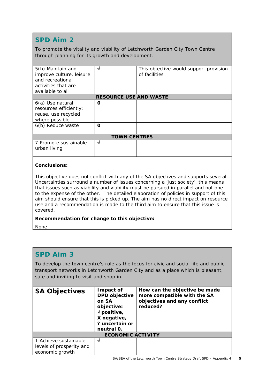To promote the vitality and viability of Letchworth Garden City Town Centre through planning for its growth and development.

| 5(h) Maintain and<br>improve culture, leisure<br>and recreational<br>activities that are<br>available to all | N                             | This objective would support provision<br>of facilities |
|--------------------------------------------------------------------------------------------------------------|-------------------------------|---------------------------------------------------------|
|                                                                                                              | <b>RESOURCE USE AND WASTE</b> |                                                         |
| 6(a) Use natural<br>resources efficiently;<br>reuse, use recycled<br>where possible<br>6(b) Reduce waste     | Ω<br>Ω                        |                                                         |
|                                                                                                              | <b>TOWN CENTRES</b>           |                                                         |
| 7 Promote sustainable<br>urban living                                                                        | N                             |                                                         |

#### **Conclusions:**

This objective does not conflict with any of the SA objectives and supports several. Uncertainties surround a number of issues concerning a 'just society', this means that issues such as viability and viability must be pursued in parallel and not one to the expense of the other. The detailed elaboration of policies in support of this aim should ensure that this is picked up. The aim has no direct impact on resource use and a recommendation is made to the third aim to ensure that this issue is covered.

#### **Recommendation for change to this objective:**

None

#### **SPD Aim 3**

To develop the town centre's role as the focus for civic and social life and public transport networks in Letchworth Garden City and as a place which is pleasant, safe and inviting to visit and shop in.

| <b>SA Objectives</b>     | Impact of<br><b>DPD</b> objective<br>on SA<br>objective:<br>$\sqrt{p}$ positive,<br>X negative,<br>? uncertain or<br>neutral 0. | How can the objective be made<br>more compatible with the SA<br>objectives and any conflict<br>reduced? |
|--------------------------|---------------------------------------------------------------------------------------------------------------------------------|---------------------------------------------------------------------------------------------------------|
|                          | <b>ECONOMIC ACTIVITY</b>                                                                                                        |                                                                                                         |
| 1 Achieve sustainable    | N                                                                                                                               |                                                                                                         |
| levels of prosperity and |                                                                                                                                 |                                                                                                         |
| economic growth          |                                                                                                                                 |                                                                                                         |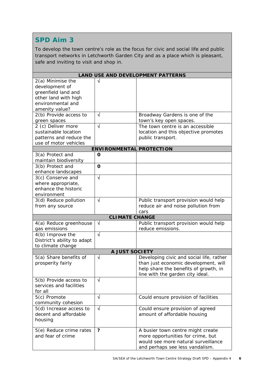To develop the town centre's role as the focus for civic and social life and public transport networks in Letchworth Garden City and as a place which is pleasant, safe and inviting to visit and shop in.

| <b>LAND USE AND DEVELOPMENT PATTERNS</b>                                                       |                                 |                                                                                                                                                               |  |  |  |  |
|------------------------------------------------------------------------------------------------|---------------------------------|---------------------------------------------------------------------------------------------------------------------------------------------------------------|--|--|--|--|
| 2(a) Minimise the<br>development of<br>greenfield land and                                     | √                               |                                                                                                                                                               |  |  |  |  |
| other land with high<br>environmental and<br>amenity value?                                    |                                 |                                                                                                                                                               |  |  |  |  |
| 2(b) Provide access to<br>green spaces                                                         | $\sqrt{}$                       | Broadway Gardens is one of the<br>town's key open spaces.                                                                                                     |  |  |  |  |
| 2 (c) Deliver more<br>sustainable location<br>patterns and reduce the<br>use of motor vehicles | $\sqrt{ }$                      | The town centre is an accessible<br>location and this objective promotes<br>public transport.                                                                 |  |  |  |  |
|                                                                                                | <b>ENVIRONMENTAL PROTECTION</b> |                                                                                                                                                               |  |  |  |  |
| 3(a) Protect and<br>maintain biodiversity                                                      | 0                               |                                                                                                                                                               |  |  |  |  |
| 3(b) Protect and<br>enhance landscapes                                                         | O                               |                                                                                                                                                               |  |  |  |  |
| 3(c) Conserve and<br>where appropriate,<br>enhance the historic<br>environment                 | $\sqrt{}$                       |                                                                                                                                                               |  |  |  |  |
| 3(d) Reduce pollution<br>from any source                                                       | $\sqrt{}$                       | Public transport provision would help<br>reduce air and noise pollution from<br>cars                                                                          |  |  |  |  |
|                                                                                                | <b>CLIMATE CHANGE</b>           |                                                                                                                                                               |  |  |  |  |
| 4(a) Reduce greenhouse<br>gas emissions                                                        | $\sqrt{}$                       | Public transport provision would help<br>reduce emissions.                                                                                                    |  |  |  |  |
| 4(b) Improve the<br>District's ability to adapt<br>to climate change                           | $\overline{\sqrt{} }$           |                                                                                                                                                               |  |  |  |  |
|                                                                                                | A JUST SOCIETY                  |                                                                                                                                                               |  |  |  |  |
| 5(a) Share benefits of<br>prosperity fairly                                                    | $\sqrt{}$                       | Developing civic and social life, rather<br>than just economic development, will<br>help share the benefits of growth, in<br>line with the garden city ideal. |  |  |  |  |
| 5(b) Provide access to<br>services and facilities<br>for all                                   | V                               |                                                                                                                                                               |  |  |  |  |
| 5(c) Promote<br>community cohesion                                                             | N                               | Could ensure provision of facilities                                                                                                                          |  |  |  |  |
| 5(d) Increase access to<br>decent and affordable<br>housing                                    | $\sqrt{ }$                      | Could ensure provision of agreed<br>amount of affordable housing                                                                                              |  |  |  |  |
| 5(e) Reduce crime rates<br>and fear of crime                                                   | ?                               | A busier town centre might create<br>more opportunities for crime, but<br>would see more natural surveillance<br>and perhaps see less vandalism.              |  |  |  |  |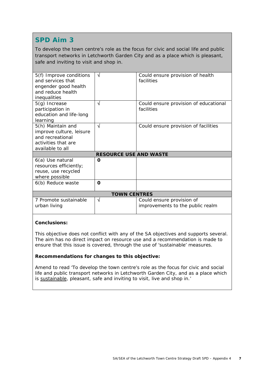To develop the town centre's role as the focus for civic and social life and public transport networks in Letchworth Garden City and as a place which is pleasant, safe and inviting to visit and shop in.

| 5(f) Improve conditions<br>and services that<br>engender good health<br>and reduce health<br>inequalities    | N                             | Could ensure provision of health<br>facilities                |
|--------------------------------------------------------------------------------------------------------------|-------------------------------|---------------------------------------------------------------|
| $5(g)$ Increase<br>participation in<br>education and life-long<br>learning                                   | N                             | Could ensure provision of educational<br>facilities           |
| 5(h) Maintain and<br>improve culture, leisure<br>and recreational<br>activities that are<br>available to all | √                             | Could ensure provision of facilities                          |
|                                                                                                              | <b>RESOURCE USE AND WASTE</b> |                                                               |
| 6(a) Use natural<br>resources efficiently;<br>reuse, use recycled<br>where possible                          | O                             |                                                               |
| 6(b) Reduce waste                                                                                            | O                             |                                                               |
|                                                                                                              | <b>TOWN CENTRES</b>           |                                                               |
| 7 Promote sustainable<br>urban living                                                                        | N                             | Could ensure provision of<br>improvements to the public realm |

#### **Conclusions:**

This objective does not conflict with any of the SA objectives and supports several. The aim has no direct impact on resource use and a recommendation is made to ensure that this issue is covered, through the use of 'sustainable' measures.

#### **Recommendations for changes to this objective:**

Amend to read 'To develop the town centre's role as the focus for civic and social life and public transport networks in Letchworth Garden City, and as a place which is sustainable, pleasant, safe and inviting to visit, live and shop in.'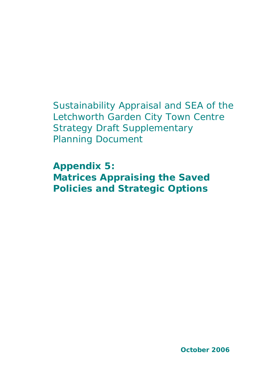# Sustainability Appraisal and SEA of the Letchworth Garden City Town Centre Strategy Draft Supplementary Planning Document

**Appendix 5: Matrices Appraising the Saved Policies and Strategic Options**

**October 2006**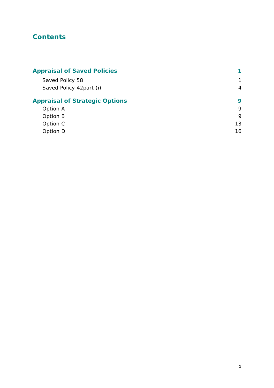# **Contents**

| <b>Appraisal of Saved Policies</b>    |                |
|---------------------------------------|----------------|
| Saved Policy 58                       | $\mathbf 1$    |
| Saved Policy 42part (i)               | $\overline{4}$ |
| <b>Appraisal of Strategic Options</b> | 9              |
| Option A                              | 9              |
| Option B                              | 9              |
| Option C                              | 13             |
| Option D                              | 16             |
|                                       |                |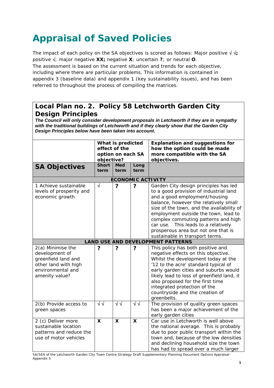# **Appraisal of Saved Policies**

The impact of each policy on the SA objectives is scored as follows: Major positive  $\sqrt{v}$ ; positive √; major negative **XX;** negative **X**; uncertain **?**; or neutral **O**. The assessment is based on the current situation and trends for each objective, including where there are particular problems. This information is contained in appendix 3 (baseline data) and appendix 1 (key sustainability issues), and has been referred to throughout the process of compiling the matrices.

#### **Local Plan no. 2. Policy 58 Letchworth Garden City Design Principles**

*The Council will only consider development proposals in Letchworth if they are in sympathy with the traditional buildings of Letchworth and if they clearly show that the Garden City Design Principles below have been taken into account.*

|                                                                                                                           | What is predicted<br>effect of the<br>option on each SA<br>objective? |                    |                           | <b>Explanation and suggestions for</b><br>how the option could be made<br>more compatible with the SA<br>objectives.                                                                                                                                                                                                                                                                                   |
|---------------------------------------------------------------------------------------------------------------------------|-----------------------------------------------------------------------|--------------------|---------------------------|--------------------------------------------------------------------------------------------------------------------------------------------------------------------------------------------------------------------------------------------------------------------------------------------------------------------------------------------------------------------------------------------------------|
| <b>SA Objectives</b>                                                                                                      | <b>Short</b><br>term                                                  | <b>Med</b><br>term | Long<br>term              |                                                                                                                                                                                                                                                                                                                                                                                                        |
|                                                                                                                           |                                                                       |                    |                           | <b>ECONOMIC ACTIVITY</b>                                                                                                                                                                                                                                                                                                                                                                               |
| 1 Achieve sustainable<br>levels of prosperity and<br>economic growth                                                      | $\sqrt{ }$                                                            | ?                  | ?                         | Garden City design principles has led<br>to a good provision of industrial land<br>and a good employment/housing<br>balance, however the relatively small<br>size of the town, and the availability of<br>employment outside the town, lead to<br>complex commuting patterns and high<br>car use. This leads to a relatively<br>prosperous area but not one that is<br>sustainable in transport terms. |
|                                                                                                                           |                                                                       |                    |                           | <b>LAND USE AND DEVELOPMENT PATTERNS</b>                                                                                                                                                                                                                                                                                                                                                               |
| 2(a) Minimise the<br>development of<br>greenfield land and<br>other land with high<br>environmental and<br>amenity value? | ?                                                                     | ?                  | ?                         | This policy has both positive and<br>negative effects on this objective.<br>Whilst the development today at the<br>'12 to the acre' standard typical of<br>early garden cities and suburbs would<br>likely lead to loss of greenfield land, it<br>also proposed for the first time<br>integrated protection of the<br>countryside and the creation of<br>greenbelts.                                   |
| 2(b) Provide access to<br>green spaces                                                                                    | $\sqrt{2}$                                                            | $\sqrt{2}$         | $\overline{\sqrt{}}$      | The provision of quality green spaces<br>has been a major achievement of the<br>early garden cities                                                                                                                                                                                                                                                                                                    |
| 2 (c) Deliver more<br>sustainable location<br>patterns and reduce the<br>use of motor vehicles                            | X                                                                     | X                  | $\boldsymbol{\mathsf{X}}$ | Car use in Letchworth is well above<br>the national average. This is probably<br>due to poor public transport within the<br>town and, because of the low densities<br>and declining household size the town<br>has had to spread over a much larger                                                                                                                                                    |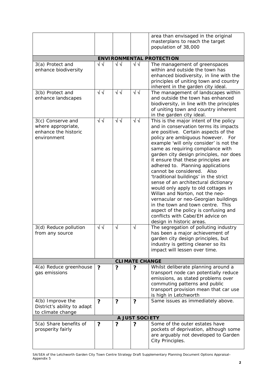|                                          |            |            |                | area than envisaged in the original                                      |  |
|------------------------------------------|------------|------------|----------------|--------------------------------------------------------------------------|--|
|                                          |            |            |                | masterplans to reach the target                                          |  |
|                                          |            |            |                | population of 38,000                                                     |  |
|                                          |            |            |                |                                                                          |  |
|                                          | $\sqrt{2}$ | $\sqrt{2}$ | √√             | <b>ENVIRONMENTAL PROTECTION</b>                                          |  |
| 3(a) Protect and<br>enhance biodiversity |            |            |                | The management of greenspaces<br>within and outside the town has         |  |
|                                          |            |            |                | enhanced biodiversity, in line with the                                  |  |
|                                          |            |            |                | principles of uniting town and country                                   |  |
|                                          |            |            |                | inherent in the garden city ideal.                                       |  |
| 3(b) Protect and                         | $\sqrt{2}$ | $\sqrt{2}$ | $\sqrt{2}$     | The management of landscapes within                                      |  |
| enhance landscapes                       |            |            |                | and outside the town has enhanced                                        |  |
|                                          |            |            |                | biodiversity, in line with the principles                                |  |
|                                          |            |            |                | of uniting town and country inherent                                     |  |
|                                          |            |            |                | in the garden city ideal.                                                |  |
| 3(c) Conserve and                        | √√         | √√         | √√             | This is the major intent of the policy                                   |  |
| where appropriate,                       |            |            |                | and in conservation terms its impacts                                    |  |
| enhance the historic                     |            |            |                | are positive. Certain aspects of the                                     |  |
| environment                              |            |            |                | policy are ambiguous however. For                                        |  |
|                                          |            |            |                | example 'will only consider' is not the                                  |  |
|                                          |            |            |                | same as requiring compliance with                                        |  |
|                                          |            |            |                | garden city design principles, nor does                                  |  |
|                                          |            |            |                | it ensure that these principles are<br>adhered to. Planning applications |  |
|                                          |            |            |                | cannot be considered. Also                                               |  |
|                                          |            |            |                | 'traditional buildings' in the strict                                    |  |
|                                          |            |            |                | sense of an architectural dictionary                                     |  |
|                                          |            |            |                | would only apply to old cottages in                                      |  |
|                                          |            |            |                | Willan and Norton, not the neo-                                          |  |
|                                          |            |            |                | vernacular or neo-Georgian buildings                                     |  |
|                                          |            |            |                | in the town and town centre. This                                        |  |
|                                          |            |            |                | aspect of the policy is confusing and                                    |  |
|                                          |            |            |                | conflicts with Cabe/EH advice on                                         |  |
|                                          |            |            |                | design in historic areas.                                                |  |
| 3(d) Reduce pollution                    | √√         | $\sqrt{ }$ | $\sqrt{}$      | The segregation of polluting industry                                    |  |
| from any source                          |            |            |                | has been a major achievement of                                          |  |
|                                          |            |            |                | garden city design principles, but                                       |  |
|                                          |            |            |                | industry is getting cleaner so its<br>impact will lessen over time.      |  |
|                                          |            |            |                |                                                                          |  |
| <b>CLIMATE CHANGE</b>                    |            |            |                |                                                                          |  |
| 4(a) Reduce greenhouse                   | ?          | ?          | ?              | Whilst deliberate planning around a                                      |  |
| gas emissions                            |            |            |                | transport node can potentially reduce                                    |  |
|                                          |            |            |                | emissions, as stated problems over                                       |  |
|                                          |            |            |                | commuting patterns and public                                            |  |
|                                          |            |            |                | transport provision mean that car use                                    |  |
|                                          |            |            |                | is high in Letchworth                                                    |  |
| 4(b) Improve the                         | ?          | ?          | ?              | Same issues as immediately above.                                        |  |
| District's ability to adapt              |            |            |                |                                                                          |  |
| to climate change                        |            |            | A JUST SOCIETY |                                                                          |  |
| 5(a) Share benefits of                   | ?          | ?          | ?              | Some of the outer estates have                                           |  |
| prosperity fairly                        |            |            |                | pockets of deprivation, although some                                    |  |
|                                          |            |            |                | are arguably not developed to Garden                                     |  |
|                                          |            |            |                | City Principles.                                                         |  |
|                                          |            |            |                |                                                                          |  |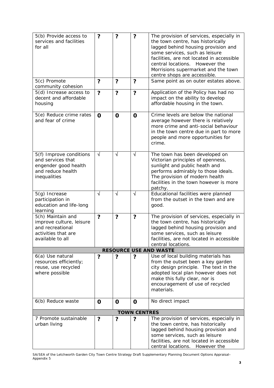| 5(b) Provide access to<br>services and facilities<br>for all                                                 | $\ddot{\phantom{0}}$    | ?                       | ?                       | The provision of services, especially in<br>the town centre, has historically<br>lagged behind housing provision and<br>some services, such as leisure<br>facilities, are not located in accessible<br>central locations.<br>However the<br>Morrisions supermarket and the town<br>centre shops are accessible. |
|--------------------------------------------------------------------------------------------------------------|-------------------------|-------------------------|-------------------------|-----------------------------------------------------------------------------------------------------------------------------------------------------------------------------------------------------------------------------------------------------------------------------------------------------------------|
| 5(c) Promote<br>community cohesion                                                                           | ?                       | ?                       | ?                       | Same point as on outer estates above.                                                                                                                                                                                                                                                                           |
| 5(d) Increase access to<br>decent and affordable<br>housing                                                  | $\overline{\mathbf{?}}$ | $\overline{\mathbf{?}}$ | $\overline{\mathbf{?}}$ | Application of the Policy has had no<br>impact on the ability to develop<br>affordable housing in the town.                                                                                                                                                                                                     |
| 5(e) Reduce crime rates<br>and fear of crime                                                                 | $\mathbf 0$             | $\mathbf 0$             | O                       | Crime levels are below the national<br>average however there is relatively<br>more crime and anti-social behaviour<br>in the town centre due in part to more<br>people and more opportunities for<br>crime.                                                                                                     |
| 5(f) Improve conditions<br>and services that<br>engender good health<br>and reduce health<br>inequalities    | $\sqrt{ }$              | $\sqrt{ }$              | $\sqrt{}$               | The town has been developed on<br>Victorian principles of openness,<br>sunlight and public heath and<br>performs admirably to those ideals.<br>The provision of modern health<br>facilities in the town however is more<br>patchy.                                                                              |
| 5(g) Increase<br>participation in<br>education and life-long<br>learning                                     | $\sqrt{}$               | $\sqrt{ }$              | √                       | Educational facilities were planned<br>from the outset in the town and are<br>good.                                                                                                                                                                                                                             |
| 5(h) Maintain and<br>improve culture, leisure<br>and recreational<br>activities that are<br>available to all | $\ddot{\phantom{0}}$    | ?                       | ?                       | The provision of services, especially in<br>the town centre, has historically<br>lagged behind housing provision and<br>some services, such as leisure<br>facilities, are not located in accessible<br>central locations.                                                                                       |
|                                                                                                              |                         |                         |                         | <b>RESOURCE USE AND WASTE</b>                                                                                                                                                                                                                                                                                   |
| 6(a) Use natural<br>resources efficiently;<br>reuse, use recycled<br>where possible                          | ?                       | ?                       | ?                       | Use of local building materials has<br>from the outset been a key garden<br>city design principle. The text in the<br>adopted local plan however does not<br>make this fully clear, nor is<br>encouragement of use of recycled<br>materials.                                                                    |
| 6(b) Reduce waste                                                                                            | O                       | 0                       | O                       | No direct impact                                                                                                                                                                                                                                                                                                |
|                                                                                                              |                         |                         | <b>TOWN CENTRES</b>     |                                                                                                                                                                                                                                                                                                                 |
| 7 Promote sustainable<br>urban living                                                                        | ?                       | ?                       | ?                       | The provision of services, especially in<br>the town centre, has historically<br>lagged behind housing provision and<br>some services, such as leisure<br>facilities, are not located in accessible<br>central locations. However the                                                                           |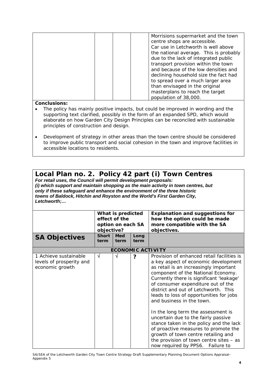| Morrisions supermarket and the town    |
|----------------------------------------|
| centre shops are accessible.           |
| Car use in Letchworth is well above    |
| the national average. This is probably |
| due to the lack of integrated public   |
| transport provision within the town    |
| and because of the low densities and   |
| declining household size the fact had  |
| to spread over a much larger area      |
| than envisaged in the original         |
| masterplans to reach the target        |
| population of 38,000.                  |

#### **Conclusions:**

- The policy has mainly positive impacts, but could be improved in wording and the supporting text clarified, possibly in the form of an expanded SPD, which would elaborate on how Garden City Design Principles can be reconciled with sustainable principles of construction and design.
- Development of strategy in other areas than the town centre should be considered to improve public transport and social cohesion in the town and improve facilities in accessible locations to residents.

### **Local Plan no. 2. Policy 42 part (i) Town Centres**

*For retail uses, the Council will permit development proposals: (i) which support and maintain shopping as the main activity in town centres, but only if these safeguard and enhance the environment of the three historic towns of Baldock, Hitchin and Royston and the World's First Garden City, Letchworth;…*

|                                                                      | What is predicted<br>effect of the<br>option on each SA<br>objective?<br><b>Short</b><br><b>Med</b><br>Long |      |      | <b>Explanation and suggestions for</b><br>how the option could be made<br>more compatible with the SA<br>objectives.                                                                                                                                                                                                                                                                                                                                                                                                                                                                                                                                         |
|----------------------------------------------------------------------|-------------------------------------------------------------------------------------------------------------|------|------|--------------------------------------------------------------------------------------------------------------------------------------------------------------------------------------------------------------------------------------------------------------------------------------------------------------------------------------------------------------------------------------------------------------------------------------------------------------------------------------------------------------------------------------------------------------------------------------------------------------------------------------------------------------|
| <b>SA Objectives</b>                                                 | term                                                                                                        | term | term |                                                                                                                                                                                                                                                                                                                                                                                                                                                                                                                                                                                                                                                              |
|                                                                      |                                                                                                             |      |      | <b>ECONOMIC ACTIVITY</b>                                                                                                                                                                                                                                                                                                                                                                                                                                                                                                                                                                                                                                     |
| 1 Achieve sustainable<br>levels of prosperity and<br>economic growth | N                                                                                                           | V    | ?    | Provision of enhanced retail facilities is<br>a key aspect of economic development<br>as retail is an increasingly important<br>component of the National Economy.<br>Currently there is significant 'leakage'<br>of consumer expenditure out of the<br>district and out of Letchworth. This<br>leads to loss of opportunities for jobs<br>and business in the town.<br>In the long term the assessment is<br>uncertain due to the fairly passive<br>stance taken in the policy and the lack<br>of proactive measures to promote the<br>growth of town centre retailing and<br>the provision of town centre sites $-$ as<br>now required by PPS6. Failure to |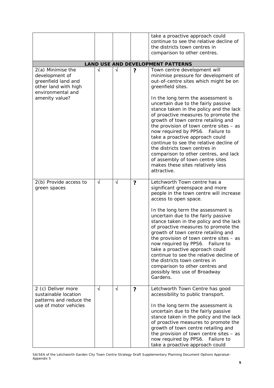|                                                                                                                           |            |            |   | take a proactive approach could<br>continue to see the relative decline of<br>the districts town centres in<br>comparison to other centres.                                                                                                                                                                                                                                                                                                                                                                                                                                                                                                                                |
|---------------------------------------------------------------------------------------------------------------------------|------------|------------|---|----------------------------------------------------------------------------------------------------------------------------------------------------------------------------------------------------------------------------------------------------------------------------------------------------------------------------------------------------------------------------------------------------------------------------------------------------------------------------------------------------------------------------------------------------------------------------------------------------------------------------------------------------------------------------|
|                                                                                                                           |            |            |   | <b>LAND USE AND DEVELOPMENT PATTERNS</b>                                                                                                                                                                                                                                                                                                                                                                                                                                                                                                                                                                                                                                   |
| 2(a) Minimise the<br>development of<br>greenfield land and<br>other land with high<br>environmental and<br>amenity value? | √          | $\sqrt{ }$ | ? | Town centre development will<br>minimise pressure for development of<br>out-of-centre sites which might be on<br>greenfield sites.<br>In the long term the assessment is<br>uncertain due to the fairly passive<br>stance taken in the policy and the lack<br>of proactive measures to promote the<br>growth of town centre retailing and<br>the provision of town centre sites $-$ as<br>now required by PPS6. Failure to<br>take a proactive approach could<br>continue to see the relative decline of<br>the districts town centres in<br>comparison to other centres, and lack<br>of assembly of town centre sites<br>makes these sites relatively less<br>attractive. |
| 2(b) Provide access to<br>green spaces                                                                                    | $\sqrt{ }$ | $\sqrt{ }$ | ? | Letchworth Town centre has a<br>significant greenspace and more<br>people in the town centre will increase<br>access to open space.<br>In the long term the assessment is<br>uncertain due to the fairly passive<br>stance taken in the policy and the lack<br>of proactive measures to promote the<br>growth of town centre retailing and<br>the provision of town centre sites $-$ as<br>now required by PPS6. Failure to<br>take a proactive approach could<br>continue to see the relative decline of<br>the districts town centres in<br>comparison to other centres and<br>possibly less use of Broadway<br>Gardens.                                                 |
| 2 (c) Deliver more<br>sustainable location<br>patterns and reduce the<br>use of motor vehicles                            | $\sqrt{ }$ | √          | ? | Letchworth Town Centre has good<br>accessibility to public transport.<br>In the long term the assessment is<br>uncertain due to the fairly passive<br>stance taken in the policy and the lack<br>of proactive measures to promote the<br>growth of town centre retailing and<br>the provision of town centre sites $-$ as<br>now required by PPS6. Failure to<br>take a proactive approach could                                                                                                                                                                                                                                                                           |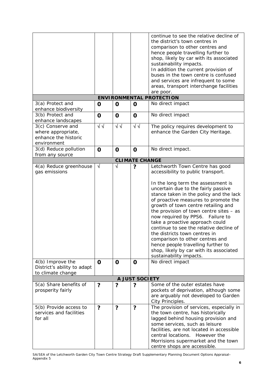|                                                                                            |                           |                           |                       | continue to see the relative decline of<br>the district's town centres in<br>comparison to other centres and<br>hence people travelling further to<br>shop, likely by car with its associated<br>sustainability impacts.<br>In addition the current provision of<br>buses in the town centre is confused<br>and services are infrequent to some<br>areas, transport interchange facilities<br>are poor.                                                                                                                                                                                                                                         |
|--------------------------------------------------------------------------------------------|---------------------------|---------------------------|-----------------------|-------------------------------------------------------------------------------------------------------------------------------------------------------------------------------------------------------------------------------------------------------------------------------------------------------------------------------------------------------------------------------------------------------------------------------------------------------------------------------------------------------------------------------------------------------------------------------------------------------------------------------------------------|
|                                                                                            |                           |                           |                       | <b>ENVIRONMENTAL PROTECTION</b>                                                                                                                                                                                                                                                                                                                                                                                                                                                                                                                                                                                                                 |
| 3(a) Protect and<br>enhance biodiversity                                                   | O                         | $\mathbf 0$               | $\mathbf 0$           | No direct impact                                                                                                                                                                                                                                                                                                                                                                                                                                                                                                                                                                                                                                |
| 3(b) Protect and<br>enhance landscapes                                                     | $\mathbf 0$               | $\mathbf 0$               | $\mathbf 0$           | No direct impact                                                                                                                                                                                                                                                                                                                                                                                                                                                                                                                                                                                                                                |
| 3(c) Conserve and<br>where appropriate,<br>enhance the historic<br>environment             | $\sqrt{2}$                | √√                        | $\sqrt{2}$            | The policy requires development to<br>enhance the Garden City Heritage.                                                                                                                                                                                                                                                                                                                                                                                                                                                                                                                                                                         |
| 3(d) Reduce pollution<br>from any source                                                   | $\mathbf 0$               | $\mathbf 0$               | $\mathbf 0$           | No direct impact.                                                                                                                                                                                                                                                                                                                                                                                                                                                                                                                                                                                                                               |
|                                                                                            |                           |                           | <b>CLIMATE CHANGE</b> |                                                                                                                                                                                                                                                                                                                                                                                                                                                                                                                                                                                                                                                 |
| 4(a) Reduce greenhouse<br>gas emissions<br>4(b) Improve the<br>District's ability to adapt | $\sqrt{ }$<br>$\mathbf 0$ | $\sqrt{ }$<br>$\mathbf 0$ | ?<br>$\mathbf 0$      | Letchworth Town Centre has good<br>accessibility to public transport.<br>In the long term the assessment is<br>uncertain due to the fairly passive<br>stance taken in the policy and the lack<br>of proactive measures to promote the<br>growth of town centre retailing and<br>the provision of town centre sites $-$ as<br>now required by PPS6. Failure to<br>take a proactive approach could<br>continue to see the relative decline of<br>the districts town centres in<br>comparison to other centres and<br>hence people travelling further to<br>shop, likely by car with its associated<br>sustainability impacts.<br>No direct impact |
| to climate change                                                                          |                           |                           |                       |                                                                                                                                                                                                                                                                                                                                                                                                                                                                                                                                                                                                                                                 |
|                                                                                            |                           |                           | A JUST SOCIETY        |                                                                                                                                                                                                                                                                                                                                                                                                                                                                                                                                                                                                                                                 |
| 5(a) Share benefits of<br>prosperity fairly                                                | ?                         | ?                         | ?                     | Some of the outer estates have<br>pockets of deprivation, although some<br>are arguably not developed to Garden<br>City Principles.                                                                                                                                                                                                                                                                                                                                                                                                                                                                                                             |
| 5(b) Provide access to<br>services and facilities<br>for all                               | ?                         | ?                         | ?                     | The provision of services, especially in<br>the town centre, has historically<br>lagged behind housing provision and<br>some services, such as leisure<br>facilities, are not located in accessible<br>central locations. However the<br>Morrisions supermarket and the town<br>centre shops are accessible.                                                                                                                                                                                                                                                                                                                                    |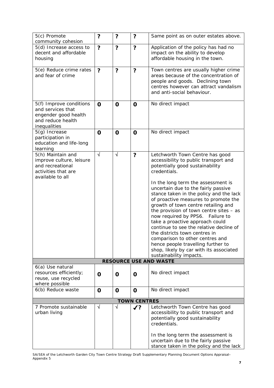| 5(c) Promote                                                                                                 | ?           | ?                       | ?                   | Same point as on outer estates above.                                                                                                                                                                                                                                                                                                                                                                                                                                                                                                                                                                                                                                             |
|--------------------------------------------------------------------------------------------------------------|-------------|-------------------------|---------------------|-----------------------------------------------------------------------------------------------------------------------------------------------------------------------------------------------------------------------------------------------------------------------------------------------------------------------------------------------------------------------------------------------------------------------------------------------------------------------------------------------------------------------------------------------------------------------------------------------------------------------------------------------------------------------------------|
| community cohesion                                                                                           |             |                         |                     |                                                                                                                                                                                                                                                                                                                                                                                                                                                                                                                                                                                                                                                                                   |
| 5(d) Increase access to<br>decent and affordable<br>housing                                                  | ?           | ?                       | ?                   | Application of the policy has had no<br>impact on the ability to develop<br>affordable housing in the town.                                                                                                                                                                                                                                                                                                                                                                                                                                                                                                                                                                       |
| 5(e) Reduce crime rates<br>and fear of crime                                                                 | ?           | $\overline{\mathbf{?}}$ | ?                   | Town centres are usually higher crime<br>areas because of the concentration of<br>people and goods. Declining town<br>centres however can attract vandalism<br>and anti-social behaviour.                                                                                                                                                                                                                                                                                                                                                                                                                                                                                         |
| 5(f) Improve conditions<br>and services that<br>engender good health<br>and reduce health<br>inequalities    | $\mathbf 0$ | $\mathbf O$             | $\mathbf 0$         | No direct impact                                                                                                                                                                                                                                                                                                                                                                                                                                                                                                                                                                                                                                                                  |
| 5(g) Increase<br>participation in<br>education and life-long<br>learning                                     | $\mathbf O$ | $\mathbf 0$             | O                   | No direct impact                                                                                                                                                                                                                                                                                                                                                                                                                                                                                                                                                                                                                                                                  |
| 5(h) Maintain and<br>improve culture, leisure<br>and recreational<br>activities that are<br>available to all | $\sqrt{ }$  | $\sqrt{ }$              | ?                   | Letchworth Town Centre has good<br>accessibility to public transport and<br>potentially good sustainability<br>credentials.<br>In the long term the assessment is<br>uncertain due to the fairly passive<br>stance taken in the policy and the lack<br>of proactive measures to promote the<br>growth of town centre retailing and<br>the provision of town centre sites $-$ as<br>now required by PPS6. Failure to<br>take a proactive approach could<br>continue to see the relative decline of<br>the districts town centres in<br>comparison to other centres and<br>hence people travelling further to<br>shop, likely by car with its associated<br>sustainability impacts. |
|                                                                                                              |             |                         |                     | <b>RESOURCE USE AND WASTE</b>                                                                                                                                                                                                                                                                                                                                                                                                                                                                                                                                                                                                                                                     |
| 6(a) Use natural<br>resources efficiently;<br>reuse, use recycled<br>where possible                          | O           | O                       | O                   | No direct impact                                                                                                                                                                                                                                                                                                                                                                                                                                                                                                                                                                                                                                                                  |
| 6(b) Reduce waste                                                                                            | $\mathbf 0$ | $\mathbf 0$             | O                   | No direct impact                                                                                                                                                                                                                                                                                                                                                                                                                                                                                                                                                                                                                                                                  |
|                                                                                                              |             |                         | <b>TOWN CENTRES</b> |                                                                                                                                                                                                                                                                                                                                                                                                                                                                                                                                                                                                                                                                                   |
| 7 Promote sustainable<br>urban living                                                                        | $\sqrt{}$   | $\sqrt{ }$              | $\boldsymbol{J}$ ?  | Letchworth Town Centre has good<br>accessibility to public transport and<br>potentially good sustainability<br>credentials.<br>In the long term the assessment is<br>uncertain due to the fairly passive<br>stance taken in the policy and the lack                                                                                                                                                                                                                                                                                                                                                                                                                               |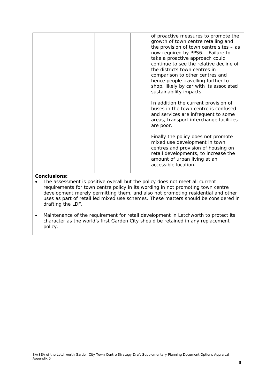|  |  | of proactive measures to promote the<br>growth of town centre retailing and<br>the provision of town centre sites $-$ as<br>now required by PPS6. Failure to<br>take a proactive approach could<br>continue to see the relative decline of<br>the districts town centres in<br>comparison to other centres and<br>hence people travelling further to<br>shop, likely by car with its associated<br>sustainability impacts.<br>In addition the current provision of<br>buses in the town centre is confused<br>and services are infrequent to some<br>areas, transport interchange facilities<br>are poor.<br>Finally the policy does not promote<br>mixed use development in town |
|--|--|-----------------------------------------------------------------------------------------------------------------------------------------------------------------------------------------------------------------------------------------------------------------------------------------------------------------------------------------------------------------------------------------------------------------------------------------------------------------------------------------------------------------------------------------------------------------------------------------------------------------------------------------------------------------------------------|
|  |  | centres and provision of housing on<br>retail developments, to increase the<br>amount of urban living at an<br>accessible location.                                                                                                                                                                                                                                                                                                                                                                                                                                                                                                                                               |
|  |  |                                                                                                                                                                                                                                                                                                                                                                                                                                                                                                                                                                                                                                                                                   |

- The assessment is positive overall but the policy does not meet all current requirements for town centre policy in its wording in not promoting town centre development merely permitting them, and also not promoting residential and other uses as part of retail led mixed use schemes. These matters should be considered in drafting the LDF.
- Maintenance of the requirement for retail development in Letchworth to protect its character as the world's first Garden City should be retained in any replacement policy.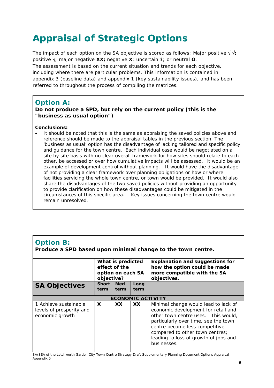# **Appraisal of Strategic Options**

The impact of each option on the SA objective is scored as follows: Major positive  $\sqrt{v}$ ; positive √; major negative **XX;** negative **X**; uncertain **?**; or neutral **O**. The assessment is based on the current situation and trends for each objective, including where there are particular problems. This information is contained in appendix 3 (baseline data) and appendix 1 (key sustainability issues), and has been referred to throughout the process of compiling the matrices.

### **Option A:**

### **Do not produce a SPD, but rely on the current policy (this is the "business as usual option")**

#### **Conclusions:**

• It should be noted that this is the same as appraising the saved policies above and reference should be made to the appraisal tables in the previous section. The 'business as usual' option has the disadvantage of lacking tailored and specific policy and guidance for the town centre. Each individual case would be negotiated on a site by site basis with no clear overall framework for how sites should relate to each other, be accessed or over how cumulative impacts will be assessed. It would be an example of development control without planning. It would have the disadvantage of not providing a clear framework over planning obligations or how or where facilities servicing the whole town centre, or town would be provided. It would also share the disadvantages of the two saved policies without providing an opportunity to provide clarification on how these disadvantages could be mitigated in the circumstances of this specific area. Key issues concerning the town centre would remain unresolved.

# **Option B:**

**Produce a SPD based upon minimal change to the town centre.**

|                                                                      | What is predicted<br>effect of the<br>option on each SA<br>objective? |                          |           | <b>Explanation and suggestions for</b><br>how the option could be made<br>more compatible with the SA<br>objectives.                                                                                                                                                                    |
|----------------------------------------------------------------------|-----------------------------------------------------------------------|--------------------------|-----------|-----------------------------------------------------------------------------------------------------------------------------------------------------------------------------------------------------------------------------------------------------------------------------------------|
| <b>SA Objectives</b>                                                 | <b>Short</b>                                                          | <b>Med</b>               | Long      |                                                                                                                                                                                                                                                                                         |
|                                                                      | term                                                                  | term                     | term      |                                                                                                                                                                                                                                                                                         |
|                                                                      |                                                                       |                          |           |                                                                                                                                                                                                                                                                                         |
|                                                                      |                                                                       | <b>ECONOMIC ACTIVITY</b> |           |                                                                                                                                                                                                                                                                                         |
| 1 Achieve sustainable<br>levels of prosperity and<br>economic growth | X                                                                     | <b>XX</b>                | <b>XX</b> | Minimal change would lead to lack of<br>economic development for retail and<br>other town centre uses. This would,<br>particularly over time, see the town<br>centre become less competitive<br>compared to other town centres;<br>leading to loss of growth of jobs and<br>businesses. |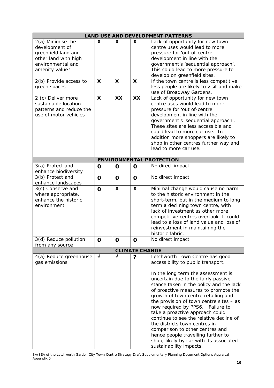|                                                                                                                           |                           |                                                        |                                | <b>LAND USE AND DEVELOPMENT PATTERNS</b>                                                                                                                                                                                                                                                                                                                                                                                                                                                                                                                                                                                    |
|---------------------------------------------------------------------------------------------------------------------------|---------------------------|--------------------------------------------------------|--------------------------------|-----------------------------------------------------------------------------------------------------------------------------------------------------------------------------------------------------------------------------------------------------------------------------------------------------------------------------------------------------------------------------------------------------------------------------------------------------------------------------------------------------------------------------------------------------------------------------------------------------------------------------|
| 2(a) Minimise the<br>development of<br>greenfield land and<br>other land with high<br>environmental and<br>amenity value? | X<br>X                    | $\boldsymbol{\mathsf{X}}$<br>$\boldsymbol{\mathsf{X}}$ | X<br>$\boldsymbol{\mathsf{X}}$ | Lack of opportunity for new town<br>centre uses would lead to more<br>pressure for 'out of-centre'<br>development in line with the<br>government's 'sequential approach'.<br>This could lead to more pressure to<br>develop on greenfield sites.                                                                                                                                                                                                                                                                                                                                                                            |
| 2(b) Provide access to<br>green spaces                                                                                    |                           |                                                        |                                | If the town centre is less competitive<br>less people are likely to visit and make<br>use of Broadway Gardens.                                                                                                                                                                                                                                                                                                                                                                                                                                                                                                              |
| 2 (c) Deliver more<br>sustainable location<br>patterns and reduce the<br>use of motor vehicles                            | $\boldsymbol{\mathsf{x}}$ | XX                                                     | XX                             | Lack of opportunity for new town<br>centre uses would lead to more<br>pressure for 'out of-centre'<br>development in line with the<br>government's 'sequential approach'.<br>These sites are less accessible and<br>could lead to more car use. In<br>addition more shoppers are likely to<br>shop in other centres further way and<br>lead to more car use.                                                                                                                                                                                                                                                                |
|                                                                                                                           |                           |                                                        |                                | <b>ENVIRONMENTAL PROTECTION</b>                                                                                                                                                                                                                                                                                                                                                                                                                                                                                                                                                                                             |
| 3(a) Protect and<br>enhance biodiversity                                                                                  | O                         | $\mathbf 0$                                            | O                              | No direct impact                                                                                                                                                                                                                                                                                                                                                                                                                                                                                                                                                                                                            |
| 3(b) Protect and<br>enhance landscapes                                                                                    | $\mathbf 0$               | $\mathbf 0$                                            | $\mathbf 0$                    | No direct impact                                                                                                                                                                                                                                                                                                                                                                                                                                                                                                                                                                                                            |
| 3(c) Conserve and<br>where appropriate,<br>enhance the historic<br>environment                                            | $\mathbf 0$               | $\boldsymbol{\mathsf{X}}$                              | X                              | Minimal change would cause no harm<br>to the historic environment in the<br>short-term, but in the medium to long<br>term a declining town centre, with<br>lack of investment as other more<br>competitive centres overtook it, could<br>lead to a loss of land value and loss of<br>reinvestment in maintaining the<br>historic fabric.                                                                                                                                                                                                                                                                                    |
| 3(d) Reduce pollution<br>from any source                                                                                  | O                         | U                                                      | $\mathbf 0$                    | No direct impact                                                                                                                                                                                                                                                                                                                                                                                                                                                                                                                                                                                                            |
|                                                                                                                           |                           |                                                        | <b>CLIMATE CHANGE</b>          |                                                                                                                                                                                                                                                                                                                                                                                                                                                                                                                                                                                                                             |
| 4(a) Reduce greenhouse<br>gas emissions                                                                                   | $\sqrt{}$                 | $\sqrt{ }$                                             | ?                              | Letchworth Town Centre has good<br>accessibility to public transport.<br>In the long term the assessment is<br>uncertain due to the fairly passive<br>stance taken in the policy and the lack<br>of proactive measures to promote the<br>growth of town centre retailing and<br>the provision of town centre sites $-$ as<br>now required by PPS6. Failure to<br>take a proactive approach could<br>continue to see the relative decline of<br>the districts town centres in<br>comparison to other centres and<br>hence people travelling further to<br>shop, likely by car with its associated<br>sustainability impacts. |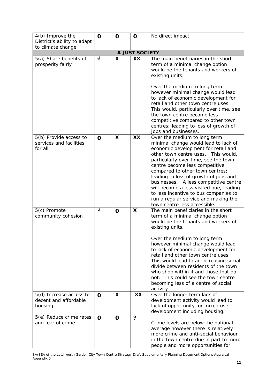| 4(b) Improve the                                             | $\mathbf 0$ | O                         | $\mathbf 0$    | No direct impact                                                                                                                                                                                                                                                                                                                                                                                                                                                                                                 |
|--------------------------------------------------------------|-------------|---------------------------|----------------|------------------------------------------------------------------------------------------------------------------------------------------------------------------------------------------------------------------------------------------------------------------------------------------------------------------------------------------------------------------------------------------------------------------------------------------------------------------------------------------------------------------|
| District's ability to adapt                                  |             |                           |                |                                                                                                                                                                                                                                                                                                                                                                                                                                                                                                                  |
| to climate change                                            |             |                           |                |                                                                                                                                                                                                                                                                                                                                                                                                                                                                                                                  |
|                                                              |             |                           | A JUST SOCIETY |                                                                                                                                                                                                                                                                                                                                                                                                                                                                                                                  |
| 5(a) Share benefits of<br>prosperity fairly                  | $\sqrt{}$   | $\boldsymbol{\mathsf{X}}$ | XX             | The main beneficiaries in the short<br>term of a minimal change option<br>would be the tenants and workers of<br>existing units.<br>Over the medium to long term<br>however minimal change would lead<br>to lack of economic development for<br>retail and other town centre uses.<br>This would, particularly over time, see<br>the town centre become less<br>competitive compared to other town<br>centres; leading to loss of growth of<br>jobs and businesses.                                              |
| 5(b) Provide access to<br>services and facilities<br>for all | $\mathbf 0$ | $\boldsymbol{\mathsf{X}}$ | XX             | Over the medium to long term<br>minimal change would lead to lack of<br>economic development for retail and<br>other town centre uses. This would,<br>particularly over time, see the town<br>centre become less competitive<br>compared to other town centres;<br>leading to loss of growth of jobs and<br>A less competitive centre<br>businesses.<br>will become a less visited one, leading<br>to less incentive to bus companies to<br>run a regular service and making the<br>town centre less accessible. |
| 5(c) Promote<br>community cohesion                           | $\sqrt{ }$  | $\mathbf 0$               | X              | The main beneficiaries in the short<br>term of a minimal change option<br>would be the tenants and workers of<br>existing units.<br>Over the medium to long term<br>however minimal change would lead<br>to lack of economic development for<br>retail and other town centre uses.<br>This would lead to an increasing social<br>divide between residents of the town<br>who shop within it and those that do<br>not. This could see the town centre<br>becoming less of a centre of social<br>activity.         |
| 5(d) Increase access to<br>decent and affordable<br>housing  | $\mathbf 0$ | X                         | XX             | Over the longer term lack of<br>development activity would lead to<br>lack of opportunity for mixed use<br>development including housing.                                                                                                                                                                                                                                                                                                                                                                        |
| 5(e) Reduce crime rates<br>and fear of crime                 | $\mathbf 0$ | $\mathbf 0$               | ?              | Crime levels are below the national<br>average however there is relatively<br>more crime and anti-social behaviour<br>in the town centre due in part to more<br>people and more opportunities for                                                                                                                                                                                                                                                                                                                |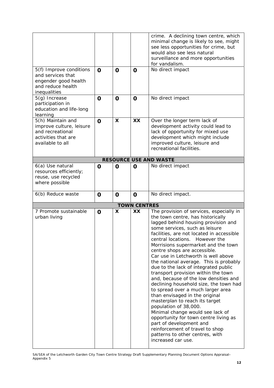| 5(f) Improve conditions<br>and services that<br>engender good health<br>and reduce health<br>inequalities<br>5(g) Increase | $\mathbf 0$<br>$\mathbf O$ | $\mathbf 0$<br>$\mathbf 0$ | $\mathbf O$<br>$\mathbf 0$ | crime. A declining town centre, which<br>minimal change is likely to see, might<br>see less opportunities for crime, but<br>would also see less natural<br>surveillance and more opportunities<br>for vandalism.<br>No direct impact<br>No direct impact                                                                                                                                                                                                                                                                                                                                                                                                                                                                                                                                                                                                                                              |
|----------------------------------------------------------------------------------------------------------------------------|----------------------------|----------------------------|----------------------------|-------------------------------------------------------------------------------------------------------------------------------------------------------------------------------------------------------------------------------------------------------------------------------------------------------------------------------------------------------------------------------------------------------------------------------------------------------------------------------------------------------------------------------------------------------------------------------------------------------------------------------------------------------------------------------------------------------------------------------------------------------------------------------------------------------------------------------------------------------------------------------------------------------|
| participation in<br>education and life-long<br>learning                                                                    |                            |                            |                            |                                                                                                                                                                                                                                                                                                                                                                                                                                                                                                                                                                                                                                                                                                                                                                                                                                                                                                       |
| 5(h) Maintain and<br>improve culture, leisure<br>and recreational<br>activities that are<br>available to all               | $\mathbf 0$                | X                          | <b>XX</b>                  | Over the longer term lack of<br>development activity could lead to<br>lack of opportunity for mixed use<br>development which might include<br>improved culture, leisure and<br>recreational facilities.                                                                                                                                                                                                                                                                                                                                                                                                                                                                                                                                                                                                                                                                                               |
|                                                                                                                            |                            |                            |                            | <b>RESOURCE USE AND WASTE</b>                                                                                                                                                                                                                                                                                                                                                                                                                                                                                                                                                                                                                                                                                                                                                                                                                                                                         |
| 6(a) Use natural<br>resources efficiently;<br>reuse, use recycled<br>where possible                                        | O                          | $\mathbf 0$                | O                          | No direct impact                                                                                                                                                                                                                                                                                                                                                                                                                                                                                                                                                                                                                                                                                                                                                                                                                                                                                      |
| 6(b) Reduce waste                                                                                                          | $\mathbf 0$                | $\mathbf 0$                | $\mathbf 0$                | No direct impact.                                                                                                                                                                                                                                                                                                                                                                                                                                                                                                                                                                                                                                                                                                                                                                                                                                                                                     |
|                                                                                                                            |                            |                            | <b>TOWN CENTRES</b>        |                                                                                                                                                                                                                                                                                                                                                                                                                                                                                                                                                                                                                                                                                                                                                                                                                                                                                                       |
| 7 Promote sustainable<br>urban living                                                                                      | $\mathbf 0$                | $\boldsymbol{\mathsf{x}}$  | XX                         | The provision of services, especially in<br>the town centre, has historically<br>lagged behind housing provision and<br>some services, such as leisure<br>facilities, are not located in accessible<br>central locations. However the<br>Morrisions supermarket and the town<br>centre shops are accessible.<br>Car use in Letchworth is well above<br>the national average. This is probably<br>due to the lack of integrated public<br>transport provision within the town<br>and, because of the low densities and<br>declining household size, the town had<br>to spread over a much larger area<br>than envisaged in the original<br>masterplan to reach its target<br>population of 38,000.<br>Minimal change would see lack of<br>opportunity for town centre living as<br>part of development and<br>reinforcement of travel to shop<br>patterns to other centres, with<br>increased car use. |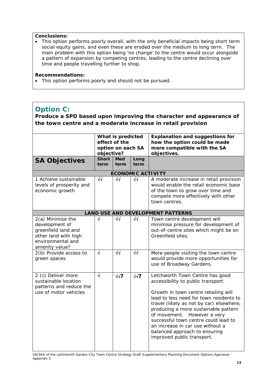• This option performs poorly overall, with the only beneficial impacts being short term social equity gains, and even these are eroded over the medium to long term. The main problem with this option being 'no change' to the centre would occur alongside a pattern of expansion by competing centres, leading to the centre declining over time and people travelling further to shop.

#### **Recommendations:**

• This option performs poorly and should not be pursued.

# **Option C:**

**Produce a SPD based upon improving the character and appearance of the town centre and a moderate increase in retail provision**

| <b>SA Objectives</b><br>1 Achieve sustainable<br>levels of prosperity and                                                 | objective?<br><b>Short</b><br>term<br>$\sqrt{2}$ | What is predicted<br>effect of the<br>option on each SA<br><b>Med</b><br>term<br>√√ | Long<br>term<br>$\sqrt{2}$ | <b>Explanation and suggestions for</b><br>how the option could be made<br>more compatible with the SA<br>objectives.<br><b>ECONOMIC ACTIVITY</b><br>A moderate increase in retail provision<br>would enable the retail economic base                                                                                                                                                                                   |
|---------------------------------------------------------------------------------------------------------------------------|--------------------------------------------------|-------------------------------------------------------------------------------------|----------------------------|------------------------------------------------------------------------------------------------------------------------------------------------------------------------------------------------------------------------------------------------------------------------------------------------------------------------------------------------------------------------------------------------------------------------|
| economic growth                                                                                                           |                                                  |                                                                                     |                            | of the town to grow over time and<br>compete more effectively with other<br>town centres.                                                                                                                                                                                                                                                                                                                              |
|                                                                                                                           |                                                  |                                                                                     |                            | <b>LAND USE AND DEVELOPMENT PATTERNS</b>                                                                                                                                                                                                                                                                                                                                                                               |
| 2(a) Minimise the<br>development of<br>greenfield land and<br>other land with high<br>environmental and<br>amenity value? | $\sqrt{ }$                                       | $\sqrt{2}$                                                                          | $\sqrt{2}$                 | Town centre development will<br>minimise pressure for development of<br>out-of-centre sites which might be on<br>Greenfield sites.                                                                                                                                                                                                                                                                                     |
| 2(b) Provide access to<br>green spaces                                                                                    | $\sqrt{ }$                                       | $\overline{\sqrt{}}$                                                                | $\overline{\sqrt{}}$       | More people visiting the town centre<br>would provide more opportunities for<br>use of Broadway Gardens.                                                                                                                                                                                                                                                                                                               |
| 2 (c) Deliver more<br>sustainable location<br>patterns and reduce the<br>use of motor vehicles                            | $\sqrt{ }$                                       | $\sqrt{2}$                                                                          | $\sqrt{?}$                 | Letchworth Town Centre has good<br>accessibility to public transport.<br>Growth in town centre retailing will<br>lead to less need for town residents to<br>travel (likely as not by car) elsewhere,<br>producing a more sustainable pattern<br>of movement. However a very<br>successful town centre could lead to<br>an increase in car use without a<br>balanced approach to ensuring<br>improved public transport. |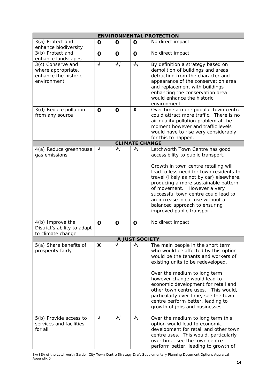|                                                                                |             |             |                       | <b>ENVIRONMENTAL PROTECTION</b>                                                                                                                                                                                                                                                                                                                                                                                           |
|--------------------------------------------------------------------------------|-------------|-------------|-----------------------|---------------------------------------------------------------------------------------------------------------------------------------------------------------------------------------------------------------------------------------------------------------------------------------------------------------------------------------------------------------------------------------------------------------------------|
| 3(a) Protect and<br>enhance biodiversity                                       | O           | $\mathbf 0$ | $\mathbf 0$           | No direct impact                                                                                                                                                                                                                                                                                                                                                                                                          |
| 3(b) Protect and<br>enhance landscapes                                         | $\mathbf 0$ | $\mathbf 0$ | $\mathbf 0$           | No direct impact                                                                                                                                                                                                                                                                                                                                                                                                          |
| 3(c) Conserve and<br>where appropriate,<br>enhance the historic<br>environment | $\sqrt{ }$  | $\sqrt{2}$  | $\sqrt{2}$            | By definition a strategy based on<br>demolition of buildings and areas<br>detracting from the character and<br>appearance of the conservation area<br>and replacement with buildings<br>enhancing the conservation area<br>would enhance the historic<br>environment.                                                                                                                                                     |
| 3(d) Reduce pollution<br>from any source                                       | $\mathbf 0$ | $\mathbf 0$ | X                     | Over time a more popular town centre<br>could attract more traffic. There is no<br>air quality pollution problem at the<br>moment however and traffic levels<br>would have to rise very considerably<br>for this to happen.                                                                                                                                                                                               |
|                                                                                |             |             | <b>CLIMATE CHANGE</b> |                                                                                                                                                                                                                                                                                                                                                                                                                           |
| 4(a) Reduce greenhouse<br>gas emissions                                        | $\sqrt{ }$  | ₩           | $\sqrt{2}$            | Letchworth Town Centre has good<br>accessibility to public transport.<br>Growth in town centre retailing will<br>lead to less need for town residents to<br>travel (likely as not by car) elsewhere,<br>producing a more sustainable pattern<br>of movement.<br>However a very<br>successful town centre could lead to<br>an increase in car use without a<br>balanced approach to ensuring<br>improved public transport. |
| 4(b) Improve the<br>District's ability to adapt<br>to climate change           | $\mathbf 0$ | $\mathbf 0$ | $\mathbf 0$           | No direct impact                                                                                                                                                                                                                                                                                                                                                                                                          |
|                                                                                |             |             | A JUST SOCIETY        |                                                                                                                                                                                                                                                                                                                                                                                                                           |
| 5(a) Share benefits of<br>prosperity fairly                                    | X           | √           | $\sqrt{2}$            | The main people in the short term<br>who would be affected by this option<br>would be the tenants and workers of<br>existing units to be redeveloped.<br>Over the medium to long term<br>however change would lead to<br>economic development for retail and<br>other town centre uses. This would,<br>particularly over time, see the town<br>centre perform better, leading to<br>growth of jobs and businesses.        |
| 5(b) Provide access to<br>services and facilities<br>for all                   | $\sqrt{ }$  | $\sqrt{2}$  | $\sqrt{2}$            | Over the medium to long term this<br>option would lead to economic<br>development for retail and other town<br>centre uses. This would, particularly<br>over time, see the town centre<br>perform better, leading to growth of                                                                                                                                                                                            |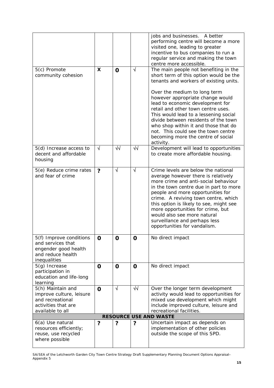| 5(c) Promote<br>community cohesion                                                                           | X                | $\mathbf 0$ | $\sqrt{ }$  | jobs and businesses. A better<br>performing centre will become a more<br>visited one, leading to greater<br>incentive to bus companies to run a<br>regular service and making the town<br>centre more accessible.<br>The main people not benefiting in the<br>short term of this option would be the<br>tenants and workers of existing units.<br>Over the medium to long term<br>however appropriate change would<br>lead to economic development for<br>retail and other town centre uses.<br>This would lead to a lessening social<br>divide between residents of the town<br>who shop within it and those that do<br>not. This could see the town centre<br>becoming more the centre of social<br>activity. |
|--------------------------------------------------------------------------------------------------------------|------------------|-------------|-------------|-----------------------------------------------------------------------------------------------------------------------------------------------------------------------------------------------------------------------------------------------------------------------------------------------------------------------------------------------------------------------------------------------------------------------------------------------------------------------------------------------------------------------------------------------------------------------------------------------------------------------------------------------------------------------------------------------------------------|
| 5(d) Increase access to<br>decent and affordable<br>housing                                                  | $\sqrt{ }$       | $\sqrt{2}$  | $\sqrt{2}$  | Development will lead to opportunities<br>to create more affordable housing.                                                                                                                                                                                                                                                                                                                                                                                                                                                                                                                                                                                                                                    |
| 5(e) Reduce crime rates<br>and fear of crime                                                                 | $\boldsymbol{v}$ | $\sqrt{ }$  | $\sqrt{ }$  | Crime levels are below the national<br>average however there is relatively<br>more crime and anti-social behaviour<br>in the town centre due in part to more<br>people and more opportunities for<br>crime. A reviving town centre, which<br>this option is likely to see, might see<br>more opportunities for crime, but<br>would also see more natural<br>surveillance and perhaps less<br>opportunities for vandalism.                                                                                                                                                                                                                                                                                       |
| 5(f) Improve conditions<br>and services that<br>engender good health<br>and reduce health<br>inequalities    | $\mathbf 0$      | $\mathbf 0$ | O           | No direct impact                                                                                                                                                                                                                                                                                                                                                                                                                                                                                                                                                                                                                                                                                                |
| 5(g) Increase<br>participation in<br>education and life-long<br>learning                                     | $\mathbf 0$      | $\mathbf 0$ | $\mathbf 0$ | No direct impact                                                                                                                                                                                                                                                                                                                                                                                                                                                                                                                                                                                                                                                                                                |
| 5(h) Maintain and<br>improve culture, leisure<br>and recreational<br>activities that are<br>available to all | $\mathbf O$      | $\sqrt{ }$  | $\sqrt{2}$  | Over the longer term development<br>activity would lead to opportunities for<br>mixed use development which might<br>include improved culture, leisure and<br>recreational facilities.<br><b>RESOURCE USE AND WASTE</b>                                                                                                                                                                                                                                                                                                                                                                                                                                                                                         |
| 6(a) Use natural                                                                                             | ?                | ?           | ?           | Uncertain impact as depends on                                                                                                                                                                                                                                                                                                                                                                                                                                                                                                                                                                                                                                                                                  |
| resources efficiently;<br>reuse, use recycled<br>where possible                                              |                  |             |             | implementation of other policies<br>outside the scope of this SPD.                                                                                                                                                                                                                                                                                                                                                                                                                                                                                                                                                                                                                                              |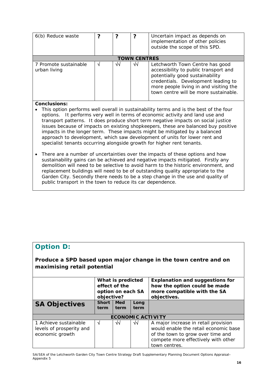| 6(b) Reduce waste                     |    | າ  | っ  | Uncertain impact as depends on<br>implementation of other policies<br>outside the scope of this SPD.                                                                                                                                  |  |
|---------------------------------------|----|----|----|---------------------------------------------------------------------------------------------------------------------------------------------------------------------------------------------------------------------------------------|--|
| <b>TOWN CENTRES</b>                   |    |    |    |                                                                                                                                                                                                                                       |  |
| 7 Promote sustainable<br>urban living | ٦Ι | √√ | ٧V | Letchworth Town Centre has good<br>accessibility to public transport and<br>potentially good sustainability<br>credentials. Development leading to<br>more people living in and visiting the<br>town centre will be more sustainable. |  |

- This option performs well overall in sustainability terms and is the best of the four options. It performs very well in terms of economic activity and land use and transport patterns. It does produce short term negative impacts on social justice issues because of impacts on existing shopkeepers, these are balanced buy positive impacts in the longer term. These impacts might be mitigated by a balanced approach to development, which saw development of units for lower rent and specialist tenants occurring alongside growth for higher rent tenants.
- There are a number of uncertainties over the impacts of these options and how sustainability gains can be achieved and negative impacts mitigated. Firstly any demolition will need to be selective to avoid harm to the historic environment, and replacement buildings will need to be of outstanding quality appropriate to the Garden City. Secondly there needs to be a step change in the use and quality of public transport in the town to reduce its car dependence.

# **Option D:**

**Produce a SPD based upon major change in the town centre and on maximising retail potential**

|                                                                      | What is predicted<br>effect of the<br>option on each SA<br>objective? |                    |              | <b>Explanation and suggestions for</b><br>how the option could be made<br>more compatible with the SA<br>objectives.                                                       |
|----------------------------------------------------------------------|-----------------------------------------------------------------------|--------------------|--------------|----------------------------------------------------------------------------------------------------------------------------------------------------------------------------|
| <b>SA Objectives</b>                                                 | <b>Short</b><br>term                                                  | <b>Med</b><br>term | Long<br>term |                                                                                                                                                                            |
|                                                                      |                                                                       |                    |              | <b>ECONOMIC ACTIVITY</b>                                                                                                                                                   |
| 1 Achieve sustainable<br>levels of prosperity and<br>economic growth |                                                                       | √√                 | ึ√√          | A major increase in retail provision<br>would enable the retail economic base<br>of the town to grow over time and<br>compete more effectively with other<br>town centres. |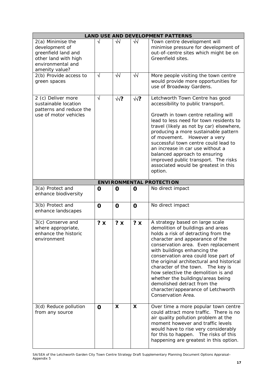|                                                                                                                           |             |             |             | <b>LAND USE AND DEVELOPMENT PATTERNS</b>                                                                                                                                                                                                                                                                                                                                                                                                                                                                               |
|---------------------------------------------------------------------------------------------------------------------------|-------------|-------------|-------------|------------------------------------------------------------------------------------------------------------------------------------------------------------------------------------------------------------------------------------------------------------------------------------------------------------------------------------------------------------------------------------------------------------------------------------------------------------------------------------------------------------------------|
| 2(a) Minimise the<br>development of<br>greenfield land and<br>other land with high<br>environmental and<br>amenity value? | √           | ᄿ           | ₩           | Town centre development will<br>minimise pressure for development of<br>out-of-centre sites which might be on<br>Greenfield sites.                                                                                                                                                                                                                                                                                                                                                                                     |
| 2(b) Provide access to<br>green spaces                                                                                    | $\sqrt{ }$  | $\sqrt{2}$  | $\sqrt{2}$  | More people visiting the town centre<br>would provide more opportunities for<br>use of Broadway Gardens.                                                                                                                                                                                                                                                                                                                                                                                                               |
| 2 (c) Deliver more<br>sustainable location<br>patterns and reduce the<br>use of motor vehicles                            | $\sqrt{ }$  | $\sqrt{2}$  | $\sqrt{?}$  | Letchworth Town Centre has good<br>accessibility to public transport.<br>Growth in town centre retailing will<br>lead to less need for town residents to<br>travel (likely as not by car) elsewhere,<br>producing a more sustainable pattern<br>of movement. However a very<br>successful town centre could lead to<br>an increase in car use without a<br>balanced approach to ensuring<br>improved public transport. The risks<br>associated would be greatest in this<br>option.                                    |
|                                                                                                                           |             |             |             | <b>ENVIRONMENTAL PROTECTION</b>                                                                                                                                                                                                                                                                                                                                                                                                                                                                                        |
| 3(a) Protect and<br>enhance biodiversity                                                                                  | O           | $\mathbf 0$ | O           | No direct impact                                                                                                                                                                                                                                                                                                                                                                                                                                                                                                       |
| 3(b) Protect and<br>enhance landscapes                                                                                    | $\mathbf 0$ | $\mathbf 0$ | $\mathbf 0$ | No direct impact                                                                                                                                                                                                                                                                                                                                                                                                                                                                                                       |
| 3(c) Conserve and<br>where appropriate,<br>enhance the historic<br>environment                                            | $? \times$  | ? X         | ? X         | A strategy based on large scale<br>demolition of buildings and areas<br>holds a risk of detracting from the<br>character and appearance of the<br>conservation area. Even replacement<br>with buildings enhancing the<br>conservation area could lose part of<br>the original architectural and historical<br>character of the town. The key is<br>how selective the demolition is and<br>whether the buildings/areas being<br>demolished detract from the<br>character/appearance of Letchworth<br>Conservation Area. |
| 3(d) Reduce pollution<br>from any source                                                                                  | $\mathbf 0$ | X           | X           | Over time a more popular town centre<br>could attract more traffic. There is no<br>air quality pollution problem at the<br>moment however and traffic levels<br>would have to rise very considerably<br>for this to happen. The risks of this<br>happening are greatest in this option.                                                                                                                                                                                                                                |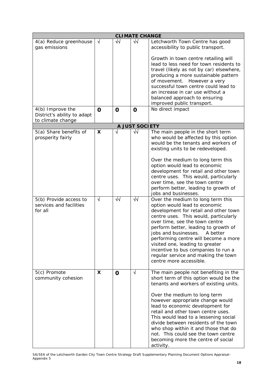| <b>CLIMATE CHANGE</b>                                        |             |             |                       |                                                                                                                                                                                                                                                                                                                                                                                                                                                                                            |  |
|--------------------------------------------------------------|-------------|-------------|-----------------------|--------------------------------------------------------------------------------------------------------------------------------------------------------------------------------------------------------------------------------------------------------------------------------------------------------------------------------------------------------------------------------------------------------------------------------------------------------------------------------------------|--|
| 4(a) Reduce greenhouse<br>gas emissions                      | N           | ₩           | $\sqrt{2}$            | Letchworth Town Centre has good<br>accessibility to public transport.                                                                                                                                                                                                                                                                                                                                                                                                                      |  |
|                                                              |             |             |                       | Growth in town centre retailing will<br>lead to less need for town residents to<br>travel (likely as not by car) elsewhere,<br>producing a more sustainable pattern<br>of movement. However a very<br>successful town centre could lead to<br>an increase in car use without a<br>balanced approach to ensuring<br>improved public transport.                                                                                                                                              |  |
| 4(b) Improve the<br>District's ability to adapt              | $\mathbf 0$ | $\mathbf 0$ | $\mathbf 0$           | No direct impact                                                                                                                                                                                                                                                                                                                                                                                                                                                                           |  |
| to climate change                                            |             |             |                       |                                                                                                                                                                                                                                                                                                                                                                                                                                                                                            |  |
|                                                              |             |             | <b>A JUST SOCIETY</b> |                                                                                                                                                                                                                                                                                                                                                                                                                                                                                            |  |
| 5(a) Share benefits of<br>prosperity fairly                  | X           | $\sqrt{}$   | $\sqrt{}$             | The main people in the short term<br>who would be affected by this option<br>would be the tenants and workers of<br>existing units to be redeveloped.<br>Over the medium to long term this<br>option would lead to economic<br>development for retail and other town<br>centre uses. This would, particularly                                                                                                                                                                              |  |
|                                                              |             |             |                       | over time, see the town centre<br>perform better, leading to growth of<br>jobs and businesses.                                                                                                                                                                                                                                                                                                                                                                                             |  |
| 5(b) Provide access to<br>services and facilities<br>for all | $\sqrt{ }$  | ₩           | ₩                     | Over the medium to long term this<br>option would lead to economic<br>development for retail and other town<br>centre uses. This would, particularly<br>over time, see the town centre<br>perform better, leading to growth of<br>jobs and businesses.<br>A better<br>performing centre will become a more<br>visited one, leading to greater<br>incentive to bus companies to run a<br>regular service and making the town<br>centre more accessible.                                     |  |
| 5(c) Promote<br>community cohesion                           | X           | $\mathbf 0$ | $\sqrt{ }$            | The main people not benefiting in the<br>short term of this option would be the<br>tenants and workers of existing units.<br>Over the medium to long term<br>however appropriate change would<br>lead to economic development for<br>retail and other town centre uses.<br>This would lead to a lessening social<br>divide between residents of the town<br>who shop within it and those that do<br>not. This could see the town centre<br>becoming more the centre of social<br>activity. |  |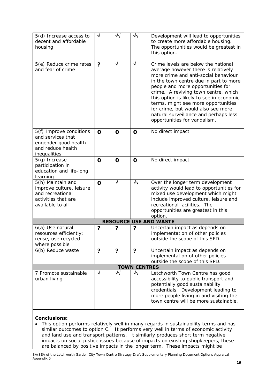| 5(d) Increase access to<br>decent and affordable<br>housing                                                  | $\sqrt{}$      | ᄿ           | $\sqrt{2}$           | Development will lead to opportunities<br>to create more affordable housing.<br>The opportunities would be greatest in<br>this option.                                                                                                                                                                                                                                                                                                      |
|--------------------------------------------------------------------------------------------------------------|----------------|-------------|----------------------|---------------------------------------------------------------------------------------------------------------------------------------------------------------------------------------------------------------------------------------------------------------------------------------------------------------------------------------------------------------------------------------------------------------------------------------------|
| 5(e) Reduce crime rates<br>and fear of crime                                                                 | $\overline{?}$ | $\sqrt{ }$  | $\sqrt{ }$           | Crime levels are below the national<br>average however there is relatively<br>more crime and anti-social behaviour<br>in the town centre due in part to more<br>people and more opportunities for<br>crime. A reviving town centre, which<br>this option is likely to see in economic<br>terms, might see more opportunities<br>for crime, but would also see more<br>natural surveillance and perhaps less<br>opportunities for vandalism. |
| 5(f) Improve conditions<br>and services that<br>engender good health<br>and reduce health<br>inequalities    | $\mathbf 0$    | $\mathbf 0$ | O                    | No direct impact                                                                                                                                                                                                                                                                                                                                                                                                                            |
| $5(g)$ Increase<br>participation in<br>education and life-long<br>learning                                   | O              | $\mathbf 0$ | $\mathbf O$          | No direct impact                                                                                                                                                                                                                                                                                                                                                                                                                            |
| 5(h) Maintain and<br>improve culture, leisure<br>and recreational<br>activities that are<br>available to all | $\mathbf 0$    | $\sqrt{ }$  | $\sqrt{2}$           | Over the longer term development<br>activity would lead to opportunities for<br>mixed use development which might<br>include improved culture, leisure and<br>recreational facilities. The<br>opportunities are greatest in this<br>option.                                                                                                                                                                                                 |
|                                                                                                              |                |             |                      | <b>RESOURCE USE AND WASTE</b>                                                                                                                                                                                                                                                                                                                                                                                                               |
| 6(a) Use natural<br>resources efficiently;<br>reuse, use recycled<br>where possible                          | ?              | ?           | ?                    | Uncertain impact as depends on<br>implementation of other policies<br>outside the scope of this SPD.                                                                                                                                                                                                                                                                                                                                        |
| 6(b) Reduce waste                                                                                            | $\overline{?}$ | ?           | $\ddot{\phantom{0}}$ | Uncertain impact as depends on<br>implementation of other policies<br>outside the scope of this SPD.                                                                                                                                                                                                                                                                                                                                        |
|                                                                                                              |                |             | <b>TOWN CENTRES</b>  |                                                                                                                                                                                                                                                                                                                                                                                                                                             |
| 7 Promote sustainable<br>urban living                                                                        | √              | √√          | ₩                    | Letchworth Town Centre has good<br>accessibility to public transport and<br>potentially good sustainability<br>credentials. Development leading to<br>more people living in and visiting the<br>town centre will be more sustainable.                                                                                                                                                                                                       |

• This option performs relatively well in many regards in sustainability terms and has similar outcomes to option C. It performs very well in terms of economic activity and land use and transport patterns. It similarly produces short term negative impacts on social justice issues because of impacts on existing shopkeepers, these are balanced by positive impacts in the longer term. These impacts might be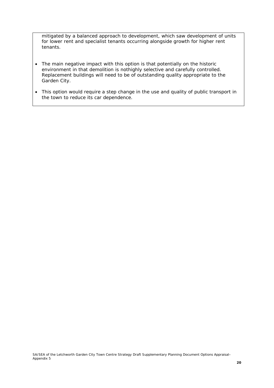mitigated by a balanced approach to development, which saw development of units for lower rent and specialist tenants occurring alongside growth for higher rent tenants.

- The main negative impact with this option is that potentially on the historic environment in that demolition is nothighly selective and carefully controlled. Replacement buildings will need to be of outstanding quality appropriate to the Garden City.
- This option would require a step change in the use and quality of public transport in the town to reduce its car dependence.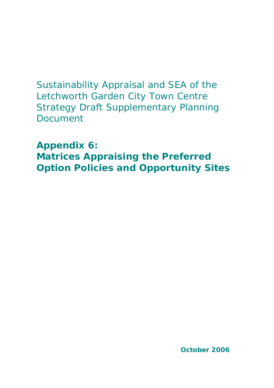Sustainability Appraisal and SEA of the Letchworth Garden City Town Centre Strategy Draft Supplementary Planning Document

**Appendix 6:**

**Matrices Appraising the Preferred Option Policies and Opportunity Sites**

**October 2006**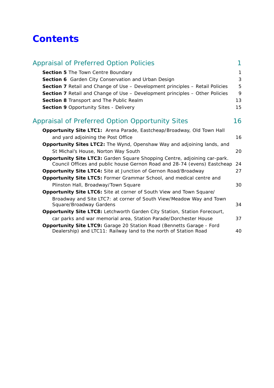# **Contents**

| <b>Appraisal of Preferred Option Policies</b>                                                                                                         | 1  |
|-------------------------------------------------------------------------------------------------------------------------------------------------------|----|
| Section 5 The Town Centre Boundary                                                                                                                    | 1  |
| Section 6 Garden City Conservation and Urban Design                                                                                                   | 3  |
| <b>Section 7</b> Retail and Change of Use – Development principles – Retail Policies                                                                  | 5  |
| <b>Section 7</b> Retail and Change of Use - Development principles - Other Policies                                                                   | 9  |
| Section 8 Transport and The Public Realm                                                                                                              | 13 |
| <b>Section 9 Opportunity Sites - Delivery</b>                                                                                                         | 15 |
| <b>Appraisal of Preferred Option Opportunity Sites</b>                                                                                                | 16 |
| Opportunity Site LTC1: Arena Parade, Eastcheap/Broadway, Old Town Hall                                                                                |    |
| and yard adjoining the Post Office                                                                                                                    | 16 |
| <b>Opportunity Sites LTC2:</b> The Wynd, Openshaw Way and adjoining lands, and                                                                        |    |
| St Michal's House, Norton Way South                                                                                                                   | 20 |
| Opportunity Site LTC3: Garden Square Shopping Centre, adjoining car-park.<br>Council Offices and public house Gernon Road and 28-74 (evens) Eastcheap | 24 |
| <b>Opportunity Site LTC4: Site at Junction of Gernon Road/Broadway</b>                                                                                | 27 |
| Opportunity Site LTC5: Former Grammar School, and medical centre and                                                                                  |    |
| Plinston Hall, Broadway/Town Square                                                                                                                   | 30 |
| <b>Opportunity Site LTC6:</b> Site at corner of South View and Town Square/                                                                           |    |
| Broadway and Site LTC7: at corner of South View/Meadow Way and Town<br>Square/Broadway Gardens                                                        | 34 |
| Opportunity Site LTC8: Letchworth Garden City Station, Station Forecourt,                                                                             |    |
| car parks and war memorial area, Station Parade/Dorchester House                                                                                      | 37 |
| <b>Opportunity Site LTC9: Garage 20 Station Road (Bennetts Garage - Ford</b><br>Dealership) and LTC11: Railway land to the north of Station Road      | 40 |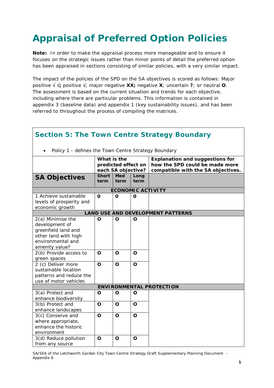# **Appraisal of Preferred Option Policies**

**Note:** In order to make the appraisal process more manageable and to ensure it focuses on the strategic issues rather than minor points of detail the preferred option has been appraised in sections consisting of similar policies, with a very similar impact.

The impact of the policies of the SPD on the SA objectives is scored as follows: Major positive √ √**;** positive √; major negative **XX;** negative **X**; uncertain **?**; or neutral **O**. The assessment is based on the current situation and trends for each objective, including where there are particular problems. This information is contained in appendix 3 (baseline data) and appendix 1 (key sustainability issues), and has been referred to throughout the process of compiling the matrices.

|                                                                                                                           |                      |                                           |                          | <b>Section 5: The Town Centre Strategy Boundary</b>                                                            |
|---------------------------------------------------------------------------------------------------------------------------|----------------------|-------------------------------------------|--------------------------|----------------------------------------------------------------------------------------------------------------|
| Policy 1 - defines the Town Centre Strategy Boundary<br>$\bullet$                                                         |                      |                                           |                          |                                                                                                                |
|                                                                                                                           | What is the          | predicted effect on<br>each SA objective? |                          | <b>Explanation and suggestions for</b><br>how the SPD could be made more<br>compatible with the SA objectives. |
| <b>SA Objectives</b>                                                                                                      | <b>Short</b><br>term | <b>Med</b><br>term                        | Long<br>term             |                                                                                                                |
|                                                                                                                           |                      |                                           | <b>ECONOMIC ACTIVITY</b> |                                                                                                                |
| 1 Achieve sustainable<br>levels of prosperity and<br>economic growth                                                      | $\Omega$             | $\Omega$                                  | O                        |                                                                                                                |
|                                                                                                                           |                      |                                           |                          | <b>LAND USE AND DEVELOPMENT PATTERNS</b>                                                                       |
| 2(a) Minimise the<br>development of<br>greenfield land and<br>other land with high<br>environmental and<br>amenity value? | O                    | O                                         | O                        |                                                                                                                |
| 2(b) Provide access to<br>green spaces                                                                                    | O                    | $\mathbf O$                               | $\mathbf O$              |                                                                                                                |
| 2 (c) Deliver more<br>sustainable location<br>patterns and reduce the<br>use of motor vehicles                            | $\mathbf O$          | $\mathbf O$                               | $\mathbf O$              |                                                                                                                |
|                                                                                                                           |                      |                                           |                          | <b>ENVIRONMENTAL PROTECTION</b>                                                                                |
| 3(a) Protect and<br>enhance biodiversity                                                                                  | O                    | O                                         | O                        |                                                                                                                |
| 3(b) Protect and<br>enhance landscapes                                                                                    | $\mathbf O$          | $\mathbf O$                               | $\mathbf O$              |                                                                                                                |
| 3(c) Conserve and<br>where appropriate,<br>enhance the historic<br>environment                                            | O                    | $\mathbf O$                               | $\mathbf O$              |                                                                                                                |
| 3(d) Reduce pollution<br>from any source                                                                                  | O                    | O                                         | O                        |                                                                                                                |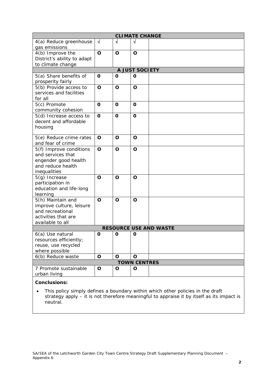| <b>CLIMATE CHANGE</b>                                                                                        |              |             |                     |                               |  |  |  |  |
|--------------------------------------------------------------------------------------------------------------|--------------|-------------|---------------------|-------------------------------|--|--|--|--|
| 4(a) Reduce greenhouse<br>gas emissions                                                                      | $\sqrt{}$    | V           | N                   |                               |  |  |  |  |
| 4(b) Improve the<br>District's ability to adapt<br>to climate change                                         | $\mathbf O$  | $\mathbf O$ | $\mathbf O$         |                               |  |  |  |  |
| A JUST SOCIETY                                                                                               |              |             |                     |                               |  |  |  |  |
| 5(a) Share benefits of<br>prosperity fairly                                                                  | O            | O           | $\mathbf o$         |                               |  |  |  |  |
| 5(b) Provide access to<br>services and facilities<br>for all                                                 | $\mathbf O$  | O           | O                   |                               |  |  |  |  |
| 5(c) Promote<br>community cohesion                                                                           | $\mathbf{o}$ | O           | $\mathbf 0$         |                               |  |  |  |  |
| 5(d) Increase access to<br>decent and affordable<br>housing                                                  | $\mathbf{o}$ | O           | $\mathbf{o}$        |                               |  |  |  |  |
| 5(e) Reduce crime rates<br>and fear of crime                                                                 | O            | O           | O                   |                               |  |  |  |  |
| 5(f) Improve conditions<br>and services that<br>engender good health<br>and reduce health<br>inequalities    | $\mathbf O$  | O           | $\mathbf O$         |                               |  |  |  |  |
| $5(g)$ Increase<br>participation in<br>education and life-long<br>learning                                   | O            | $\mathbf O$ | $\mathbf O$         |                               |  |  |  |  |
| 5(h) Maintain and<br>improve culture, leisure<br>and recreational<br>activities that are<br>available to all | O            | O           | $\mathbf O$         |                               |  |  |  |  |
|                                                                                                              |              |             |                     | <b>RESOURCE USE AND WASTE</b> |  |  |  |  |
| 6(a) Use natural<br>resources efficiently;<br>reuse, use recycled<br>where possible                          | O            | O           | O                   |                               |  |  |  |  |
| 6(b) Reduce waste                                                                                            | $\mathbf O$  | O           | O                   |                               |  |  |  |  |
|                                                                                                              |              |             | <b>TOWN CENTRES</b> |                               |  |  |  |  |
| 7 Promote sustainable<br>urban living                                                                        | O            | O           | O                   |                               |  |  |  |  |
| <b>Conclusions:</b>                                                                                          |              |             |                     |                               |  |  |  |  |

• This policy simply defines a boundary within which other policies in the draft strategy apply – it is not therefore meaningful to appraise it by itself as its impact is neutral.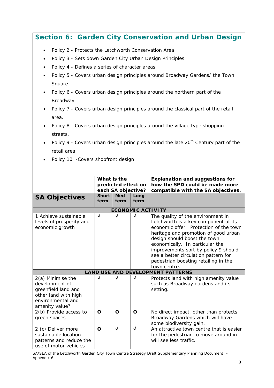|                                                                                                                                                                                                                                                                                                                                                                                                                                                                                                                                                                                                                                                                                                                                                           |                      |                    |                          | Section 6: Garden City Conservation and Urban Design                                                                                                                                                                                                                                                                                                                   |  |  |  |
|-----------------------------------------------------------------------------------------------------------------------------------------------------------------------------------------------------------------------------------------------------------------------------------------------------------------------------------------------------------------------------------------------------------------------------------------------------------------------------------------------------------------------------------------------------------------------------------------------------------------------------------------------------------------------------------------------------------------------------------------------------------|----------------------|--------------------|--------------------------|------------------------------------------------------------------------------------------------------------------------------------------------------------------------------------------------------------------------------------------------------------------------------------------------------------------------------------------------------------------------|--|--|--|
| Policy 2 - Protects the Letchworth Conservation Area<br>$\bullet$<br>Policy 3 - Sets down Garden City Urban Design Principles<br>$\bullet$<br>Policy 4 - Defines a series of character areas<br>$\bullet$<br>Policy 5 - Covers urban design principles around Broadway Gardens/ the Town<br>$\bullet$<br>Square<br>Policy 6 - Covers urban design principles around the northern part of the<br>Broadway<br>Policy 7 - Covers urban design principles around the classical part of the retail<br>area.<br>Policy 8 - Covers urban design principles around the village type shopping<br>streets.<br>Policy 9 - Covers urban design principles around the late 20 <sup>th</sup> Century part of the<br>retail area.<br>Policy 10 - Covers shopfront design |                      |                    |                          |                                                                                                                                                                                                                                                                                                                                                                        |  |  |  |
| What is the<br><b>Explanation and suggestions for</b><br>predicted effect on<br>how the SPD could be made more                                                                                                                                                                                                                                                                                                                                                                                                                                                                                                                                                                                                                                            |                      |                    |                          |                                                                                                                                                                                                                                                                                                                                                                        |  |  |  |
|                                                                                                                                                                                                                                                                                                                                                                                                                                                                                                                                                                                                                                                                                                                                                           |                      | each SA objective? |                          | compatible with the SA objectives.                                                                                                                                                                                                                                                                                                                                     |  |  |  |
| <b>SA Objectives</b>                                                                                                                                                                                                                                                                                                                                                                                                                                                                                                                                                                                                                                                                                                                                      | <b>Short</b><br>term | <b>Med</b><br>term | Long<br>term             |                                                                                                                                                                                                                                                                                                                                                                        |  |  |  |
|                                                                                                                                                                                                                                                                                                                                                                                                                                                                                                                                                                                                                                                                                                                                                           |                      |                    | <b>ECONOMIC ACTIVITY</b> |                                                                                                                                                                                                                                                                                                                                                                        |  |  |  |
| 1 Achieve sustainable<br>levels of prosperity and<br>economic growth                                                                                                                                                                                                                                                                                                                                                                                                                                                                                                                                                                                                                                                                                      | $\sqrt{}$            | $\sqrt{}$          | $\sqrt{ }$               | The quality of the environment in<br>Letchworth is a key component of its<br>economic offer. Protection of the town<br>heritage and promotion of good urban<br>design should boost the town<br>economically. In particular the<br>improvements sort by policy 9 should<br>see a better circulation pattern for<br>pedestrian boosting retailing in the<br>town centre. |  |  |  |
|                                                                                                                                                                                                                                                                                                                                                                                                                                                                                                                                                                                                                                                                                                                                                           |                      |                    |                          | <b>LAND USE AND DEVELOPMENT PATTERNS</b>                                                                                                                                                                                                                                                                                                                               |  |  |  |
| 2(a) Minimise the<br>development of<br>greenfield land and<br>other land with high<br>environmental and<br>amenity value?                                                                                                                                                                                                                                                                                                                                                                                                                                                                                                                                                                                                                                 | V                    | V                  | V                        | Protects land with high amenity value<br>such as Broadway gardens and its<br>setting.                                                                                                                                                                                                                                                                                  |  |  |  |
| 2(b) Provide access to<br>green spaces                                                                                                                                                                                                                                                                                                                                                                                                                                                                                                                                                                                                                                                                                                                    | O                    | O                  | $\mathbf{o}$             | No direct impact, other than protects<br>Broadway Gardens which will have<br>some biodiversity gain.                                                                                                                                                                                                                                                                   |  |  |  |
| 2 (c) Deliver more<br>sustainable location<br>patterns and reduce the<br>use of motor vehicles                                                                                                                                                                                                                                                                                                                                                                                                                                                                                                                                                                                                                                                            | $\mathbf O$          | $\sqrt{ }$         | $\sqrt{ }$               | An attractive town centre that is easier<br>for the pedestrian to move around in<br>will see less traffic.                                                                                                                                                                                                                                                             |  |  |  |

Ť.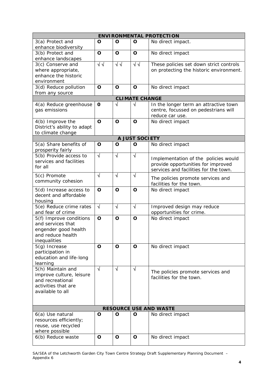|                                                                                                              | <b>ENVIRONMENTAL PROTECTION</b> |              |                       |                                                                                                                     |  |  |  |
|--------------------------------------------------------------------------------------------------------------|---------------------------------|--------------|-----------------------|---------------------------------------------------------------------------------------------------------------------|--|--|--|
| 3(a) Protect and<br>enhance biodiversity                                                                     | O                               | $\mathbf O$  | O                     | No direct impact.                                                                                                   |  |  |  |
| 3(b) Protect and<br>enhance landscapes                                                                       | O                               | $\mathbf O$  | O                     | No direct impact                                                                                                    |  |  |  |
| 3(c) Conserve and<br>where appropriate,<br>enhance the historic<br>environment                               | $\sqrt{2}$                      | $\sqrt{2}$   | $\sqrt{2}$            | These policies set down strict controls<br>on protecting the historic environment.                                  |  |  |  |
| 3(d) Reduce pollution<br>from any source                                                                     | $\mathbf O$                     | $\mathbf O$  | $\mathbf O$           | No direct impact                                                                                                    |  |  |  |
|                                                                                                              |                                 |              | <b>CLIMATE CHANGE</b> |                                                                                                                     |  |  |  |
| 4(a) Reduce greenhouse<br>gas emissions                                                                      | O                               | $\sqrt{}$    | V                     | In the longer term an attractive town<br>centre, focussed on pedestrians will<br>reduce car use.                    |  |  |  |
| 4(b) Improve the<br>District's ability to adapt<br>to climate change                                         | $\mathbf O$                     | $\mathbf O$  | O                     | No direct impact                                                                                                    |  |  |  |
|                                                                                                              |                                 |              | <b>A JUST SOCIETY</b> |                                                                                                                     |  |  |  |
| 5(a) Share benefits of<br>prosperity fairly                                                                  | $\mathbf O$                     | $\mathbf O$  | O                     | No direct impact                                                                                                    |  |  |  |
| 5(b) Provide access to<br>services and facilities<br>for all                                                 | $\sqrt{ }$                      | $\sqrt{ }$   | $\sqrt{ }$            | Implementation of the policies would<br>provide opportunities for improved<br>services and facilities for the town. |  |  |  |
| 5(c) Promote<br>community cohesion                                                                           | $\overline{\sqrt{2}}$           | $\sqrt{ }$   | $\sqrt{ }$            | The policies promote services and<br>facilities for the town.                                                       |  |  |  |
| 5(d) Increase access to<br>decent and affordable<br>housing                                                  | $\mathbf{o}$                    | $\mathbf{o}$ | $\mathbf O$           | No direct impact                                                                                                    |  |  |  |
| 5(e) Reduce crime rates<br>and fear of crime                                                                 | $\sqrt{ }$                      | $\sqrt{ }$   | $\sqrt{ }$            | Improved design may reduce<br>opportunities for crime.                                                              |  |  |  |
| 5(f) Improve conditions<br>and services that<br>engender good health<br>and reduce health<br>inequalities    | $\mathbf O$                     | $\mathbf O$  | $\mathbf O$           | No direct impact                                                                                                    |  |  |  |
| $5(g)$ Increase<br>participation in<br>education and life-long<br>learning                                   | $\mathbf O$                     | $\mathbf O$  | O                     | No direct impact                                                                                                    |  |  |  |
| 5(h) Maintain and<br>improve culture, leisure<br>and recreational<br>activities that are<br>available to all | $\sqrt{ }$                      | $\sqrt{ }$   | $\sqrt{ }$            | The policies promote services and<br>facilities for the town.                                                       |  |  |  |
|                                                                                                              |                                 |              |                       | <b>RESOURCE USE AND WASTE</b>                                                                                       |  |  |  |
| 6(a) Use natural<br>resources efficiently;<br>reuse, use recycled<br>where possible                          | O                               | O            | O                     | No direct impact                                                                                                    |  |  |  |
| 6(b) Reduce waste                                                                                            | $\mathbf O$                     | $\mathbf O$  | $\mathbf O$           | No direct impact                                                                                                    |  |  |  |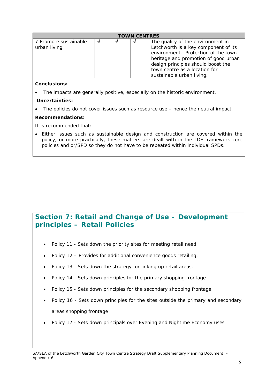| <b>TOWN CENTRES</b>                   |  |  |  |                                                                                                                                                                                                                                                              |  |  |
|---------------------------------------|--|--|--|--------------------------------------------------------------------------------------------------------------------------------------------------------------------------------------------------------------------------------------------------------------|--|--|
| 7 Promote sustainable<br>urban living |  |  |  | The quality of the environment in<br>Letchworth is a key component of its<br>environment. Protection of the town<br>heritage and promotion of good urban<br>design principles should boost the<br>town centre as a location for<br>sustainable urban living. |  |  |

• The impacts are generally positive, especially on the historic environment.

#### **Uncertainties:**

• The policies do not cover issues such as resource use – hence the neutral impact.

#### **Recommendations:**

It is recommended that:

• Either issues such as sustainable design and construction are covered within the policy, or more practically, these matters are dealt with in the LDF framework core policies and or/SPD so they do not have to be repeated within individual SPDs.

# **Section 7: Retail and Change of Use – Development principles – Retail Policies**

- Policy 11 Sets down the priority sites for meeting retail need.
- Policy 12 Provides for additional convenience goods retailing.
- Policy 13 Sets down the strategy for linking up retail areas.
- Policy 14 Sets down principles for the primary shopping frontage
- Policy 15 Sets down principles for the secondary shopping frontage
- Policy 16 Sets down principles for the sites outside the primary and secondary areas shopping frontage
- Policy 17 Sets down principals over Evening and Nightime Economy uses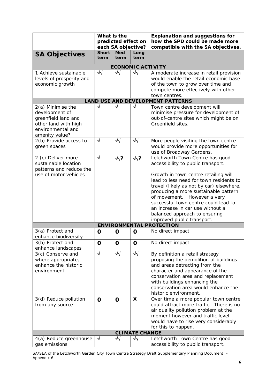|                                                 | What is the          | predicted effect on<br>each SA objective? |                       | <b>Explanation and suggestions for</b><br>how the SPD could be made more<br>compatible with the SA objectives. |
|-------------------------------------------------|----------------------|-------------------------------------------|-----------------------|----------------------------------------------------------------------------------------------------------------|
| <b>SA Objectives</b>                            | <b>Short</b><br>term | <b>Med</b><br>term                        | Long<br>term          |                                                                                                                |
|                                                 |                      |                                           |                       |                                                                                                                |
| 1 Achieve sustainable                           | $\overline{\sqrt{}}$ | $\sqrt{2}$                                | $\sqrt{2}$            | <b>ECONOMIC ACTIVITY</b><br>A moderate increase in retail provision                                            |
| levels of prosperity and                        |                      |                                           |                       | would enable the retail economic base                                                                          |
| economic growth                                 |                      |                                           |                       | of the town to grow over time and                                                                              |
|                                                 |                      |                                           |                       | compete more effectively with other                                                                            |
|                                                 |                      |                                           |                       | town centres.                                                                                                  |
|                                                 |                      |                                           |                       | <b>LAND USE AND DEVELOPMENT PATTERNS</b>                                                                       |
| 2(a) Minimise the                               | $\sqrt{}$            | N                                         | V                     | Town centre development will                                                                                   |
| development of<br>greenfield land and           |                      |                                           |                       | minimise pressure for development of<br>out-of-centre sites which might be on                                  |
| other land with high                            |                      |                                           |                       | Greenfield sites.                                                                                              |
| environmental and                               |                      |                                           |                       |                                                                                                                |
| amenity value?                                  |                      |                                           |                       |                                                                                                                |
| 2(b) Provide access to                          | $\sqrt{ }$           | ᄿ                                         | $\overline{\sqrt{}}$  | More people visiting the town centre                                                                           |
| green spaces                                    |                      |                                           |                       | would provide more opportunities for                                                                           |
|                                                 |                      |                                           |                       | use of Broadway Gardens.                                                                                       |
| 2 (c) Deliver more                              | $\sqrt{ }$           | $\sqrt{2}$                                | $\sqrt{2}$            | Letchworth Town Centre has good                                                                                |
| sustainable location<br>patterns and reduce the |                      |                                           |                       | accessibility to public transport.                                                                             |
| use of motor vehicles                           |                      |                                           |                       | Growth in town centre retailing will                                                                           |
|                                                 |                      |                                           |                       | lead to less need for town residents to                                                                        |
|                                                 |                      |                                           |                       | travel (likely as not by car) elsewhere,                                                                       |
|                                                 |                      |                                           |                       | producing a more sustainable pattern                                                                           |
|                                                 |                      |                                           |                       | of movement. However a very                                                                                    |
|                                                 |                      |                                           |                       | successful town centre could lead to                                                                           |
|                                                 |                      |                                           |                       | an increase in car use without a                                                                               |
|                                                 |                      |                                           |                       | balanced approach to ensuring<br>improved public transport.                                                    |
|                                                 |                      |                                           |                       | <b>ENVIRONMENTAL PROTECTION</b>                                                                                |
| 3(a) Protect and                                | $\mathbf 0$          | $\mathbf 0$                               | O                     | No direct impact                                                                                               |
| enhance biodiversity                            |                      |                                           |                       |                                                                                                                |
| 3(b) Protect and                                | O                    | O                                         | O                     | No direct impact                                                                                               |
| enhance landscapes                              |                      |                                           |                       |                                                                                                                |
| 3(c) Conserve and                               | $\sqrt{ }$           | $\sqrt{2}$                                | $\sqrt{2}$            | By definition a retail strategy                                                                                |
| where appropriate,                              |                      |                                           |                       | proposing the demolition of buildings                                                                          |
| enhance the historic<br>environment             |                      |                                           |                       | and areas detracting from the<br>character and appearance of the                                               |
|                                                 |                      |                                           |                       | conservation area and replacement                                                                              |
|                                                 |                      |                                           |                       | with buildings enhancing the                                                                                   |
|                                                 |                      |                                           |                       | conservation area would enhance the                                                                            |
|                                                 |                      |                                           |                       | historic environment.                                                                                          |
| 3(d) Reduce pollution                           | $\mathbf 0$          | $\mathbf 0$                               | X                     | Over time a more popular town centre                                                                           |
| from any source                                 |                      |                                           |                       | could attract more traffic. There is no                                                                        |
|                                                 |                      |                                           |                       | air quality pollution problem at the                                                                           |
|                                                 |                      |                                           |                       | moment however and traffic level<br>would have to rise very considerably                                       |
|                                                 |                      |                                           |                       | for this to happen.                                                                                            |
|                                                 |                      |                                           | <b>CLIMATE CHANGE</b> |                                                                                                                |
| 4(a) Reduce greenhouse                          | $\sqrt{ }$           | $\sqrt{2}$                                | $\sqrt{2}$            | Letchworth Town Centre has good                                                                                |
| gas emissions                                   |                      |                                           |                       | accessibility to public transport.                                                                             |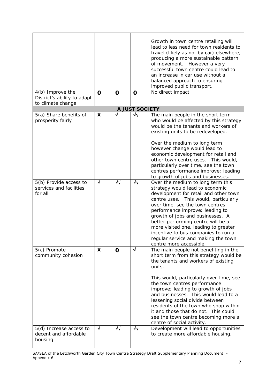| 4(b) Improve the<br>District's ability to adapt               | $\mathbf 0$     | $\mathbf 0$      | $\mathbf 0$             | Growth in town centre retailing will<br>lead to less need for town residents to<br>travel (likely as not by car) elsewhere,<br>producing a more sustainable pattern<br>of movement. However a very<br>successful town centre could lead to<br>an increase in car use without a<br>balanced approach to ensuring<br>improved public transport.<br>No direct impact                                                                                                                                                            |
|---------------------------------------------------------------|-----------------|------------------|-------------------------|------------------------------------------------------------------------------------------------------------------------------------------------------------------------------------------------------------------------------------------------------------------------------------------------------------------------------------------------------------------------------------------------------------------------------------------------------------------------------------------------------------------------------|
| to climate change                                             |                 |                  |                         |                                                                                                                                                                                                                                                                                                                                                                                                                                                                                                                              |
|                                                               |                 |                  | A JUST SOCIETY          |                                                                                                                                                                                                                                                                                                                                                                                                                                                                                                                              |
| 5(a) Share benefits of<br>prosperity fairly                   | X               | √                | $\sqrt{2}$              | The main people in the short term<br>who would be affected by this strategy<br>would be the tenants and workers of<br>existing units to be redeveloped.<br>Over the medium to long term<br>however change would lead to<br>economic development for retail and<br>other town centre uses. This would,<br>particularly over time, see the town<br>centres performance improve; leading<br>to growth of jobs and businesses.                                                                                                   |
| 5(b) Provide access to<br>services and facilities<br>for all  | $\sqrt{ }$      | $\sqrt{}$        | ₩                       | Over the medium to long term this<br>strategy would lead to economic<br>development for retail and other town<br>centre uses. This would, particularly<br>over time, see the town centres<br>performance improve; leading to<br>growth of jobs and businesses. A<br>better performing centre will be a<br>more visited one, leading to greater<br>incentive to bus companies to run a<br>regular service and making the town<br>centre more accessible.                                                                      |
| 5(c) Promote<br>community cohesion<br>5(d) Increase access to | X<br>$\sqrt{ }$ | $\mathbf 0$<br>₩ | $\sqrt{}$<br>$\sqrt{2}$ | The main people not benefiting in the<br>short term from this strategy would be<br>the tenants and workers of existing<br>units.<br>This would, particularly over time, see<br>the town centres performance<br>improve; leading to growth of jobs<br>and businesses. This would lead to a<br>lessening social divide between<br>residents of the town who shop within<br>it and those that do not. This could<br>see the town centre becoming more a<br>centre of social activity.<br>Development will lead to opportunities |
| decent and affordable<br>housing                              |                 |                  |                         | to create more affordable housing.                                                                                                                                                                                                                                                                                                                                                                                                                                                                                           |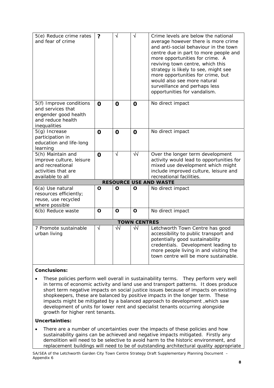| 5(e) Reduce crime rates<br>and fear of crime                                                                 | ?           | √                     | $\sqrt{}$            | Crime levels are below the national<br>average however there is more crime<br>and anti-social behaviour in the town<br>centre due in part to more people and<br>more opportunities for crime. A<br>reviving town centre, which this<br>strategy is likely to see, might see<br>more opportunities for crime, but<br>would also see more natural<br>surveillance and perhaps less<br>opportunities for vandalism. |
|--------------------------------------------------------------------------------------------------------------|-------------|-----------------------|----------------------|------------------------------------------------------------------------------------------------------------------------------------------------------------------------------------------------------------------------------------------------------------------------------------------------------------------------------------------------------------------------------------------------------------------|
| 5(f) Improve conditions<br>and services that<br>engender good health<br>and reduce health<br>inequalities    | $\mathbf 0$ | $\mathbf 0$           | $\mathbf 0$          | No direct impact                                                                                                                                                                                                                                                                                                                                                                                                 |
| 5(g) Increase<br>participation in<br>education and life-long<br>learning                                     | $\mathbf 0$ | $\mathbf 0$           | $\mathbf 0$          | No direct impact                                                                                                                                                                                                                                                                                                                                                                                                 |
| 5(h) Maintain and<br>improve culture, leisure<br>and recreational<br>activities that are<br>available to all | $\Omega$    | $\overline{\sqrt{} }$ | $\overline{\sqrt{}}$ | Over the longer term development<br>activity would lead to opportunities for<br>mixed use development which might<br>include improved culture, leisure and<br>recreational facilities.                                                                                                                                                                                                                           |
|                                                                                                              |             |                       |                      | <b>RESOURCE USE AND WASTE</b>                                                                                                                                                                                                                                                                                                                                                                                    |
| 6(a) Use natural<br>resources efficiently;<br>reuse, use recycled<br>where possible                          | O           | O                     | O                    | No direct impact                                                                                                                                                                                                                                                                                                                                                                                                 |
| 6(b) Reduce waste                                                                                            | O           | O                     | O                    | No direct impact                                                                                                                                                                                                                                                                                                                                                                                                 |
|                                                                                                              |             |                       | <b>TOWN CENTRES</b>  |                                                                                                                                                                                                                                                                                                                                                                                                                  |
| 7 Promote sustainable<br>urban living                                                                        | $\sqrt{ }$  | $\overline{\sqrt{}}$  | $\sqrt{2}$           | Letchworth Town Centre has good<br>accessibility to public transport and<br>potentially good sustainability<br>credentials. Development leading to<br>more people living in and visiting the<br>town centre will be more sustainable.                                                                                                                                                                            |

• These policies perform well overall in sustainability terms. They perform very well in terms of economic activity and land use and transport patterns. It does produce short term negative impacts on social justice issues because of impacts on existing shopkeepers, these are balanced by positive impacts in the longer term. These impacts might be mitigated by a balanced approach to development ,which saw development of units for lower rent and specialist tenants occurring alongside growth for higher rent tenants.

#### **Uncertainties:**

• There are a number of uncertainties over the impacts of these policies and how sustainability gains can be achieved and negative impacts mitigated. Firstly any demolition will need to be selective to avoid harm to the historic environment, and replacement buildings will need to be of outstanding architectural quality appropriate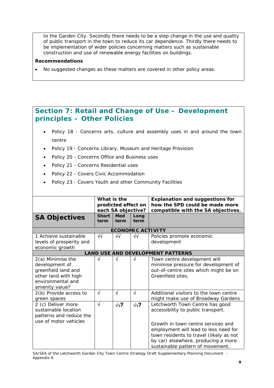to the Garden City. Secondly there needs to be a step change in the use and quality of public transport in the town to reduce its car dependence. Thirdly there needs to be implementation of wider policies concerning matters such as sustainable construction and use of renewable energy facilities on buildings.

#### **Recommendations**

• No suggested changes as these matters are covered in other policy areas.

# **Section 7: Retail and Change of Use – Development principles – Other Policies**

- Policy 18 Concerns arts, culture and assembly uses in and around the town centre
- Policy 19 Concerns Library, Museum and Heritage Provision
- Policy 20 Concerns Office and Business uses
- Policy 21 Concerns Residential uses
- Policy 22 Covers Civic Accommodation
- Policy 23 Covers Youth and other Community Facilities

| <b>SA Objectives</b>                                                                                                      | What is the<br>predicted effect on<br>each SA objective?<br><b>Short</b><br><b>Med</b><br>Long<br>term<br>term<br>term |            |            | <b>Explanation and suggestions for</b><br>how the SPD could be made more<br>compatible with the SA objectives.                                                                                                                                                             |
|---------------------------------------------------------------------------------------------------------------------------|------------------------------------------------------------------------------------------------------------------------|------------|------------|----------------------------------------------------------------------------------------------------------------------------------------------------------------------------------------------------------------------------------------------------------------------------|
|                                                                                                                           |                                                                                                                        |            |            | <b>ECONOMIC ACTIVITY</b>                                                                                                                                                                                                                                                   |
| 1 Achieve sustainable<br>levels of prosperity and<br>economic growth                                                      | ₩                                                                                                                      | $\sqrt{2}$ | $\sqrt{}$  | Policies promote economic<br>development                                                                                                                                                                                                                                   |
|                                                                                                                           |                                                                                                                        |            |            | <b>LAND USE AND DEVELOPMENT PATTERNS</b>                                                                                                                                                                                                                                   |
| 2(a) Minimise the<br>development of<br>greenfield land and<br>other land with high<br>environmental and<br>amenity value? | √                                                                                                                      | N          | √          | Town centre development will<br>minimise pressure for development of<br>out-of-centre sites which might be on<br>Greenfield sites.                                                                                                                                         |
| 2(b) Provide access to<br>green spaces                                                                                    | √                                                                                                                      | $\sqrt{ }$ | $\sqrt{ }$ | Additional visitors to the town centre<br>might make use of Broadway Gardens                                                                                                                                                                                               |
| 2 (c) Deliver more<br>sustainable location<br>patterns and reduce the<br>use of motor vehicles                            | $\sqrt{}$                                                                                                              | $\sqrt{?}$ | $\sqrt{?}$ | Letchworth Town Centre has good<br>accessibility to public transport.<br>Growth in town centre services and<br>employment will lead to less need for<br>town residents to travel (likely as not<br>by car) elsewhere, producing a more<br>sustainable pattern of movement. |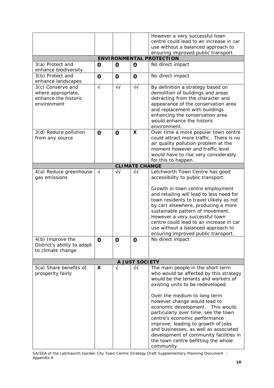|                                                                                |             |                      |                       | However a very successful town<br>centre could lead to an increase in car                                                                                                                                                                                                                                                                                                                                            |
|--------------------------------------------------------------------------------|-------------|----------------------|-----------------------|----------------------------------------------------------------------------------------------------------------------------------------------------------------------------------------------------------------------------------------------------------------------------------------------------------------------------------------------------------------------------------------------------------------------|
|                                                                                |             |                      |                       | use without a balanced approach to                                                                                                                                                                                                                                                                                                                                                                                   |
|                                                                                |             |                      |                       | ensuring improved public transport.<br><b>ENVIRONMENTAL PROTECTION</b>                                                                                                                                                                                                                                                                                                                                               |
| 3(a) Protect and                                                               | O           | $\mathbf 0$          | $\mathbf 0$           | No direct impact                                                                                                                                                                                                                                                                                                                                                                                                     |
| enhance biodiversity                                                           |             |                      |                       |                                                                                                                                                                                                                                                                                                                                                                                                                      |
| 3(b) Protect and<br>enhance landscapes                                         | $\mathbf 0$ | $\mathbf 0$          | $\mathbf 0$           | No direct impact                                                                                                                                                                                                                                                                                                                                                                                                     |
| 3(c) Conserve and<br>where appropriate,<br>enhance the historic<br>environment | $\sqrt{}$   | $\overline{\sqrt{}}$ | $\sqrt{2}$            | By definition a strategy based on<br>demolition of buildings and areas<br>detracting from the character and<br>appearance of the conservation area<br>and replacement with buildings<br>enhancing the conservation area<br>would enhance the historic<br>environment.                                                                                                                                                |
| 3(d) Reduce pollution<br>from any source                                       | $\mathbf O$ | $\mathbf 0$          | X                     | Over time a more popular town centre<br>could attract more traffic. There is no<br>air quality pollution problem at the<br>moment however and traffic level<br>would have to rise very considerably<br>for this to happen.                                                                                                                                                                                           |
|                                                                                |             |                      | <b>CLIMATE CHANGE</b> |                                                                                                                                                                                                                                                                                                                                                                                                                      |
| 4(a) Reduce greenhouse<br>gas emissions                                        | $\sqrt{ }$  | $\sqrt{2}$           | $\sqrt{2}$            | Letchworth Town Centre has good<br>accessibility to public transport.                                                                                                                                                                                                                                                                                                                                                |
|                                                                                |             |                      |                       | Growth in town centre employment<br>and retailing will lead to less need for<br>town residents to travel (likely as not<br>by car) elsewhere, producing a more<br>sustainable pattern of movement.<br>However a very successful town<br>centre could lead to an increase in car<br>use without a balanced approach to<br>ensuring improved public transport.                                                         |
| 4(b) Improve the<br>District's ability to adapt<br>to climate change           | O           | O                    | 0                     | No direct impact                                                                                                                                                                                                                                                                                                                                                                                                     |
|                                                                                |             |                      | <b>A JUST SOCIETY</b> |                                                                                                                                                                                                                                                                                                                                                                                                                      |
| 5(a) Share benefits of<br>prosperity fairly                                    | X           | $\sqrt{ }$           | $\sqrt{2}$            | The main people in the short term<br>who would be affected by this strategy<br>would be the tenants and workers of<br>existing units to be redeveloped.<br>Over the medium to long term<br>however change would lead to<br>economic development. This would,<br>particularly over time, see the town<br>centre's economic performance<br>improve; leading to growth of jobs<br>and businesses, as well as associated |
|                                                                                |             |                      |                       | development of community facilities in<br>the town centre befitting the whole<br>community.                                                                                                                                                                                                                                                                                                                          |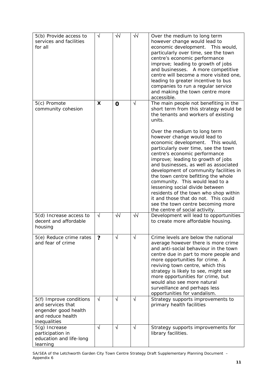| 5(b) Provide access to<br>services and facilities<br>for all                                              | $\sqrt{}$  | √√          | $\sqrt{2}$ | Over the medium to long term<br>however change would lead to<br>economic development. This would,<br>particularly over time, see the town<br>centre's economic performance<br>improve; leading to growth of jobs<br>and businesses. A more competitive<br>centre will become a more visited one,<br>leading to greater incentive to bus<br>companies to run a regular service<br>and making the town centre more<br>accessible.                                                                                                                                                                                                                                                                              |
|-----------------------------------------------------------------------------------------------------------|------------|-------------|------------|--------------------------------------------------------------------------------------------------------------------------------------------------------------------------------------------------------------------------------------------------------------------------------------------------------------------------------------------------------------------------------------------------------------------------------------------------------------------------------------------------------------------------------------------------------------------------------------------------------------------------------------------------------------------------------------------------------------|
| 5(c) Promote<br>community cohesion                                                                        | X          | $\mathbf 0$ | $\sqrt{}$  | The main people not benefiting in the<br>short term from this strategy would be<br>the tenants and workers of existing<br>units.<br>Over the medium to long term<br>however change would lead to<br>economic development. This would,<br>particularly over time, see the town<br>centre's economic performance<br>improve; leading to growth of jobs<br>and businesses, as well as associated<br>development of community facilities in<br>the town centre befitting the whole<br>community. This would lead to a<br>lessening social divide between<br>residents of the town who shop within<br>it and those that do not. This could<br>see the town centre becoming more<br>the centre of social activity. |
| 5(d) Increase access to<br>decent and affordable<br>housing                                               | $\sqrt{ }$ | $\sqrt{2}$  | $\sqrt{2}$ | Development will lead to opportunities<br>to create more affordable housing.                                                                                                                                                                                                                                                                                                                                                                                                                                                                                                                                                                                                                                 |
| 5(e) Reduce crime rates<br>and fear of crime                                                              | ?          | √           | $\sqrt{}$  | Crime levels are below the national<br>average however there is more crime<br>and anti-social behaviour in the town<br>centre due in part to more people and<br>more opportunities for crime. A<br>reviving town centre, which this<br>strategy is likely to see, might see<br>more opportunities for crime, but<br>would also see more natural<br>surveillance and perhaps less<br>opportunities for vandalism.                                                                                                                                                                                                                                                                                             |
| 5(f) Improve conditions<br>and services that<br>engender good health<br>and reduce health<br>inequalities | $\sqrt{ }$ | $\sqrt{ }$  | √          | Strategy supports improvements to<br>primary health facilities                                                                                                                                                                                                                                                                                                                                                                                                                                                                                                                                                                                                                                               |
| 5(g) Increase<br>participation in<br>education and life-long<br>learning                                  | $\sqrt{ }$ | $\sqrt{ }$  | $\sqrt{ }$ | Strategy supports improvements for<br>library facilities.                                                                                                                                                                                                                                                                                                                                                                                                                                                                                                                                                                                                                                                    |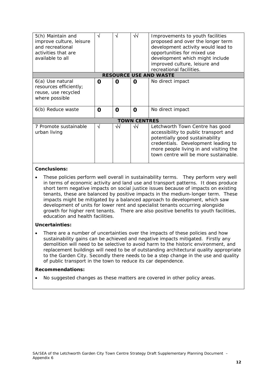| 5(h) Maintain and<br>improve culture, leisure<br>and recreational<br>activities that are<br>available to all | N | N  | √√                  | Improvements to youth facilities<br>proposed and over the longer term<br>development activity would lead to<br>opportunities for mixed use<br>development which might include<br>improved culture, leisure and                        |  |  |  |
|--------------------------------------------------------------------------------------------------------------|---|----|---------------------|---------------------------------------------------------------------------------------------------------------------------------------------------------------------------------------------------------------------------------------|--|--|--|
|                                                                                                              |   |    |                     | recreational facilities.                                                                                                                                                                                                              |  |  |  |
| <b>RESOURCE USE AND WASTE</b>                                                                                |   |    |                     |                                                                                                                                                                                                                                       |  |  |  |
| 6(a) Use natural<br>resources efficiently;<br>reuse, use recycled<br>where possible                          | 0 | O  | O                   | No direct impact                                                                                                                                                                                                                      |  |  |  |
| 6(b) Reduce waste                                                                                            | Ω | O  | O                   | No direct impact                                                                                                                                                                                                                      |  |  |  |
|                                                                                                              |   |    | <b>TOWN CENTRES</b> |                                                                                                                                                                                                                                       |  |  |  |
| 7 Promote sustainable<br>urban living                                                                        | √ | √√ | ₩                   | Letchworth Town Centre has good<br>accessibility to public transport and<br>potentially good sustainability<br>credentials. Development leading to<br>more people living in and visiting the<br>town centre will be more sustainable. |  |  |  |

• These policies perform well overall in sustainability terms. They perform very well in terms of economic activity and land use and transport patterns. It does produce short term negative impacts on social justice issues because of impacts on existing tenants, these are balanced by positive impacts in the medium-longer term. These impacts might be mitigated by a balanced approach to development, which saw development of units for lower rent and specialist tenants occurring alongside growth for higher rent tenants. There are also positive benefits to youth facilities, education and health facilities.

#### **Uncertainties:**

There are a number of uncertainties over the impacts of these policies and how sustainability gains can be achieved and negative impacts mitigated. Firstly any demolition will need to be selective to avoid harm to the historic environment, and replacement buildings will need to be of outstanding architectural quality appropriate to the Garden City. Secondly there needs to be a step change in the use and quality of public transport in the town to reduce its car dependence.

#### **Recommendations:**

• No suggested changes as these matters are covered in other policy areas.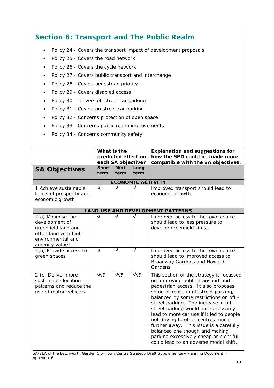# **Section 8: Transport and The Public Realm**

- Policy 24 Covers the transport impact of development proposals
- Policy 25 Covers the road network
- Policy 26 Covers the cycle network
- Policy 27 Covers public transport and interchange
- Policy 28 Covers pedestrian priority
- Policy 29 Covers disabled access
- Policy 30 Covers off street car parking
- Policy 31 Covers on street car parking
- Policy 32 Concerns protection of open space
- Policy 33 Concerns public realm improvements
- Policy 34 Concerns community safety

|                                                                                                                           | What is the<br>predicted effect on<br>each SA objective? |                          |              | <b>Explanation and suggestions for</b><br>how the SPD could be made more<br>compatible with the SA objectives.                                                                                                                                                                                                                                                                                                                                                                                                                          |
|---------------------------------------------------------------------------------------------------------------------------|----------------------------------------------------------|--------------------------|--------------|-----------------------------------------------------------------------------------------------------------------------------------------------------------------------------------------------------------------------------------------------------------------------------------------------------------------------------------------------------------------------------------------------------------------------------------------------------------------------------------------------------------------------------------------|
| <b>SA Objectives</b>                                                                                                      | <b>Short</b><br>term                                     | <b>Med</b><br>term       | Long<br>term |                                                                                                                                                                                                                                                                                                                                                                                                                                                                                                                                         |
|                                                                                                                           |                                                          | <b>ECONOMIC ACTIVITY</b> |              |                                                                                                                                                                                                                                                                                                                                                                                                                                                                                                                                         |
| 1 Achieve sustainable<br>levels of prosperity and<br>economic growth                                                      | $\sqrt{}$                                                | $\sqrt{ }$               | $\sqrt{ }$   | Improved transport should lead to<br>economic growth.                                                                                                                                                                                                                                                                                                                                                                                                                                                                                   |
|                                                                                                                           |                                                          |                          |              | <b>LAND USE AND DEVELOPMENT PATTERNS</b>                                                                                                                                                                                                                                                                                                                                                                                                                                                                                                |
| 2(a) Minimise the<br>development of<br>greenfield land and<br>other land with high<br>environmental and<br>amenity value? | $\sqrt{}$                                                | N                        | $\sqrt{ }$   | Improved access to the town centre<br>should lead to less pressure to<br>develop greenfield sites.                                                                                                                                                                                                                                                                                                                                                                                                                                      |
| 2(b) Provide access to<br>green spaces                                                                                    | $\sqrt{}$                                                | √                        | $\sqrt{}$    | Improved access to the town centre<br>should lead to improved access to<br>Broadway Gardens and Howard<br>Gardens.                                                                                                                                                                                                                                                                                                                                                                                                                      |
| 2 (c) Deliver more<br>sustainable location<br>patterns and reduce the<br>use of motor vehicles                            | $\sqrt{2}$                                               | $\sqrt{2}$               | $\sqrt{2}$   | This section of the strategy is focussed<br>on improving public transport and<br>pedestrian access. It also proposes<br>some increase in off street parking,<br>balanced by some restrictions on off -<br>street parking. The increase in off-<br>street parking would not necessarily<br>lead to more car use if it led to people<br>not driving to other centres much<br>further away. This issue is a carefully<br>balanced one though and making<br>parking excessively cheap or plentiful<br>could lead to an adverse modal shift. |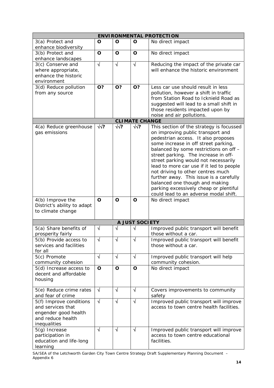| <b>ENVIRONMENTAL PROTECTION</b>                                                                           |             |             |                       |                                                                                                                                                                                                                                                                                                                                                                                                                                                                                                                                         |  |  |
|-----------------------------------------------------------------------------------------------------------|-------------|-------------|-----------------------|-----------------------------------------------------------------------------------------------------------------------------------------------------------------------------------------------------------------------------------------------------------------------------------------------------------------------------------------------------------------------------------------------------------------------------------------------------------------------------------------------------------------------------------------|--|--|
| 3(a) Protect and<br>enhance biodiversity                                                                  | O           | O           | O                     | No direct impact                                                                                                                                                                                                                                                                                                                                                                                                                                                                                                                        |  |  |
| 3(b) Protect and<br>enhance landscapes                                                                    | O           | O           | O                     | No direct impact                                                                                                                                                                                                                                                                                                                                                                                                                                                                                                                        |  |  |
| 3(c) Conserve and<br>where appropriate,<br>enhance the historic<br>environment                            | $\sqrt{}$   | $\sqrt{ }$  | $\sqrt{ }$            | Reducing the impact of the private car<br>will enhance the historic environment                                                                                                                                                                                                                                                                                                                                                                                                                                                         |  |  |
| 3(d) Reduce pollution<br>from any source                                                                  | O?          | O?          | O?                    | Less car use should result in less<br>pollution, however a shift in traffic<br>from Station Road to Icknield Road as<br>suggested will lead to a small shift in<br>those residents impacted upon by<br>noise and air pollutions.                                                                                                                                                                                                                                                                                                        |  |  |
|                                                                                                           |             |             | <b>CLIMATE CHANGE</b> |                                                                                                                                                                                                                                                                                                                                                                                                                                                                                                                                         |  |  |
| 4(a) Reduce greenhouse<br>gas emissions                                                                   | $\sqrt{2}$  | $\sqrt{2}$  | √√?                   | This section of the strategy is focussed<br>on improving public transport and<br>pedestrian access. It also proposes<br>some increase in off street parking,<br>balanced by some restrictions on off -<br>street parking. The increase in off-<br>street parking would not necessarily<br>lead to more car use if it led to people<br>not driving to other centres much<br>further away. This issue is a carefully<br>balanced one though and making<br>parking excessively cheap or plentiful<br>could lead to an adverse modal shift. |  |  |
| 4(b) Improve the<br>District's ability to adapt<br>to climate change                                      | O           | O           | O                     | No direct impact                                                                                                                                                                                                                                                                                                                                                                                                                                                                                                                        |  |  |
|                                                                                                           |             |             | A JUST SOCIETY        |                                                                                                                                                                                                                                                                                                                                                                                                                                                                                                                                         |  |  |
| 5(a) Share benefits of<br>prosperity fairly                                                               | $\sqrt{ }$  | √           | √                     | Improved public transport will benefit<br>those without a car.                                                                                                                                                                                                                                                                                                                                                                                                                                                                          |  |  |
| 5(b) Provide access to<br>services and facilities<br>for all                                              | ٧           |             | ٧                     | Improved public transport will benefit<br>those without a car.                                                                                                                                                                                                                                                                                                                                                                                                                                                                          |  |  |
| 5(c) Promote<br>community cohesion                                                                        | $\sqrt{ }$  | $\sqrt{ }$  | $\sqrt{}$             | Improved public transport will help<br>community cohesion.                                                                                                                                                                                                                                                                                                                                                                                                                                                                              |  |  |
| 5(d) Increase access to<br>decent and affordable<br>housing                                               | $\mathbf O$ | $\mathbf O$ | O                     | No direct impact                                                                                                                                                                                                                                                                                                                                                                                                                                                                                                                        |  |  |
| 5(e) Reduce crime rates<br>and fear of crime                                                              | $\sqrt{ }$  | $\sqrt{ }$  | √                     | Covers improvements to community<br>safety                                                                                                                                                                                                                                                                                                                                                                                                                                                                                              |  |  |
| 5(f) Improve conditions<br>and services that<br>engender good health<br>and reduce health<br>inequalities | $\sqrt{ }$  | $\sqrt{}$   | $\sqrt{ }$            | Improved public transport will improve<br>access to town centre health facilities.                                                                                                                                                                                                                                                                                                                                                                                                                                                      |  |  |
| 5(g) Increase<br>participation in<br>education and life-long<br>learning                                  | $\sqrt{}$   | $\sqrt{}$   | $\sqrt{}$             | Improved public transport will improve<br>access to town centre educational<br>facilities.                                                                                                                                                                                                                                                                                                                                                                                                                                              |  |  |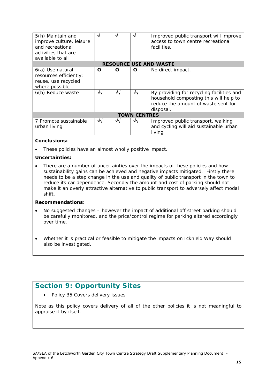| 5(h) Maintain and<br>improve culture, leisure<br>and recreational<br>activities that are<br>available to all | N       | ٦Ι              |                     | Improved public transport will improve<br>access to town centre recreational<br>facilities.                                                     |
|--------------------------------------------------------------------------------------------------------------|---------|-----------------|---------------------|-------------------------------------------------------------------------------------------------------------------------------------------------|
|                                                                                                              |         |                 |                     | <b>RESOURCE USE AND WASTE</b>                                                                                                                   |
| 6(a) Use natural<br>resources efficiently;<br>reuse, use recycled<br>where possible<br>6(b) Reduce waste     | O<br>√√ | Ω<br>$\sqrt{2}$ | O<br>$\sqrt{2}$     | No direct impact.<br>By providing for recycling facilities and<br>household composting this will help to<br>reduce the amount of waste sent for |
|                                                                                                              |         |                 |                     | disposal.                                                                                                                                       |
|                                                                                                              |         |                 | <b>TOWN CENTRES</b> |                                                                                                                                                 |
| 7 Promote sustainable<br>urban living                                                                        | ᄿ       | $\sqrt{2}$      | √√                  | Improved public transport, walking<br>and cycling will aid sustainable urban<br>living                                                          |

• These policies have an almost wholly positive impact.

#### **Uncertainties:**

• There are a number of uncertainties over the impacts of these policies and how sustainability gains can be achieved and negative impacts mitigated. Firstly there needs to be a step change in the use and quality of public transport in the town to reduce its car dependence. Secondly the amount and cost of parking should not make it an overly attractive alternative to public transport to adversely affect modal shift.

#### **Recommendations:**

- No suggested changes however the impact of additional off street parking should be carefully monitored, and the price/control regime for parking altered accordingly over time.
- Whether it is practical or feasible to mitigate the impacts on Icknield Way should also be investigated.

# **Section 9: Opportunity Sites**

• Policy 35 Covers delivery issues

Note as this policy covers delivery of all of the other policies it is not meaningful to appraise it by itself.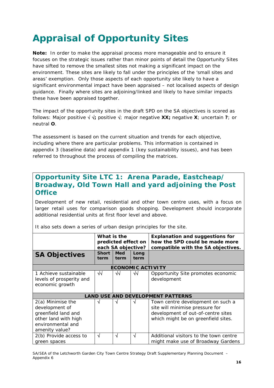# **Appraisal of Opportunity Sites**

**Note:** In order to make the appraisal process more manageable and to ensure it focuses on the strategic issues rather than minor points of detail the Opportunity Sites have sifted to remove the smallest sites not making a significant impact on the environment. These sites are likely to fall under the principles of the 'small sites and areas' exemption. Only those aspects of each opportunity site likely to have a significant environmental impact have been appraised – not localised aspects of design guidance. Finally where sites are adjoining/linked and likely to have similar impacts these have been appraised together.

The impact of the opportunity sites in the draft SPD on the SA objectives is scored as follows: Major positive √ √**;** positive √; major negative **XX;** negative **X**; uncertain **?**; or neutral **O**.

The assessment is based on the current situation and trends for each objective, including where there are particular problems. This information is contained in appendix 3 (baseline data) and appendix 1 (key sustainability issues), and has been referred to throughout the process of compiling the matrices.

# **Opportunity Site LTC 1: Arena Parade, Eastcheap/ Broadway, Old Town Hall and yard adjoining the Post Office**

Development of new retail, residential and other town centre uses, with a focus on larger retail uses for comparison goods shopping. Development should incorporate additional residential units at first floor level and above.

|                                                                                                                             | What is the<br>predicted effect on<br>each SA objective? |                    |                          | <b>Explanation and suggestions for</b><br>how the SPD could be made more<br>compatible with the SA objectives.                                    |
|-----------------------------------------------------------------------------------------------------------------------------|----------------------------------------------------------|--------------------|--------------------------|---------------------------------------------------------------------------------------------------------------------------------------------------|
| <b>SA Objectives</b>                                                                                                        | <b>Short</b><br>term                                     | <b>Med</b><br>term | Long<br>term             |                                                                                                                                                   |
|                                                                                                                             |                                                          |                    | <b>ECONOMIC ACTIVITY</b> |                                                                                                                                                   |
| 1 Achieve sustainable<br>levels of prosperity and<br>economic growth                                                        | √√                                                       | ᄿ                  | √√                       | Opportunity Site promotes economic<br>development                                                                                                 |
|                                                                                                                             |                                                          |                    |                          | <b>LAND USE AND DEVELOPMENT PATTERNS</b>                                                                                                          |
| $2(a)$ Minimise the<br>development of<br>greenfield land and<br>other land with high<br>environmental and<br>amenity value? | √                                                        | √                  | V                        | Town centre development on such a<br>site will minimise pressure for<br>development of out-of-centre sites<br>which might be on greenfield sites. |
| 2(b) Provide access to<br>green spaces                                                                                      | √                                                        | N                  | √                        | Additional visitors to the town centre<br>might make use of Broadway Gardens                                                                      |

It also sets down a series of urban design principles for the site.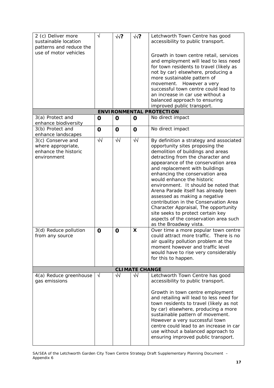| 2 (c) Deliver more<br>sustainable location<br>patterns and reduce the                                                      | $\sqrt{}$        | $\sqrt{2}$       | $\sqrt{2}$            | Letchworth Town Centre has good<br>accessibility to public transport.                                                                                                                                                                                                                                                                                                                                                                                                                                                                                                                                                                                                                                                               |
|----------------------------------------------------------------------------------------------------------------------------|------------------|------------------|-----------------------|-------------------------------------------------------------------------------------------------------------------------------------------------------------------------------------------------------------------------------------------------------------------------------------------------------------------------------------------------------------------------------------------------------------------------------------------------------------------------------------------------------------------------------------------------------------------------------------------------------------------------------------------------------------------------------------------------------------------------------------|
| use of motor vehicles                                                                                                      |                  |                  |                       | Growth in town centre retail, services<br>and employment will lead to less need<br>for town residents to travel (likely as<br>not by car) elsewhere, producing a<br>more sustainable pattern of<br>movement. However a very<br>successful town centre could lead to<br>an increase in car use without a<br>balanced approach to ensuring<br>improved public transport.                                                                                                                                                                                                                                                                                                                                                              |
|                                                                                                                            |                  |                  |                       | <b>ENVIRONMENTAL PROTECTION</b>                                                                                                                                                                                                                                                                                                                                                                                                                                                                                                                                                                                                                                                                                                     |
| 3(a) Protect and<br>enhance biodiversity                                                                                   | O                | $\mathbf 0$      | $\mathbf 0$           | No direct impact                                                                                                                                                                                                                                                                                                                                                                                                                                                                                                                                                                                                                                                                                                                    |
| 3(b) Protect and<br>enhance landscapes                                                                                     | O                | $\mathbf 0$      | $\mathbf 0$           | No direct impact                                                                                                                                                                                                                                                                                                                                                                                                                                                                                                                                                                                                                                                                                                                    |
| 3(c) Conserve and<br>where appropriate,<br>enhance the historic<br>environment<br>3(d) Reduce pollution<br>from any source | ₩<br>$\mathbf 0$ | ᄿ<br>$\mathbf 0$ | $\sqrt{2}$<br>X       | By definition a strategy and associated<br>opportunity sites proposing the<br>demolition of buildings and areas<br>detracting from the character and<br>appearance of the conservation area<br>and replacement with buildings<br>enhancing the conservation area<br>would enhance the historic<br>environment. It should be noted that<br>Arena Parade itself has already been<br>assessed as making a negative<br>contribution in the Conservation Area<br>Character Appraisal, The opportunity<br>site seeks to protect certain key<br>aspects of the conservation area such<br>as the Broadway vista.<br>Over time a more popular town centre<br>could attract more traffic. There is no<br>air quality pollution problem at the |
|                                                                                                                            |                  |                  |                       | moment however and traffic level<br>would have to rise very considerably<br>for this to happen.                                                                                                                                                                                                                                                                                                                                                                                                                                                                                                                                                                                                                                     |
|                                                                                                                            |                  |                  | <b>CLIMATE CHANGE</b> |                                                                                                                                                                                                                                                                                                                                                                                                                                                                                                                                                                                                                                                                                                                                     |
| 4(a) Reduce greenhouse                                                                                                     | $\sqrt{}$        | $\sqrt{2}$       | $\sqrt{2}$            | Letchworth Town Centre has good                                                                                                                                                                                                                                                                                                                                                                                                                                                                                                                                                                                                                                                                                                     |
| gas emissions                                                                                                              |                  |                  |                       | accessibility to public transport.<br>Growth in town centre employment<br>and retailing will lead to less need for<br>town residents to travel (likely as not<br>by car) elsewhere, producing a more<br>sustainable pattern of movement.<br>However a very successful town<br>centre could lead to an increase in car<br>use without a balanced approach to<br>ensuring improved public transport.                                                                                                                                                                                                                                                                                                                                  |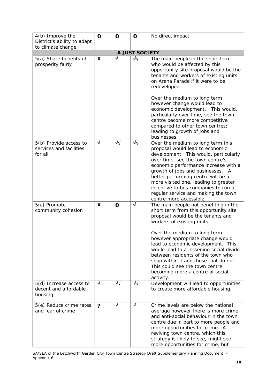| 4(b) Improve the                                              | $\mathbf 0$     | $\mathbf 0$               | $\mathbf 0$              | No direct impact                                                                                                                                                                                                                                                                                                                                                                                                                                                                                                  |
|---------------------------------------------------------------|-----------------|---------------------------|--------------------------|-------------------------------------------------------------------------------------------------------------------------------------------------------------------------------------------------------------------------------------------------------------------------------------------------------------------------------------------------------------------------------------------------------------------------------------------------------------------------------------------------------------------|
| District's ability to adapt                                   |                 |                           |                          |                                                                                                                                                                                                                                                                                                                                                                                                                                                                                                                   |
| to climate change                                             |                 |                           |                          |                                                                                                                                                                                                                                                                                                                                                                                                                                                                                                                   |
|                                                               |                 |                           | A JUST SOCIETY           |                                                                                                                                                                                                                                                                                                                                                                                                                                                                                                                   |
| 5(a) Share benefits of<br>prosperity fairly                   | X               | √                         | $\sqrt{2}$               | The main people in the short term<br>who would be affected by this<br>opportunity site proposal would be the<br>tenants and workers of existing units<br>on Arena Parade if it were to be<br>redeveloped.<br>Over the medium to long term<br>however change would lead to<br>economic development. This would,<br>particularly over time, see the town<br>centre become more competitive                                                                                                                          |
|                                                               |                 |                           |                          | compared to other town centres;<br>leading to growth of jobs and<br>businesses.                                                                                                                                                                                                                                                                                                                                                                                                                                   |
| 5(b) Provide access to<br>services and facilities<br>for all  | $\sqrt{ }$      | ᄿ                         | $\sqrt{}$                | Over the medium to long term this<br>proposal would lead to economic<br>development This would, particularly<br>over time, see the town centre's<br>economic performance increase with a<br>growth of jobs and businesses.<br>A<br>better performing centre will be a<br>more visited one, leading to greater<br>incentive to bus companies to run a<br>regular service and making the town<br>centre more accessible.                                                                                            |
| 5(c) Promote<br>community cohesion<br>5(d) Increase access to | X<br>$\sqrt{ }$ | $\mathbf 0$<br>$\sqrt{2}$ | $\sqrt{ }$<br>$\sqrt{2}$ | The main people not benefiting in the<br>short term from this opportunity site<br>proposal would be the tenants and<br>workers of existing units.<br>Over the medium to long term<br>however appropriate change would<br>lead to economic development. This<br>would lead to a lessening social divide<br>between residents of the town who<br>shop within it and those that do not.<br>This could see the town centre<br>becoming more a centre of social<br>activity.<br>Development will lead to opportunities |
| decent and affordable<br>housing                              |                 |                           |                          | to create more affordable housing.                                                                                                                                                                                                                                                                                                                                                                                                                                                                                |
| 5(e) Reduce crime rates<br>and fear of crime                  | $\overline{?}$  | $\sqrt{ }$                | $\sqrt{ }$               | Crime levels are below the national<br>average however there is more crime<br>and anti-social behaviour in the town<br>centre due in part to more people and<br>more opportunities for crime. A<br>reviving town centre, which this<br>strategy is likely to see, might see<br>more opportunities for crime, but                                                                                                                                                                                                  |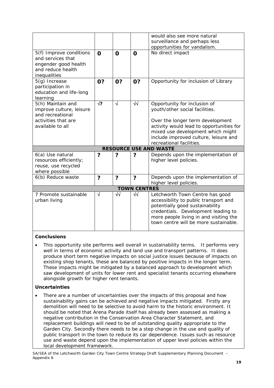|                                                                                                           |                         |            |                     | would also see more natural                                                                                                                                                                        |
|-----------------------------------------------------------------------------------------------------------|-------------------------|------------|---------------------|----------------------------------------------------------------------------------------------------------------------------------------------------------------------------------------------------|
|                                                                                                           |                         |            |                     | surveillance and perhaps less                                                                                                                                                                      |
|                                                                                                           |                         |            |                     | opportunities for vandalism.                                                                                                                                                                       |
| 5(f) Improve conditions<br>and services that<br>engender good health<br>and reduce health<br>inequalities | $\mathbf 0$             | $\Omega$   | $\mathbf 0$         | No direct impact                                                                                                                                                                                   |
| $5(g)$ Increase<br>participation in<br>education and life-long<br>learning                                | 0?                      | 0?         | 0?                  | Opportunity for inclusion of Library                                                                                                                                                               |
| 5(h) Maintain and<br>improve culture, leisure<br>and recreational                                         | $\sqrt{?}$              | $\sqrt{ }$ | $\sqrt{2}$          | Opportunity for inclusion of<br>youth/other social facilities.                                                                                                                                     |
| activities that are                                                                                       |                         |            |                     | Over the longer term development                                                                                                                                                                   |
| available to all                                                                                          |                         |            |                     | activity would lead to opportunities for                                                                                                                                                           |
|                                                                                                           |                         |            |                     | mixed use development which might<br>include improved culture, leisure and<br>recreational facilities.                                                                                             |
|                                                                                                           |                         |            |                     |                                                                                                                                                                                                    |
|                                                                                                           |                         |            |                     | <b>RESOURCE USE AND WASTE</b>                                                                                                                                                                      |
| 6(a) Use natural<br>resources efficiently;<br>reuse, use recycled<br>where possible                       | ?                       | ?          | ?                   | Depends upon the implementation of<br>higher level policies.                                                                                                                                       |
| 6(b) Reduce waste                                                                                         | $\overline{\mathbf{?}}$ | ?          | ?                   | Depends upon the implementation of<br>higher level policies.                                                                                                                                       |
|                                                                                                           |                         |            | <b>TOWN CENTRES</b> |                                                                                                                                                                                                    |
| 7 Promote sustainable                                                                                     | √                       | $\sqrt{}$  | $\sqrt{2}$          | Letchworth Town Centre has good                                                                                                                                                                    |
| urban living                                                                                              |                         |            |                     | accessibility to public transport and<br>potentially good sustainability<br>credentials. Development leading to<br>more people living in and visiting the<br>town centre will be more sustainable. |

• This opportunity site performs well overall in sustainability terms. It performs very well in terms of economic activity and land use and transport patterns. It does produce short term negative impacts on social justice issues because of impacts on existing shop tenants, these are balanced by positive impacts in the longer term. These impacts might be mitigated by a balanced approach to development which saw development of units for lower rent and specialist tenants occurring elsewhere alongside growth for higher rent tenants.

#### **Uncertainties**

There are a number of uncertainties over the impacts of this proposal and how sustainability gains can be achieved and negative impacts mitigated. Firstly any demolition will need to be selective to avoid harm to the historic environment. It should be noted that Arena Parade itself has already been assessed as making a negative contribution in the Conservation Area Character Statement, and replacement buildings will need to be of outstanding quality appropriate to the Garden City. Secondly there needs to be a step change in the use and quality of public transport in the town to reduce its car dependence. Issues such as resource use and waste depend upon the implementation of upper level policies within the local development framework.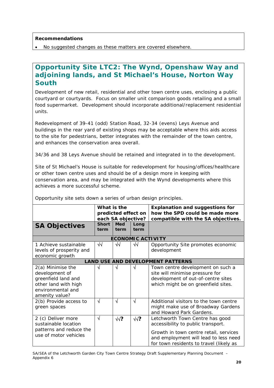#### **Recommendations**

• No suggested changes as these matters are covered elsewhere.

## **Opportunity Site LTC2: The Wynd, Openshaw Way and adjoining lands, and St Michael's House, Norton Way South**

Development of new retail, residential and other town centre uses, enclosing a public courtyard or courtyards. Focus on smaller unit comparison goods retailing and a small food supermarket. Development should incorporate additional/replacement residential units.

Redevelopment of 39-41 (odd) Station Road, 32-34 (evens) Leys Avenue and buildings in the rear yard of existing shops may be acceptable where this aids access to the site for pedestrians, better integrates with the remainder of the town centre, and enhances the conservation area overall.

34/36 and 38 Leys Avenue should be retained and integrated in to the development.

Site of St Michael's House is suitable for redevelopment for housing/offices/healthcare or other town centre uses and should be of a design more in keeping with conservation area, and may be integrated with the Wynd developments where this achieves a more successful scheme.

|                                                                                                                           | What is the<br>predicted effect on<br>each SA objective? |                    |                          | <b>Explanation and suggestions for</b><br>how the SPD could be made more<br>compatible with the SA objectives.                                                                                      |
|---------------------------------------------------------------------------------------------------------------------------|----------------------------------------------------------|--------------------|--------------------------|-----------------------------------------------------------------------------------------------------------------------------------------------------------------------------------------------------|
| <b>SA Objectives</b>                                                                                                      | <b>Short</b><br>term                                     | <b>Med</b><br>term | Long<br>term             |                                                                                                                                                                                                     |
|                                                                                                                           |                                                          |                    | <b>ECONOMIC ACTIVITY</b> |                                                                                                                                                                                                     |
| 1 Achieve sustainable<br>levels of prosperity and<br>economic growth                                                      | $\sqrt{2}$                                               | ₩                  | $\sqrt{2}$               | Opportunity Site promotes economic<br>development                                                                                                                                                   |
|                                                                                                                           |                                                          |                    |                          | <b>LAND USE AND DEVELOPMENT PATTERNS</b>                                                                                                                                                            |
| 2(a) Minimise the<br>development of<br>greenfield land and<br>other land with high<br>environmental and<br>amenity value? |                                                          | V                  | V                        | Town centre development on such a<br>site will minimise pressure for<br>development of out-of-centre sites<br>which might be on greenfield sites.                                                   |
| 2(b) Provide access to<br>green spaces                                                                                    | $\sqrt{ }$                                               | N                  | $\sqrt{}$                | Additional visitors to the town centre<br>might make use of Broadway Gardens<br>and Howard Park Gardens.                                                                                            |
| 2 (c) Deliver more<br>sustainable location<br>patterns and reduce the<br>use of motor vehicles                            | $\sqrt{ }$                                               | $\sqrt{2}$         | $\sqrt{?}$               | Letchworth Town Centre has good<br>accessibility to public transport.<br>Growth in town centre retail, services<br>and employment will lead to less need<br>for town residents to travel (likely as |

Opportunity site sets down a series of urban design principles.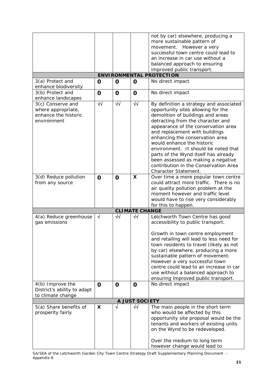|                                          |             |                            |                       | not by car) elsewhere, producing a       |
|------------------------------------------|-------------|----------------------------|-----------------------|------------------------------------------|
|                                          |             |                            |                       | more sustainable pattern of              |
|                                          |             |                            |                       | movement. However a very                 |
|                                          |             |                            |                       | successful town centre could lead to     |
|                                          |             |                            |                       | an increase in car use without a         |
|                                          |             |                            |                       | balanced approach to ensuring            |
|                                          |             |                            |                       | improved public transport.               |
|                                          |             |                            |                       | <b>ENVIRONMENTAL PROTECTION</b>          |
| 3(a) Protect and<br>enhance biodiversity | $\mathbf 0$ | $\mathbf 0$                | $\mathbf 0$           | No direct impact                         |
| 3(b) Protect and<br>enhance landscapes   | $\mathbf 0$ | $\mathbf 0$                | $\mathbf 0$           | No direct impact                         |
| 3(c) Conserve and                        | $\sqrt{2}$  | $\overline{\blacklozenge}$ | $\sqrt{}$             | By definition a strategy and associated  |
| where appropriate,                       |             |                            |                       | opportunity sites allowing for the       |
| enhance the historic                     |             |                            |                       | demolition of buildings and areas        |
| environment                              |             |                            |                       | detracting from the character and        |
|                                          |             |                            |                       | appearance of the conservation area      |
|                                          |             |                            |                       | and replacement with buildings           |
|                                          |             |                            |                       | enhancing the conservation area          |
|                                          |             |                            |                       | would enhance the historic               |
|                                          |             |                            |                       | environment. It should be noted that     |
|                                          |             |                            |                       | parts of the Wynd itself has already     |
|                                          |             |                            |                       | been assessed as making a negative       |
|                                          |             |                            |                       | contribution in the Conservation Area    |
|                                          |             |                            |                       | Character Statement.                     |
| 3(d) Reduce pollution                    | $\mathbf 0$ | $\mathbf 0$                | X                     | Over time a more popular town centre     |
| from any source                          |             |                            |                       | could attract more traffic. There is no  |
|                                          |             |                            |                       | air quality pollution problem at the     |
|                                          |             |                            |                       | moment however and traffic level         |
|                                          |             |                            |                       | would have to rise very considerably     |
|                                          |             |                            |                       | for this to happen.                      |
|                                          |             |                            | <b>CLIMATE CHANGE</b> |                                          |
| 4(a) Reduce greenhouse                   | $\sqrt{ }$  | ₩                          | $\sqrt{2}$            | Letchworth Town Centre has good          |
| gas emissions                            |             |                            |                       | accessibility to public transport.       |
|                                          |             |                            |                       | Growth in town centre employment         |
|                                          |             |                            |                       | and retailing will lead to less need for |
|                                          |             |                            |                       | town residents to travel (likely as not  |
|                                          |             |                            |                       | by car) elsewhere, producing a more      |
|                                          |             |                            |                       | sustainable pattern of movement.         |
|                                          |             |                            |                       | However a very successful town           |
|                                          |             |                            |                       | centre could lead to an increase in car  |
|                                          |             |                            |                       | use without a balanced approach to       |
|                                          |             |                            |                       | ensuring improved public transport.      |
| 4(b) Improve the                         | $\mathbf 0$ | $\mathbf 0$                | 0                     | No direct impact                         |
| District's ability to adapt              |             |                            |                       |                                          |
| to climate change                        |             |                            |                       |                                          |
|                                          |             |                            | <b>A JUST SOCIETY</b> |                                          |
| 5(a) Share benefits of                   | X           | √                          | $\sqrt{2}$            | The main people in the short term        |
| prosperity fairly                        |             |                            |                       | who would be affected by this            |
|                                          |             |                            |                       | opportunity site proposal would be the   |
|                                          |             |                            |                       |                                          |
|                                          |             |                            |                       | tenants and workers of existing units    |
|                                          |             |                            |                       | on the Wynd to be redeveloped.           |
|                                          |             |                            |                       | Over the medium to long term             |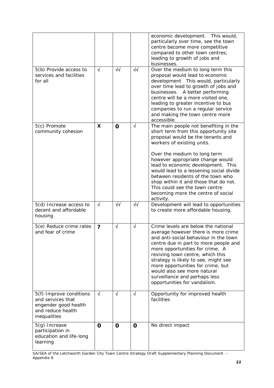|                                                                                                           |             |             |            | economic development. This would,<br>particularly over time, see the town<br>centre become more competitive<br>compared to other town centres;<br>leading to growth of jobs and<br>businesses.                                                                                                                                                                                                                                                                            |
|-----------------------------------------------------------------------------------------------------------|-------------|-------------|------------|---------------------------------------------------------------------------------------------------------------------------------------------------------------------------------------------------------------------------------------------------------------------------------------------------------------------------------------------------------------------------------------------------------------------------------------------------------------------------|
| 5(b) Provide access to<br>services and facilities<br>for all                                              | $\sqrt{ }$  | $\sqrt{2}$  | $\sqrt{2}$ | Over the medium to long term this<br>proposal would lead to economic<br>development This would, particularly<br>over time lead to growth of jobs and<br>businesses. A better performing<br>centre will be a more visited one,<br>leading to greater incentive to bus<br>companies to run a regular service<br>and making the town centre more<br>accessible.                                                                                                              |
| 5(c) Promote<br>community cohesion                                                                        | X           | $\mathbf 0$ | $\sqrt{}$  | The main people not benefiting in the<br>short term from this opportunity site<br>proposal would be the tenants and<br>workers of existing units.<br>Over the medium to long term<br>however appropriate change would<br>lead to economic development. This<br>would lead to a lessening social divide<br>between residents of the town who<br>shop within it and those that do not.<br>This could see the town centre<br>becoming more the centre of social<br>activity. |
| 5(d) Increase access to<br>decent and affordable<br>housing                                               | $\sqrt{ }$  | ᄿ           | √√         | Development will lead to opportunities<br>to create more affordable housing.                                                                                                                                                                                                                                                                                                                                                                                              |
| 5(e) Reduce crime rates<br>and fear of crime                                                              | ?           | $\sqrt{ }$  | $\sqrt{ }$ | Crime levels are below the national<br>average however there is more crime<br>and anti-social behaviour in the town<br>centre due in part to more people and<br>more opportunities for crime. A<br>reviving town centre, which this<br>strategy is likely to see, might see<br>more opportunities for crime, but<br>would also see more natural<br>surveillance and perhaps less<br>opportunities for vandalism.                                                          |
| 5(f) Improve conditions<br>and services that<br>engender good health<br>and reduce health<br>inequalities | $\sqrt{ }$  | $\sqrt{}$   | $\sqrt{ }$ | Opportunity for improved health<br>facilities                                                                                                                                                                                                                                                                                                                                                                                                                             |
| 5(g) Increase<br>participation in<br>education and life-long<br>learning                                  | $\mathbf 0$ | $\mathbf 0$ | O          | No direct impact                                                                                                                                                                                                                                                                                                                                                                                                                                                          |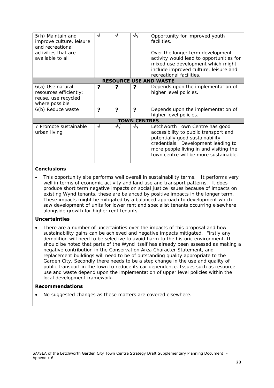| 5(h) Maintain and<br>improve culture, leisure<br>and recreational<br>activities that are<br>available to all | N | N | ᄿ                   | Opportunity for improved youth<br>facilities.<br>Over the longer term development<br>activity would lead to opportunities for<br>mixed use development which might                                                                    |  |  |
|--------------------------------------------------------------------------------------------------------------|---|---|---------------------|---------------------------------------------------------------------------------------------------------------------------------------------------------------------------------------------------------------------------------------|--|--|
|                                                                                                              |   |   |                     | include improved culture, leisure and<br>recreational facilities.                                                                                                                                                                     |  |  |
| <b>RESOURCE USE AND WASTE</b>                                                                                |   |   |                     |                                                                                                                                                                                                                                       |  |  |
| 6(a) Use natural<br>resources efficiently;<br>reuse, use recycled<br>where possible                          | ? | 7 | 7                   | Depends upon the implementation of<br>higher level policies.                                                                                                                                                                          |  |  |
| 6(b) Reduce waste                                                                                            | 2 | 7 | 2                   | Depends upon the implementation of<br>higher level policies.                                                                                                                                                                          |  |  |
|                                                                                                              |   |   | <b>TOWN CENTRES</b> |                                                                                                                                                                                                                                       |  |  |
| 7 Promote sustainable<br>urban living                                                                        | N | ᄿ | ᄿ                   | Letchworth Town Centre has good<br>accessibility to public transport and<br>potentially good sustainability<br>credentials. Development leading to<br>more people living in and visiting the<br>town centre will be more sustainable. |  |  |

This opportunity site performs well overall in sustainability terms. It performs very well in terms of economic activity and land use and transport patterns. It does produce short term negative impacts on social justice issues because of impacts on existing Wynd tenants, these are balanced by positive impacts in the longer term. These impacts might be mitigated by a balanced approach to development which saw development of units for lower rent and specialist tenants occurring elsewhere alongside growth for higher rent tenants.

### **Uncertainties**

There are a number of uncertainties over the impacts of this proposal and how sustainability gains can be achieved and negative impacts mitigated. Firstly any demolition will need to be selective to avoid harm to the historic environment. It should be noted that parts of the Wynd itself has already been assessed as making a negative contribution in the Conservation Area Character Statement, and replacement buildings will need to be of outstanding quality appropriate to the Garden City. Secondly there needs to be a step change in the use and quality of public transport in the town to reduce its car dependence. Issues such as resource use and waste depend upon the implementation of upper level policies within the local development framework.

#### **Recommendations**

• No suggested changes as these matters are covered elsewhere.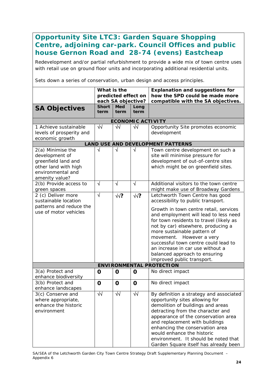# **Opportunity Site LTC3: Garden Square Shopping Centre, adjoining car-park. Council Offices and public house Gernon Road and 28-74 (evens) Eastcheap**

Redevelopment and/or partial refurbishment to provide a wide mix of town centre uses with retail use on ground floor units and incorporating additional residential units.

Sets down a series of conservation, urban design and access principles.

|                                                                                                                           | What is the<br>predicted effect on<br>each SA objective? |                    |              | <b>Explanation and suggestions for</b><br>how the SPD could be made more<br>compatible with the SA objectives.                                                                                                                                                                                                                                                                                                                                  |
|---------------------------------------------------------------------------------------------------------------------------|----------------------------------------------------------|--------------------|--------------|-------------------------------------------------------------------------------------------------------------------------------------------------------------------------------------------------------------------------------------------------------------------------------------------------------------------------------------------------------------------------------------------------------------------------------------------------|
| <b>SA Objectives</b>                                                                                                      | <b>Short</b><br>term                                     | <b>Med</b><br>term | Long<br>term |                                                                                                                                                                                                                                                                                                                                                                                                                                                 |
|                                                                                                                           |                                                          |                    |              | <b>ECONOMIC ACTIVITY</b>                                                                                                                                                                                                                                                                                                                                                                                                                        |
| 1 Achieve sustainable<br>levels of prosperity and<br>economic growth                                                      | $\sqrt{2}$                                               | $\sqrt{2}$         | $\sqrt{2}$   | Opportunity Site promotes economic<br>development                                                                                                                                                                                                                                                                                                                                                                                               |
|                                                                                                                           |                                                          |                    |              | <b>LAND USE AND DEVELOPMENT PATTERNS</b>                                                                                                                                                                                                                                                                                                                                                                                                        |
| 2(a) Minimise the<br>development of<br>greenfield land and<br>other land with high<br>environmental and<br>amenity value? | √                                                        | $\sqrt{ }$         | √            | Town centre development on such a<br>site will minimise pressure for<br>development of out-of-centre sites<br>which might be on greenfield sites.                                                                                                                                                                                                                                                                                               |
| 2(b) Provide access to<br>green spaces                                                                                    | $\sqrt{}$                                                | $\sqrt{ }$         | $\sqrt{ }$   | Additional visitors to the town centre<br>might make use of Broadway Gardens                                                                                                                                                                                                                                                                                                                                                                    |
| 2 (c) Deliver more<br>sustainable location<br>patterns and reduce the<br>use of motor vehicles                            | $\sqrt{ }$                                               | $\sqrt{2}$         | $\sqrt{?}$   | Letchworth Town Centre has good<br>accessibility to public transport.<br>Growth in town centre retail, services<br>and employment will lead to less need<br>for town residents to travel (likely as<br>not by car) elsewhere, producing a<br>more sustainable pattern of<br>movement. However a very<br>successful town centre could lead to<br>an increase in car use without a<br>balanced approach to ensuring<br>improved public transport. |
|                                                                                                                           |                                                          |                    |              | <b>ENVIRONMENTAL PROTECTION</b>                                                                                                                                                                                                                                                                                                                                                                                                                 |
| 3(a) Protect and<br>enhance biodiversity                                                                                  | O                                                        | $\mathbf 0$        | $\mathbf 0$  | No direct impact                                                                                                                                                                                                                                                                                                                                                                                                                                |
| 3(b) Protect and<br>enhance landscapes                                                                                    | O                                                        | $\mathbf 0$        | $\mathbf 0$  | No direct impact                                                                                                                                                                                                                                                                                                                                                                                                                                |
| 3(c) Conserve and<br>where appropriate,<br>enhance the historic<br>environment                                            | $\overline{\mathsf{v}}$                                  | ٧V                 | ₩            | By definition a strategy and associated<br>opportunity sites allowing for<br>demolition of buildings and areas<br>detracting from the character and<br>appearance of the conservation area<br>and replacement with buildings<br>enhancing the conservation area<br>would enhance the historic<br>environment. It should be noted that<br>Garden Square itself has already been                                                                  |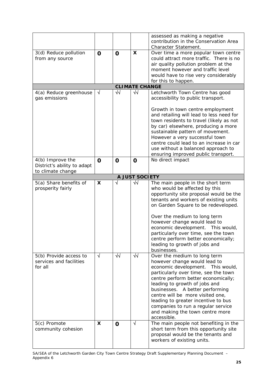|                                                                      |             |             |                       | assessed as making a negative<br>contribution in the Conservation Area<br>Character Statement.                                                                                                                                                                                                                                                                                                                          |
|----------------------------------------------------------------------|-------------|-------------|-----------------------|-------------------------------------------------------------------------------------------------------------------------------------------------------------------------------------------------------------------------------------------------------------------------------------------------------------------------------------------------------------------------------------------------------------------------|
| 3(d) Reduce pollution<br>from any source                             | $\mathbf 0$ | $\mathbf 0$ | X                     | Over time a more popular town centre<br>could attract more traffic. There is no<br>air quality pollution problem at the<br>moment however and traffic level<br>would have to rise very considerably<br>for this to happen.                                                                                                                                                                                              |
|                                                                      |             |             | <b>CLIMATE CHANGE</b> |                                                                                                                                                                                                                                                                                                                                                                                                                         |
| 4(a) Reduce greenhouse<br>gas emissions                              | $\sqrt{ }$  | $\sqrt{2}$  | $\sqrt{2}$            | Letchworth Town Centre has good<br>accessibility to public transport.<br>Growth in town centre employment<br>and retailing will lead to less need for<br>town residents to travel (likely as not<br>by car) elsewhere, producing a more<br>sustainable pattern of movement.<br>However a very successful town                                                                                                           |
|                                                                      |             |             |                       | centre could lead to an increase in car<br>use without a balanced approach to<br>ensuring improved public transport.                                                                                                                                                                                                                                                                                                    |
| 4(b) Improve the<br>District's ability to adapt<br>to climate change | $\mathbf 0$ | $\mathbf 0$ | O                     | No direct impact                                                                                                                                                                                                                                                                                                                                                                                                        |
|                                                                      |             |             | A JUST SOCIETY        |                                                                                                                                                                                                                                                                                                                                                                                                                         |
| 5(a) Share benefits of<br>prosperity fairly                          | X           | √           | ₩                     | The main people in the short term<br>who would be affected by this<br>opportunity site proposal would be the<br>tenants and workers of existing units<br>on Garden Square to be redeveloped.                                                                                                                                                                                                                            |
|                                                                      |             |             |                       | Over the medium to long term<br>however change would lead to<br>economic development. This would,<br>particularly over time, see the town<br>centre perform better economically;<br>leading to growth of jobs and<br>businesses.                                                                                                                                                                                        |
| 5(b) Provide access to<br>services and facilities<br>for all         | $\sqrt{ }$  | $\sqrt{2}$  | $\sqrt{2}$            | Over the medium to long term<br>however change would lead to<br>economic development. This would,<br>particularly over time, see the town<br>centre perform better economically;<br>leading to growth of jobs and<br>businesses. A better performing<br>centre will be more visited one,<br>leading to greater incentive to bus<br>companies to run a regular service<br>and making the town centre more<br>accessible. |
| 5(c) Promote<br>community cohesion                                   | X.          | O           | V                     | The main people not benefiting in the<br>short term from this opportunity site<br>proposal would be the tenants and<br>workers of existing units.                                                                                                                                                                                                                                                                       |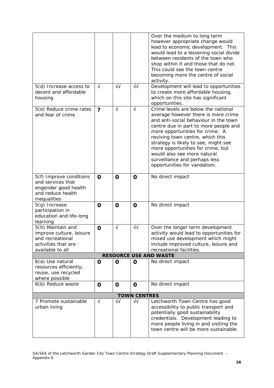| 5(d) Increase access to<br>decent and affordable                                                             | $\sqrt{ }$            | $\sqrt{2}$  | $\sqrt{2}$            | Over the medium to long term<br>however appropriate change would<br>lead to economic development. This<br>would lead to a lessening social divide<br>between residents of the town who<br>shop within it and those that do not.<br>This could see the town centre<br>becoming more the centre of social<br>activity.<br>Development will lead to opportunities<br>to create more affordable housing,             |
|--------------------------------------------------------------------------------------------------------------|-----------------------|-------------|-----------------------|------------------------------------------------------------------------------------------------------------------------------------------------------------------------------------------------------------------------------------------------------------------------------------------------------------------------------------------------------------------------------------------------------------------|
| housing                                                                                                      |                       |             |                       | which on this site has significant<br>opportunities.                                                                                                                                                                                                                                                                                                                                                             |
| 5(e) Reduce crime rates<br>and fear of crime                                                                 | $\boldsymbol{\gamma}$ | $\sqrt{ }$  | $\overline{\sqrt{2}}$ | Crime levels are below the national<br>average however there is more crime<br>and anti-social behaviour in the town<br>centre due in part to more people and<br>more opportunities for crime. A<br>reviving town centre, which this<br>strategy is likely to see, might see<br>more opportunities for crime, but<br>would also see more natural<br>surveillance and perhaps less<br>opportunities for vandalism. |
| 5(f) Improve conditions<br>and services that<br>engender good health<br>and reduce health<br>inequalities    | $\mathbf 0$           | $\mathbf 0$ | O                     | No direct impact                                                                                                                                                                                                                                                                                                                                                                                                 |
| $5(g)$ Increase<br>participation in<br>education and life-long<br>learning                                   | O                     | $\mathbf 0$ | O                     | No direct impact                                                                                                                                                                                                                                                                                                                                                                                                 |
| 5(h) Maintain and<br>improve culture, leisure<br>and recreational<br>activities that are<br>available to all | $\mathbf 0$           | $\sqrt{ }$  | $\sqrt{2}$            | Over the longer term development<br>activity would lead to opportunities for<br>mixed use development which might<br>include improved culture, leisure and<br>recreational facilities.                                                                                                                                                                                                                           |
|                                                                                                              |                       |             |                       | <b>RESOURCE USE AND WASTE</b>                                                                                                                                                                                                                                                                                                                                                                                    |
| 6(a) Use natural<br>resources efficiently;<br>reuse, use recycled<br>where possible                          | $\mathbf 0$           | $\mathbf 0$ | O                     | No direct impact                                                                                                                                                                                                                                                                                                                                                                                                 |
| 6(b) Reduce waste                                                                                            | $\mathbf 0$           | $\mathbf 0$ | O                     | No direct impact                                                                                                                                                                                                                                                                                                                                                                                                 |
|                                                                                                              |                       |             | <b>TOWN CENTRES</b>   |                                                                                                                                                                                                                                                                                                                                                                                                                  |
| 7 Promote sustainable<br>urban living                                                                        | $\sqrt{}$             | $\sqrt{2}$  | ₩                     | Letchworth Town Centre has good<br>accessibility to public transport and<br>potentially good sustainability<br>credentials. Development leading to<br>more people living in and visiting the<br>town centre will be more sustainable.                                                                                                                                                                            |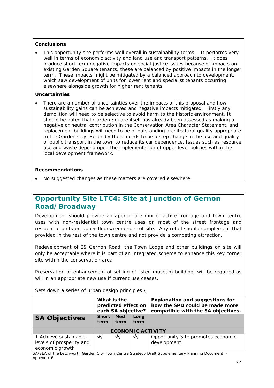This opportunity site performs well overall in sustainability terms. It performs very well in terms of economic activity and land use and transport patterns. It does produce short term negative impacts on social justice issues because of impacts on existing Garden Square tenants, these are balanced by positive impacts in the longer term. These impacts might be mitigated by a balanced approach to development, which saw development of units for lower rent and specialist tenants occurring elsewhere alongside growth for higher rent tenants.

### **Uncertainties**

There are a number of uncertainties over the impacts of this proposal and how sustainability gains can be achieved and negative impacts mitigated. Firstly any demolition will need to be selective to avoid harm to the historic environment. It should be noted that Garden Square itself has already been assessed as making a negative or neutral contribution in the Conservation Area Character Statement, and replacement buildings will need to be of outstanding architectural quality appropriate to the Garden City. Secondly there needs to be a step change in the use and quality of public transport in the town to reduce its car dependence. Issues such as resource use and waste depend upon the implementation of upper level policies within the local development framework.

## **Recommendations**

• No suggested changes as these matters are covered elsewhere.

## **Opportunity Site LTC4: Site at Junction of Gernon Road/Broadway**

Development should provide an appropriate mix of active frontage and town centre uses with non-residential town centre uses on most of the street frontage and residential units on upper floors/remainder of site. Any retail should complement that provided in the rest of the town centre and not provide a competing attraction.

Redevelopment of 29 Gernon Road, the Town Lodge and other buildings on site will only be acceptable where it is part of an integrated scheme to enhance this key corner site within the conservation area.

Preservation or enhancement of setting of listed museum building, will be required as will in an appropriate new use if current use ceases.

|                          | What is the        |                     |      | <b>Explanation and suggestions for</b> |  |  |
|--------------------------|--------------------|---------------------|------|----------------------------------------|--|--|
|                          |                    | predicted effect on |      | how the SPD could be made more         |  |  |
|                          | each SA objective? |                     |      | compatible with the SA objectives.     |  |  |
| <b>SA Objectives</b>     | <b>Short</b>       | <b>Med</b>          | Long |                                        |  |  |
|                          | term               | term                | term |                                        |  |  |
|                          |                    |                     |      |                                        |  |  |
| <b>ECONOMIC ACTIVITY</b> |                    |                     |      |                                        |  |  |
| 1 Achieve sustainable    | $\sqrt{2}$         | √√                  | ᄿ    | Opportunity Site promotes economic     |  |  |
| levels of prosperity and |                    |                     |      | development                            |  |  |
| economic growth          |                    |                     |      |                                        |  |  |

Sets down a series of urban design principles.\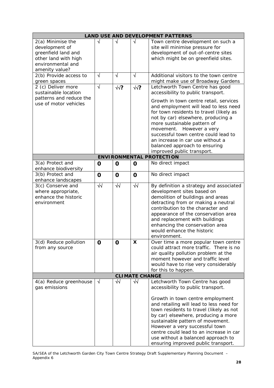|                         |                       |             |                       | <b>LAND USE AND DEVELOPMENT PATTERNS</b>                                 |
|-------------------------|-----------------------|-------------|-----------------------|--------------------------------------------------------------------------|
| 2(a) Minimise the       | $\sqrt{ }$            | $\sqrt{ }$  | √                     | Town centre development on such a                                        |
| development of          |                       |             |                       | site will minimise pressure for                                          |
| greenfield land and     |                       |             |                       | development of out-of-centre sites                                       |
| other land with high    |                       |             |                       | which might be on greenfield sites.                                      |
| environmental and       |                       |             |                       |                                                                          |
| amenity value?          |                       |             |                       |                                                                          |
| 2(b) Provide access to  | $\sqrt{ }$            | $\sqrt{ }$  | $\sqrt{ }$            | Additional visitors to the town centre                                   |
| green spaces            |                       |             |                       | might make use of Broadway Gardens                                       |
| 2 (c) Deliver more      | $\overline{\sqrt{2}}$ | $\sqrt{?}$  | $\sqrt{?}$            | Letchworth Town Centre has good                                          |
| sustainable location    |                       |             |                       | accessibility to public transport.                                       |
| patterns and reduce the |                       |             |                       | Growth in town centre retail, services                                   |
| use of motor vehicles   |                       |             |                       | and employment will lead to less need                                    |
|                         |                       |             |                       | for town residents to travel (likely as                                  |
|                         |                       |             |                       | not by car) elsewhere, producing a                                       |
|                         |                       |             |                       | more sustainable pattern of                                              |
|                         |                       |             |                       | movement. However a very                                                 |
|                         |                       |             |                       | successful town centre could lead to                                     |
|                         |                       |             |                       | an increase in car use without a                                         |
|                         |                       |             |                       | balanced approach to ensuring                                            |
|                         |                       |             |                       | improved public transport.                                               |
|                         |                       |             |                       | <b>ENVIRONMENTAL PROTECTION</b>                                          |
| 3(a) Protect and        | $\mathbf 0$           | $\mathbf 0$ | $\mathbf 0$           | No direct impact                                                         |
| enhance biodiversity    |                       |             |                       |                                                                          |
| 3(b) Protect and        | $\mathbf 0$           | $\mathbf 0$ | $\mathbf 0$           | No direct impact                                                         |
| enhance landscapes      |                       |             |                       |                                                                          |
| 3(c) Conserve and       | $\sqrt{2}$            | $\sqrt{2}$  | $\sqrt{2}$            | By definition a strategy and associated                                  |
| where appropriate,      |                       |             |                       | development sites based on                                               |
| enhance the historic    |                       |             |                       | demolition of buildings and areas                                        |
| environment             |                       |             |                       | detracting from or making a neutral<br>contribution to the character and |
|                         |                       |             |                       |                                                                          |
|                         |                       |             |                       | appearance of the conservation area<br>and replacement with buildings    |
|                         |                       |             |                       | enhancing the conservation area                                          |
|                         |                       |             |                       | would enhance the historic                                               |
|                         |                       |             |                       | environment.                                                             |
| 3(d) Reduce pollution   | O                     | O           | X                     | Over time a more popular town centre                                     |
| from any source         |                       |             |                       | could attract more traffic. There is no                                  |
|                         |                       |             |                       | air quality pollution problem at the                                     |
|                         |                       |             |                       | moment however and traffic level                                         |
|                         |                       |             |                       | would have to rise very considerably                                     |
|                         |                       |             |                       | for this to happen.                                                      |
|                         |                       |             | <b>CLIMATE CHANGE</b> |                                                                          |
| 4(a) Reduce greenhouse  | $\sqrt{ }$            | $\sqrt{2}$  | $\sqrt{2}$            | Letchworth Town Centre has good                                          |
| gas emissions           |                       |             |                       | accessibility to public transport.                                       |
|                         |                       |             |                       |                                                                          |
|                         |                       |             |                       | Growth in town centre employment                                         |
|                         |                       |             |                       | and retailing will lead to less need for                                 |
|                         |                       |             |                       | town residents to travel (likely as not                                  |
|                         |                       |             |                       | by car) elsewhere, producing a more                                      |
|                         |                       |             |                       | sustainable pattern of movement.                                         |
|                         |                       |             |                       | However a very successful town                                           |
|                         |                       |             |                       | centre could lead to an increase in car                                  |
|                         |                       |             |                       | use without a balanced approach to                                       |
|                         |                       |             |                       | ensuring improved public transport.                                      |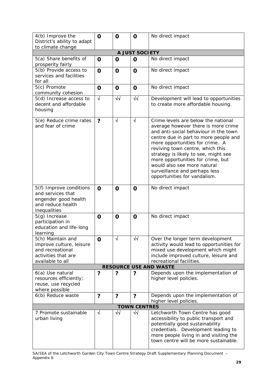| 4(b) Improve the                                                                                             | $\mathbf 0$ | $\mathbf 0$             | O                          | No direct impact                                                                                                                                                                                                                                                                                                                                                                                                 |
|--------------------------------------------------------------------------------------------------------------|-------------|-------------------------|----------------------------|------------------------------------------------------------------------------------------------------------------------------------------------------------------------------------------------------------------------------------------------------------------------------------------------------------------------------------------------------------------------------------------------------------------|
| District's ability to adapt<br>to climate change                                                             |             |                         |                            |                                                                                                                                                                                                                                                                                                                                                                                                                  |
|                                                                                                              |             |                         | A JUST SOCIETY             |                                                                                                                                                                                                                                                                                                                                                                                                                  |
| 5(a) Share benefits of<br>prosperity fairly                                                                  | $\mathbf 0$ | $\mathbf 0$             | $\mathbf 0$                | No direct impact                                                                                                                                                                                                                                                                                                                                                                                                 |
| 5(b) Provide access to<br>services and facilities<br>for all                                                 | $\mathbf O$ | $\mathbf 0$             | $\mathbf O$                | No direct impact                                                                                                                                                                                                                                                                                                                                                                                                 |
| 5(c) Promote<br>community cohesion                                                                           | O           | $\mathbf 0$             | $\mathbf 0$                | No direct impact                                                                                                                                                                                                                                                                                                                                                                                                 |
| 5(d) Increase access to<br>decent and affordable<br>housing                                                  | $\sqrt{ }$  | $\sqrt{2}$              | $\sqrt{2}$                 | Development will lead to opportunities<br>to create more affordable housing.                                                                                                                                                                                                                                                                                                                                     |
| 5(e) Reduce crime rates<br>and fear of crime                                                                 | ?           | $\sqrt{}$               | $\sqrt{ }$                 | Crime levels are below the national<br>average however there is more crime<br>and anti-social behaviour in the town<br>centre due in part to more people and<br>more opportunities for crime. A<br>reviving town centre, which this<br>strategy is likely to see, might see<br>more opportunities for crime, but<br>would also see more natural<br>surveillance and perhaps less<br>opportunities for vandalism. |
| 5(f) Improve conditions<br>and services that<br>engender good health<br>and reduce health<br>inequalities    | $\mathbf 0$ | $\mathbf 0$             | O                          | No direct impact                                                                                                                                                                                                                                                                                                                                                                                                 |
| 5(g) Increase<br>participation in<br>education and life-long<br>learning                                     | O           | $\mathbf 0$             | $\mathbf 0$                | No direct impact                                                                                                                                                                                                                                                                                                                                                                                                 |
| 5(h) Maintain and<br>improve culture, leisure<br>and recreational<br>activities that are<br>available to all | $\mathbf 0$ |                         | $\overline{\blacklozenge}$ | Over the longer term development<br>activity would lead to opportunities for<br>mixed use development which might<br>include improved culture, leisure and<br>recreational facilities.                                                                                                                                                                                                                           |
|                                                                                                              |             |                         |                            | <b>RESOURCE USE AND WASTE</b>                                                                                                                                                                                                                                                                                                                                                                                    |
| 6(a) Use natural<br>resources efficiently;<br>reuse, use recycled<br>where possible                          | ?           | ?                       | ?                          | Depends upon the implementation of<br>higher level policies.                                                                                                                                                                                                                                                                                                                                                     |
| 6(b) Reduce waste                                                                                            | ?           | $\overline{\mathbf{?}}$ | $\overline{\mathbf{?}}$    | Depends upon the implementation of<br>higher level policies.                                                                                                                                                                                                                                                                                                                                                     |
|                                                                                                              |             |                         | <b>TOWN CENTRES</b>        |                                                                                                                                                                                                                                                                                                                                                                                                                  |
| 7 Promote sustainable<br>urban living                                                                        | $\sqrt{}$   | ₩                       | $\sqrt{2}$                 | Letchworth Town Centre has good<br>accessibility to public transport and<br>potentially good sustainability<br>credentials. Development leading to<br>more people living in and visiting the<br>town centre will be more sustainable.                                                                                                                                                                            |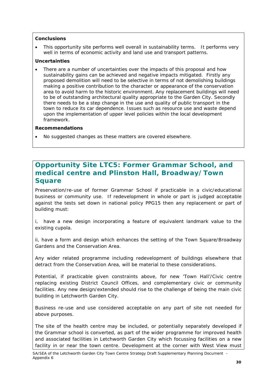• This opportunity site performs well overall in sustainability terms. It performs very well in terms of economic activity and land use and transport patterns.

### **Uncertainties**

• There are a number of uncertainties over the impacts of this proposal and how sustainability gains can be achieved and negative impacts mitigated. Firstly any proposed demolition will need to be selective in terms of not demolishing buildings making a positive contribution to the character or appearance of the conservation area to avoid harm to the historic environment. Any replacement buildings will need to be of outstanding architectural quality appropriate to the Garden City. Secondly there needs to be a step change in the use and quality of public transport in the town to reduce its car dependence. Issues such as resource use and waste depend upon the implementation of upper level policies within the local development framework.

#### **Recommendations**

• No suggested changes as these matters are covered elsewhere.

# **Opportunity Site LTC5: Former Grammar School, and medical centre and Plinston Hall, Broadway/Town Square**

Preservation/re-use of former Grammar School if practicable in a civic/educational business or community use. If redevelopment in whole or part is judged acceptable against the tests set down in national policy PPG15 then any replacement or part of building must:

i, have a new design incorporating a feature of equivalent landmark value to the existing cupola.

ii, have a form and design which enhances the setting of the Town Square/Broadway Gardens and the Conservation Area.

Any wider related programme including redevelopment of buildings elsewhere that detract from the Conservation Area, will be material to these considerations.

Potential, if practicable given constraints above, for new 'Town Hall'/Civic centre replacing existing District Council Offices, and complementary civic or community facilities. Any new design/extended should rise to the challenge of being the main civic building in Letchworth Garden City.

Business re-use and use considered acceptable on any part of site not needed for above purposes.

The site of the health centre may be included, or potentially separately developed if the Grammar school is converted, as part of the wider programme for improved health and associated facilities in Letchworth Garden City which focussing facilities on a new facility in or near the town centre. Development at the corner with West View must

SA/SEA of the Letchworth Garden City Town Centre Strategy Draft Supplementary Planning Document – Appendix 6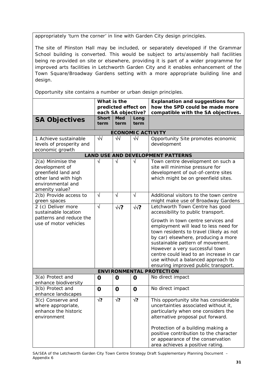appropriately 'turn the corner' in line with Garden City design principles.

The site of Plinston Hall may be included, or separately developed if the Grammar School building is converted. This would be subject to arts/assembly hall facilities being re-provided on site or elsewhere, providing it is part of a wider programme for improved arts facilities in Letchworth Garden City and it enables enhancement of the Town Square/Broadway Gardens setting with a more appropriate building line and design.

Opportunity site contains a number or urban design principles.

|                                                                                                                           | What is the<br>predicted effect on<br>each SA objective? |                    |              | <b>Explanation and suggestions for</b><br>how the SPD could be made more<br>compatible with the SA objectives.                                                                                                                                                                                                                                                                                |
|---------------------------------------------------------------------------------------------------------------------------|----------------------------------------------------------|--------------------|--------------|-----------------------------------------------------------------------------------------------------------------------------------------------------------------------------------------------------------------------------------------------------------------------------------------------------------------------------------------------------------------------------------------------|
| <b>SA Objectives</b>                                                                                                      | <b>Short</b><br>term                                     | <b>Med</b><br>term | Long<br>term |                                                                                                                                                                                                                                                                                                                                                                                               |
|                                                                                                                           |                                                          |                    |              | <b>ECONOMIC ACTIVITY</b>                                                                                                                                                                                                                                                                                                                                                                      |
| 1 Achieve sustainable<br>levels of prosperity and<br>economic growth                                                      | $\sqrt{2}$                                               | √√                 | $\sqrt{2}$   | Opportunity Site promotes economic<br>development                                                                                                                                                                                                                                                                                                                                             |
|                                                                                                                           |                                                          |                    |              | <b>LAND USE AND DEVELOPMENT PATTERNS</b>                                                                                                                                                                                                                                                                                                                                                      |
| 2(a) Minimise the<br>development of<br>greenfield land and<br>other land with high<br>environmental and<br>amenity value? | $\sqrt{}$                                                | $\sqrt{ }$         | $\sqrt{ }$   | Town centre development on such a<br>site will minimise pressure for<br>development of out-of-centre sites<br>which might be on greenfield sites.                                                                                                                                                                                                                                             |
| 2(b) Provide access to<br>green spaces                                                                                    | $\sqrt{}$                                                | $\sqrt{ }$         | $\sqrt{ }$   | Additional visitors to the town centre<br>might make use of Broadway Gardens                                                                                                                                                                                                                                                                                                                  |
| 2 (c) Deliver more<br>sustainable location<br>patterns and reduce the<br>use of motor vehicles                            | $\sqrt{ }$                                               | $\sqrt{?}$         | $\sqrt{2}$   | Letchworth Town Centre has good<br>accessibility to public transport.<br>Growth in town centre services and<br>employment will lead to less need for<br>town residents to travel (likely as not<br>by car) elsewhere, producing a more<br>sustainable pattern of movement.<br>However a very successful town<br>centre could lead to an increase in car<br>use without a balanced approach to |
|                                                                                                                           |                                                          |                    |              | ensuring improved public transport.                                                                                                                                                                                                                                                                                                                                                           |
|                                                                                                                           |                                                          |                    |              | <b>ENVIRONMENTAL PROTECTION</b>                                                                                                                                                                                                                                                                                                                                                               |
| 3(a) Protect and<br>enhance biodiversity                                                                                  | O                                                        | $\mathbf 0$        | 0            | No direct impact                                                                                                                                                                                                                                                                                                                                                                              |
| 3(b) Protect and<br>enhance landscapes                                                                                    | O                                                        | $\mathbf 0$        | $\mathbf 0$  | No direct impact                                                                                                                                                                                                                                                                                                                                                                              |
| 3(c) Conserve and<br>where appropriate,<br>enhance the historic<br>environment                                            | $\sqrt{?}$                                               | $\sqrt{?}$         | $\sqrt{?}$   | This opportunity site has considerable<br>uncertainties associated without it,<br>particularly when one considers the<br>alternative proposal put forward.<br>Protection of a building making a<br>positive contribution to the character<br>or appearance of the conservation<br>area achieves a positive rating.                                                                            |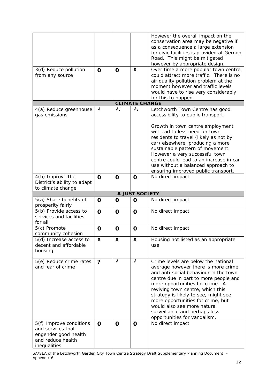| 3(d) Reduce pollution                                                   | $\mathbf 0$             | $\mathbf 0$ | $\mathsf{x}$          | However the overall impact on the<br>conservation area may be negative if<br>as a consequence a large extension<br>for civic facilities is provided at Gernon<br>Road. This might be mitigated<br>however by appropriate design.<br>Over time a more popular town centre                                                                                                                                                             |
|-------------------------------------------------------------------------|-------------------------|-------------|-----------------------|--------------------------------------------------------------------------------------------------------------------------------------------------------------------------------------------------------------------------------------------------------------------------------------------------------------------------------------------------------------------------------------------------------------------------------------|
| from any source                                                         |                         |             |                       | could attract more traffic. There is no<br>air quality pollution problem at the<br>moment however and traffic levels<br>would have to rise very considerably<br>for this to happen.                                                                                                                                                                                                                                                  |
|                                                                         |                         |             | <b>CLIMATE CHANGE</b> |                                                                                                                                                                                                                                                                                                                                                                                                                                      |
| 4(a) Reduce greenhouse<br>gas emissions                                 | $\sqrt{}$               | ᄿ           | $\sqrt{2}$            | Letchworth Town Centre has good<br>accessibility to public transport.                                                                                                                                                                                                                                                                                                                                                                |
|                                                                         |                         |             |                       | Growth in town centre employment<br>will lead to less need for town<br>residents to travel (likely as not by<br>car) elsewhere, producing a more<br>sustainable pattern of movement.<br>However a very successful town<br>centre could lead to an increase in car<br>use without a balanced approach to<br>ensuring improved public transport.                                                                                       |
| 4(b) Improve the<br>District's ability to adapt<br>to climate change    | $\mathbf 0$             | $\mathbf 0$ | O                     | No direct impact                                                                                                                                                                                                                                                                                                                                                                                                                     |
|                                                                         |                         |             | A JUST SOCIETY        |                                                                                                                                                                                                                                                                                                                                                                                                                                      |
| 5(a) Share benefits of<br>prosperity fairly                             | $\mathbf 0$             | $\mathbf 0$ | O                     | No direct impact                                                                                                                                                                                                                                                                                                                                                                                                                     |
| 5(b) Provide access to<br>services and facilities<br>for all            | $\mathbf O$             | $\mathbf 0$ | $\mathbf 0$           | No direct impact                                                                                                                                                                                                                                                                                                                                                                                                                     |
| 5(c) Promote<br>community cohesion                                      | $\mathbf 0$             | $\mathbf 0$ | O                     | No direct impact                                                                                                                                                                                                                                                                                                                                                                                                                     |
| $\overline{5}$ (d) Increase access to                                   |                         |             |                       |                                                                                                                                                                                                                                                                                                                                                                                                                                      |
| decent and affordable<br>housing                                        | X                       | X.          | X                     | Housing not listed as an appropriate<br>use.                                                                                                                                                                                                                                                                                                                                                                                         |
| 5(e) Reduce crime rates<br>and fear of crime<br>5(f) Improve conditions | $\overline{\mathbf{?}}$ | $\sqrt{ }$  | $\sqrt{ }$            | Crime levels are below the national<br>average however there is more crime<br>and anti-social behaviour in the town<br>centre due in part to more people and<br>more opportunities for crime. A<br>reviving town centre, which this<br>strategy is likely to see, might see<br>more opportunities for crime, but<br>would also see more natural<br>surveillance and perhaps less<br>opportunities for vandalism.<br>No direct impact |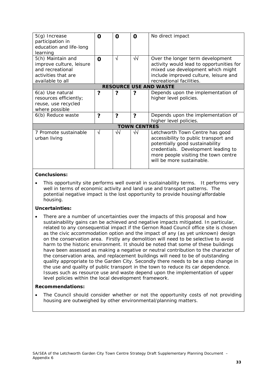| $5(g)$ Increase<br>participation in<br>education and life-long<br>learning                                   | O | Ω          | 0                   | No direct impact                                                                                                                                                                                                        |  |  |
|--------------------------------------------------------------------------------------------------------------|---|------------|---------------------|-------------------------------------------------------------------------------------------------------------------------------------------------------------------------------------------------------------------------|--|--|
| 5(h) Maintain and<br>improve culture, leisure<br>and recreational<br>activities that are<br>available to all | O | √          | $\sqrt{2}$          | Over the longer term development<br>activity would lead to opportunities for<br>mixed use development which might<br>include improved culture, leisure and<br>recreational facilities.                                  |  |  |
| <b>RESOURCE USE AND WASTE</b>                                                                                |   |            |                     |                                                                                                                                                                                                                         |  |  |
| 6(a) Use natural<br>resources efficiently;<br>reuse, use recycled<br>where possible                          | ? | ?          | 7                   | Depends upon the implementation of<br>higher level policies.                                                                                                                                                            |  |  |
| 6(b) Reduce waste                                                                                            | ? | ?          | ?                   | Depends upon the implementation of<br>higher level policies.                                                                                                                                                            |  |  |
|                                                                                                              |   |            | <b>TOWN CENTRES</b> |                                                                                                                                                                                                                         |  |  |
| 7 Promote sustainable<br>urban living                                                                        | √ | $\sqrt{2}$ | ᄿ                   | Letchworth Town Centre has good<br>accessibility to public transport and<br>potentially good sustainability<br>credentials. Development leading to<br>more people visiting the town centre<br>will be more sustainable. |  |  |

This opportunity site performs well overall in sustainability terms. It performs very well in terms of economic activity and land use and transport patterns. The potential negative impact is the lost opportunity to provide housing/affordable housing.

#### **Uncertainties:**

There are a number of uncertainties over the impacts of this proposal and how sustainability gains can be achieved and negative impacts mitigated. In particular, related to any consequential impact if the Gernon Road Council office site is chosen as the civic accommodation option and the impact of any (as yet unknown) design on the conservation area. Firstly any demolition will need to be selective to avoid harm to the historic environment. It should be noted that some of these buildings have been assessed as making a negative or neutral contribution to the character of the conservation area, and replacement buildings will need to be of outstanding quality appropriate to the Garden City. Secondly there needs to be a step change in the use and quality of public transport in the town to reduce its car dependence. Issues such as resource use and waste depend upon the implementation of upper level policies within the local development framework.

#### **Recommendations:**

The Council should consider whether or not the opportunity costs of not providing housing are outweighed by other environmental/planning matters.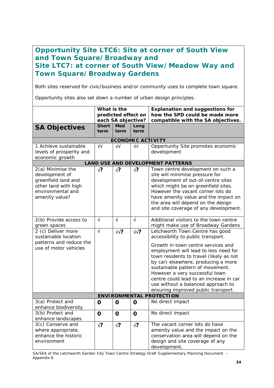# **Opportunity Site LTC6: Site at corner of South View and Town Square/Broadway and Site LTC7: at corner of South View/Meadow Way and Town Square/Broadway Gardens**

Both sites reserved for civic/business and/or community uses to complete town square.

Opportunity sites also set down a number of urban design principles.

|                                                                                                                           | What is the<br>predicted effect on<br>each SA objective? |                    |                          | <b>Explanation and suggestions for</b><br>how the SPD could be made more<br>compatible with the SA objectives.                                                                                                                                                                                                                                                                                                                       |
|---------------------------------------------------------------------------------------------------------------------------|----------------------------------------------------------|--------------------|--------------------------|--------------------------------------------------------------------------------------------------------------------------------------------------------------------------------------------------------------------------------------------------------------------------------------------------------------------------------------------------------------------------------------------------------------------------------------|
| <b>SA Objectives</b>                                                                                                      | <b>Short</b><br>term                                     | <b>Med</b><br>term | Long<br>term             |                                                                                                                                                                                                                                                                                                                                                                                                                                      |
|                                                                                                                           |                                                          |                    | <b>ECONOMIC ACTIVITY</b> |                                                                                                                                                                                                                                                                                                                                                                                                                                      |
| 1 Achieve sustainable<br>levels of prosperity and<br>economic growth                                                      | $\sqrt{2}$                                               | $\sqrt{2}$         | $\sqrt{2}$               | Opportunity Site promotes economic<br>development                                                                                                                                                                                                                                                                                                                                                                                    |
|                                                                                                                           |                                                          |                    |                          | <b>LAND USE AND DEVELOPMENT PATTERNS</b>                                                                                                                                                                                                                                                                                                                                                                                             |
| 2(a) Minimise the<br>development of<br>greenfield land and<br>other land with high<br>environmental and<br>amenity value? | $\sqrt{?}$                                               | $\sqrt{?}$         | √?                       | Town centre development on such a<br>site will minimise pressure for<br>development of out-of-centre sites<br>which might be on greenfield sites.<br>However the vacant corner lots do<br>have amenity value and the impact on<br>the area will depend on the design<br>and site coverage of any development.                                                                                                                        |
| 2(b) Provide access to<br>green spaces                                                                                    | $\sqrt{ }$                                               | $\sqrt{ }$         | $\sqrt{ }$               | Additional visitors to the town centre<br>might make use of Broadway Gardens                                                                                                                                                                                                                                                                                                                                                         |
| 2 (c) Deliver more<br>sustainable location<br>patterns and reduce the<br>use of motor vehicles                            | $\overline{\sqrt{2}}$                                    | $\sqrt{2}$         | $\sqrt{2}$               | Letchworth Town Centre has good<br>accessibility to public transport.<br>Growth in town centre services and<br>employment will lead to less need for<br>town residents to travel (likely as not<br>by car) elsewhere, producing a more<br>sustainable pattern of movement.<br>However a very successful town<br>centre could lead to an increase in car<br>use without a balanced approach to<br>ensuring improved public transport. |
|                                                                                                                           |                                                          |                    |                          | <b>ENVIRONMENTAL PROTECTION</b>                                                                                                                                                                                                                                                                                                                                                                                                      |
| 3(a) Protect and<br>enhance biodiversity<br>3(b) Protect and                                                              | O<br>O                                                   | O<br>O             | 0<br>0                   | No direct impact<br>No direct impact                                                                                                                                                                                                                                                                                                                                                                                                 |
| enhance landscapes<br>3(c) Conserve and<br>where appropriate,<br>enhance the historic<br>environment                      | $\sqrt{?}$                                               | $\sqrt{?}$         | $\sqrt{?}$               | The vacant corner lots do have<br>amenity value and the impact on the<br>conservation area will depend on the<br>design and site coverage of any<br>development.                                                                                                                                                                                                                                                                     |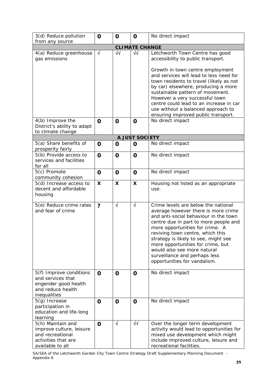| 3(d) Reduce pollution<br>from any source                                                                     | O           | O           | O                         | No direct impact                                                                                                                                                                                                                                                                                                                                                                                                 |
|--------------------------------------------------------------------------------------------------------------|-------------|-------------|---------------------------|------------------------------------------------------------------------------------------------------------------------------------------------------------------------------------------------------------------------------------------------------------------------------------------------------------------------------------------------------------------------------------------------------------------|
|                                                                                                              |             |             | <b>CLIMATE CHANGE</b>     |                                                                                                                                                                                                                                                                                                                                                                                                                  |
| 4(a) Reduce greenhouse<br>gas emissions                                                                      | $\sqrt{ }$  | $\sqrt{}$   | $\sqrt{2}$                | Letchworth Town Centre has good<br>accessibility to public transport.<br>Growth in town centre employment<br>and services will lead to less need for<br>town residents to travel (likely as not<br>by car) elsewhere, producing a more                                                                                                                                                                           |
|                                                                                                              |             |             |                           | sustainable pattern of movement.<br>However a very successful town<br>centre could lead to an increase in car<br>use without a balanced approach to<br>ensuring improved public transport.                                                                                                                                                                                                                       |
| 4(b) Improve the<br>District's ability to adapt<br>to climate change                                         | $\mathbf 0$ | $\mathbf 0$ | $\mathbf 0$               | No direct impact                                                                                                                                                                                                                                                                                                                                                                                                 |
|                                                                                                              |             |             | A JUST SOCIETY            |                                                                                                                                                                                                                                                                                                                                                                                                                  |
| 5(a) Share benefits of<br>prosperity fairly                                                                  | O           | $\mathbf 0$ | O                         | No direct impact                                                                                                                                                                                                                                                                                                                                                                                                 |
| 5(b) Provide access to<br>services and facilities<br>for all                                                 | O           | $\mathbf 0$ | $\mathbf 0$               | No direct impact                                                                                                                                                                                                                                                                                                                                                                                                 |
| 5(c) Promote<br>community cohesion                                                                           | O           | $\mathbf 0$ | $\mathbf 0$               | No direct impact                                                                                                                                                                                                                                                                                                                                                                                                 |
| 5(d) Increase access to<br>decent and affordable<br>housing                                                  | X           | X           | $\boldsymbol{\mathsf{X}}$ | Housing not listed as an appropriate<br>use.                                                                                                                                                                                                                                                                                                                                                                     |
| 5(e) Reduce crime rates<br>and fear of crime                                                                 | ?           | $\sqrt{ }$  | $\sqrt{ }$                | Crime levels are below the national<br>average however there is more crime<br>and anti-social behaviour in the town<br>centre due in part to more people and<br>more opportunities for crime. A<br>reviving town centre, which this<br>strategy is likely to see, might see<br>more opportunities for crime, but<br>would also see more natural<br>surveillance and perhaps less<br>opportunities for vandalism. |
| 5(f) Improve conditions<br>and services that<br>engender good health<br>and reduce health<br>inequalities    | O           | $\mathbf 0$ | O                         | No direct impact                                                                                                                                                                                                                                                                                                                                                                                                 |
| $5(g)$ Increase<br>participation in<br>education and life-long<br>learning                                   | $\mathbf 0$ | $\mathbf 0$ | O                         | No direct impact                                                                                                                                                                                                                                                                                                                                                                                                 |
| 5(h) Maintain and<br>improve culture, leisure<br>and recreational<br>activities that are<br>available to all | $\mathbf 0$ | V           | ₩                         | Over the longer term development<br>activity would lead to opportunities for<br>mixed use development which might<br>include improved culture, leisure and<br>recreational facilities.                                                                                                                                                                                                                           |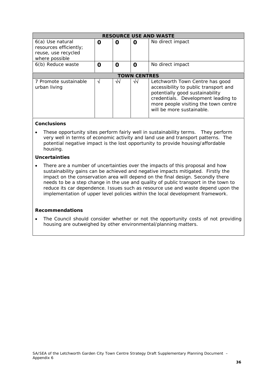| <b>RESOURCE USE AND WASTE</b>                                                       |   |    |                     |                                                                                                                                                                                                                         |  |  |
|-------------------------------------------------------------------------------------|---|----|---------------------|-------------------------------------------------------------------------------------------------------------------------------------------------------------------------------------------------------------------------|--|--|
| 6(a) Use natural<br>resources efficiently;<br>reuse, use recycled<br>where possible | Ω | 0  | O                   | No direct impact                                                                                                                                                                                                        |  |  |
| 6(b) Reduce waste                                                                   | O | O  | Ω                   | No direct impact                                                                                                                                                                                                        |  |  |
|                                                                                     |   |    | <b>TOWN CENTRES</b> |                                                                                                                                                                                                                         |  |  |
| 7 Promote sustainable<br>urban living                                               | N | √√ | ᄿ                   | Letchworth Town Centre has good<br>accessibility to public transport and<br>potentially good sustainability<br>credentials. Development leading to<br>more people visiting the town centre<br>will be more sustainable. |  |  |

• These opportunity sites perform fairly well in sustainability terms. They perform very well in terms of economic activity and land use and transport patterns. The potential negative impact is the lost opportunity to provide housing/affordable housing.

#### **Uncertainties**

There are a number of uncertainties over the impacts of this proposal and how sustainability gains can be achieved and negative impacts mitigated. Firstly the impact on the conservation area will depend on the final design. Secondly there needs to be a step change in the use and quality of public transport in the town to reduce its car dependence. Issues such as resource use and waste depend upon the implementation of upper level policies within the local development framework.

#### **Recommendations**

The Council should consider whether or not the opportunity costs of not providing housing are outweighed by other environmental/planning matters.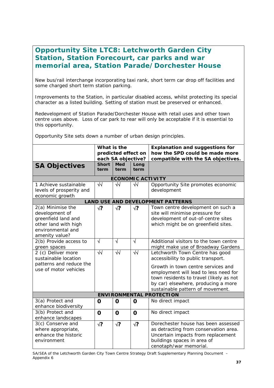# **Opportunity Site LTC8: Letchworth Garden City Station, Station Forecourt, car parks and war memorial area, Station Parade/Dorchester House**

New bus/rail interchange incorporating taxi rank, short term car drop off facilities and some charged short term station parking.

Improvements to the Station, in particular disabled access, whilst protecting its special character as a listed building. Setting of station must be preserved or enhanced.

Redevelopment of Station Parade/Dorchester House with retail uses and other town centre uses above. Loss of car park to rear will only be acceptable if it is essential to this opportunity.

Opportunity Site sets down a number of urban design principles.

|                                                                                                                           | What is the<br>predicted effect on<br>each SA objective? |                      |                      | <b>Explanation and suggestions for</b><br>how the SPD could be made more<br>compatible with the SA objectives.                                                                                                                                                             |  |  |  |  |
|---------------------------------------------------------------------------------------------------------------------------|----------------------------------------------------------|----------------------|----------------------|----------------------------------------------------------------------------------------------------------------------------------------------------------------------------------------------------------------------------------------------------------------------------|--|--|--|--|
| <b>SA Objectives</b>                                                                                                      | <b>Short</b><br>term                                     | Med<br>term          | Long<br>term         |                                                                                                                                                                                                                                                                            |  |  |  |  |
| <b>ECONOMIC ACTIVITY</b>                                                                                                  |                                                          |                      |                      |                                                                                                                                                                                                                                                                            |  |  |  |  |
| 1 Achieve sustainable<br>levels of prosperity and<br>economic growth                                                      | $\sqrt{2}$                                               | $\sqrt{2}$           | $\sqrt{2}$           | Opportunity Site promotes economic<br>development                                                                                                                                                                                                                          |  |  |  |  |
|                                                                                                                           |                                                          |                      |                      | <b>LAND USE AND DEVELOPMENT PATTERNS</b>                                                                                                                                                                                                                                   |  |  |  |  |
| 2(a) Minimise the<br>development of<br>greenfield land and<br>other land with high<br>environmental and<br>amenity value? | $\sqrt{?}$                                               | $\sqrt{?}$           | $\sqrt{?}$           | Town centre development on such a<br>site will minimise pressure for<br>development of out-of-centre sites<br>which might be on greenfield sites.                                                                                                                          |  |  |  |  |
| 2(b) Provide access to<br>green spaces                                                                                    | $\sqrt{ }$                                               | $\sqrt{ }$           | $\sqrt{ }$           | Additional visitors to the town centre<br>might make use of Broadway Gardens                                                                                                                                                                                               |  |  |  |  |
| 2 (c) Deliver more<br>sustainable location<br>patterns and reduce the<br>use of motor vehicles                            | $\overline{\sqrt{}}$                                     | $\overline{\sqrt{}}$ | $\overline{\sqrt{}}$ | Letchworth Town Centre has good<br>accessibility to public transport.<br>Growth in town centre services and<br>employment will lead to less need for<br>town residents to travel (likely as not<br>by car) elsewhere, producing a more<br>sustainable pattern of movement. |  |  |  |  |
|                                                                                                                           |                                                          |                      |                      | <b>ENVIRONMENTAL PROTECTION</b>                                                                                                                                                                                                                                            |  |  |  |  |
| 3(a) Protect and<br>enhance biodiversity                                                                                  | $\mathbf O$                                              | $\mathbf 0$          | $\mathbf 0$          | No direct impact                                                                                                                                                                                                                                                           |  |  |  |  |
| 3(b) Protect and<br>enhance landscapes                                                                                    | $\mathbf O$                                              | $\mathbf O$          | $\mathbf O$          | No direct impact                                                                                                                                                                                                                                                           |  |  |  |  |
| 3(c) Conserve and<br>where appropriate,<br>enhance the historic<br>environment                                            | $\sqrt{?}$                                               | $\sqrt{?}$           | $\sqrt{?}$           | Dorechester house has been assessed<br>as detracting from conservation area.<br>Uncertain impacts from replacement<br>buildings spaces in area of<br>cenotaph/war memorial.                                                                                                |  |  |  |  |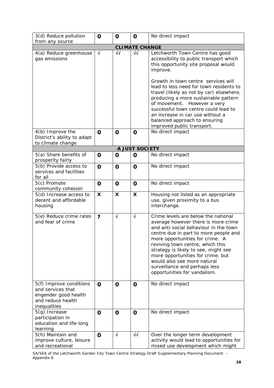| 3(d) Reduce pollution                                                                                     | O                    | $\mathbf 0$ | $\mathbf 0$               | No direct impact                                                                                                                                                                                                                                                                                                                                                                                                 |
|-----------------------------------------------------------------------------------------------------------|----------------------|-------------|---------------------------|------------------------------------------------------------------------------------------------------------------------------------------------------------------------------------------------------------------------------------------------------------------------------------------------------------------------------------------------------------------------------------------------------------------|
| from any source                                                                                           |                      |             | <b>CLIMATE CHANGE</b>     |                                                                                                                                                                                                                                                                                                                                                                                                                  |
| 4(a) Reduce greenhouse                                                                                    | $\sqrt{}$            | $\sqrt{2}$  | $\sqrt{2}$                | Letchworth Town Centre has good                                                                                                                                                                                                                                                                                                                                                                                  |
| gas emissions                                                                                             |                      |             |                           | accessibility to public transport which<br>this opportunity site proposal would<br>improve.                                                                                                                                                                                                                                                                                                                      |
|                                                                                                           |                      |             |                           | Growth in town centre services will<br>lead to less need for town residents to<br>travel (likely as not by car) elsewhere,<br>producing a more sustainable pattern<br>of movement. However a very<br>successful town centre could lead to<br>an increase in car use without a<br>balanced approach to ensuring<br>improved public transport.                                                                     |
| 4(b) Improve the                                                                                          | $\mathbf 0$          | $\mathbf 0$ | $\mathbf 0$               | No direct impact                                                                                                                                                                                                                                                                                                                                                                                                 |
| District's ability to adapt                                                                               |                      |             |                           |                                                                                                                                                                                                                                                                                                                                                                                                                  |
| to climate change                                                                                         |                      |             | <b>A JUST SOCIETY</b>     |                                                                                                                                                                                                                                                                                                                                                                                                                  |
| 5(a) Share benefits of<br>prosperity fairly                                                               | O                    | $\mathbf 0$ | 0                         | No direct impact                                                                                                                                                                                                                                                                                                                                                                                                 |
| 5(b) Provide access to<br>services and facilities<br>for all                                              | O                    | $\mathbf 0$ | $\mathbf 0$               | No direct impact                                                                                                                                                                                                                                                                                                                                                                                                 |
| 5(c) Promote<br>community cohesion                                                                        | O                    | $\mathbf 0$ | $\mathbf 0$               | No direct impact                                                                                                                                                                                                                                                                                                                                                                                                 |
| 5(d) Increase access to<br>decent and affordable<br>housing                                               | X                    | X           | $\boldsymbol{\mathsf{X}}$ | Housing not listed as an appropriate<br>use, given proximity to a bus<br>interchange.                                                                                                                                                                                                                                                                                                                            |
| 5(e) Reduce crime rates<br>and fear of crime                                                              | $\ddot{\phantom{0}}$ | $\sqrt{ }$  | $\sqrt{ }$                | Crime levels are below the national<br>average however there is more crime<br>and anti-social behaviour in the town<br>centre due in part to more people and<br>more opportunities for crime. A<br>reviving town centre, which this<br>strategy is likely to see, might see<br>more opportunities for crime, but<br>would also see more natural<br>surveillance and perhaps less<br>opportunities for vandalism. |
| 5(f) Improve conditions<br>and services that<br>engender good health<br>and reduce health<br>inequalities | $\mathbf{O}$         | $\mathbf 0$ | $\mathbf 0$               | No direct impact                                                                                                                                                                                                                                                                                                                                                                                                 |
| 5(g) Increase<br>participation in<br>education and life-long<br>learning                                  | O                    | $\mathbf 0$ | $\mathbf 0$               | No direct impact                                                                                                                                                                                                                                                                                                                                                                                                 |
| 5(h) Maintain and<br>improve culture, leisure<br>and recreational                                         | $\mathbf 0$          | $\sqrt{}$   | $\sqrt{2}$                | Over the longer term development<br>activity would lead to opportunities for<br>mixed use development which might                                                                                                                                                                                                                                                                                                |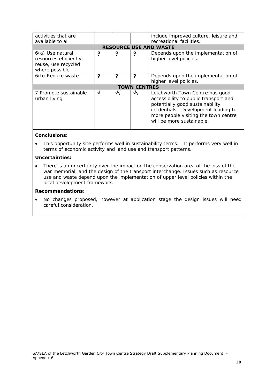| activities that are<br>available to all                                             |   |    |                     | include improved culture, leisure and<br>recreational facilities.                                                                                                                                                       |  |  |  |
|-------------------------------------------------------------------------------------|---|----|---------------------|-------------------------------------------------------------------------------------------------------------------------------------------------------------------------------------------------------------------------|--|--|--|
| <b>RESOURCE USE AND WASTE</b>                                                       |   |    |                     |                                                                                                                                                                                                                         |  |  |  |
| 6(a) Use natural<br>resources efficiently;<br>reuse, use recycled<br>where possible | ? |    |                     | Depends upon the implementation of<br>higher level policies.                                                                                                                                                            |  |  |  |
| 6(b) Reduce waste                                                                   | 7 | 7  | 2                   | Depends upon the implementation of<br>higher level policies.                                                                                                                                                            |  |  |  |
|                                                                                     |   |    | <b>TOWN CENTRES</b> |                                                                                                                                                                                                                         |  |  |  |
| 7 Promote sustainable<br>urban living                                               | N | √√ | √√                  | Letchworth Town Centre has good<br>accessibility to public transport and<br>potentially good sustainability<br>credentials. Development leading to<br>more people visiting the town centre<br>will be more sustainable. |  |  |  |

• This opportunity site performs well in sustainability terms. It performs very well in terms of economic activity and land use and transport patterns.

#### **Uncertainties:**

• There is an uncertainty over the impact on the conservation area of the loss of the war memorial, and the design of the transport interchange. Issues such as resource use and waste depend upon the implementation of upper level policies within the local development framework.

#### **Recommendations:**

• No changes proposed, however at application stage the design issues will need careful consideration.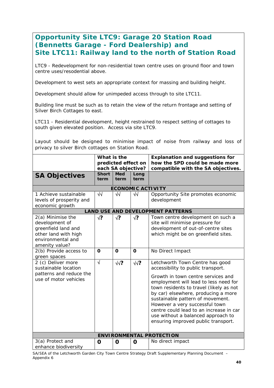# **Opportunity Site LTC9: Garage 20 Station Road (Bennetts Garage - Ford Dealership) and Site LTC11: Railway land to the north of Station Road**

LTC9 - Redevelopment for non-residential town centre uses on ground floor and town centre uses/resodential above.

Development to west sets an appropriate context for massing and building height.

Development should allow for unimpeded access through to site LTC11.

Building line must be such as to retain the view of the return frontage and setting of Silver Birch Cottages to east.

LTC11 - Residential development, height restrained to respect setting of cottages to south given elevated position. Access via site LTC9.

Layout should be designed to minimise impact of noise from railway and loss of privacy to silver Birch cottages on Station Road.

|                                                                                                                           | What is the          | predicted effect on                      |                          | <b>Explanation and suggestions for</b><br>how the SPD could be made more                                                                                                                                                                                                                                                                                                                                                             |
|---------------------------------------------------------------------------------------------------------------------------|----------------------|------------------------------------------|--------------------------|--------------------------------------------------------------------------------------------------------------------------------------------------------------------------------------------------------------------------------------------------------------------------------------------------------------------------------------------------------------------------------------------------------------------------------------|
| <b>SA Objectives</b>                                                                                                      | <b>Short</b><br>term | each SA objective?<br><b>Med</b><br>term | Long<br>term             | compatible with the SA objectives.                                                                                                                                                                                                                                                                                                                                                                                                   |
|                                                                                                                           |                      |                                          | <b>ECONOMIC ACTIVITY</b> |                                                                                                                                                                                                                                                                                                                                                                                                                                      |
| 1 Achieve sustainable<br>levels of prosperity and<br>economic growth                                                      | $\sqrt{2}$           | $\sqrt{2}$                               | $\sqrt{2}$               | Opportunity Site promotes economic<br>development                                                                                                                                                                                                                                                                                                                                                                                    |
|                                                                                                                           |                      |                                          |                          | <b>LAND USE AND DEVELOPMENT PATTERNS</b>                                                                                                                                                                                                                                                                                                                                                                                             |
| 2(a) Minimise the<br>development of<br>greenfield land and<br>other land with high<br>environmental and<br>amenity value? | √?                   | $\sqrt{?}$                               | $\sqrt{?}$               | Town centre development on such a<br>site will minimise pressure for<br>development of out-of-centre sites<br>which might be on greenfield sites.                                                                                                                                                                                                                                                                                    |
| 2(b) Provide access to<br>green spaces                                                                                    | $\mathbf 0$          | $\Omega$                                 | $\mathbf 0$              | No Direct Impact                                                                                                                                                                                                                                                                                                                                                                                                                     |
| 2 (c) Deliver more<br>sustainable location<br>patterns and reduce the<br>use of motor vehicles                            | $\sqrt{}$            | $\sqrt{2}$                               | $\sqrt{2}$               | Letchworth Town Centre has good<br>accessibility to public transport.<br>Growth in town centre services and<br>employment will lead to less need for<br>town residents to travel (likely as not<br>by car) elsewhere, producing a more<br>sustainable pattern of movement.<br>However a very successful town<br>centre could lead to an increase in car<br>use without a balanced approach to<br>ensuring improved public transport. |
|                                                                                                                           |                      |                                          |                          | <b>ENVIRONMENTAL PROTECTION</b>                                                                                                                                                                                                                                                                                                                                                                                                      |
| 3(a) Protect and<br>enhance biodiversity                                                                                  | O                    | O                                        | O                        | No direct impact                                                                                                                                                                                                                                                                                                                                                                                                                     |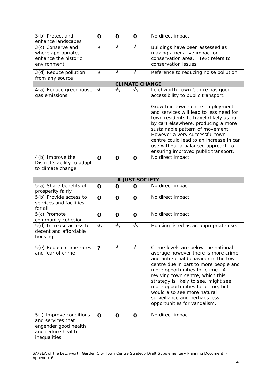| 3(b) Protect and<br>enhance landscapes                                                                    | O                    | $\mathbf 0$ | O                     | No direct impact                                                                                                                                                                                                                                                                                                                                                                                                 |
|-----------------------------------------------------------------------------------------------------------|----------------------|-------------|-----------------------|------------------------------------------------------------------------------------------------------------------------------------------------------------------------------------------------------------------------------------------------------------------------------------------------------------------------------------------------------------------------------------------------------------------|
| 3(c) Conserve and<br>where appropriate,<br>enhance the historic<br>environment                            | $\sqrt{}$            | $\sqrt{ }$  | $\sqrt{ }$            | Buildings have been assessed as<br>making a negative impact on<br>conservation area. Text refers to<br>conservation issues.                                                                                                                                                                                                                                                                                      |
| 3(d) Reduce pollution<br>from any source                                                                  | $\sqrt{ }$           | $\sqrt{ }$  | $\sqrt{ }$            | Reference to reducing noise pollution.                                                                                                                                                                                                                                                                                                                                                                           |
|                                                                                                           |                      |             | <b>CLIMATE CHANGE</b> |                                                                                                                                                                                                                                                                                                                                                                                                                  |
| 4(a) Reduce greenhouse<br>gas emissions                                                                   | $\sqrt{ }$           | $\sqrt{2}$  | $\sqrt{2}$            | Letchworth Town Centre has good<br>accessibility to public transport.<br>Growth in town centre employment<br>and services will lead to less need for<br>town residents to travel (likely as not<br>by car) elsewhere, producing a more<br>sustainable pattern of movement.<br>However a very successful town<br>centre could lead to an increase in car<br>use without a balanced approach to                    |
|                                                                                                           |                      |             |                       | ensuring improved public transport.                                                                                                                                                                                                                                                                                                                                                                              |
| 4(b) Improve the<br>District's ability to adapt<br>to climate change                                      | $\mathbf 0$          | $\mathbf 0$ | O                     | No direct impact                                                                                                                                                                                                                                                                                                                                                                                                 |
|                                                                                                           |                      |             | A JUST SOCIETY        |                                                                                                                                                                                                                                                                                                                                                                                                                  |
| 5(a) Share benefits of<br>prosperity fairly                                                               | $\mathbf 0$          | $\mathbf 0$ | O                     | No direct impact                                                                                                                                                                                                                                                                                                                                                                                                 |
| 5(b) Provide access to<br>services and facilities<br>for all                                              | $\mathbf O$          | $\mathbf 0$ | $\mathbf 0$           | No direct impact                                                                                                                                                                                                                                                                                                                                                                                                 |
| 5(c) Promote<br>community cohesion                                                                        | $\mathbf 0$          | $\mathbf 0$ | $\mathbf 0$           | No direct impact                                                                                                                                                                                                                                                                                                                                                                                                 |
| 5(d) Increase access to<br>decent and affordable<br>housing                                               | $\overline{\sqrt{}}$ | $\sqrt{2}$  | $\sqrt{}$             | Housing listed as an appropriate use.                                                                                                                                                                                                                                                                                                                                                                            |
| 5(e) Reduce crime rates<br>and fear of crime                                                              | ?                    | $\sqrt{ }$  | $\sqrt{ }$            | Crime levels are below the national<br>average however there is more crime<br>and anti-social behaviour in the town<br>centre due in part to more people and<br>more opportunities for crime. A<br>reviving town centre, which this<br>strategy is likely to see, might see<br>more opportunities for crime, but<br>would also see more natural<br>surveillance and perhaps less<br>opportunities for vandalism. |
| 5(f) Improve conditions<br>and services that<br>engender good health<br>and reduce health<br>inequalities | $\mathbf 0$          | $\mathbf 0$ | O                     | No direct impact                                                                                                                                                                                                                                                                                                                                                                                                 |